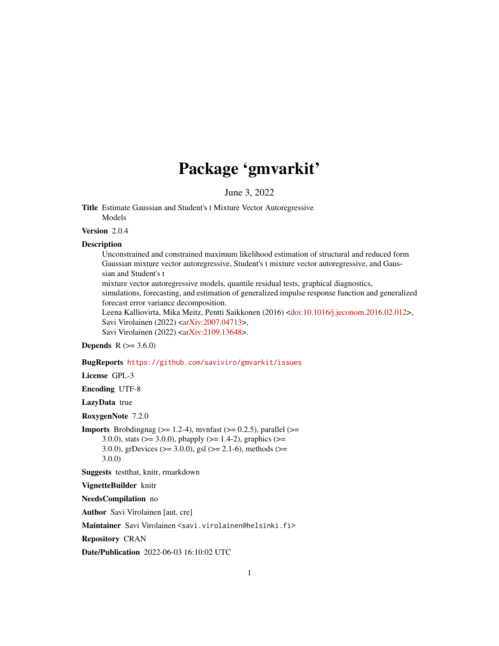# Package 'gmvarkit'

June 3, 2022

<span id="page-0-0"></span>Title Estimate Gaussian and Student's t Mixture Vector Autoregressive Models

Version 2.0.4

# Description

Unconstrained and constrained maximum likelihood estimation of structural and reduced form Gaussian mixture vector autoregressive, Student's t mixture vector autoregressive, and Gaussian and Student's t mixture vector autoregressive models, quantile residual tests, graphical diagnostics,

simulations, forecasting, and estimation of generalized impulse response function and generalized forecast error variance decomposition.

Leena Kalliovirta, Mika Meitz, Pentti Saikkonen (2016) [<doi:10.1016/j.jeconom.2016.02.012>](https://doi.org/10.1016/j.jeconom.2016.02.012), Savi Virolainen (2022) [<arXiv:2007.04713>](https://arxiv.org/abs/2007.04713), Savi Virolainen (2022) [<arXiv:2109.13648>](https://arxiv.org/abs/2109.13648).

# **Depends** R  $(>= 3.6.0)$

BugReports <https://github.com/saviviro/gmvarkit/issues>

# License GPL-3

Encoding UTF-8

LazyData true

RoxygenNote 7.2.0

**Imports** Brobdingnag ( $>= 1.2-4$ ), mvnfast ( $>= 0.2.5$ ), parallel ( $>= 1.2-4$ ) 3.0.0), stats ( $> = 3.0.0$ ), pbapply ( $> = 1.4-2$ ), graphics ( $> =$ 3.0.0), grDevices ( $>= 3.0.0$ ), gsl ( $>= 2.1-6$ ), methods ( $>=$ 3.0.0)

Suggests testthat, knitr, rmarkdown

#### VignetteBuilder knitr

NeedsCompilation no

Author Savi Virolainen [aut, cre]

Maintainer Savi Virolainen <savi.virolainen@helsinki.fi>

Repository CRAN

Date/Publication 2022-06-03 16:10:02 UTC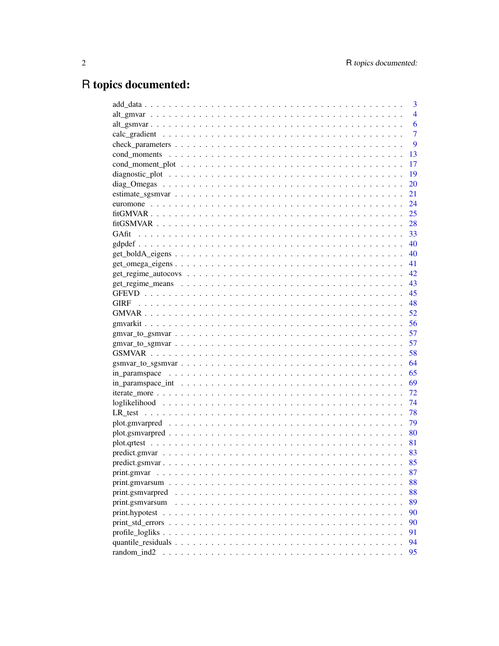# R topics documented:

|                  |  |  |  |  |  |  |  |  |  |  |  |  |  | 3              |
|------------------|--|--|--|--|--|--|--|--|--|--|--|--|--|----------------|
|                  |  |  |  |  |  |  |  |  |  |  |  |  |  | $\overline{4}$ |
|                  |  |  |  |  |  |  |  |  |  |  |  |  |  | 6              |
|                  |  |  |  |  |  |  |  |  |  |  |  |  |  | $\overline{7}$ |
|                  |  |  |  |  |  |  |  |  |  |  |  |  |  | 9              |
|                  |  |  |  |  |  |  |  |  |  |  |  |  |  | 13             |
|                  |  |  |  |  |  |  |  |  |  |  |  |  |  | 17             |
|                  |  |  |  |  |  |  |  |  |  |  |  |  |  | 19             |
|                  |  |  |  |  |  |  |  |  |  |  |  |  |  | 20             |
|                  |  |  |  |  |  |  |  |  |  |  |  |  |  | 21             |
|                  |  |  |  |  |  |  |  |  |  |  |  |  |  | 24             |
|                  |  |  |  |  |  |  |  |  |  |  |  |  |  | 25             |
|                  |  |  |  |  |  |  |  |  |  |  |  |  |  | 28             |
| GAfit            |  |  |  |  |  |  |  |  |  |  |  |  |  | -33            |
|                  |  |  |  |  |  |  |  |  |  |  |  |  |  | - 40           |
|                  |  |  |  |  |  |  |  |  |  |  |  |  |  | - 40           |
|                  |  |  |  |  |  |  |  |  |  |  |  |  |  | -41            |
|                  |  |  |  |  |  |  |  |  |  |  |  |  |  | - 42           |
|                  |  |  |  |  |  |  |  |  |  |  |  |  |  | - 43           |
|                  |  |  |  |  |  |  |  |  |  |  |  |  |  | 45             |
| <b>GIRF</b>      |  |  |  |  |  |  |  |  |  |  |  |  |  |                |
|                  |  |  |  |  |  |  |  |  |  |  |  |  |  | - 52           |
|                  |  |  |  |  |  |  |  |  |  |  |  |  |  |                |
|                  |  |  |  |  |  |  |  |  |  |  |  |  |  |                |
|                  |  |  |  |  |  |  |  |  |  |  |  |  |  | 57             |
|                  |  |  |  |  |  |  |  |  |  |  |  |  |  | 58             |
|                  |  |  |  |  |  |  |  |  |  |  |  |  |  | 64             |
|                  |  |  |  |  |  |  |  |  |  |  |  |  |  |                |
|                  |  |  |  |  |  |  |  |  |  |  |  |  |  |                |
|                  |  |  |  |  |  |  |  |  |  |  |  |  |  | 72             |
|                  |  |  |  |  |  |  |  |  |  |  |  |  |  | 74             |
|                  |  |  |  |  |  |  |  |  |  |  |  |  |  | 78             |
|                  |  |  |  |  |  |  |  |  |  |  |  |  |  | 79             |
|                  |  |  |  |  |  |  |  |  |  |  |  |  |  | 80             |
|                  |  |  |  |  |  |  |  |  |  |  |  |  |  |                |
|                  |  |  |  |  |  |  |  |  |  |  |  |  |  |                |
|                  |  |  |  |  |  |  |  |  |  |  |  |  |  | 85             |
|                  |  |  |  |  |  |  |  |  |  |  |  |  |  | 87             |
|                  |  |  |  |  |  |  |  |  |  |  |  |  |  | 88             |
| print.gsmvarpred |  |  |  |  |  |  |  |  |  |  |  |  |  | 88             |
| print.gsmvarsum  |  |  |  |  |  |  |  |  |  |  |  |  |  | 89             |
|                  |  |  |  |  |  |  |  |  |  |  |  |  |  | 90             |
|                  |  |  |  |  |  |  |  |  |  |  |  |  |  | 90             |
|                  |  |  |  |  |  |  |  |  |  |  |  |  |  | 91             |
|                  |  |  |  |  |  |  |  |  |  |  |  |  |  | 94             |
| random ind2      |  |  |  |  |  |  |  |  |  |  |  |  |  | 95             |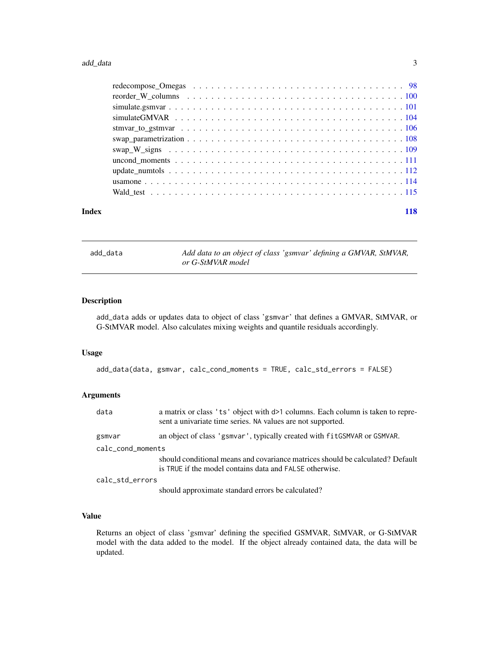<span id="page-2-0"></span>

| Index | 118 |
|-------|-----|

add\_data *Add data to an object of class 'gsmvar' defining a GMVAR, StMVAR, or G-StMVAR model*

# Description

add\_data adds or updates data to object of class 'gsmvar' that defines a GMVAR, StMVAR, or G-StMVAR model. Also calculates mixing weights and quantile residuals accordingly.

#### Usage

```
add_data(data, gsmvar, calc_cond_moments = TRUE, calc_std_errors = FALSE)
```
# Arguments

| data              | a matrix or class 'ts' object with $d>1$ columns. Each column is taken to repre-<br>sent a univariate time series. NA values are not supported. |
|-------------------|-------------------------------------------------------------------------------------------------------------------------------------------------|
| gsmvar            | an object of class 'gsmvar', typically created with fitGSMVAR or GSMVAR.                                                                        |
| calc_cond_moments |                                                                                                                                                 |
|                   | should conditional means and covariance matrices should be calculated? Default<br>is TRUE if the model contains data and FALSE otherwise.       |
| calc_std_errors   |                                                                                                                                                 |
|                   | chould enveyweate standard errors he coloulated?                                                                                                |

should approximate standard errors be calculated?

# Value

Returns an object of class 'gsmvar' defining the specified GSMVAR, StMVAR, or G-StMVAR model with the data added to the model. If the object already contained data, the data will be updated.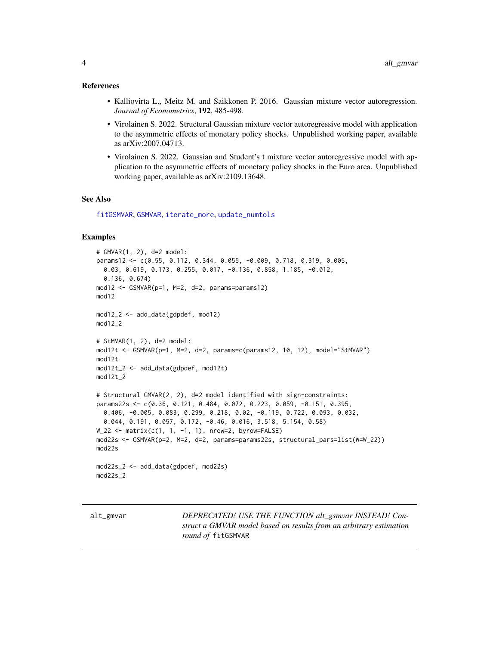#### <span id="page-3-0"></span>References

- Kalliovirta L., Meitz M. and Saikkonen P. 2016. Gaussian mixture vector autoregression. *Journal of Econometrics*, 192, 485-498.
- Virolainen S. 2022. Structural Gaussian mixture vector autoregressive model with application to the asymmetric effects of monetary policy shocks. Unpublished working paper, available as arXiv:2007.04713.
- Virolainen S. 2022. Gaussian and Student's t mixture vector autoregressive model with application to the asymmetric effects of monetary policy shocks in the Euro area. Unpublished working paper, available as arXiv:2109.13648.

#### See Also

[fitGSMVAR](#page-27-1), [GSMVAR](#page-57-1), [iterate\\_more](#page-71-1), [update\\_numtols](#page-111-1)

#### Examples

```
# GMVAR(1, 2), d=2 model:
params12 <- c(0.55, 0.112, 0.344, 0.055, -0.009, 0.718, 0.319, 0.005,
  0.03, 0.619, 0.173, 0.255, 0.017, -0.136, 0.858, 1.185, -0.012,
  0.136, 0.674)
mod12 <- GSMVAR(p=1, M=2, d=2, params=params12)
mod12
mod12_2 <- add_data(gdpdef, mod12)
mod12_2
# StMVAR(1, 2), d=2 model:
mod12t <- GSMVAR(p=1, M=2, d=2, params=c(params12, 10, 12), model="StMVAR")
mod12t
mod12t_2 <- add_data(gdpdef, mod12t)
mod12t_2
# Structural GMVAR(2, 2), d=2 model identified with sign-constraints:
params22s <- c(0.36, 0.121, 0.484, 0.072, 0.223, 0.059, -0.151, 0.395,
  0.406, -0.005, 0.083, 0.299, 0.218, 0.02, -0.119, 0.722, 0.093, 0.032,
  0.044, 0.191, 0.057, 0.172, -0.46, 0.016, 3.518, 5.154, 0.58)
W_22 <- matrix(c(1, 1, -1, 1), nrow=2, byrow=FALSE)
mod22s <- GSMVAR(p=2, M=2, d=2, params=params22s, structural_pars=list(W=W_22))
mod22s
mod22s_2 <- add_data(gdpdef, mod22s)
mod22s_2
```
alt\_gmvar *DEPRECATED! USE THE FUNCTION alt\_gsmvar INSTEAD! Construct a GMVAR model based on results from an arbitrary estimation round of* fitGSMVAR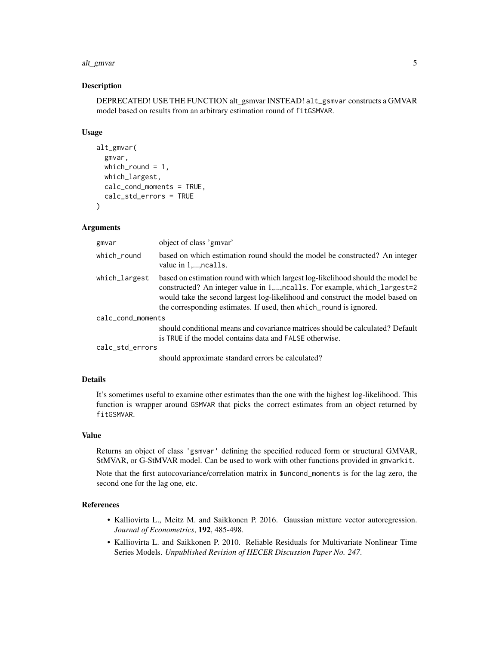#### alt\_gmvar 5

#### Description

DEPRECATED! USE THE FUNCTION alt\_gsmvar INSTEAD! alt\_gsmvar constructs a GMVAR model based on results from an arbitrary estimation round of fitGSMVAR.

#### Usage

```
alt_gmvar(
  gmvar,
  which_round = 1,
  which_largest,
  calc_cond_moments = TRUE,
  calc_std_errors = TRUE
)
```
# Arguments

| gmvar             | object of class 'gmvar'                                                                                                                                                                                                                                                                                             |
|-------------------|---------------------------------------------------------------------------------------------------------------------------------------------------------------------------------------------------------------------------------------------------------------------------------------------------------------------|
| which_round       | based on which estimation round should the model be constructed? An integer<br>value in 1,, ncalls.                                                                                                                                                                                                                 |
| which_largest     | based on estimation round with which largest log-likelihood should the model be<br>constructed? An integer value in 1,, nealls. For example, which_largest=2<br>would take the second largest log-likelihood and construct the model based on<br>the corresponding estimates. If used, then which round is ignored. |
| calc_cond_moments |                                                                                                                                                                                                                                                                                                                     |
|                   | should conditional means and covariance matrices should be calculated? Default<br>is TRUE if the model contains data and FALSE otherwise.                                                                                                                                                                           |
| calc_std_errors   |                                                                                                                                                                                                                                                                                                                     |
|                   |                                                                                                                                                                                                                                                                                                                     |

should approximate standard errors be calculated?

# Details

It's sometimes useful to examine other estimates than the one with the highest log-likelihood. This function is wrapper around GSMVAR that picks the correct estimates from an object returned by fitGSMVAR.

# Value

Returns an object of class 'gsmvar' defining the specified reduced form or structural GMVAR, StMVAR, or G-StMVAR model. Can be used to work with other functions provided in gmvarkit.

Note that the first autocovariance/correlation matrix in \$uncond\_moments is for the lag zero, the second one for the lag one, etc.

### References

- Kalliovirta L., Meitz M. and Saikkonen P. 2016. Gaussian mixture vector autoregression. *Journal of Econometrics*, 192, 485-498.
- Kalliovirta L. and Saikkonen P. 2010. Reliable Residuals for Multivariate Nonlinear Time Series Models. *Unpublished Revision of HECER Discussion Paper No. 247*.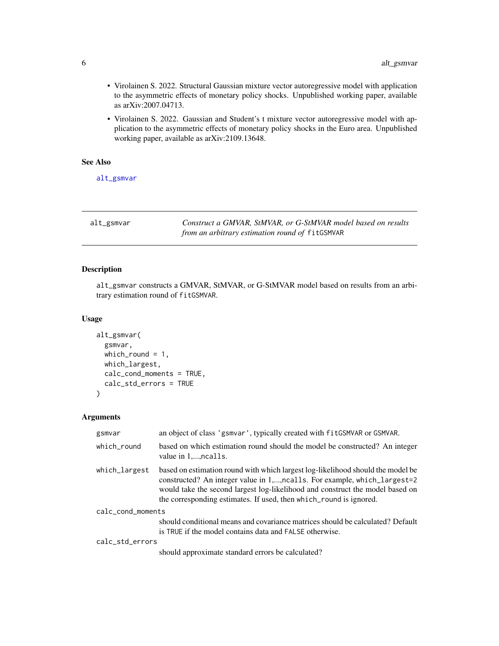- <span id="page-5-0"></span>• Virolainen S. 2022. Structural Gaussian mixture vector autoregressive model with application to the asymmetric effects of monetary policy shocks. Unpublished working paper, available as arXiv:2007.04713.
- Virolainen S. 2022. Gaussian and Student's t mixture vector autoregressive model with application to the asymmetric effects of monetary policy shocks in the Euro area. Unpublished working paper, available as arXiv:2109.13648.

# See Also

[alt\\_gsmvar](#page-5-1)

<span id="page-5-1"></span>alt\_gsmvar *Construct a GMVAR, StMVAR, or G-StMVAR model based on results from an arbitrary estimation round of* fitGSMVAR

# Description

alt\_gsmvar constructs a GMVAR, StMVAR, or G-StMVAR model based on results from an arbitrary estimation round of fitGSMVAR.

#### Usage

```
alt_gsmvar(
  gsmvar,
 which_round = 1,
 which_largest,
 calc_cond_moments = TRUE,
  calc_std_errors = TRUE
)
```
# Arguments

| gsmvar            | an object of class 'gsmvar', typically created with fitGSMVAR or GSMVAR.                                                                                                                                                                                                                                            |  |  |  |  |
|-------------------|---------------------------------------------------------------------------------------------------------------------------------------------------------------------------------------------------------------------------------------------------------------------------------------------------------------------|--|--|--|--|
| which round       | based on which estimation round should the model be constructed? An integer<br>value in 1,, ncalls.                                                                                                                                                                                                                 |  |  |  |  |
| which_largest     | based on estimation round with which largest log-likelihood should the model be<br>constructed? An integer value in 1,, nealls. For example, which_largest=2<br>would take the second largest log-likelihood and construct the model based on<br>the corresponding estimates. If used, then which_round is ignored. |  |  |  |  |
| calc_cond_moments |                                                                                                                                                                                                                                                                                                                     |  |  |  |  |
|                   | should conditional means and covariance matrices should be calculated? Default<br>is TRUE if the model contains data and FALSE otherwise.                                                                                                                                                                           |  |  |  |  |
| calc_std_errors   |                                                                                                                                                                                                                                                                                                                     |  |  |  |  |
|                   | should approximate standard errors be calculated?                                                                                                                                                                                                                                                                   |  |  |  |  |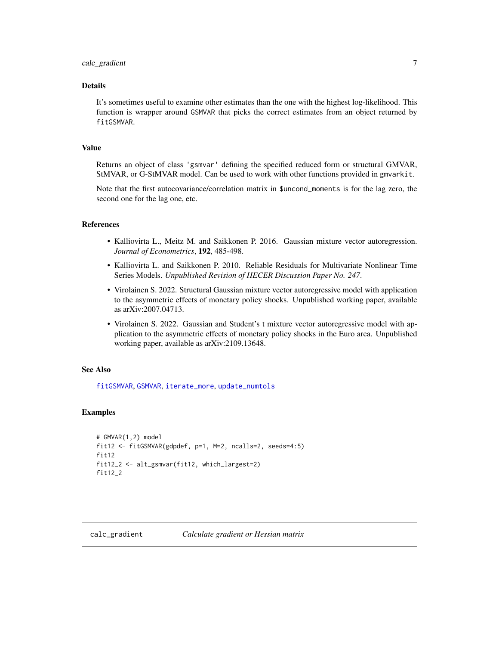# <span id="page-6-0"></span>**Details**

It's sometimes useful to examine other estimates than the one with the highest log-likelihood. This function is wrapper around GSMVAR that picks the correct estimates from an object returned by fitGSMVAR.

# Value

Returns an object of class 'gsmvar' defining the specified reduced form or structural GMVAR, StMVAR, or G-StMVAR model. Can be used to work with other functions provided in gmvarkit.

Note that the first autocovariance/correlation matrix in \$uncond\_moments is for the lag zero, the second one for the lag one, etc.

# References

- Kalliovirta L., Meitz M. and Saikkonen P. 2016. Gaussian mixture vector autoregression. *Journal of Econometrics*, 192, 485-498.
- Kalliovirta L. and Saikkonen P. 2010. Reliable Residuals for Multivariate Nonlinear Time Series Models. *Unpublished Revision of HECER Discussion Paper No. 247*.
- Virolainen S. 2022. Structural Gaussian mixture vector autoregressive model with application to the asymmetric effects of monetary policy shocks. Unpublished working paper, available as arXiv:2007.04713.
- Virolainen S. 2022. Gaussian and Student's t mixture vector autoregressive model with application to the asymmetric effects of monetary policy shocks in the Euro area. Unpublished working paper, available as arXiv:2109.13648.

# See Also

[fitGSMVAR](#page-27-1), [GSMVAR](#page-57-1), [iterate\\_more](#page-71-1), [update\\_numtols](#page-111-1)

# Examples

```
# GMVAR(1,2) model
fit12 <- fitGSMVAR(gdpdef, p=1, M=2, ncalls=2, seeds=4:5)
fit12
fit12_2 <- alt_gsmvar(fit12, which_largest=2)
fit12_2
```
<span id="page-6-1"></span>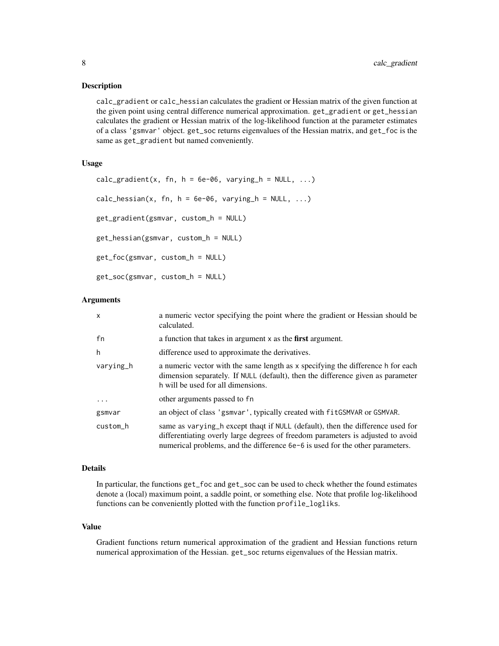#### Description

calc\_gradient or calc\_hessian calculates the gradient or Hessian matrix of the given function at the given point using central difference numerical approximation. get\_gradient or get\_hessian calculates the gradient or Hessian matrix of the log-likelihood function at the parameter estimates of a class 'gsmvar' object. get\_soc returns eigenvalues of the Hessian matrix, and get\_foc is the same as get\_gradient but named conveniently.

# Usage

```
calc_gradient(x, fn, h = 6e-06, varying_h = NULL, ...)
calc\_hessian(x, fn, h = 6e-06, varying_h = NULL, ...)get_gradient(gsmvar, custom_h = NULL)
get_hessian(gsmvar, custom_h = NULL)
get_foc(gsmvar, custom_h = NULL)
get_soc(gsmvar, custom_h = NULL)
```
#### Arguments

| x         | a numeric vector specifying the point where the gradient or Hessian should be<br>calculated.                                                                                                                                                       |
|-----------|----------------------------------------------------------------------------------------------------------------------------------------------------------------------------------------------------------------------------------------------------|
| fn        | a function that takes in argument $x$ as the <b>first</b> argument.                                                                                                                                                                                |
| h         | difference used to approximate the derivatives.                                                                                                                                                                                                    |
| varving_h | a numeric vector with the same length as x specifying the difference h for each<br>dimension separately. If NULL (default), then the difference given as parameter<br>h will be used for all dimensions.                                           |
| $\ddots$  | other arguments passed to fn                                                                                                                                                                                                                       |
| gsmvar    | an object of class 'gsmvar', typically created with fit GSMVAR or GSMVAR.                                                                                                                                                                          |
| custom_h  | same as varying h except thaqt if NULL (default), then the difference used for<br>differentiating overly large degrees of freedom parameters is adjusted to avoid<br>numerical problems, and the difference 6e-6 is used for the other parameters. |

#### Details

In particular, the functions get\_foc and get\_soc can be used to check whether the found estimates denote a (local) maximum point, a saddle point, or something else. Note that profile log-likelihood functions can be conveniently plotted with the function profile\_logliks.

# Value

Gradient functions return numerical approximation of the gradient and Hessian functions return numerical approximation of the Hessian. get\_soc returns eigenvalues of the Hessian matrix.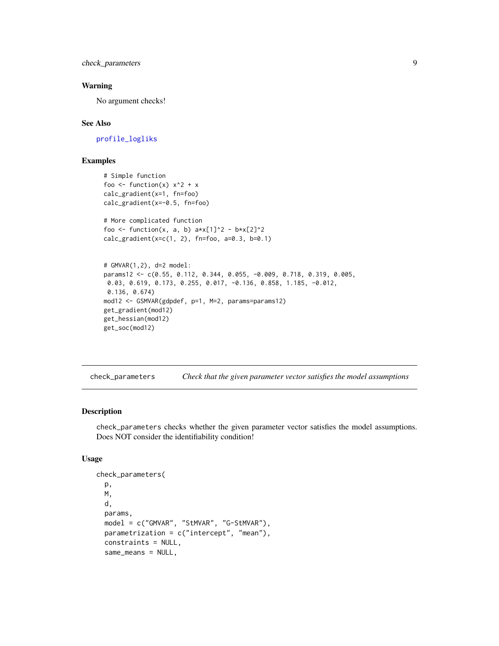<span id="page-8-0"></span>check\_parameters 9

#### Warning

No argument checks!

#### See Also

[profile\\_logliks](#page-90-1)

# Examples

```
# Simple function
foo <- function(x) x^2 + xcalc_gradient(x=1, fn=foo)
calc_gradient(x=-0.5, fn=foo)
# More complicated function
foo <- function(x, a, b) a*x[1]^2 - b*x[2]^2calc\_gradient(x=c(1, 2), fn=foo, a=0.3, b=0.1)# GMVAR(1,2), d=2 model:
params12 <- c(0.55, 0.112, 0.344, 0.055, -0.009, 0.718, 0.319, 0.005,
 0.03, 0.619, 0.173, 0.255, 0.017, -0.136, 0.858, 1.185, -0.012,
 0.136, 0.674)
mod12 <- GSMVAR(gdpdef, p=1, M=2, params=params12)
get_gradient(mod12)
get_hessian(mod12)
get_soc(mod12)
```
check\_parameters *Check that the given parameter vector satisfies the model assumptions*

#### Description

check\_parameters checks whether the given parameter vector satisfies the model assumptions. Does NOT consider the identifiability condition!

# Usage

```
check_parameters(
 p,
 M,
  d,
 params,
 model = c("GMVAR", "StMVAR", "G-StMVAR"),
 parametrization = c("intercept", "mean"),
  constraints = NULL,
  same_means = NULL,
```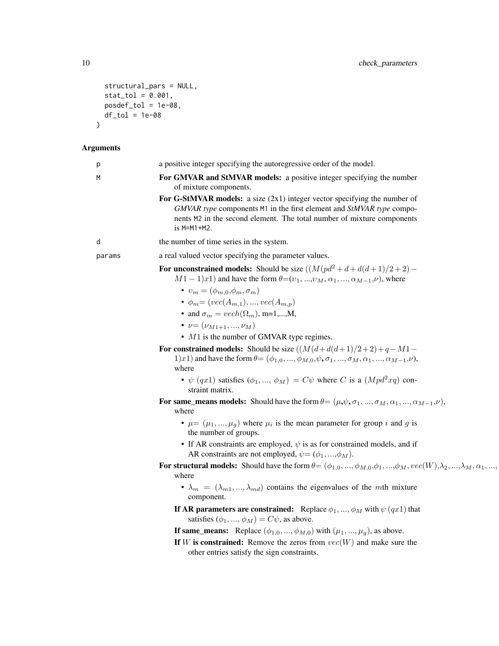```
structural_pars = NULL,
  stat\_tol = 0.001,post_{total} = 1e-08,
 df_tol = 1e-08
\mathcal{L}
```
# Arguments

| p      | a positive integer specifying the autoregressive order of the model.                                                                                                                                                                                                                                                                                                                                                                                                                                                                                                                                                                                                                                                         |
|--------|------------------------------------------------------------------------------------------------------------------------------------------------------------------------------------------------------------------------------------------------------------------------------------------------------------------------------------------------------------------------------------------------------------------------------------------------------------------------------------------------------------------------------------------------------------------------------------------------------------------------------------------------------------------------------------------------------------------------------|
| M      | For GMVAR and StMVAR models: a positive integer specifying the number<br>of mixture components.                                                                                                                                                                                                                                                                                                                                                                                                                                                                                                                                                                                                                              |
|        | For G-StMVAR models: a size $(2x1)$ integer vector specifying the number of<br>GMVAR type components M1 in the first element and StMVAR type compo-<br>nents M2 in the second element. The total number of mixture components<br>is M=M1+M2.                                                                                                                                                                                                                                                                                                                                                                                                                                                                                 |
| d      | the number of time series in the system.                                                                                                                                                                                                                                                                                                                                                                                                                                                                                                                                                                                                                                                                                     |
| params | a real valued vector specifying the parameter values.                                                                                                                                                                                                                                                                                                                                                                                                                                                                                                                                                                                                                                                                        |
|        | For unconstrained models: Should be size $((M(pd^2+d+d(d+1)/2+2) -$<br>$M1-1)x1$ ) and have the form $\theta=(v_1, , v_M, \alpha_1, , \alpha_{M-1}, \nu)$ , where<br>$v_m = (\phi_{m,0}, \phi_m, \sigma_m)$<br>• $\phi_m = (vec(A_{m,1}), , vec(A_{m,n}))$<br>• and $\sigma_m = vech(\Omega_m)$ , m=1,,M,<br>• $\nu = (\nu_{M1+1}, , \nu_M)$<br>$\bullet$ M1 is the number of GMVAR type regimes.<br>For constrained models: Should be size $((M(d+d(d+1)/2+2)+q-M1-$<br>1)x1) and have the form $\theta = (\phi_{1,0}, , \phi_{M,0}, \psi, \sigma_1, , \sigma_M, \alpha_1, , \alpha_{M-1}, \nu)$ ,<br>where<br>• $\psi$ (qx1) satisfies ( $\phi_1, , \phi_M$ ) = $C\psi$ where C is a ( $Mpd^2xq$ ) con-<br>straint matrix. |
|        | For same_means models: Should have the form $\theta = (\mu, \psi, \sigma_1, , \sigma_M, \alpha_1, , \alpha_{M-1}, \nu)$ ,<br>where                                                                                                                                                                                                                                                                                                                                                                                                                                                                                                                                                                                           |
|        | • $\mu = (\mu_1, , \mu_q)$ where $\mu_i$ is the mean parameter for group i and g is<br>the number of groups.                                                                                                                                                                                                                                                                                                                                                                                                                                                                                                                                                                                                                 |
|        | • If AR constraints are employed, $\psi$ is as for constrained models, and if<br>AR constraints are not employed, $\psi = (\phi_1, , \phi_M)$ .                                                                                                                                                                                                                                                                                                                                                                                                                                                                                                                                                                              |
|        | For structural models: Should have the form $\theta = (\phi_{1,0}, , \phi_{M,0}, \phi_1, , \phi_M, vec(W), \lambda_2, , \lambda_M, \alpha_1, ,$<br>where                                                                                                                                                                                                                                                                                                                                                                                                                                                                                                                                                                     |
|        | $\bullet$ $\lambda_m = (\lambda_{m1}, , \lambda_{md})$ contains the eigenvalues of the mth mixture<br>component.                                                                                                                                                                                                                                                                                                                                                                                                                                                                                                                                                                                                             |
|        | If AR parameters are constrained: Replace $\phi_1, , \phi_M$ with $\psi(qx1)$ that<br>satisfies $(\phi_1, , \phi_M) = C\psi$ , as above.                                                                                                                                                                                                                                                                                                                                                                                                                                                                                                                                                                                     |
|        | <b>If same_means:</b> Replace $(\phi_{1,0}, , \phi_{M,0})$ with $(\mu_1, , \mu_g)$ , as above.                                                                                                                                                                                                                                                                                                                                                                                                                                                                                                                                                                                                                               |
|        | If W is constrained: Remove the zeros from $vec(W)$ and make sure the<br>other entries satisfy the sign constraints.                                                                                                                                                                                                                                                                                                                                                                                                                                                                                                                                                                                                         |
|        |                                                                                                                                                                                                                                                                                                                                                                                                                                                                                                                                                                                                                                                                                                                              |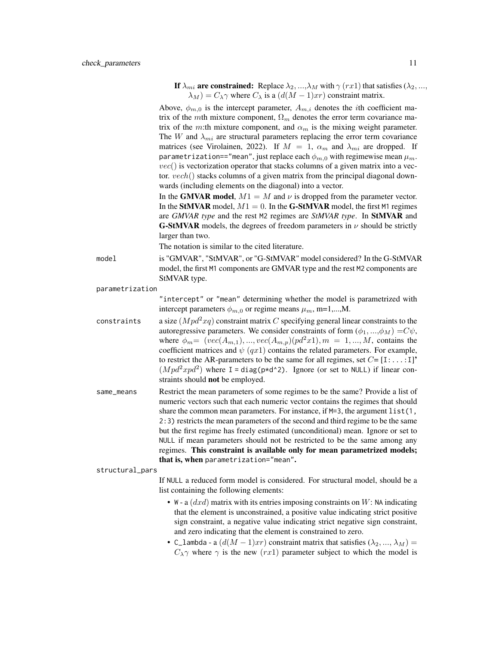If  $\lambda_{mi}$  are constrained: Replace  $\lambda_2, ..., \lambda_M$  with  $\gamma$  (rx1) that satisfies ( $\lambda_2, ...,$  $\lambda_M$ ) =  $C_\lambda \gamma$  where  $C_\lambda$  is a  $(d(M-1)xr)$  constraint matrix.

Above,  $\phi_{m,0}$  is the intercept parameter,  $A_{m,i}$  denotes the *i*th coefficient matrix of the mth mixture component,  $\Omega_m$  denotes the error term covariance matrix of the m:th mixture component, and  $\alpha_m$  is the mixing weight parameter. The W and  $\lambda_{mi}$  are structural parameters replacing the error term covariance matrices (see Virolainen, 2022). If  $M = 1$ ,  $\alpha_m$  and  $\lambda_{mi}$  are dropped. If parametrization=="mean", just replace each  $\phi_{m,0}$  with regimewise mean  $\mu_m$ .  $vec()$  is vectorization operator that stacks columns of a given matrix into a vector.  $vech()$  stacks columns of a given matrix from the principal diagonal downwards (including elements on the diagonal) into a vector.

In the GMVAR model,  $M1 = M$  and  $\nu$  is dropped from the parameter vector. In the StMVAR model,  $M1 = 0$ . In the G-StMVAR model, the first M1 regimes are *GMVAR type* and the rest M2 regimes are *StMVAR type*. In StMVAR and **G-StMVAR** models, the degrees of freedom parameters in  $\nu$  should be strictly larger than two.

The notation is similar to the cited literature.

model is "GMVAR", "StMVAR", or "G-StMVAR" model considered? In the G-StMVAR model, the first M1 components are GMVAR type and the rest M2 components are StMVAR type.

parametrization

"intercept" or "mean" determining whether the model is parametrized with intercept parameters  $\phi_{m,0}$  or regime means  $\mu_m$ , m=1,...,M.

- constraints a size  $(Mpd^2xq)$  constraint matrix C specifying general linear constraints to the autoregressive parameters. We consider constraints of form  $(\phi_1, ..., \phi_M) = C\psi$ , where  $\phi_m = (vec(A_{m,1}), ..., vec(A_{m,p})(pd^2x1), m = 1, ..., M$ , contains the coefficient matrices and  $\psi$  (qx1) contains the related parameters. For example, to restrict the AR-parameters to be the same for all regimes, set  $C = [I:...:I]'$  $(Mpd^2xpd^2)$  where I = diag(p\*d^2). Ignore (or set to NULL) if linear constraints should not be employed.
- same\_means Restrict the mean parameters of some regimes to be the same? Provide a list of numeric vectors such that each numeric vector contains the regimes that should share the common mean parameters. For instance, if  $M=3$ , the argument  $list(1,$ 2:3) restricts the mean parameters of the second and third regime to be the same but the first regime has freely estimated (unconditional) mean. Ignore or set to NULL if mean parameters should not be restricted to be the same among any regimes. This constraint is available only for mean parametrized models; that is, when parametrization="mean".

structural\_pars

If NULL a reduced form model is considered. For structural model, should be a list containing the following elements:

- W a  $(dxd)$  matrix with its entries imposing constraints on W: NA indicating that the element is unconstrained, a positive value indicating strict positive sign constraint, a negative value indicating strict negative sign constraint, and zero indicating that the element is constrained to zero.
- C\_lambda a  $(d(M-1)xr)$  constraint matrix that satisfies  $(\lambda_2, ..., \lambda_M)$  =  $C_{\lambda}$ γ where γ is the new (rx1) parameter subject to which the model is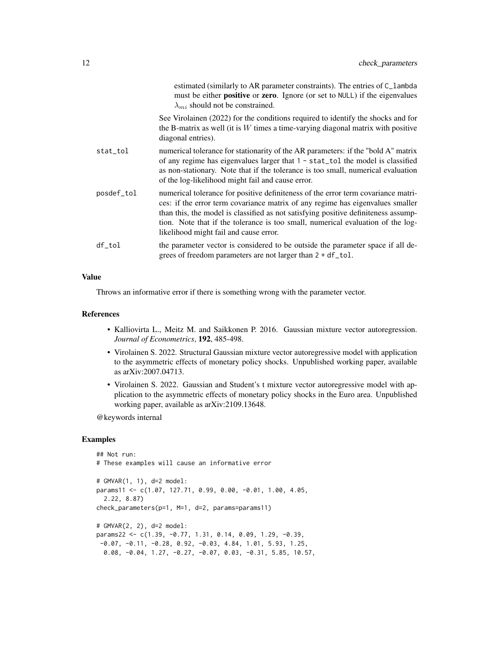|            | estimated (similarly to AR parameter constraints). The entries of C_1ambda<br>must be either <b>positive</b> or <b>zero</b> . Ignore (or set to NULL) if the eigenvalues<br>$\lambda_{mi}$ should not be constrained.                                                                                                                                                                  |
|------------|----------------------------------------------------------------------------------------------------------------------------------------------------------------------------------------------------------------------------------------------------------------------------------------------------------------------------------------------------------------------------------------|
|            | See Virolainen (2022) for the conditions required to identify the shocks and for<br>the B-matrix as well (it is $W$ times a time-varying diagonal matrix with positive<br>diagonal entries).                                                                                                                                                                                           |
| stat_tol   | numerical tolerance for stationarity of the AR parameters: if the "bold A" matrix<br>of any regime has eigenvalues larger that $1 - stat\_tol$ the model is classified<br>as non-stationary. Note that if the tolerance is too small, numerical evaluation<br>of the log-likelihood might fail and cause error.                                                                        |
| posdef_tol | numerical tolerance for positive definiteness of the error term covariance matri-<br>ces: if the error term covariance matrix of any regime has eigenvalues smaller<br>than this, the model is classified as not satisfying positive definiteness assump-<br>tion. Note that if the tolerance is too small, numerical evaluation of the log-<br>likelihood might fail and cause error. |
| $df\_tol$  | the parameter vector is considered to be outside the parameter space if all de-<br>grees of freedom parameters are not larger than 2 + df_tol.                                                                                                                                                                                                                                         |

#### Value

Throws an informative error if there is something wrong with the parameter vector.

#### References

- Kalliovirta L., Meitz M. and Saikkonen P. 2016. Gaussian mixture vector autoregression. *Journal of Econometrics*, 192, 485-498.
- Virolainen S. 2022. Structural Gaussian mixture vector autoregressive model with application to the asymmetric effects of monetary policy shocks. Unpublished working paper, available as arXiv:2007.04713.
- Virolainen S. 2022. Gaussian and Student's t mixture vector autoregressive model with application to the asymmetric effects of monetary policy shocks in the Euro area. Unpublished working paper, available as arXiv:2109.13648.

@keywords internal

#### Examples

```
## Not run:
# These examples will cause an informative error
# GMVAR(1, 1), d=2 model:
params11 <- c(1.07, 127.71, 0.99, 0.00, -0.01, 1.00, 4.05,
 2.22, 8.87)
check_parameters(p=1, M=1, d=2, params=params11)
# GMVAR(2, 2), d=2 model:
params22 <- c(1.39, -0.77, 1.31, 0.14, 0.09, 1.29, -0.39,
-0.07, -0.11, -0.28, 0.92, -0.03, 4.84, 1.01, 5.93, 1.25,0.08, -0.04, 1.27, -0.27, -0.07, 0.03, -0.31, 5.85, 10.57,
```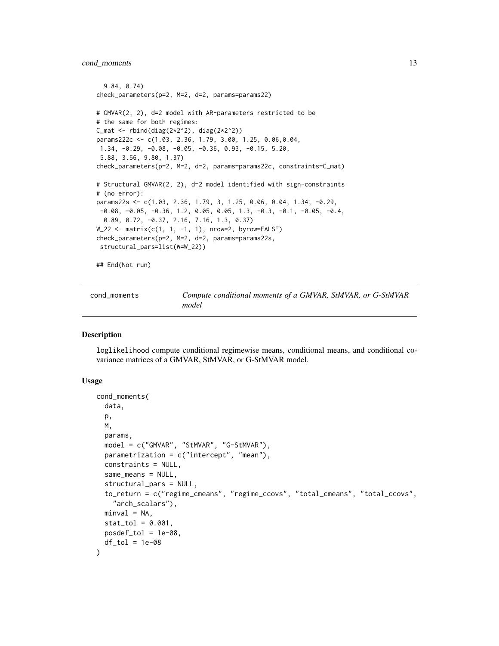```
9.84, 0.74)
check_parameters(p=2, M=2, d=2, params=params22)
# GMVAR(2, 2), d=2 model with AR-parameters restricted to be
# the same for both regimes:
C_mat <- rbind(diag(2*2^2), diag(2*2^2))
params222c <- c(1.03, 2.36, 1.79, 3.00, 1.25, 0.06,0.04,
1.34, -0.29, -0.08, -0.05, -0.36, 0.93, -0.15, 5.20,
5.88, 3.56, 9.80, 1.37)
check_parameters(p=2, M=2, d=2, params=params22c, constraints=C_mat)
# Structural GMVAR(2, 2), d=2 model identified with sign-constraints
# (no error):
params22s <- c(1.03, 2.36, 1.79, 3, 1.25, 0.06, 0.04, 1.34, -0.29,
-0.08, -0.05, -0.36, 1.2, 0.05, 0.05, 1.3, -0.3, -0.1, -0.05, -0.4,0.89, 0.72, -0.37, 2.16, 7.16, 1.3, 0.37)
W_22 <- matrix(c(1, 1, -1, 1), nrow=2, byrow=FALSE)
check_parameters(p=2, M=2, d=2, params=params22s,
structural_pars=list(W=W_22))
## End(Not run)
```

| cond moments | Compute conditional moments of a GMVAR, StMVAR, or G-StMVAR |
|--------------|-------------------------------------------------------------|
|              | model                                                       |

## Description

loglikelihood compute conditional regimewise means, conditional means, and conditional covariance matrices of a GMVAR, StMVAR, or G-StMVAR model.

# Usage

```
cond_moments(
  data,
 p,
 M,
 params,
 model = c("GMVAR", "StMVAR", "G-StMVAR"),
 parametrization = c("intercept", "mean"),
  constraints = NULL,
  same_means = NULL,
  structural_pars = NULL,
  to_return = c("regime_cmeans", "regime_ccovs", "total_cmeans", "total_ccovs",
    "arch_scalars"),
 minval = NA,
  stat\_tol = 0.001,
 posed\_tol = 1e-08,
  df\_tol = 1e-08)
```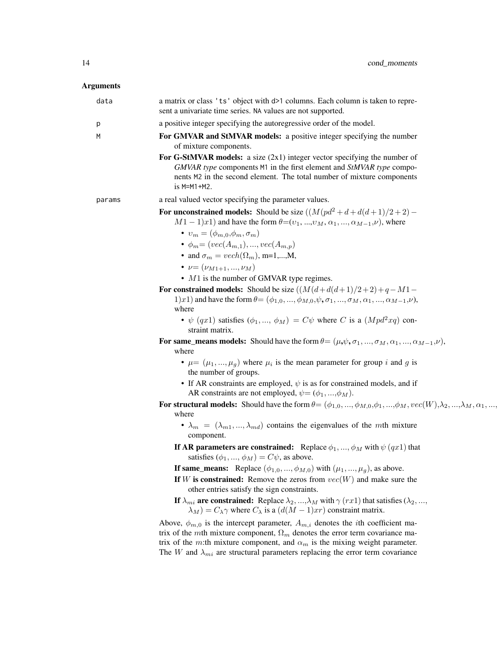# Arguments

| data   | a matrix or class 'ts' object with d>1 columns. Each column is taken to repre-<br>sent a univariate time series. NA values are not supported.                                                                                                                                                                                                                                                                                                                                                                                                                                                                                                                                                                                                                                                                                                                                                                                                                                      |
|--------|------------------------------------------------------------------------------------------------------------------------------------------------------------------------------------------------------------------------------------------------------------------------------------------------------------------------------------------------------------------------------------------------------------------------------------------------------------------------------------------------------------------------------------------------------------------------------------------------------------------------------------------------------------------------------------------------------------------------------------------------------------------------------------------------------------------------------------------------------------------------------------------------------------------------------------------------------------------------------------|
| p      | a positive integer specifying the autoregressive order of the model.                                                                                                                                                                                                                                                                                                                                                                                                                                                                                                                                                                                                                                                                                                                                                                                                                                                                                                               |
| M      | For GMVAR and StMVAR models: a positive integer specifying the number<br>of mixture components.                                                                                                                                                                                                                                                                                                                                                                                                                                                                                                                                                                                                                                                                                                                                                                                                                                                                                    |
|        | For G-StMVAR models: a size $(2x1)$ integer vector specifying the number of<br>GMVAR type components M1 in the first element and StMVAR type compo-<br>nents M2 in the second element. The total number of mixture components<br>$is$ M=M1+M2.                                                                                                                                                                                                                                                                                                                                                                                                                                                                                                                                                                                                                                                                                                                                     |
| params | a real valued vector specifying the parameter values.                                                                                                                                                                                                                                                                                                                                                                                                                                                                                                                                                                                                                                                                                                                                                                                                                                                                                                                              |
|        | For unconstrained models: Should be size $((M(pd^2+d+d(d+1)/2+2) -$<br>$M1-1)x1$ ) and have the form $\theta=(v_1, , v_M, \alpha_1, , \alpha_{M-1}, \nu)$ , where<br>$v_m = (\phi_{m,0}, \phi_m, \sigma_m)$<br>• $\phi_m = (vec(A_{m,1}), , vec(A_{m,p}))$<br>• and $\sigma_m = vech(\Omega_m)$ , m=1,,M,<br>• $\nu = (\nu_{M1+1}, , \nu_M)$<br>$\bullet$ M1 is the number of GMVAR type regimes.<br>For constrained models: Should be size $((M(d+d(d+1)/2+2)+q-M1-$<br>1)x1) and have the form $\theta = (\phi_{1,0}, , \phi_{M,0}, \psi, \sigma_1, , \sigma_M, \alpha_1, , \alpha_{M-1}, \nu)$ ,<br>where<br>• $\psi$ (qx1) satisfies ( $\phi_1, , \phi_M$ ) = $C\psi$ where C is a ( $Mpd^2xq$ ) con-<br>straint matrix.<br>For same_means models: Should have the form $\theta = (\mu, \psi, \sigma_1, , \sigma_M, \alpha_1, , \alpha_{M-1}, \nu)$ ,<br>where<br>• $\mu = (\mu_1, , \mu_g)$ where $\mu_i$ is the mean parameter for group i and g is<br>the number of groups. |
|        | • If AR constraints are employed, $\psi$ is as for constrained models, and if<br>AR constraints are not employed, $\psi = (\phi_1, , \phi_M)$ .                                                                                                                                                                                                                                                                                                                                                                                                                                                                                                                                                                                                                                                                                                                                                                                                                                    |
|        | For structural models: Should have the form $\theta = (\phi_{1,0}, , \phi_{M,0}, \phi_1, , \phi_M, vec(W), \lambda_2, , \lambda_M, \alpha_1, , \alpha_M)$<br>where<br>$\bullet$ $\lambda_m = (\lambda_{m1}, , \lambda_{md})$ contains the eigenvalues of the mth mixture<br>component.                                                                                                                                                                                                                                                                                                                                                                                                                                                                                                                                                                                                                                                                                             |
|        | If AR parameters are constrained: Replace $\phi_1, , \phi_M$ with $\psi(qx1)$ that<br>satisfies $(\phi_1, , \phi_M) = C\psi$ , as above.                                                                                                                                                                                                                                                                                                                                                                                                                                                                                                                                                                                                                                                                                                                                                                                                                                           |
|        | <b>If same_means:</b> Replace $(\phi_{1,0},,\phi_{M,0})$ with $(\mu_1,,\mu_g)$ , as above.                                                                                                                                                                                                                                                                                                                                                                                                                                                                                                                                                                                                                                                                                                                                                                                                                                                                                         |
|        | If W is constrained: Remove the zeros from $vec(W)$ and make sure the<br>other entries satisfy the sign constraints.                                                                                                                                                                                                                                                                                                                                                                                                                                                                                                                                                                                                                                                                                                                                                                                                                                                               |
|        | If $\lambda_{mi}$ are constrained: Replace $\lambda_2, , \lambda_M$ with $\gamma (rx1)$ that satisfies $(\lambda_2, , \lambda_M)$<br>$\lambda_M$ ) = $C_{\lambda} \gamma$ where $C_{\lambda}$ is a $(d(M-1)xr)$ constraint matrix.                                                                                                                                                                                                                                                                                                                                                                                                                                                                                                                                                                                                                                                                                                                                                 |
|        | Above, $\phi_{m,0}$ is the intercept parameter, $A_{m,i}$ denotes the <i>i</i> th coefficient ma-<br>trix of the mth mixture component, $\Omega_m$ denotes the error term covariance ma-<br>trix of the m:th mixture component, and $\alpha_m$ is the mixing weight parameter.<br>The W and $\lambda_{mi}$ are structural parameters replacing the error term covariance                                                                                                                                                                                                                                                                                                                                                                                                                                                                                                                                                                                                           |
|        |                                                                                                                                                                                                                                                                                                                                                                                                                                                                                                                                                                                                                                                                                                                                                                                                                                                                                                                                                                                    |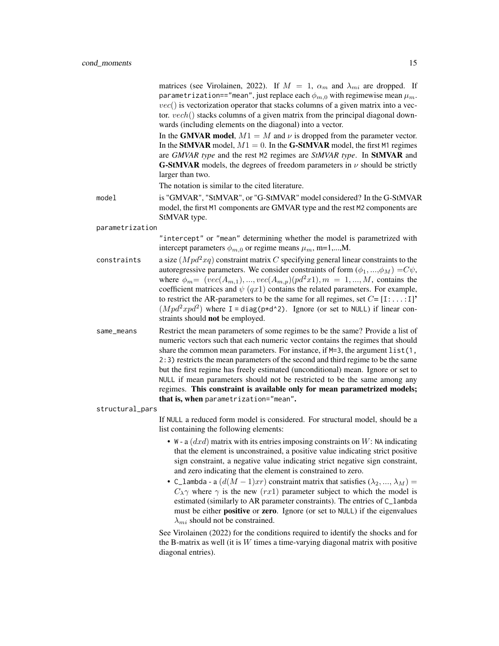matrices (see Virolainen, 2022). If  $M = 1$ ,  $\alpha_m$  and  $\lambda_{mi}$  are dropped. If parametrization=="mean", just replace each  $\phi_{m,0}$  with regimewise mean  $\mu_m$ .  $vec()$  is vectorization operator that stacks columns of a given matrix into a vector. vech() stacks columns of a given matrix from the principal diagonal downwards (including elements on the diagonal) into a vector.

In the GMVAR model,  $M1 = M$  and  $\nu$  is dropped from the parameter vector. In the StMVAR model,  $M1 = 0$ . In the G-StMVAR model, the first M1 regimes are *GMVAR type* and the rest M2 regimes are *StMVAR type*. In StMVAR and **G-StMVAR** models, the degrees of freedom parameters in  $\nu$  should be strictly larger than two.

The notation is similar to the cited literature.

model is "GMVAR", "StMVAR", or "G-StMVAR" model considered? In the G-StMVAR model, the first M1 components are GMVAR type and the rest M2 components are StMVAR type.

parametrization

"intercept" or "mean" determining whether the model is parametrized with intercept parameters  $\phi_{m,0}$  or regime means  $\mu_m$ , m=1,...,M.

- constraints a size  $(Mpd^2xq)$  constraint matrix C specifying general linear constraints to the autoregressive parameters. We consider constraints of form  $(\phi_1, ..., \phi_M) = C\psi$ , where  $\phi_m= (vec(A_{m,1}), ..., vec(A_{m,p})(pd^2x1), m = 1, ..., M$ , contains the coefficient matrices and  $\psi$  (qx1) contains the related parameters. For example, to restrict the AR-parameters to be the same for all regimes, set  $C = [1: \dots:1]$ <sup>\*</sup>  $(Mpd^2xpd^2)$  where I = diag(p\*d^2). Ignore (or set to NULL) if linear constraints should **not** be employed.
- same\_means Restrict the mean parameters of some regimes to be the same? Provide a list of numeric vectors such that each numeric vector contains the regimes that should share the common mean parameters. For instance, if  $M=3$ , the argument list(1, 2:3) restricts the mean parameters of the second and third regime to be the same but the first regime has freely estimated (unconditional) mean. Ignore or set to NULL if mean parameters should not be restricted to be the same among any regimes. This constraint is available only for mean parametrized models; that is, when parametrization="mean".

structural\_pars

If NULL a reduced form model is considered. For structural model, should be a list containing the following elements:

- W a  $(dxd)$  matrix with its entries imposing constraints on W: NA indicating that the element is unconstrained, a positive value indicating strict positive sign constraint, a negative value indicating strict negative sign constraint, and zero indicating that the element is constrained to zero.
- C\_lambda a  $(d(M-1)xr)$  constraint matrix that satisfies  $(\lambda_2, ..., \lambda_M)$  =  $C_{\lambda}$ γ where  $\gamma$  is the new (rx1) parameter subject to which the model is estimated (similarly to AR parameter constraints). The entries of C\_lambda must be either **positive** or zero. Ignore (or set to NULL) if the eigenvalues  $\lambda_{mi}$  should not be constrained.

See Virolainen (2022) for the conditions required to identify the shocks and for the B-matrix as well (it is  $W$  times a time-varying diagonal matrix with positive diagonal entries).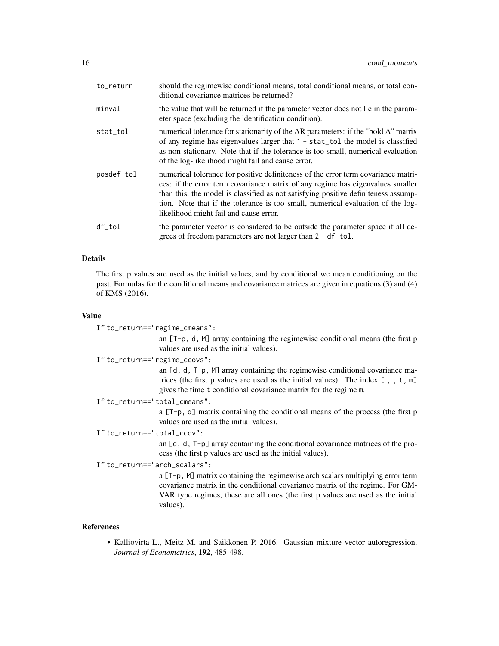| to_return  | should the regimewise conditional means, total conditional means, or total con-<br>ditional covariance matrices be returned?                                                                                                                                                                                                                                                           |
|------------|----------------------------------------------------------------------------------------------------------------------------------------------------------------------------------------------------------------------------------------------------------------------------------------------------------------------------------------------------------------------------------------|
| minval     | the value that will be returned if the parameter vector does not lie in the param-<br>eter space (excluding the identification condition).                                                                                                                                                                                                                                             |
| stat_tol   | numerical tolerance for stationarity of the AR parameters: if the "bold A" matrix<br>of any regime has eigenvalues larger that $1 -$ stat_tol the model is classified<br>as non-stationary. Note that if the tolerance is too small, numerical evaluation<br>of the log-likelihood might fail and cause error.                                                                         |
| posdef_tol | numerical tolerance for positive definiteness of the error term covariance matri-<br>ces: if the error term covariance matrix of any regime has eigenvalues smaller<br>than this, the model is classified as not satisfying positive definiteness assump-<br>tion. Note that if the tolerance is too small, numerical evaluation of the log-<br>likelihood might fail and cause error. |
| df_tol     | the parameter vector is considered to be outside the parameter space if all de-<br>grees of freedom parameters are not larger than 2 + df_tol.                                                                                                                                                                                                                                         |

#### Details

The first p values are used as the initial values, and by conditional we mean conditioning on the past. Formulas for the conditional means and covariance matrices are given in equations (3) and (4) of KMS (2016).

#### Value

```
If to_return=="regime_cmeans":
```
an [T-p, d, M] array containing the regimewise conditional means (the first p values are used as the initial values).

If to\_return=="regime\_ccovs":

an [d, d, T-p, M] array containing the regimewise conditional covariance matrices (the first p values are used as the initial values). The index  $[ , , t, m]$ gives the time t conditional covariance matrix for the regime m.

If to\_return=="total\_cmeans":

a [T-p, d] matrix containing the conditional means of the process (the first p values are used as the initial values).

If to\_return=="total\_ccov":

an [d, d, T-p] array containing the conditional covariance matrices of the process (the first p values are used as the initial values).

# If to\_return=="arch\_scalars":

a [T-p, M] matrix containing the regimewise arch scalars multiplying error term covariance matrix in the conditional covariance matrix of the regime. For GM-VAR type regimes, these are all ones (the first p values are used as the initial values).

#### References

• Kalliovirta L., Meitz M. and Saikkonen P. 2016. Gaussian mixture vector autoregression. *Journal of Econometrics*, 192, 485-498.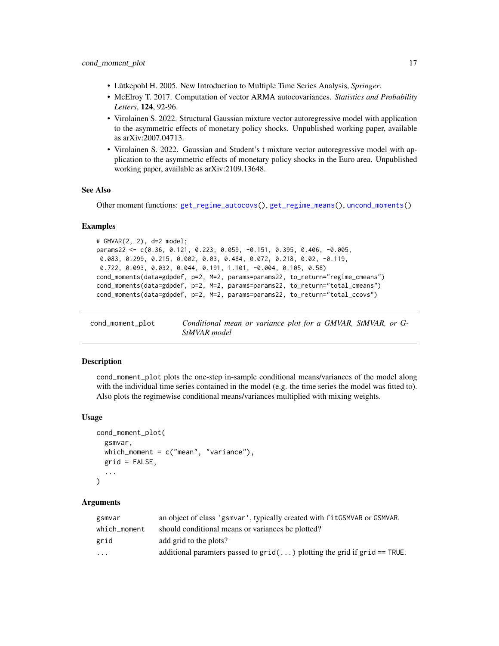- <span id="page-16-0"></span>• Lütkepohl H. 2005. New Introduction to Multiple Time Series Analysis, *Springer*.
- McElroy T. 2017. Computation of vector ARMA autocovariances. *Statistics and Probability Letters*, 124, 92-96.
- Virolainen S. 2022. Structural Gaussian mixture vector autoregressive model with application to the asymmetric effects of monetary policy shocks. Unpublished working paper, available as arXiv:2007.04713.
- Virolainen S. 2022. Gaussian and Student's t mixture vector autoregressive model with application to the asymmetric effects of monetary policy shocks in the Euro area. Unpublished working paper, available as arXiv:2109.13648.

#### See Also

Other moment functions: [get\\_regime\\_autocovs\(](#page-41-1)), [get\\_regime\\_means\(](#page-42-1)), [uncond\\_moments\(](#page-110-1))

#### Examples

```
# GMVAR(2, 2), d=2 model;
params22 <- c(0.36, 0.121, 0.223, 0.059, -0.151, 0.395, 0.406, -0.005,
0.083, 0.299, 0.215, 0.002, 0.03, 0.484, 0.072, 0.218, 0.02, -0.119,
0.722, 0.093, 0.032, 0.044, 0.191, 1.101, -0.004, 0.105, 0.58)
cond_moments(data=gdpdef, p=2, M=2, params=params22, to_return="regime_cmeans")
cond_moments(data=gdpdef, p=2, M=2, params=params22, to_return="total_cmeans")
cond_moments(data=gdpdef, p=2, M=2, params=params22, to_return="total_ccovs")
```
<span id="page-16-1"></span>cond\_moment\_plot *Conditional mean or variance plot for a GMVAR, StMVAR, or G-StMVAR model*

#### Description

cond\_moment\_plot plots the one-step in-sample conditional means/variances of the model along with the individual time series contained in the model (e.g. the time series the model was fitted to). Also plots the regimewise conditional means/variances multiplied with mixing weights.

#### Usage

```
cond_moment_plot(
  gsmvar,
  which_moment = c("mean", "variance"),grid = FALSE,
  ...
)
```
#### Arguments

| gsmvar       | an object of class 'gsmvar', typically created with fit GSMVAR or GSMVAR.      |
|--------------|--------------------------------------------------------------------------------|
| which moment | should conditional means or variances be plotted?                              |
| grid         | add grid to the plots?                                                         |
| $\cdots$     | additional paramters passed to $grid($ ) plotting the grid if $grid == TRUE$ . |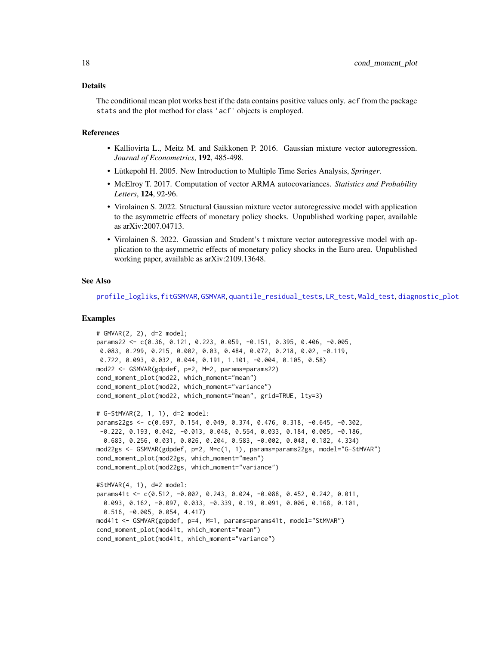#### Details

The conditional mean plot works best if the data contains positive values only. acf from the package stats and the plot method for class 'acf' objects is employed.

#### References

- Kalliovirta L., Meitz M. and Saikkonen P. 2016. Gaussian mixture vector autoregression. *Journal of Econometrics*, 192, 485-498.
- Lütkepohl H. 2005. New Introduction to Multiple Time Series Analysis, *Springer*.
- McElroy T. 2017. Computation of vector ARMA autocovariances. *Statistics and Probability Letters*, 124, 92-96.
- Virolainen S. 2022. Structural Gaussian mixture vector autoregressive model with application to the asymmetric effects of monetary policy shocks. Unpublished working paper, available as arXiv:2007.04713.
- Virolainen S. 2022. Gaussian and Student's t mixture vector autoregressive model with application to the asymmetric effects of monetary policy shocks in the Euro area. Unpublished working paper, available as arXiv:2109.13648.

#### See Also

[profile\\_logliks](#page-90-1), [fitGSMVAR](#page-27-1), [GSMVAR](#page-57-1), [quantile\\_residual\\_tests](#page-80-1), [LR\\_test](#page-77-1), [Wald\\_test](#page-114-1), [diagnostic\\_plot](#page-18-1)

#### Examples

```
# GMVAR(2, 2), d=2 model;
params22 \leq \leq (0.36, 0.121, 0.223, 0.059, -0.151, 0.395, 0.406, -0.005,0.083, 0.299, 0.215, 0.002, 0.03, 0.484, 0.072, 0.218, 0.02, -0.119,
0.722, 0.093, 0.032, 0.044, 0.191, 1.101, -0.004, 0.105, 0.58)
mod22 <- GSMVAR(gdpdef, p=2, M=2, params=params22)
cond_moment_plot(mod22, which_moment="mean")
cond_moment_plot(mod22, which_moment="variance")
cond_moment_plot(mod22, which_moment="mean", grid=TRUE, lty=3)
# G-StMVAR(2, 1, 1), d=2 model:
params22gs <- c(0.697, 0.154, 0.049, 0.374, 0.476, 0.318, -0.645, -0.302,
-0.222, 0.193, 0.042, -0.013, 0.048, 0.554, 0.033, 0.184, 0.005, -0.186,
 0.683, 0.256, 0.031, 0.026, 0.204, 0.583, -0.002, 0.048, 0.182, 4.334)
mod22gs <- GSMVAR(gdpdef, p=2, M=c(1, 1), params=params22gs, model="G-StMVAR")
cond_moment_plot(mod22gs, which_moment="mean")
cond_moment_plot(mod22gs, which_moment="variance")
#StMVAR(4, 1), d=2 model:
params41t <- c(0.512, -0.002, 0.243, 0.024, -0.088, 0.452, 0.242, 0.011,
 0.093, 0.162, -0.097, 0.033, -0.339, 0.19, 0.091, 0.006, 0.168, 0.101,
 0.516, -0.005, 0.054, 4.417)
mod41t <- GSMVAR(gdpdef, p=4, M=1, params=params41t, model="StMVAR")
cond_moment_plot(mod41t, which_moment="mean")
cond_moment_plot(mod41t, which_moment="variance")
```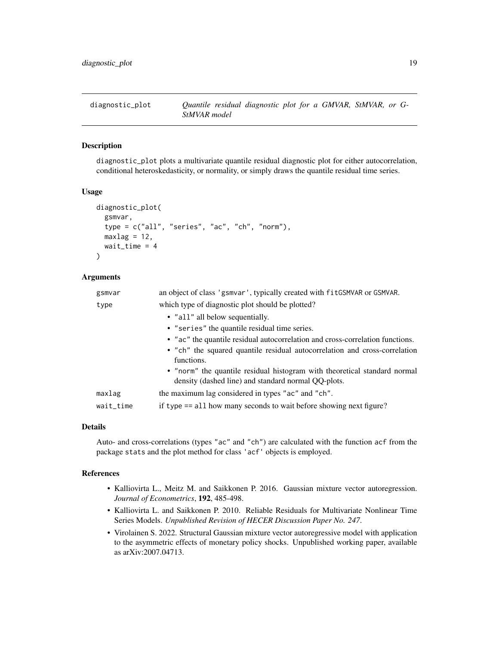<span id="page-18-1"></span><span id="page-18-0"></span>

#### Description

diagnostic\_plot plots a multivariate quantile residual diagnostic plot for either autocorrelation, conditional heteroskedasticity, or normality, or simply draws the quantile residual time series.

### Usage

```
diagnostic_plot(
  gsmvar,
  type = c("all", "series", "ac", "ch", "norm"),maxlag = 12,
  wait_time = 4
)
```
#### Arguments

| gsmvar    | an object of class 'gsmvar', typically created with fitGSMVAR or GSMVAR.                                                         |
|-----------|----------------------------------------------------------------------------------------------------------------------------------|
| type      | which type of diagnostic plot should be plotted?                                                                                 |
|           | • "all" all below sequentially.                                                                                                  |
|           | • "series" the quantile residual time series.                                                                                    |
|           | • "ac" the quantile residual autocorrelation and cross-correlation functions.                                                    |
|           | • "ch" the squared quantile residual autocorrelation and cross-correlation                                                       |
|           | functions.                                                                                                                       |
|           | • "norm" the quantile residual histogram with theoretical standard normal<br>density (dashed line) and standard normal QQ-plots. |
| maxlag    | the maximum lag considered in types "ac" and "ch".                                                                               |
| wait_time | if type == all how many seconds to wait before showing next figure?                                                              |

#### Details

Auto- and cross-correlations (types "ac" and "ch") are calculated with the function acf from the package stats and the plot method for class 'acf' objects is employed.

#### References

- Kalliovirta L., Meitz M. and Saikkonen P. 2016. Gaussian mixture vector autoregression. *Journal of Econometrics*, 192, 485-498.
- Kalliovirta L. and Saikkonen P. 2010. Reliable Residuals for Multivariate Nonlinear Time Series Models. *Unpublished Revision of HECER Discussion Paper No. 247*.
- Virolainen S. 2022. Structural Gaussian mixture vector autoregressive model with application to the asymmetric effects of monetary policy shocks. Unpublished working paper, available as arXiv:2007.04713.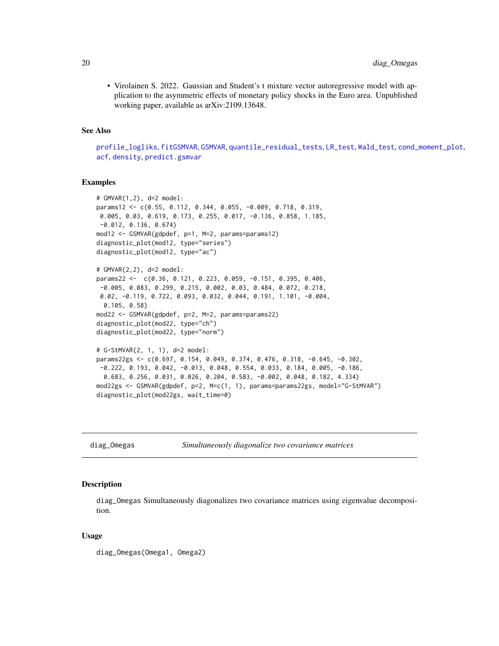<span id="page-19-0"></span>• Virolainen S. 2022. Gaussian and Student's t mixture vector autoregressive model with application to the asymmetric effects of monetary policy shocks in the Euro area. Unpublished working paper, available as arXiv:2109.13648.

#### See Also

[profile\\_logliks](#page-90-1), [fitGSMVAR](#page-27-1), [GSMVAR](#page-57-1), [quantile\\_residual\\_tests](#page-80-1), [LR\\_test](#page-77-1), [Wald\\_test](#page-114-1), [cond\\_moment\\_plot](#page-16-1), [acf](#page-0-0), [density](#page-0-0), [predict.gsmvar](#page-84-1)

#### Examples

```
# GMVAR(1,2), d=2 model:
params12 <- c(0.55, 0.112, 0.344, 0.055, -0.009, 0.718, 0.319,
0.005, 0.03, 0.619, 0.173, 0.255, 0.017, -0.136, 0.858, 1.185,
-0.012, 0.136, 0.674)
mod12 <- GSMVAR(gdpdef, p=1, M=2, params=params12)
diagnostic_plot(mod12, type="series")
diagnostic_plot(mod12, type="ac")
# GMVAR(2,2), d=2 model:
params22 <- c(0.36, 0.121, 0.223, 0.059, -0.151, 0.395, 0.406,
-0.005, 0.083, 0.299, 0.215, 0.002, 0.03, 0.484, 0.072, 0.218,
0.02, -0.119, 0.722, 0.093, 0.032, 0.044, 0.191, 1.101, -0.004,
 0.105, 0.58)
mod22 <- GSMVAR(gdpdef, p=2, M=2, params=params22)
diagnostic_plot(mod22, type="ch")
diagnostic_plot(mod22, type="norm")
# G-StMVAR(2, 1, 1), d=2 model:
params22gs <- c(0.697, 0.154, 0.049, 0.374, 0.476, 0.318, -0.645, -0.302,
-0.222, 0.193, 0.042, -0.013, 0.048, 0.554, 0.033, 0.184, 0.005, -0.186,
 0.683, 0.256, 0.031, 0.026, 0.204, 0.583, -0.002, 0.048, 0.182, 4.334)
mod22gs <- GSMVAR(gdpdef, p=2, M=c(1, 1), params=params22gs, model="G-StMVAR")
diagnostic_plot(mod22gs, wait_time=0)
```
diag\_Omegas *Simultaneously diagonalize two covariance matrices*

#### Description

diag\_Omegas Simultaneously diagonalizes two covariance matrices using eigenvalue decomposition.

#### Usage

diag\_Omegas(Omega1, Omega2)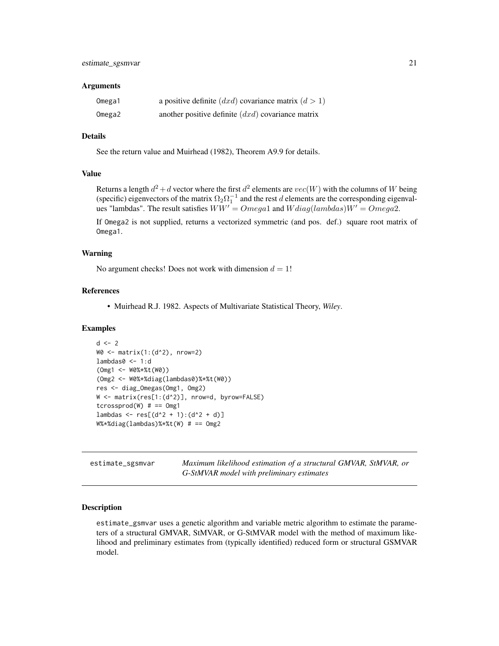#### <span id="page-20-0"></span>Arguments

| Omega1 | a positive definite $(dxd)$ covariance matrix $(d > 1)$ |
|--------|---------------------------------------------------------|
| Omega2 | another positive definite $(dxd)$ covariance matrix     |

## Details

See the return value and Muirhead (1982), Theorem A9.9 for details.

#### Value

Returns a length  $d^2 + d$  vector where the first  $d^2$  elements are  $vec(W)$  with the columns of W being (specific) eigenvectors of the matrix  $\Omega_2 \Omega_1^{-1}$  and the rest d elements are the corresponding eigenvalues "lambdas". The result satisfies  $WW' = Omega1$  and  $Wdiag(lambdas)W' = Omega2$ .

If Omega2 is not supplied, returns a vectorized symmetric (and pos. def.) square root matrix of Omega1.

#### Warning

No argument checks! Does not work with dimension  $d = 1!$ 

## References

• Muirhead R.J. 1982. Aspects of Multivariate Statistical Theory, *Wiley*.

#### Examples

```
d \le -2W0 <- matrix(1:(d^2), nrow=2)
lambdas0 < -1:d(Omg1 <- W0%*%t(W0))
(Omg2 <- W0%*%diag(lambdas0)%*%t(W0))
res <- diag_Omegas(Omg1, Omg2)
W <- matrix(res[1:(d^2)], nrow=d, byrow=FALSE)
tcrossprod(W) # == Omg1
lambdas <- res[(d^2 + 1):(d^2 + d)]W%*%diag(lambdas)%*%t(W) # == Omg2
```

| estimate_sgsmvar | Maximum likelihood estimation of a structural GMVAR, StMVAR, or |
|------------------|-----------------------------------------------------------------|
|                  | G-StMVAR model with preliminary estimates                       |

#### Description

estimate\_gsmvar uses a genetic algorithm and variable metric algorithm to estimate the parameters of a structural GMVAR, StMVAR, or G-StMVAR model with the method of maximum likelihood and preliminary estimates from (typically identified) reduced form or structural GSMVAR model.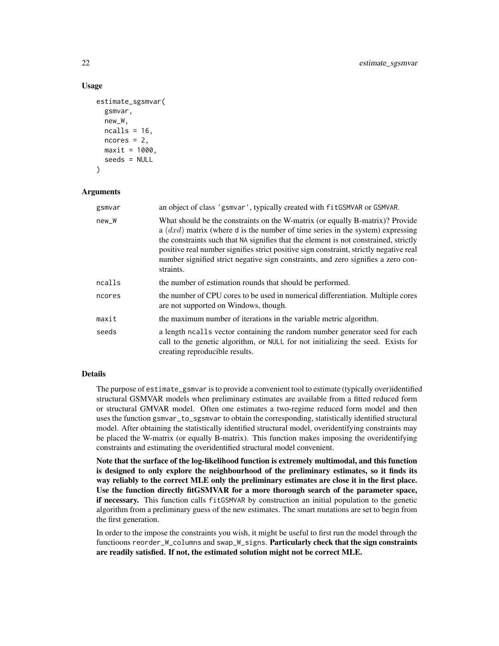## Usage

```
estimate_sgsmvar(
  gsmvar,
  new_W,
 ncalls = 16,
 ncores = 2,
 maxit = 1000,
  seeds = NULL)
```
### Arguments

| gsmvar | an object of class 'gsmvar', typically created with fitGSMVAR or GSMVAR.                                                                                                                                                                                                                                                                                                                                                                              |
|--------|-------------------------------------------------------------------------------------------------------------------------------------------------------------------------------------------------------------------------------------------------------------------------------------------------------------------------------------------------------------------------------------------------------------------------------------------------------|
| new_W  | What should be the constraints on the W-matrix (or equally B-matrix)? Provide<br>a $(dxd)$ matrix (where d is the number of time series in the system) expressing<br>the constraints such that NA signifies that the element is not constrained, strictly<br>positive real number signifies strict positive sign constraint, strictly negative real<br>number signified strict negative sign constraints, and zero signifies a zero con-<br>straints. |
| ncalls | the number of estimation rounds that should be performed.                                                                                                                                                                                                                                                                                                                                                                                             |
| ncores | the number of CPU cores to be used in numerical differentiation. Multiple cores<br>are not supported on Windows, though.                                                                                                                                                                                                                                                                                                                              |
| maxit  | the maximum number of iterations in the variable metric algorithm.                                                                                                                                                                                                                                                                                                                                                                                    |
| seeds  | a length ncalls vector containing the random number generator seed for each<br>call to the genetic algorithm, or NULL for not initializing the seed. Exists for<br>creating reproducible results.                                                                                                                                                                                                                                                     |

#### Details

The purpose of estimate\_gsmvar is to provide a convenient tool to estimate (typically over)identified structural GSMVAR models when preliminary estimates are available from a fitted reduced form or structural GMVAR model. Often one estimates a two-regime reduced form model and then uses the function gsmvar\_to\_sgsmvar to obtain the corresponding, statistically identified structural model. After obtaining the statistically identified structural model, overidentifying constraints may be placed the W-matrix (or equally B-matrix). This function makes imposing the overidentifying constraints and estimating the overidentified structural model convenient.

Note that the surface of the log-likelihood function is extremely multimodal, and this function is designed to only explore the neighbourhood of the preliminary estimates, so it finds its way reliably to the correct MLE only the preliminary estimates are close it in the first place. Use the function directly fitGSMVAR for a more thorough search of the parameter space, if necessary. This function calls fitGSMVAR by construction an initial population to the genetic algorithm from a preliminary guess of the new estimates. The smart mutations are set to begin from the first generation.

In order to the impose the constraints you wish, it might be useful to first run the model through the functioons reorder\_W\_columns and swap\_W\_signs. Particularly check that the sign constraints are readily satisfied. If not, the estimated solution might not be correct MLE.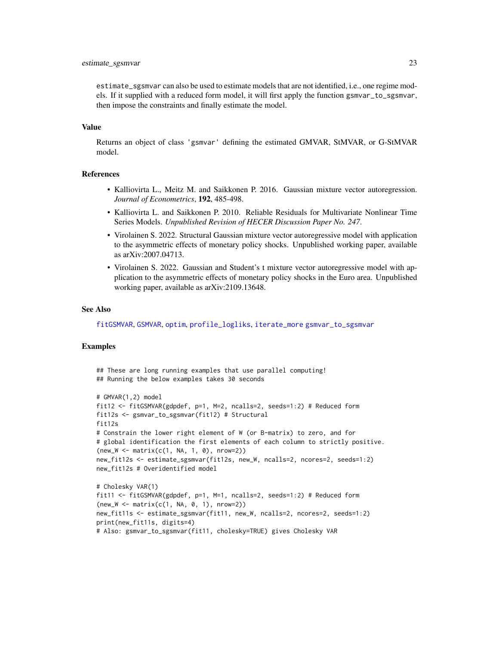#### estimate\_sgsmvar 23

estimate\_sgsmvar can also be used to estimate models that are not identified, i.e., one regime models. If it supplied with a reduced form model, it will first apply the function gsmvar\_to\_sgsmvar, then impose the constraints and finally estimate the model.

#### Value

Returns an object of class 'gsmvar' defining the estimated GMVAR, StMVAR, or G-StMVAR model.

#### References

- Kalliovirta L., Meitz M. and Saikkonen P. 2016. Gaussian mixture vector autoregression. *Journal of Econometrics*, 192, 485-498.
- Kalliovirta L. and Saikkonen P. 2010. Reliable Residuals for Multivariate Nonlinear Time Series Models. *Unpublished Revision of HECER Discussion Paper No. 247*.
- Virolainen S. 2022. Structural Gaussian mixture vector autoregressive model with application to the asymmetric effects of monetary policy shocks. Unpublished working paper, available as arXiv:2007.04713.
- Virolainen S. 2022. Gaussian and Student's t mixture vector autoregressive model with application to the asymmetric effects of monetary policy shocks in the Euro area. Unpublished working paper, available as arXiv:2109.13648.

#### See Also

[fitGSMVAR](#page-27-1), [GSMVAR](#page-57-1), [optim](#page-0-0), [profile\\_logliks](#page-90-1), [iterate\\_more](#page-71-1) [gsmvar\\_to\\_sgsmvar](#page-63-1)

#### Examples

## These are long running examples that use parallel computing! ## Running the below examples takes 30 seconds

```
# GMVAR(1,2) model
fit12 <- fitGSMVAR(gdpdef, p=1, M=2, ncalls=2, seeds=1:2) # Reduced form
fit12s <- gsmvar_to_sgsmvar(fit12) # Structural
fit12s
# Constrain the lower right element of W (or B-matrix) to zero, and for
# global identification the first elements of each column to strictly positive.
(new_W <- matrix(c(1, NA, 1, 0), nrow=2))
new_fit12s <- estimate_sgsmvar(fit12s, new_W, ncalls=2, ncores=2, seeds=1:2)
new_fit12s # Overidentified model
# Cholesky VAR(1)
fit11 <- fitGSMVAR(gdpdef, p=1, M=1, ncalls=2, seeds=1:2) # Reduced form
(new_W < - matrix(c(1, NA, 0, 1), nrow=2))new_fit11s <- estimate_sgsmvar(fit11, new_W, ncalls=2, ncores=2, seeds=1:2)
print(new_fit11s, digits=4)
```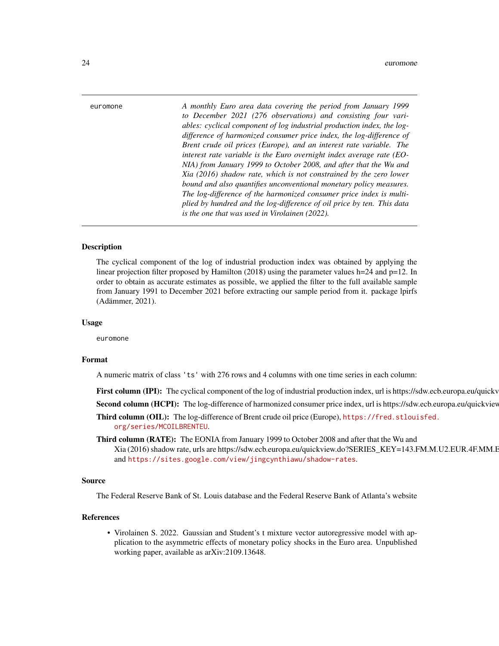<span id="page-23-0"></span>euromone *A monthly Euro area data covering the period from January 1999 to December 2021 (276 observations) and consisting four variables: cyclical component of log industrial production index, the logdifference of harmonized consumer price index, the log-difference of Brent crude oil prices (Europe), and an interest rate variable. The interest rate variable is the Euro overnight index average rate (EO-NIA) from January 1999 to October 2008, and after that the Wu and Xia (2016) shadow rate, which is not constrained by the zero lower bound and also quantifies unconventional monetary policy measures. The log-difference of the harmonized consumer price index is multiplied by hundred and the log-difference of oil price by ten. This data is the one that was used in Virolainen (2022).*

#### Description

The cyclical component of the log of industrial production index was obtained by applying the linear projection filter proposed by Hamilton (2018) using the parameter values h=24 and p=12. In order to obtain as accurate estimates as possible, we applied the filter to the full available sample from January 1991 to December 2021 before extracting our sample period from it. package lpirfs (Adämmer, 2021).

#### Usage

euromone

#### Format

A numeric matrix of class 'ts' with 276 rows and 4 columns with one time series in each column:

**First column (IPI):** The cyclical component of the log of industrial production index, url is https://sdw.ecb.europa.eu/quickv

Second column (HCPI): The log-difference of harmonized consumer price index, url is https://sdw.ecb.europa.eu/quickviev

Third column (OIL): The log-difference of Brent crude oil price (Europe), [https://fred.stloui](https://fred.stlouisfed.org/series/MCOILBRENTEU)sfed. [org/series/MCOILBRENTEU](https://fred.stlouisfed.org/series/MCOILBRENTEU).

Third column (RATE): The EONIA from January 1999 to October 2008 and after that the Wu and Xia (2016) shadow rate, urls are https://sdw.ecb.europa.eu/quickview.do?SERIES\_KEY=143.FM.M.U2.EUR.4F.MM.E and <https://sites.google.com/view/jingcynthiawu/shadow-rates>.

#### Source

The Federal Reserve Bank of St. Louis database and the Federal Reserve Bank of Atlanta's website

#### References

• Virolainen S. 2022. Gaussian and Student's t mixture vector autoregressive model with application to the asymmetric effects of monetary policy shocks in the Euro area. Unpublished working paper, available as arXiv:2109.13648.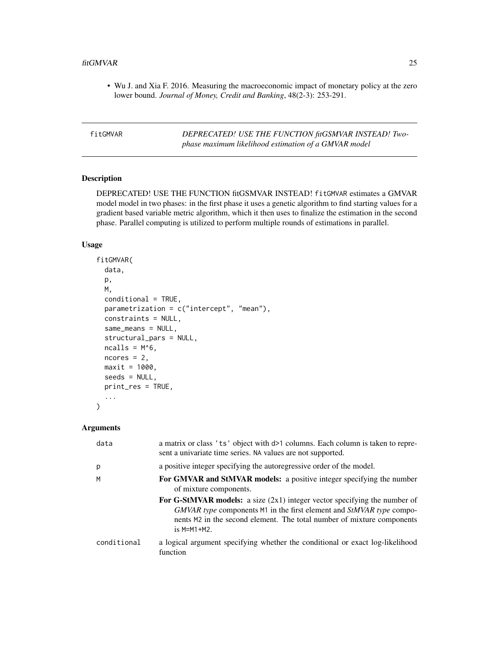<span id="page-24-0"></span>• Wu J. and Xia F. 2016. Measuring the macroeconomic impact of monetary policy at the zero lower bound. *Journal of Money, Credit and Banking*, 48(2-3): 253-291.

| fitGMVAR | DEPRECATED! USE THE FUNCTION fitGSMVAR INSTEAD! Two- |
|----------|------------------------------------------------------|
|          | phase maximum likelihood estimation of a GMVAR model |

# Description

DEPRECATED! USE THE FUNCTION fitGSMVAR INSTEAD! fitGMVAR estimates a GMVAR model model in two phases: in the first phase it uses a genetic algorithm to find starting values for a gradient based variable metric algorithm, which it then uses to finalize the estimation in the second phase. Parallel computing is utilized to perform multiple rounds of estimations in parallel.

# Usage

```
fitGMVAR(
  data,
 p,
 M,
  conditional = TRUE,
 parametrization = c("intercept", "mean"),
  constraints = NULL,
  same_means = NULL,
  structural_pars = NULL,
  ncalls = M^6,ncores = 2,
 maxit = 1000,
  seeds = NULL,
 print_res = TRUE,
  ...
)
```
#### Arguments

| data        | a matrix or class 'ts' object with d>1 columns. Each column is taken to repre-<br>sent a univariate time series. NA values are not supported.                                                                                                  |
|-------------|------------------------------------------------------------------------------------------------------------------------------------------------------------------------------------------------------------------------------------------------|
| p           | a positive integer specifying the autoregressive order of the model.                                                                                                                                                                           |
| M           | For GMVAR and StMVAR models: a positive integer specifying the number<br>of mixture components.                                                                                                                                                |
|             | For G-StMVAR models: a size $(2x1)$ integer vector specifying the number of<br>GMVAR type components M1 in the first element and StMVAR type compo-<br>nents M2 in the second element. The total number of mixture components<br>$is$ M=M1+M2. |
| conditional | a logical argument specifying whether the conditional or exact log-likelihood<br>function                                                                                                                                                      |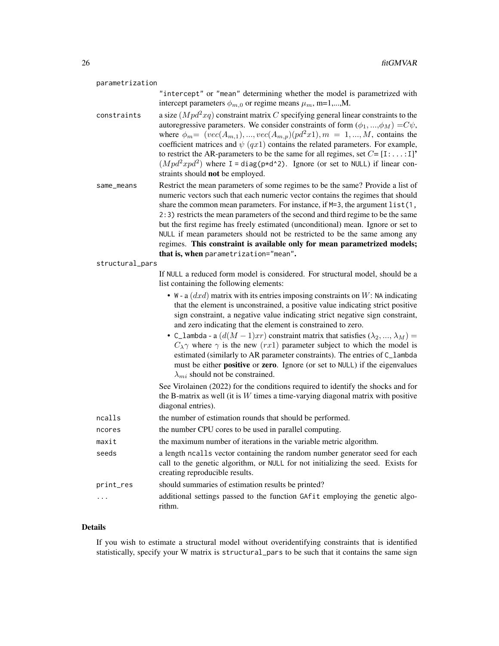| parametrization |                                                                                                                                                                                                                                                                                                                                                                                                                                                                                                                                                                                                                                                                                                                            |
|-----------------|----------------------------------------------------------------------------------------------------------------------------------------------------------------------------------------------------------------------------------------------------------------------------------------------------------------------------------------------------------------------------------------------------------------------------------------------------------------------------------------------------------------------------------------------------------------------------------------------------------------------------------------------------------------------------------------------------------------------------|
|                 | "intercept" or "mean" determining whether the model is parametrized with<br>intercept parameters $\phi_{m,0}$ or regime means $\mu_m$ , m=1,,M.                                                                                                                                                                                                                                                                                                                                                                                                                                                                                                                                                                            |
| constraints     | a size $(Mpd^2xq)$ constraint matrix C specifying general linear constraints to the<br>autoregressive parameters. We consider constraints of form $(\phi_1, , \phi_M) = C\psi$ ,<br>where $\phi_m = (vec(A_{m,1}), , vec(A_{m,p})(pd^2x1), m = 1, , M$ , contains the<br>coefficient matrices and $\psi$ (qx1) contains the related parameters. For example,<br>to restrict the AR-parameters to be the same for all regimes, set $C = [1: \dots: 1]$ <sup>*</sup><br>$(Mpd^2xpd^2)$ where I = diag(p*d^2). Ignore (or set to NULL) if linear con-<br>straints should not be employed.                                                                                                                                     |
| same_means      | Restrict the mean parameters of some regimes to be the same? Provide a list of<br>numeric vectors such that each numeric vector contains the regimes that should<br>share the common mean parameters. For instance, if $M=3$ , the argument $list(1,$<br>2:3) restricts the mean parameters of the second and third regime to be the same<br>but the first regime has freely estimated (unconditional) mean. Ignore or set to<br>NULL if mean parameters should not be restricted to be the same among any<br>regimes. This constraint is available only for mean parametrized models;<br>that is, when parametrization="mean".                                                                                            |
| structural_pars |                                                                                                                                                                                                                                                                                                                                                                                                                                                                                                                                                                                                                                                                                                                            |
|                 | If NULL a reduced form model is considered. For structural model, should be a<br>list containing the following elements:                                                                                                                                                                                                                                                                                                                                                                                                                                                                                                                                                                                                   |
|                 | • W - a $(dxd)$ matrix with its entries imposing constraints on W: NA indicating<br>that the element is unconstrained, a positive value indicating strict positive<br>sign constraint, a negative value indicating strict negative sign constraint,<br>and zero indicating that the element is constrained to zero.<br>• C_1ambda - a $(d(M-1)xr)$ constraint matrix that satisfies $(\lambda_2, , \lambda_M)$ =<br>$C_{\lambda} \gamma$ where $\gamma$ is the new (rx1) parameter subject to which the model is<br>estimated (similarly to AR parameter constraints). The entries of C_lambda<br>must be either positive or zero. Ignore (or set to NULL) if the eigenvalues<br>$\lambda_{mi}$ should not be constrained. |
|                 | See Virolainen (2022) for the conditions required to identify the shocks and for<br>the B-matrix as well (it is $W$ times a time-varying diagonal matrix with positive<br>diagonal entries).                                                                                                                                                                                                                                                                                                                                                                                                                                                                                                                               |
| ncalls          | the number of estimation rounds that should be performed.                                                                                                                                                                                                                                                                                                                                                                                                                                                                                                                                                                                                                                                                  |
| ncores          | the number CPU cores to be used in parallel computing.                                                                                                                                                                                                                                                                                                                                                                                                                                                                                                                                                                                                                                                                     |
| maxit           | the maximum number of iterations in the variable metric algorithm.                                                                                                                                                                                                                                                                                                                                                                                                                                                                                                                                                                                                                                                         |
| seeds           | a length ncalls vector containing the random number generator seed for each<br>call to the genetic algorithm, or NULL for not initializing the seed. Exists for<br>creating reproducible results.                                                                                                                                                                                                                                                                                                                                                                                                                                                                                                                          |
| print_res       | should summaries of estimation results be printed?                                                                                                                                                                                                                                                                                                                                                                                                                                                                                                                                                                                                                                                                         |
|                 | additional settings passed to the function GAfit employing the genetic algo-<br>rithm.                                                                                                                                                                                                                                                                                                                                                                                                                                                                                                                                                                                                                                     |

# Details

If you wish to estimate a structural model without overidentifying constraints that is identified statistically, specify your W matrix is structural\_pars to be such that it contains the same sign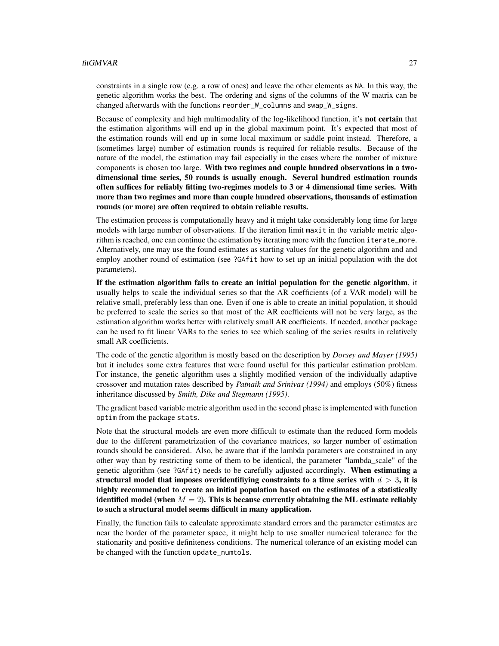#### fitGMVAR 27

constraints in a single row (e.g. a row of ones) and leave the other elements as NA. In this way, the genetic algorithm works the best. The ordering and signs of the columns of the W matrix can be changed afterwards with the functions reorder\_W\_columns and swap\_W\_signs.

Because of complexity and high multimodality of the log-likelihood function, it's not certain that the estimation algorithms will end up in the global maximum point. It's expected that most of the estimation rounds will end up in some local maximum or saddle point instead. Therefore, a (sometimes large) number of estimation rounds is required for reliable results. Because of the nature of the model, the estimation may fail especially in the cases where the number of mixture components is chosen too large. With two regimes and couple hundred observations in a twodimensional time series, 50 rounds is usually enough. Several hundred estimation rounds often suffices for reliably fitting two-regimes models to 3 or 4 dimensional time series. With more than two regimes and more than couple hundred observations, thousands of estimation rounds (or more) are often required to obtain reliable results.

The estimation process is computationally heavy and it might take considerably long time for large models with large number of observations. If the iteration limit maxit in the variable metric algorithm is reached, one can continue the estimation by iterating more with the function iterate\_more. Alternatively, one may use the found estimates as starting values for the genetic algorithm and and employ another round of estimation (see ?GAfit how to set up an initial population with the dot parameters).

If the estimation algorithm fails to create an initial population for the genetic algorithm, it usually helps to scale the individual series so that the AR coefficients (of a VAR model) will be relative small, preferably less than one. Even if one is able to create an initial population, it should be preferred to scale the series so that most of the AR coefficients will not be very large, as the estimation algorithm works better with relatively small AR coefficients. If needed, another package can be used to fit linear VARs to the series to see which scaling of the series results in relatively small AR coefficients.

The code of the genetic algorithm is mostly based on the description by *Dorsey and Mayer (1995)* but it includes some extra features that were found useful for this particular estimation problem. For instance, the genetic algorithm uses a slightly modified version of the individually adaptive crossover and mutation rates described by *Patnaik and Srinivas (1994)* and employs (50%) fitness inheritance discussed by *Smith, Dike and Stegmann (1995)*.

The gradient based variable metric algorithm used in the second phase is implemented with function optim from the package stats.

Note that the structural models are even more difficult to estimate than the reduced form models due to the different parametrization of the covariance matrices, so larger number of estimation rounds should be considered. Also, be aware that if the lambda parameters are constrained in any other way than by restricting some of them to be identical, the parameter "lambda\_scale" of the genetic algorithm (see ?GAfit) needs to be carefully adjusted accordingly. When estimating a structural model that imposes overidentifiying constraints to a time series with  $d > 3$ , it is highly recommended to create an initial population based on the estimates of a statistically identified model (when  $M = 2$ ). This is because currently obtaining the ML estimate reliably to such a structural model seems difficult in many application.

Finally, the function fails to calculate approximate standard errors and the parameter estimates are near the border of the parameter space, it might help to use smaller numerical tolerance for the stationarity and positive definiteness conditions. The numerical tolerance of an existing model can be changed with the function update\_numtols.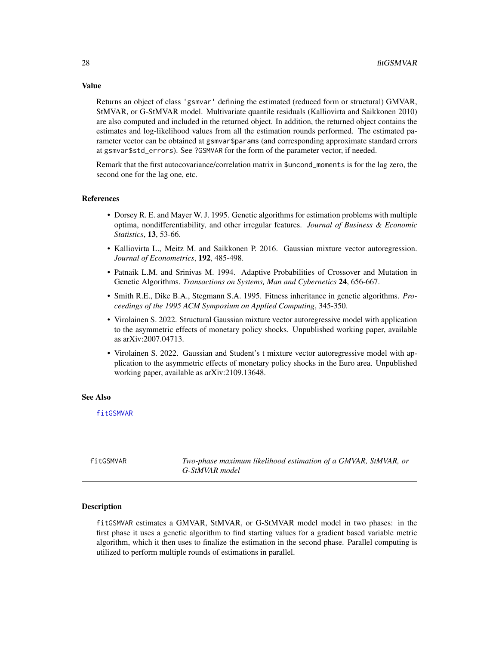Returns an object of class 'gsmvar' defining the estimated (reduced form or structural) GMVAR, StMVAR, or G-StMVAR model. Multivariate quantile residuals (Kalliovirta and Saikkonen 2010) are also computed and included in the returned object. In addition, the returned object contains the estimates and log-likelihood values from all the estimation rounds performed. The estimated parameter vector can be obtained at gsmvar\$params (and corresponding approximate standard errors at gsmvar\$std\_errors). See ?GSMVAR for the form of the parameter vector, if needed.

Remark that the first autocovariance/correlation matrix in \$uncond\_moments is for the lag zero, the second one for the lag one, etc.

#### References

- Dorsey R. E. and Mayer W. J. 1995. Genetic algorithms for estimation problems with multiple optima, nondifferentiability, and other irregular features. *Journal of Business & Economic Statistics*, 13, 53-66.
- Kalliovirta L., Meitz M. and Saikkonen P. 2016. Gaussian mixture vector autoregression. *Journal of Econometrics*, 192, 485-498.
- Patnaik L.M. and Srinivas M. 1994. Adaptive Probabilities of Crossover and Mutation in Genetic Algorithms. *Transactions on Systems, Man and Cybernetics* 24, 656-667.
- Smith R.E., Dike B.A., Stegmann S.A. 1995. Fitness inheritance in genetic algorithms. *Proceedings of the 1995 ACM Symposium on Applied Computing*, 345-350.
- Virolainen S. 2022. Structural Gaussian mixture vector autoregressive model with application to the asymmetric effects of monetary policy shocks. Unpublished working paper, available as arXiv:2007.04713.
- Virolainen S. 2022. Gaussian and Student's t mixture vector autoregressive model with application to the asymmetric effects of monetary policy shocks in the Euro area. Unpublished working paper, available as arXiv:2109.13648.

#### See Also

[fitGSMVAR](#page-27-1)

<span id="page-27-1"></span>fitGSMVAR *Two-phase maximum likelihood estimation of a GMVAR, StMVAR, or G-StMVAR model*

# **Description**

fitGSMVAR estimates a GMVAR, StMVAR, or G-StMVAR model model in two phases: in the first phase it uses a genetic algorithm to find starting values for a gradient based variable metric algorithm, which it then uses to finalize the estimation in the second phase. Parallel computing is utilized to perform multiple rounds of estimations in parallel.

<span id="page-27-0"></span>

# Value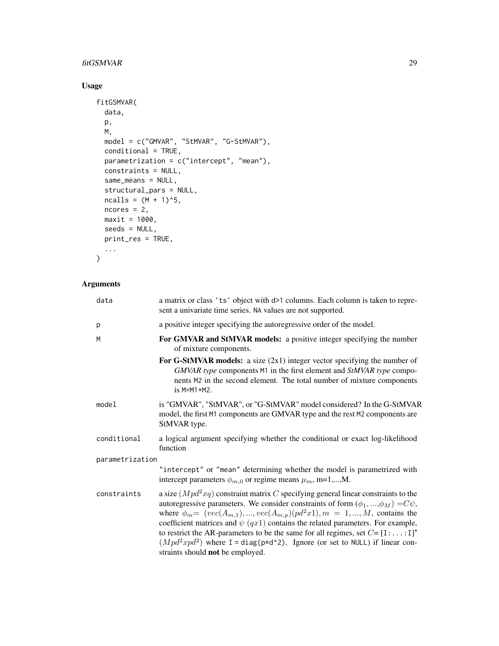# fitGSMVAR 29

# Usage

```
fitGSMVAR(
  data,
  p,
  M,
  model = c("GMVAR", "StMVAR", "G-StMVAR"),
  conditional = TRUE,
  parametrization = c("intercept", "mean"),
  constraints = NULL,
  same_means = NULL,
  structural_pars = NULL,
  ncalls = (M + 1)^5,ncores = 2,
  maxit = 1000,
  seeds = NULL,
  print_res = TRUE,
  ...
\mathcal{L}
```
# Arguments

| data            | a matrix or class 'ts' object with d>1 columns. Each column is taken to repre-<br>sent a univariate time series. NA values are not supported.                                                                                                                                                                                                                                                                                                                                                                                                                                                |
|-----------------|----------------------------------------------------------------------------------------------------------------------------------------------------------------------------------------------------------------------------------------------------------------------------------------------------------------------------------------------------------------------------------------------------------------------------------------------------------------------------------------------------------------------------------------------------------------------------------------------|
| p               | a positive integer specifying the autoregressive order of the model.                                                                                                                                                                                                                                                                                                                                                                                                                                                                                                                         |
| M               | For GMVAR and StMVAR models: a positive integer specifying the number<br>of mixture components.                                                                                                                                                                                                                                                                                                                                                                                                                                                                                              |
|                 | For G-StMVAR models: a size $(2x1)$ integer vector specifying the number of<br>GMVAR type components M1 in the first element and StMVAR type compo-<br>nents M2 in the second element. The total number of mixture components<br>$is$ M=M1+M2.                                                                                                                                                                                                                                                                                                                                               |
| model           | is "GMVAR", "StMVAR", or "G-StMVAR" model considered? In the G-StMVAR<br>model, the first M1 components are GMVAR type and the rest M2 components are<br>StMVAR type.                                                                                                                                                                                                                                                                                                                                                                                                                        |
| conditional     | a logical argument specifying whether the conditional or exact log-likelihood<br>function                                                                                                                                                                                                                                                                                                                                                                                                                                                                                                    |
| parametrization |                                                                                                                                                                                                                                                                                                                                                                                                                                                                                                                                                                                              |
|                 | "intercept" or "mean" determining whether the model is parametrized with<br>intercept parameters $\phi_{m,0}$ or regime means $\mu_m$ , m=1,,M.                                                                                                                                                                                                                                                                                                                                                                                                                                              |
| constraints     | a size $(Mpd^2xq)$ constraint matrix C specifying general linear constraints to the<br>autoregressive parameters. We consider constraints of form $(\phi_1, , \phi_M) = C\psi$ ,<br>where $\phi_m = (vec(A_{m,1}), , vec(A_{m,p})(pd^2x1), m = 1, , M$ , contains the<br>coefficient matrices and $\psi$ (qx1) contains the related parameters. For example,<br>to restrict the AR-parameters to be the same for all regimes, set $C = [1: \dots:1]$ <sup>*</sup><br>$(Mpd^2xpd^2)$ where I = diag(p*d^2). Ignore (or set to NULL) if linear con-<br>straints should <b>not</b> be employed. |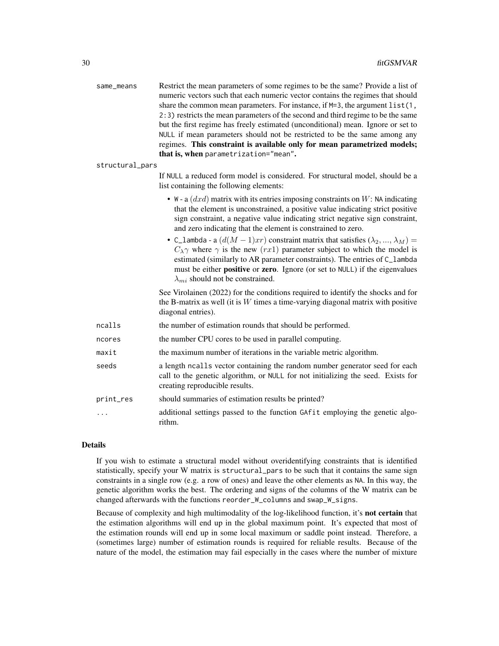| same_means      | Restrict the mean parameters of some regimes to be the same? Provide a list of<br>numeric vectors such that each numeric vector contains the regimes that should<br>share the common mean parameters. For instance, if M=3, the argument list(1,<br>2:3) restricts the mean parameters of the second and third regime to be the same<br>but the first regime has freely estimated (unconditional) mean. Ignore or set to<br>NULL if mean parameters should not be restricted to be the same among any<br>regimes. This constraint is available only for mean parametrized models;<br>that is, when parametrization="mean". |
|-----------------|----------------------------------------------------------------------------------------------------------------------------------------------------------------------------------------------------------------------------------------------------------------------------------------------------------------------------------------------------------------------------------------------------------------------------------------------------------------------------------------------------------------------------------------------------------------------------------------------------------------------------|
| structural_pars |                                                                                                                                                                                                                                                                                                                                                                                                                                                                                                                                                                                                                            |
|                 | If NULL a reduced form model is considered. For structural model, should be a<br>list containing the following elements:                                                                                                                                                                                                                                                                                                                                                                                                                                                                                                   |
|                 | • W - a $(dxd)$ matrix with its entries imposing constraints on W: NA indicating<br>that the element is unconstrained, a positive value indicating strict positive<br>sign constraint, a negative value indicating strict negative sign constraint,<br>and zero indicating that the element is constrained to zero.                                                                                                                                                                                                                                                                                                        |
|                 | • C_lambda - a $(d(M-1)xr)$ constraint matrix that satisfies $(\lambda_2, , \lambda_M)$ =<br>$C_{\lambda} \gamma$ where $\gamma$ is the new (rx1) parameter subject to which the model is<br>estimated (similarly to AR parameter constraints). The entries of C_lambda<br>must be either <b>positive</b> or <b>zero</b> . Ignore (or set to NULL) if the eigenvalues<br>$\lambda_{mi}$ should not be constrained.                                                                                                                                                                                                         |
|                 | See Virolainen (2022) for the conditions required to identify the shocks and for<br>the B-matrix as well (it is $W$ times a time-varying diagonal matrix with positive<br>diagonal entries).                                                                                                                                                                                                                                                                                                                                                                                                                               |
| ncalls          | the number of estimation rounds that should be performed.                                                                                                                                                                                                                                                                                                                                                                                                                                                                                                                                                                  |
| ncores          | the number CPU cores to be used in parallel computing.                                                                                                                                                                                                                                                                                                                                                                                                                                                                                                                                                                     |
| maxit           | the maximum number of iterations in the variable metric algorithm.                                                                                                                                                                                                                                                                                                                                                                                                                                                                                                                                                         |
| seeds           | a length ncalls vector containing the random number generator seed for each<br>call to the genetic algorithm, or NULL for not initializing the seed. Exists for<br>creating reproducible results.                                                                                                                                                                                                                                                                                                                                                                                                                          |
| print_res       | should summaries of estimation results be printed?                                                                                                                                                                                                                                                                                                                                                                                                                                                                                                                                                                         |
| .               | additional settings passed to the function GAfit employing the genetic algo-<br>rithm.                                                                                                                                                                                                                                                                                                                                                                                                                                                                                                                                     |

# Details

If you wish to estimate a structural model without overidentifying constraints that is identified statistically, specify your W matrix is structural\_pars to be such that it contains the same sign constraints in a single row (e.g. a row of ones) and leave the other elements as NA. In this way, the genetic algorithm works the best. The ordering and signs of the columns of the W matrix can be changed afterwards with the functions reorder\_W\_columns and swap\_W\_signs.

Because of complexity and high multimodality of the log-likelihood function, it's not certain that the estimation algorithms will end up in the global maximum point. It's expected that most of the estimation rounds will end up in some local maximum or saddle point instead. Therefore, a (sometimes large) number of estimation rounds is required for reliable results. Because of the nature of the model, the estimation may fail especially in the cases where the number of mixture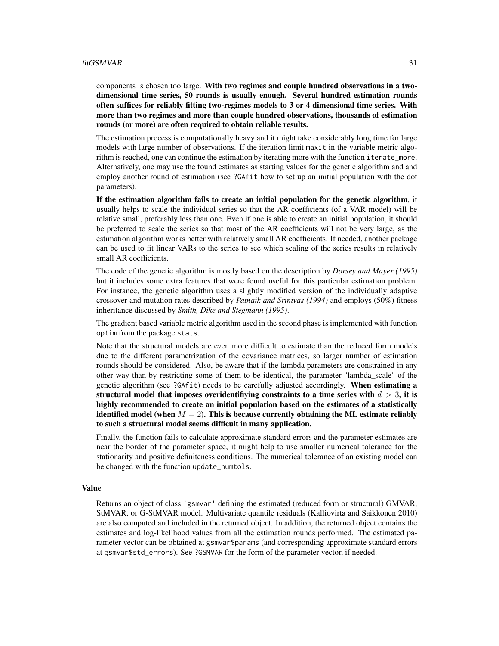#### fitGSMVAR 31

components is chosen too large. With two regimes and couple hundred observations in a twodimensional time series, 50 rounds is usually enough. Several hundred estimation rounds often suffices for reliably fitting two-regimes models to 3 or 4 dimensional time series. With more than two regimes and more than couple hundred observations, thousands of estimation rounds (or more) are often required to obtain reliable results.

The estimation process is computationally heavy and it might take considerably long time for large models with large number of observations. If the iteration limit maxit in the variable metric algorithm is reached, one can continue the estimation by iterating more with the function iterate\_more. Alternatively, one may use the found estimates as starting values for the genetic algorithm and and employ another round of estimation (see ?GAfit how to set up an initial population with the dot parameters).

If the estimation algorithm fails to create an initial population for the genetic algorithm, it usually helps to scale the individual series so that the AR coefficients (of a VAR model) will be relative small, preferably less than one. Even if one is able to create an initial population, it should be preferred to scale the series so that most of the AR coefficients will not be very large, as the estimation algorithm works better with relatively small AR coefficients. If needed, another package can be used to fit linear VARs to the series to see which scaling of the series results in relatively small AR coefficients.

The code of the genetic algorithm is mostly based on the description by *Dorsey and Mayer (1995)* but it includes some extra features that were found useful for this particular estimation problem. For instance, the genetic algorithm uses a slightly modified version of the individually adaptive crossover and mutation rates described by *Patnaik and Srinivas (1994)* and employs (50%) fitness inheritance discussed by *Smith, Dike and Stegmann (1995)*.

The gradient based variable metric algorithm used in the second phase is implemented with function optim from the package stats.

Note that the structural models are even more difficult to estimate than the reduced form models due to the different parametrization of the covariance matrices, so larger number of estimation rounds should be considered. Also, be aware that if the lambda parameters are constrained in any other way than by restricting some of them to be identical, the parameter "lambda\_scale" of the genetic algorithm (see ?GAfit) needs to be carefully adjusted accordingly. When estimating a structural model that imposes overidentifiying constraints to a time series with  $d > 3$ , it is highly recommended to create an initial population based on the estimates of a statistically identified model (when  $M = 2$ ). This is because currently obtaining the ML estimate reliably to such a structural model seems difficult in many application.

Finally, the function fails to calculate approximate standard errors and the parameter estimates are near the border of the parameter space, it might help to use smaller numerical tolerance for the stationarity and positive definiteness conditions. The numerical tolerance of an existing model can be changed with the function update\_numtols.

#### Value

Returns an object of class 'gsmvar' defining the estimated (reduced form or structural) GMVAR, StMVAR, or G-StMVAR model. Multivariate quantile residuals (Kalliovirta and Saikkonen 2010) are also computed and included in the returned object. In addition, the returned object contains the estimates and log-likelihood values from all the estimation rounds performed. The estimated parameter vector can be obtained at gsmvar\$params (and corresponding approximate standard errors at gsmvar\$std\_errors). See ?GSMVAR for the form of the parameter vector, if needed.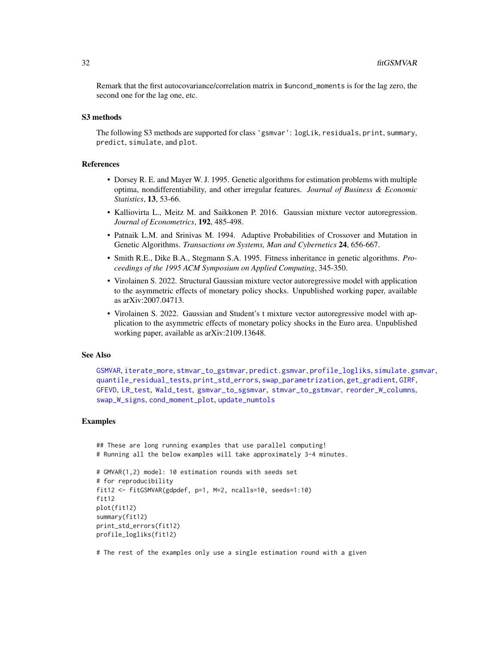Remark that the first autocovariance/correlation matrix in \$uncond\_moments is for the lag zero, the second one for the lag one, etc.

## S3 methods

The following S3 methods are supported for class 'gsmvar': logLik, residuals, print, summary, predict, simulate, and plot.

#### References

- Dorsey R. E. and Mayer W. J. 1995. Genetic algorithms for estimation problems with multiple optima, nondifferentiability, and other irregular features. *Journal of Business & Economic Statistics*, 13, 53-66.
- Kalliovirta L., Meitz M. and Saikkonen P. 2016. Gaussian mixture vector autoregression. *Journal of Econometrics*, 192, 485-498.
- Patnaik L.M. and Srinivas M. 1994. Adaptive Probabilities of Crossover and Mutation in Genetic Algorithms. *Transactions on Systems, Man and Cybernetics* 24, 656-667.
- Smith R.E., Dike B.A., Stegmann S.A. 1995. Fitness inheritance in genetic algorithms. *Proceedings of the 1995 ACM Symposium on Applied Computing*, 345-350.
- Virolainen S. 2022. Structural Gaussian mixture vector autoregressive model with application to the asymmetric effects of monetary policy shocks. Unpublished working paper, available as arXiv:2007.04713.
- Virolainen S. 2022. Gaussian and Student's t mixture vector autoregressive model with application to the asymmetric effects of monetary policy shocks in the Euro area. Unpublished working paper, available as arXiv:2109.13648.

#### See Also

[GSMVAR](#page-57-1), [iterate\\_more](#page-71-1), [stmvar\\_to\\_gstmvar](#page-105-1), [predict.gsmvar](#page-84-1), [profile\\_logliks](#page-90-1), [simulate.gsmvar](#page-100-1), [quantile\\_residual\\_tests](#page-80-1), [print\\_std\\_errors](#page-89-1), [swap\\_parametrization](#page-107-1), [get\\_gradient](#page-6-1), [GIRF](#page-47-1), [GFEVD](#page-44-1), [LR\\_test](#page-77-1), [Wald\\_test](#page-114-1), [gsmvar\\_to\\_sgsmvar](#page-63-1), [stmvar\\_to\\_gstmvar](#page-105-1), [reorder\\_W\\_columns](#page-99-1), [swap\\_W\\_signs](#page-108-1), [cond\\_moment\\_plot](#page-16-1), [update\\_numtols](#page-111-1)

#### Examples

```
## These are long running examples that use parallel computing!
# Running all the below examples will take approximately 3-4 minutes.
```

```
# GMVAR(1,2) model: 10 estimation rounds with seeds set
# for reproducibility
fit12 <- fitGSMVAR(gdpdef, p=1, M=2, ncalls=10, seeds=1:10)
fit12
plot(fit12)
summary(fit12)
print_std_errors(fit12)
profile_logliks(fit12)
```
# The rest of the examples only use a single estimation round with a given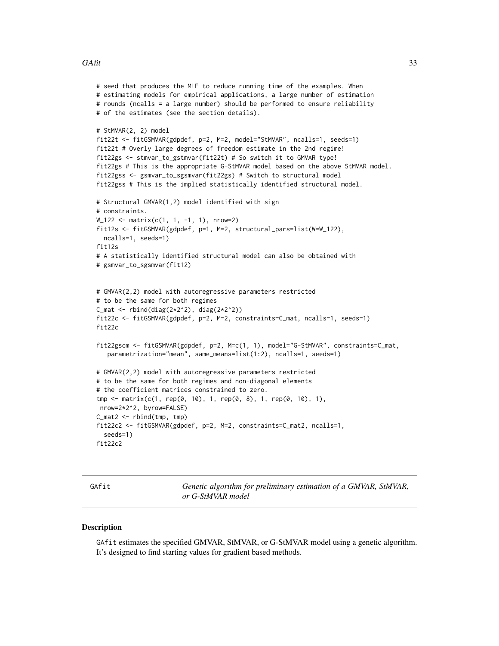#### <span id="page-32-0"></span> $GAtit$  33

```
# seed that produces the MLE to reduce running time of the examples. When
# estimating models for empirical applications, a large number of estimation
# rounds (ncalls = a large number) should be performed to ensure reliability
# of the estimates (see the section details).
# StMVAR(2, 2) model
fit22t <- fitGSMVAR(gdpdef, p=2, M=2, model="StMVAR", ncalls=1, seeds=1)
fit22t # Overly large degrees of freedom estimate in the 2nd regime!
fit22gs <- stmvar_to_gstmvar(fit22t) # So switch it to GMVAR type!
fit22gs # This is the appropriate G-StMVAR model based on the above StMVAR model.
fit22gss <- gsmvar_to_sgsmvar(fit22gs) # Switch to structural model
fit22gss # This is the implied statistically identified structural model.
# Structural GMVAR(1,2) model identified with sign
# constraints.
W_122 <- matrix(c(1, 1, -1, 1), nrow=2)
fit12s <- fitGSMVAR(gdpdef, p=1, M=2, structural_pars=list(W=W_122),
 ncalls=1, seeds=1)
fit12s
# A statistically identified structural model can also be obtained with
# gsmvar_to_sgsmvar(fit12)
# GMVAR(2,2) model with autoregressive parameters restricted
# to be the same for both regimes
C_mat <- rbind(diag(2*2^2)), diag(2*2^2))fit22c <- fitGSMVAR(gdpdef, p=2, M=2, constraints=C_mat, ncalls=1, seeds=1)
fit22c
fit22gscm <- fitGSMVAR(gdpdef, p=2, M=c(1, 1), model="G-StMVAR", constraints=C_mat,
  parametrization="mean", same_means=list(1:2), ncalls=1, seeds=1)
# GMVAR(2,2) model with autoregressive parameters restricted
# to be the same for both regimes and non-diagonal elements
# the coefficient matrices constrained to zero.
tmp <- matrix(c(1, rep(0, 10), 1, rep(0, 8), 1, rep(0, 10), 1),
nrow=2*2^2, byrow=FALSE)
C_mat2 <- rbind(tmp, tmp)
fit22c2 <- fitGSMVAR(gdpdef, p=2, M=2, constraints=C_mat2, ncalls=1,
  seeds=1)
fit22c2
```
GAfit *Genetic algorithm for preliminary estimation of a GMVAR, StMVAR, or G-StMVAR model*

#### Description

GAfit estimates the specified GMVAR, StMVAR, or G-StMVAR model using a genetic algorithm. It's designed to find starting values for gradient based methods.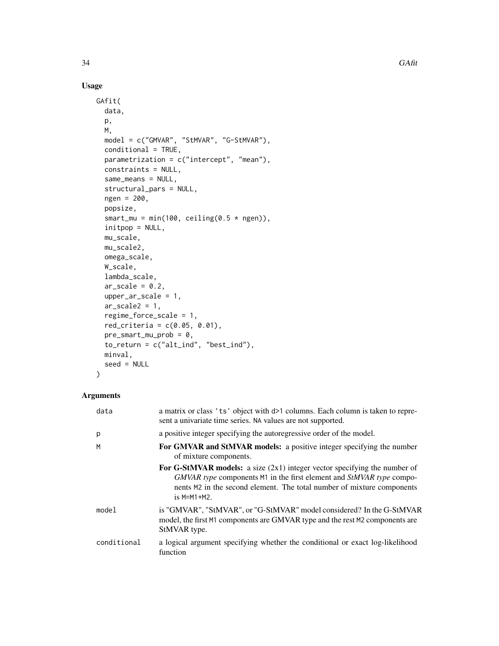# Usage

```
GAfit(
 data,
 p,
 M,
  model = c("GMVAR", "StMVAR", "G-StMVAR"),
 conditional = TRUE,
 parametrization = c("intercept", "mean"),
  constraints = NULL,
  same_means = NULL,
  structural_pars = NULL,
  ngen = 200,
 popsize,
  smart_mu = min(100, ceiling(0.5 * ngen)),
  initpop = NULL,
 mu_scale,
 mu_scale2,
 omega_scale,
 W_scale,
  lambda_scale,
  ar\_scale = 0.2,
  upper_ar_scale = 1,
  ar\_scale2 = 1,
  regime_force_scale = 1,
  red\_criterion = c(0.05, 0.01),pre_smart_mu_prob = 0,
  to_return = c("alt_ind", "best_ind"),
 minval,
  seed = NULL
\mathcal{L}
```
# Arguments

| data        | a matrix or class 'ts' object with $d>1$ columns. Each column is taken to repre-<br>sent a univariate time series. NA values are not supported.                                                                                                       |
|-------------|-------------------------------------------------------------------------------------------------------------------------------------------------------------------------------------------------------------------------------------------------------|
| p           | a positive integer specifying the autoregressive order of the model.                                                                                                                                                                                  |
| M           | For GMVAR and StMVAR models: a positive integer specifying the number<br>of mixture components.                                                                                                                                                       |
|             | <b>For G-StMVAR models:</b> a size $(2x1)$ integer vector specifying the number of<br>GMVAR type components M1 in the first element and StMVAR type compo-<br>nents M2 in the second element. The total number of mixture components<br>$is$ M=M1+M2. |
| model       | is "GMVAR", "StMVAR", or "G-StMVAR" model considered? In the G-StMVAR<br>model, the first M1 components are GMVAR type and the rest M2 components are<br>StMVAR type.                                                                                 |
| conditional | a logical argument specifying whether the conditional or exact log-likelihood<br>function                                                                                                                                                             |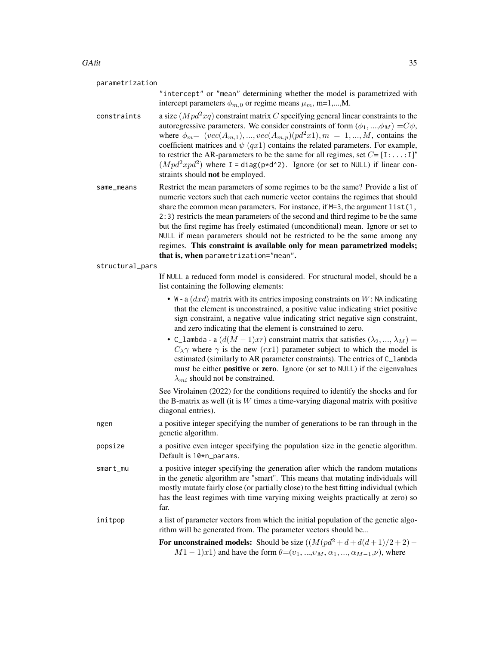#### $GAtit$  35

| parametrization |
|-----------------|
|-----------------|

"intercept" or "mean" determining whether the model is parametrized with intercept parameters  $\phi_{m,0}$  or regime means  $\mu_m$ , m=1,...,M.

constraints a size  $(Mpd^2xq)$  constraint matrix C specifying general linear constraints to the autoregressive parameters. We consider constraints of form  $(\phi_1, ..., \phi_M) = C\psi$ , where  $\phi_m = (vec(A_{m,1}), ..., vec(A_{m,p})(pd^2x1), m = 1, ..., M$ , contains the coefficient matrices and  $\psi$  (qx1) contains the related parameters. For example, to restrict the AR-parameters to be the same for all regimes, set  $C = [I:...:I]$ <sup>\*</sup>  $(Mpd^2xpd^2)$  where I = diag(p\*d^2). Ignore (or set to NULL) if linear constraints should not be employed.

same\_means Restrict the mean parameters of some regimes to be the same? Provide a list of numeric vectors such that each numeric vector contains the regimes that should share the common mean parameters. For instance, if  $M=3$ , the argument list(1, 2:3) restricts the mean parameters of the second and third regime to be the same but the first regime has freely estimated (unconditional) mean. Ignore or set to NULL if mean parameters should not be restricted to be the same among any regimes. This constraint is available only for mean parametrized models; that is, when parametrization="mean".

structural\_pars

If NULL a reduced form model is considered. For structural model, should be a list containing the following elements:

- W a  $(dxd)$  matrix with its entries imposing constraints on W: NA indicating that the element is unconstrained, a positive value indicating strict positive sign constraint, a negative value indicating strict negative sign constraint, and zero indicating that the element is constrained to zero.
- C\_lambda a  $(d(M-1)xr)$  constraint matrix that satisfies  $(\lambda_2, ..., \lambda_M)$  =  $C_{\lambda}\gamma$  where  $\gamma$  is the new (rx1) parameter subject to which the model is estimated (similarly to AR parameter constraints). The entries of C\_lambda must be either **positive** or **zero**. Ignore (or set to NULL) if the eigenvalues  $\lambda_{mi}$  should not be constrained.

See Virolainen (2022) for the conditions required to identify the shocks and for the B-matrix as well (it is  $W$  times a time-varying diagonal matrix with positive diagonal entries).

- ngen a positive integer specifying the number of generations to be ran through in the genetic algorithm.
- popsize a positive even integer specifying the population size in the genetic algorithm. Default is 10\*n\_params.
- smart\_mu a positive integer specifying the generation after which the random mutations in the genetic algorithm are "smart". This means that mutating individuals will mostly mutate fairly close (or partially close) to the best fitting individual (which has the least regimes with time varying mixing weights practically at zero) so far.
- init population by a list of parameter vectors from which the initial population of the genetic algorithm will be generated from. The parameter vectors should be...
	- For unconstrained models: Should be size  $((M(pd^2 + d + d(d+1)/2 + 2) M1-1)x1$ ) and have the form  $\theta=(v_1, ..., v_M, \alpha_1, ..., \alpha_{M-1}, \nu)$ , where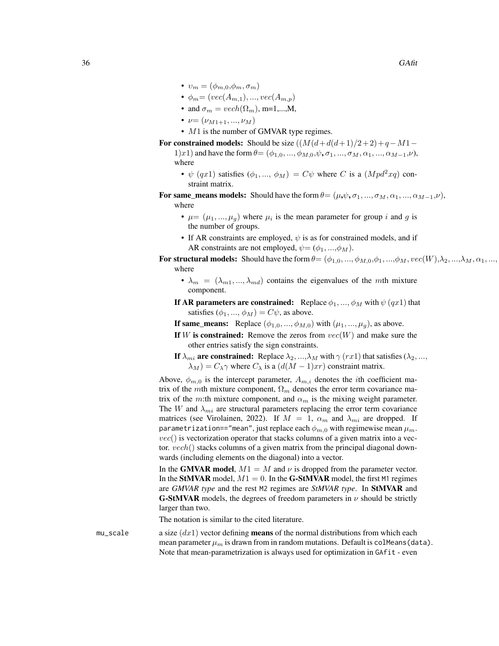- $v_m = (\phi_{m,0}, \phi_m, \sigma_m)$
- $\phi_m = (vec(A_{m,1}), ..., vec(A_{m,p}))$
- and  $\sigma_m = vech(\Omega_m)$ , m=1,...,M,
- $\nu = (\nu_{M1+1}, ..., \nu_M)$
- M1 is the number of GMVAR type regimes.

For constrained models: Should be size  $((M(d+d(d+1)/2+2)+q-M1-$ 1)x1) and have the form  $\theta = (\phi_{1,0}, ..., \phi_{M,0}, \psi, \sigma_1, ..., \sigma_M, \alpha_1, ..., \alpha_{M-1}, \nu)$ , where

- $\psi$  (qx1) satisfies  $(\phi_1, ..., \phi_M) = C\psi$  where C is a  $(Mpd^2xq)$  constraint matrix.
- For same\_means models: Should have the form  $\theta = (\mu, \psi, \sigma_1, ..., \sigma_M, \alpha_1, ..., \alpha_{M-1}, \nu)$ , where
	- $\mu = (\mu_1, ..., \mu_g)$  where  $\mu_i$  is the mean parameter for group i and g is the number of groups.
	- If AR constraints are employed,  $\psi$  is as for constrained models, and if AR constraints are not employed,  $\psi = (\phi_1, ..., \phi_M)$ .
- For structural models: Should have the form  $\theta = (\phi_{1,0}, ..., \phi_{M,0}, \phi_1, ..., \phi_M, vec(W), \lambda_2, ..., \lambda_M, \alpha_1, ...,$ where
	- $\lambda_m = (\lambda_{m1}, ..., \lambda_{md})$  contains the eigenvalues of the mth mixture component.

If AR parameters are constrained: Replace  $\phi_1, ..., \phi_M$  with  $\psi(qx1)$  that satisfies  $(\phi_1, ..., \phi_M) = C\psi$ , as above.

- **If same\_means:** Replace  $(\phi_{1,0}, ..., \phi_{M,0})$  with  $(\mu_1, ..., \mu_g)$ , as above.
- If W is constrained: Remove the zeros from  $vec(W)$  and make sure the other entries satisfy the sign constraints.
- If  $\lambda_{mi}$  are constrained: Replace  $\lambda_2, ..., \lambda_M$  with  $\gamma$  (rx1) that satisfies ( $\lambda_2, ...,$  $\lambda_M$ ) =  $C_{\lambda} \gamma$  where  $C_{\lambda}$  is a  $(d(M-1)xr)$  constraint matrix.

Above,  $\phi_{m,0}$  is the intercept parameter,  $A_{m,i}$  denotes the *i*th coefficient matrix of the mth mixture component,  $\Omega_m$  denotes the error term covariance matrix of the m:th mixture component, and  $\alpha_m$  is the mixing weight parameter. The W and  $\lambda_{mi}$  are structural parameters replacing the error term covariance matrices (see Virolainen, 2022). If  $M = 1$ ,  $\alpha_m$  and  $\lambda_{mi}$  are dropped. If parametrization=="mean", just replace each  $\phi_{m,0}$  with regimewise mean  $\mu_m$ .  $vec()$  is vectorization operator that stacks columns of a given matrix into a vector. vech() stacks columns of a given matrix from the principal diagonal downwards (including elements on the diagonal) into a vector.

In the GMVAR model,  $M1 = M$  and  $\nu$  is dropped from the parameter vector. In the StMVAR model,  $M1 = 0$ . In the G-StMVAR model, the first M1 regimes are *GMVAR type* and the rest M2 regimes are *StMVAR type*. In StMVAR and **G-StMVAR** models, the degrees of freedom parameters in  $\nu$  should be strictly larger than two.

The notation is similar to the cited literature.

mu\_scale a size  $(dx1)$  vector defining **means** of the normal distributions from which each mean parameter  $\mu_m$  is drawn from in random mutations. Default is colMeans (data). Note that mean-parametrization is always used for optimization in GAfit - even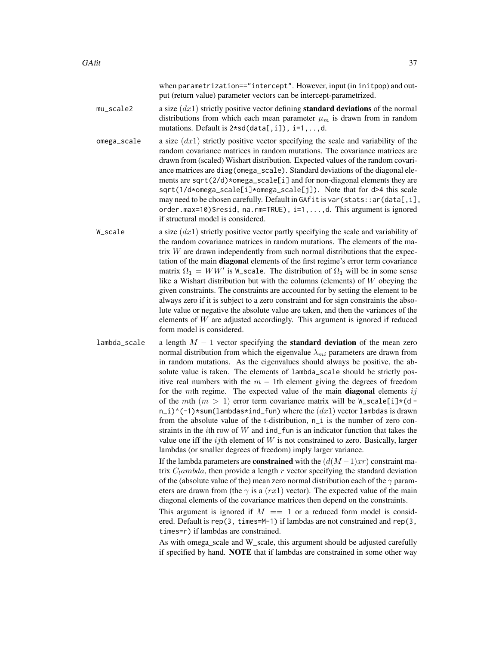when parametrization=="intercept". However, input (in initpop) and output (return value) parameter vectors can be intercept-parametrized.

- mu\_scale2 a size  $(dx1)$  strictly positive vector defining **standard deviations** of the normal distributions from which each mean parameter  $\mu_m$  is drawn from in random mutations. Default is 2\*sd(data[,i]), i=1,..,d.
- omega\_scale a size  $(dx1)$  strictly positive vector specifying the scale and variability of the random covariance matrices in random mutations. The covariance matrices are drawn from (scaled) Wishart distribution. Expected values of the random covariance matrices are diag(omega\_scale). Standard deviations of the diagonal elements are sqrt(2/d)\*omega\_scale[i] and for non-diagonal elements they are sqrt(1/d\*omega\_scale[i]\*omega\_scale[j]). Note that for d>4 this scale may need to be chosen carefully. Default in GAfit is var (stats:: ar (data[,i], order.max=10)\$resid, na.rm=TRUE), i=1,...,d. This argument is ignored if structural model is considered.
- W\_scale a size  $(dx1)$  strictly positive vector partly specifying the scale and variability of the random covariance matrices in random mutations. The elements of the matrix  $W$  are drawn independently from such normal distributions that the expectation of the main diagonal elements of the first regime's error term covariance matrix  $\Omega_1 = WW'$  is W\_scale. The distribution of  $\Omega_1$  will be in some sense like a Wishart distribution but with the columns (elements) of  $W$  obeying the given constraints. The constraints are accounted for by setting the element to be always zero if it is subject to a zero constraint and for sign constraints the absolute value or negative the absolute value are taken, and then the variances of the elements of  $W$  are adjusted accordingly. This argument is ignored if reduced form model is considered.
- lambda\_scale a length  $M 1$  vector specifying the **standard deviation** of the mean zero normal distribution from which the eigenvalue  $\lambda_{mi}$  parameters are drawn from in random mutations. As the eigenvalues should always be positive, the absolute value is taken. The elements of lambda\_scale should be strictly positive real numbers with the  $m - 1$ th element giving the degrees of freedom for the mth regime. The expected value of the main **diagonal** elements  $ij$ of the mth  $(m > 1)$  error term covariance matrix will be  $W$ -scale[i]\*(d  $n_i$ )^(-1)\*sum(lambdas\*ind\_fun) where the  $(dx1)$  vector lambdas is drawn from the absolute value of the t-distribution, n<sub>i</sub> is the number of zero constraints in the *i*th row of  $W$  and  $ind_f$ un is an indicator function that takes the value one iff the  $ij$ th element of W is not constrained to zero. Basically, larger lambdas (or smaller degrees of freedom) imply larger variance.
	- If the lambda parameters are **constrained** with the  $(d(M-1)xr)$  constraint matrix  $C_l$ ambda, then provide a length r vector specifying the standard deviation of the (absolute value of the) mean zero normal distribution each of the  $\gamma$  parameters are drawn from (the  $\gamma$  is a (rx1) vector). The expected value of the main diagonal elements of the covariance matrices then depend on the constraints.
	- This argument is ignored if  $M = 1$  or a reduced form model is considered. Default is rep(3, times=M-1) if lambdas are not constrained and rep(3, times=r) if lambdas are constrained.
	- As with omega\_scale and W\_scale, this argument should be adjusted carefully if specified by hand. NOTE that if lambdas are constrained in some other way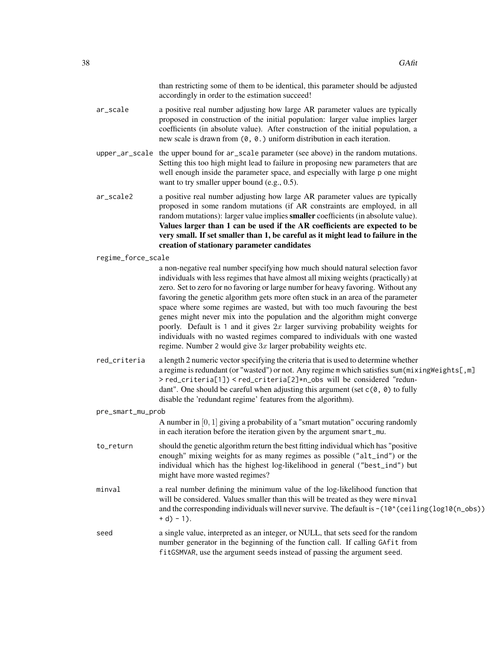|                    | than restricting some of them to be identical, this parameter should be adjusted<br>accordingly in order to the estimation succeed!                                                                                                                                                                                                                                                                                                                                                                                                                                                                                                                                                                                                          |
|--------------------|----------------------------------------------------------------------------------------------------------------------------------------------------------------------------------------------------------------------------------------------------------------------------------------------------------------------------------------------------------------------------------------------------------------------------------------------------------------------------------------------------------------------------------------------------------------------------------------------------------------------------------------------------------------------------------------------------------------------------------------------|
| ar_scale           | a positive real number adjusting how large AR parameter values are typically<br>proposed in construction of the initial population: larger value implies larger<br>coefficients (in absolute value). After construction of the initial population, a<br>new scale is drawn from $(0, 0.)$ uniform distribution in each iteration.                                                                                                                                                                                                                                                                                                                                                                                                            |
| upper_ar_scale     | the upper bound for ar_scale parameter (see above) in the random mutations.<br>Setting this too high might lead to failure in proposing new parameters that are<br>well enough inside the parameter space, and especially with large p one might<br>want to try smaller upper bound (e.g., $0.5$ ).                                                                                                                                                                                                                                                                                                                                                                                                                                          |
| ar_scale2          | a positive real number adjusting how large AR parameter values are typically<br>proposed in some random mutations (if AR constraints are employed, in all<br>random mutations): larger value implies smaller coefficients (in absolute value).<br>Values larger than 1 can be used if the AR coefficients are expected to be<br>very small. If set smaller than 1, be careful as it might lead to failure in the<br>creation of stationary parameter candidates                                                                                                                                                                                                                                                                              |
| regime_force_scale |                                                                                                                                                                                                                                                                                                                                                                                                                                                                                                                                                                                                                                                                                                                                              |
|                    | a non-negative real number specifying how much should natural selection favor<br>individuals with less regimes that have almost all mixing weights (practically) at<br>zero. Set to zero for no favoring or large number for heavy favoring. Without any<br>favoring the genetic algorithm gets more often stuck in an area of the parameter<br>space where some regimes are wasted, but with too much favouring the best<br>genes might never mix into the population and the algorithm might converge<br>poorly. Default is 1 and it gives $2x$ larger surviving probability weights for<br>individuals with no wasted regimes compared to individuals with one wasted<br>regime. Number 2 would give $3x$ larger probability weights etc. |
| red_criteria       | a length 2 numeric vector specifying the criteria that is used to determine whether<br>a regime is redundant (or "wasted") or not. Any regime m which satisfies sum(mixingWeights[,m]<br>> red_criteria[1]) < red_criteria[2]*n_obs will be considered "redun-<br>dant". One should be careful when adjusting this argument (set $c(0, 0)$ to fully<br>disable the 'redundant regime' features from the algorithm).                                                                                                                                                                                                                                                                                                                          |
| pre_smart_mu_prob  |                                                                                                                                                                                                                                                                                                                                                                                                                                                                                                                                                                                                                                                                                                                                              |
|                    | A number in $[0, 1]$ giving a probability of a "smart mutation" occuring randomly<br>in each iteration before the iteration given by the argument smart_mu.                                                                                                                                                                                                                                                                                                                                                                                                                                                                                                                                                                                  |
| to_return          | should the genetic algorithm return the best fitting individual which has "positive<br>enough" mixing weights for as many regimes as possible ("alt_ind") or the<br>individual which has the highest log-likelihood in general ("best_ind") but<br>might have more wasted regimes?                                                                                                                                                                                                                                                                                                                                                                                                                                                           |
| minval             | a real number defining the minimum value of the log-likelihood function that<br>will be considered. Values smaller than this will be treated as they were minval<br>and the corresponding individuals will never survive. The default is -(10^(ceiling(log10(n_obs))<br>$+ d) - 1$ .                                                                                                                                                                                                                                                                                                                                                                                                                                                         |
| seed               | a single value, interpreted as an integer, or NULL, that sets seed for the random<br>number generator in the beginning of the function call. If calling GAfit from<br>fitGSMVAR, use the argument seeds instead of passing the argument seed.                                                                                                                                                                                                                                                                                                                                                                                                                                                                                                |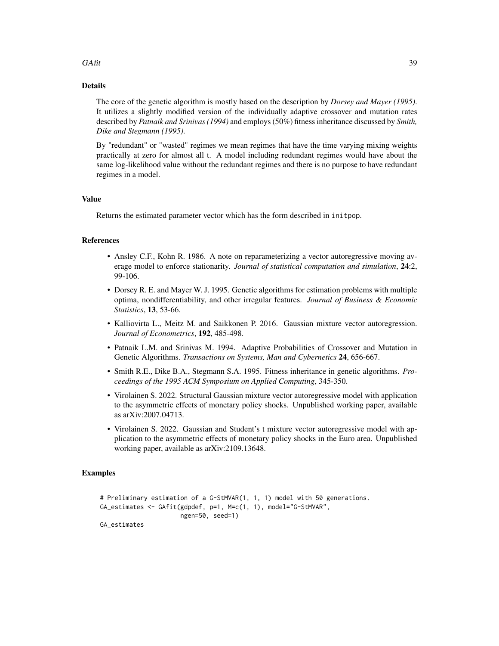#### $GAtit$  39

## Details

The core of the genetic algorithm is mostly based on the description by *Dorsey and Mayer (1995)*. It utilizes a slightly modified version of the individually adaptive crossover and mutation rates described by *Patnaik and Srinivas (1994)* and employs (50%) fitness inheritance discussed by *Smith, Dike and Stegmann (1995)*.

By "redundant" or "wasted" regimes we mean regimes that have the time varying mixing weights practically at zero for almost all t. A model including redundant regimes would have about the same log-likelihood value without the redundant regimes and there is no purpose to have redundant regimes in a model.

## Value

Returns the estimated parameter vector which has the form described in initpop.

#### References

- Ansley C.F., Kohn R. 1986. A note on reparameterizing a vector autoregressive moving average model to enforce stationarity. *Journal of statistical computation and simulation*, 24:2, 99-106.
- Dorsey R. E. and Mayer W. J. 1995. Genetic algorithms for estimation problems with multiple optima, nondifferentiability, and other irregular features. *Journal of Business & Economic Statistics*, 13, 53-66.
- Kalliovirta L., Meitz M. and Saikkonen P. 2016. Gaussian mixture vector autoregression. *Journal of Econometrics*, 192, 485-498.
- Patnaik L.M. and Srinivas M. 1994. Adaptive Probabilities of Crossover and Mutation in Genetic Algorithms. *Transactions on Systems, Man and Cybernetics* 24, 656-667.
- Smith R.E., Dike B.A., Stegmann S.A. 1995. Fitness inheritance in genetic algorithms. *Proceedings of the 1995 ACM Symposium on Applied Computing*, 345-350.
- Virolainen S. 2022. Structural Gaussian mixture vector autoregressive model with application to the asymmetric effects of monetary policy shocks. Unpublished working paper, available as arXiv:2007.04713.
- Virolainen S. 2022. Gaussian and Student's t mixture vector autoregressive model with application to the asymmetric effects of monetary policy shocks in the Euro area. Unpublished working paper, available as arXiv:2109.13648.

#### Examples

```
# Preliminary estimation of a G-StMVAR(1, 1, 1) model with 50 generations.
GA_estimates <- GAfit(gdpdef, p=1, M=c(1, 1), model="G-StMVAR",
                     ngen=50, seed=1)
GA_estimates
```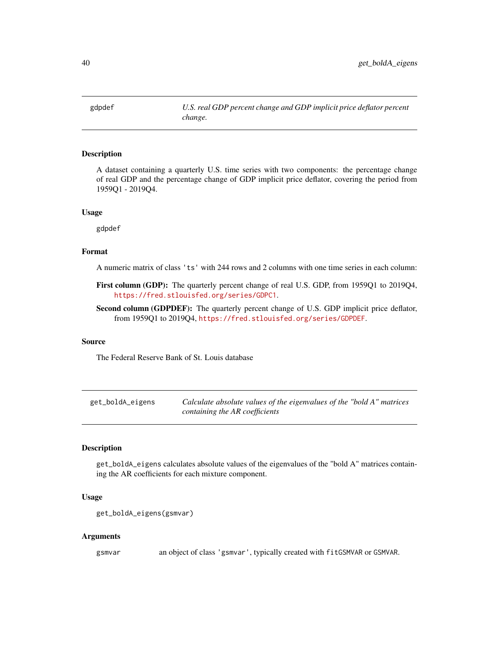gdpdef *U.S. real GDP percent change and GDP implicit price deflator percent change.*

#### Description

A dataset containing a quarterly U.S. time series with two components: the percentage change of real GDP and the percentage change of GDP implicit price deflator, covering the period from 1959Q1 - 2019Q4.

#### Usage

gdpdef

#### Format

A numeric matrix of class 'ts' with 244 rows and 2 columns with one time series in each column:

- First column (GDP): The quarterly percent change of real U.S. GDP, from 1959Q1 to 2019Q4, <https://fred.stlouisfed.org/series/GDPC1>.
- Second column (GDPDEF): The quarterly percent change of U.S. GDP implicit price deflator, from 1959Q1 to 2019Q4, <https://fred.stlouisfed.org/series/GDPDEF>.

#### Source

The Federal Reserve Bank of St. Louis database

| get_boldA_eigens | Calculate absolute values of the eigenvalues of the "bold A" matrices |
|------------------|-----------------------------------------------------------------------|
|                  | containing the AR coefficients                                        |

## Description

get\_boldA\_eigens calculates absolute values of the eigenvalues of the "bold A" matrices containing the AR coefficients for each mixture component.

#### Usage

```
get_boldA_eigens(gsmvar)
```
#### Arguments

gsmvar an object of class 'gsmvar', typically created with fitGSMVAR or GSMVAR.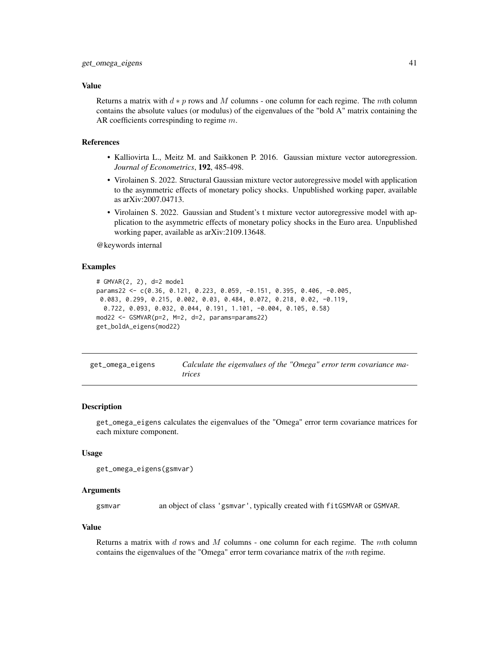#### Value

Returns a matrix with  $d * p$  rows and M columns - one column for each regime. The mth column contains the absolute values (or modulus) of the eigenvalues of the "bold A" matrix containing the AR coefficients correspinding to regime  $m$ .

#### References

- Kalliovirta L., Meitz M. and Saikkonen P. 2016. Gaussian mixture vector autoregression. *Journal of Econometrics*, 192, 485-498.
- Virolainen S. 2022. Structural Gaussian mixture vector autoregressive model with application to the asymmetric effects of monetary policy shocks. Unpublished working paper, available as arXiv:2007.04713.
- Virolainen S. 2022. Gaussian and Student's t mixture vector autoregressive model with application to the asymmetric effects of monetary policy shocks in the Euro area. Unpublished working paper, available as arXiv:2109.13648.

@keywords internal

#### Examples

```
# GMVAR(2, 2), d=2 model
params22 <- c(0.36, 0.121, 0.223, 0.059, -0.151, 0.395, 0.406, -0.005,
0.083, 0.299, 0.215, 0.002, 0.03, 0.484, 0.072, 0.218, 0.02, -0.119,
 0.722, 0.093, 0.032, 0.044, 0.191, 1.101, -0.004, 0.105, 0.58)
mod22 <- GSMVAR(p=2, M=2, d=2, params=params22)
get_boldA_eigens(mod22)
```

| get_omega_eigens | Calculate the eigenvalues of the "Omega" error term covariance ma- |
|------------------|--------------------------------------------------------------------|
|                  | trices                                                             |

#### **Description**

get\_omega\_eigens calculates the eigenvalues of the "Omega" error term covariance matrices for each mixture component.

#### Usage

```
get_omega_eigens(gsmvar)
```
#### Arguments

gsmvar an object of class 'gsmvar', typically created with fitGSMVAR or GSMVAR.

#### Value

Returns a matrix with  $d$  rows and  $M$  columns - one column for each regime. The mth column contains the eigenvalues of the "Omega" error term covariance matrix of the mth regime.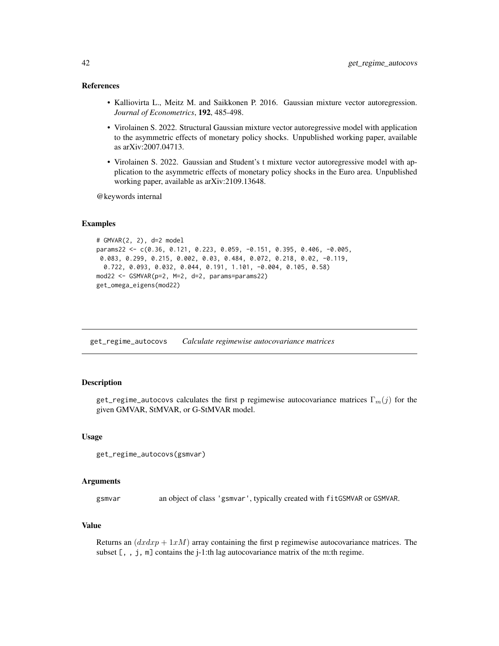#### References

- Kalliovirta L., Meitz M. and Saikkonen P. 2016. Gaussian mixture vector autoregression. *Journal of Econometrics*, 192, 485-498.
- Virolainen S. 2022. Structural Gaussian mixture vector autoregressive model with application to the asymmetric effects of monetary policy shocks. Unpublished working paper, available as arXiv:2007.04713.
- Virolainen S. 2022. Gaussian and Student's t mixture vector autoregressive model with application to the asymmetric effects of monetary policy shocks in the Euro area. Unpublished working paper, available as arXiv:2109.13648.

@keywords internal

#### Examples

```
# GMVAR(2, 2), d=2 model
params22 <- c(0.36, 0.121, 0.223, 0.059, -0.151, 0.395, 0.406, -0.005,
0.083, 0.299, 0.215, 0.002, 0.03, 0.484, 0.072, 0.218, 0.02, -0.119,
 0.722, 0.093, 0.032, 0.044, 0.191, 1.101, -0.004, 0.105, 0.58)
mod22 <- GSMVAR(p=2, M=2, d=2, params=params22)
get_omega_eigens(mod22)
```
<span id="page-41-0"></span>get\_regime\_autocovs *Calculate regimewise autocovariance matrices*

#### **Description**

get\_regime\_autocovs calculates the first p regimewise autocovariance matrices  $\Gamma_m(j)$  for the given GMVAR, StMVAR, or G-StMVAR model.

#### Usage

```
get_regime_autocovs(gsmvar)
```
#### Arguments

gsmvar an object of class 'gsmvar', typically created with fitGSMVAR or GSMVAR.

#### Value

Returns an  $(dxdxp + 1xM)$  array containing the first p regimewise autocovariance matrices. The subset  $[ , , , j, m]$  contains the j-1:th lag autocovariance matrix of the m:th regime.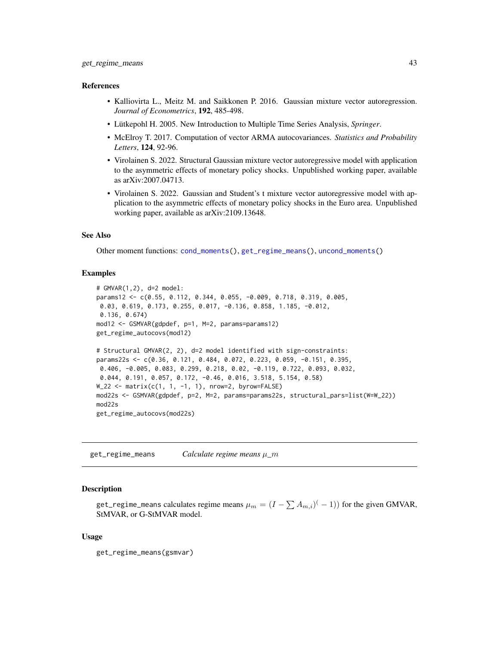#### References

- Kalliovirta L., Meitz M. and Saikkonen P. 2016. Gaussian mixture vector autoregression. *Journal of Econometrics*, 192, 485-498.
- Lütkepohl H. 2005. New Introduction to Multiple Time Series Analysis, *Springer*.
- McElroy T. 2017. Computation of vector ARMA autocovariances. *Statistics and Probability Letters*, 124, 92-96.
- Virolainen S. 2022. Structural Gaussian mixture vector autoregressive model with application to the asymmetric effects of monetary policy shocks. Unpublished working paper, available as arXiv:2007.04713.
- Virolainen S. 2022. Gaussian and Student's t mixture vector autoregressive model with application to the asymmetric effects of monetary policy shocks in the Euro area. Unpublished working paper, available as arXiv:2109.13648.

#### See Also

Other moment functions: [cond\\_moments\(](#page-12-0)), [get\\_regime\\_means\(](#page-42-0)), [uncond\\_moments\(](#page-110-0))

#### Examples

```
# GMVAR(1,2), d=2 model:
params12 <- c(0.55, 0.112, 0.344, 0.055, -0.009, 0.718, 0.319, 0.005,
0.03, 0.619, 0.173, 0.255, 0.017, -0.136, 0.858, 1.185, -0.012,
0.136, 0.674)
mod12 <- GSMVAR(gdpdef, p=1, M=2, params=params12)
get_regime_autocovs(mod12)
# Structural GMVAR(2, 2), d=2 model identified with sign-constraints:
params22s <- c(0.36, 0.121, 0.484, 0.072, 0.223, 0.059, -0.151, 0.395,
0.406, -0.005, 0.083, 0.299, 0.218, 0.02, -0.119, 0.722, 0.093, 0.032,
0.044, 0.191, 0.057, 0.172, -0.46, 0.016, 3.518, 5.154, 0.58)
W_222 <- matrix(c(1, 1, -1, 1), nrow=2, byrow=FALSE)
mod22s <- GSMVAR(gdpdef, p=2, M=2, params=params22s, structural_pars=list(W=W_22))
mod22s
get_regime_autocovs(mod22s)
```
<span id="page-42-0"></span>get\_regime\_means *Calculate regime means* µ*\_*m

#### Description

get\_regime\_means calculates regime means  $\mu_m = (I-\sum A_{m,i})^(-1))$  for the given GMVAR, StMVAR, or G-StMVAR model.

#### Usage

```
get_regime_means(gsmvar)
```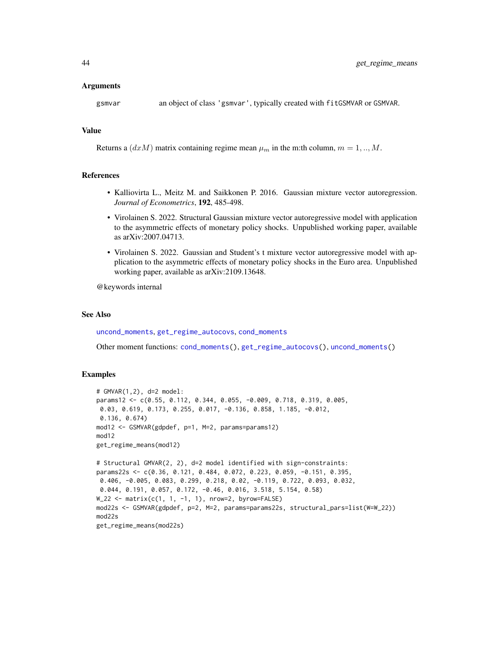#### Arguments

gsmvar an object of class 'gsmvar', typically created with fitGSMVAR or GSMVAR.

#### Value

Returns a  $(dxM)$  matrix containing regime mean  $\mu_m$  in the m:th column,  $m = 1,..,M$ .

## References

- Kalliovirta L., Meitz M. and Saikkonen P. 2016. Gaussian mixture vector autoregression. *Journal of Econometrics*, 192, 485-498.
- Virolainen S. 2022. Structural Gaussian mixture vector autoregressive model with application to the asymmetric effects of monetary policy shocks. Unpublished working paper, available as arXiv:2007.04713.
- Virolainen S. 2022. Gaussian and Student's t mixture vector autoregressive model with application to the asymmetric effects of monetary policy shocks in the Euro area. Unpublished working paper, available as arXiv:2109.13648.

@keywords internal

## See Also

[uncond\\_moments](#page-110-0), [get\\_regime\\_autocovs](#page-41-0), [cond\\_moments](#page-12-0)

Other moment functions: [cond\\_moments\(](#page-12-0)), [get\\_regime\\_autocovs\(](#page-41-0)), [uncond\\_moments\(](#page-110-0))

#### Examples

```
# GMVAR(1,2), d=2 model:
params12 <- c(0.55, 0.112, 0.344, 0.055, -0.009, 0.718, 0.319, 0.005,
0.03, 0.619, 0.173, 0.255, 0.017, -0.136, 0.858, 1.185, -0.012,
0.136, 0.674)
mod12 <- GSMVAR(gdpdef, p=1, M=2, params=params12)
mod12
get_regime_means(mod12)
# Structural GMVAR(2, 2), d=2 model identified with sign-constraints:
params22s <- c(0.36, 0.121, 0.484, 0.072, 0.223, 0.059, -0.151, 0.395,
0.406, -0.005, 0.083, 0.299, 0.218, 0.02, -0.119, 0.722, 0.093, 0.032,
0.044, 0.191, 0.057, 0.172, -0.46, 0.016, 3.518, 5.154, 0.58)
W_222 <- matrix(c(1, 1, -1, 1), nrow=2, byrow=FALSE)
mod22s <- GSMVAR(gdpdef, p=2, M=2, params=params22s, structural_pars=list(W=W_22))
mod22s
get_regime_means(mod22s)
```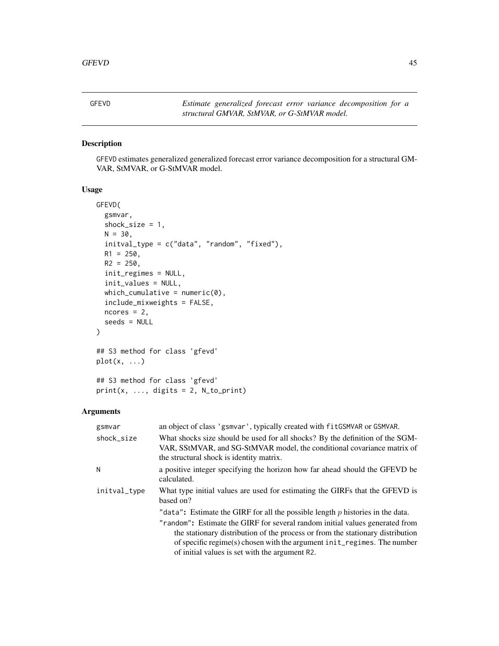<span id="page-44-0"></span>

## Description

GFEVD estimates generalized generalized forecast error variance decomposition for a structural GM-VAR, StMVAR, or G-StMVAR model.

#### Usage

```
GFEVD(
  gsmvar,
  shock_size = 1,
 N = 30,
  initval_type = c("data", "random", "fixed"),
 R1 = 250,
 R2 = 250,
  init_regimes = NULL,
  init_values = NULL,
  which_cumulative = numeric(0),
  include_mixweights = FALSE,
  ncores = 2,
  seeds = NULL
)
## S3 method for class 'gfevd'
plot(x, ...)
## S3 method for class 'gfevd'
print(x, ..., digits = 2, N_to_print)
```

| gsmvar       | an object of class 'gsmvar', typically created with fit GSMVAR or GSMVAR.                                                                                                                                                                                                                                                                                                       |  |  |
|--------------|---------------------------------------------------------------------------------------------------------------------------------------------------------------------------------------------------------------------------------------------------------------------------------------------------------------------------------------------------------------------------------|--|--|
| shock size   | What shocks size should be used for all shocks? By the definition of the SGM-<br>VAR, SStMVAR, and SG-StMVAR model, the conditional covariance matrix of<br>the structural shock is identity matrix.                                                                                                                                                                            |  |  |
| Ν            | a positive integer specifying the horizon how far ahead should the GFEVD be<br>calculated.                                                                                                                                                                                                                                                                                      |  |  |
| initval_type | What type initial values are used for estimating the GIRFs that the GFEVD is<br>based on?                                                                                                                                                                                                                                                                                       |  |  |
|              | "data": Estimate the GIRF for all the possible length $p$ histories in the data.<br>"random": Estimate the GIRF for several random initial values generated from<br>the stationary distribution of the process or from the stationary distribution<br>of specific regime(s) chosen with the argument init_regimes. The number<br>of initial values is set with the argument R2. |  |  |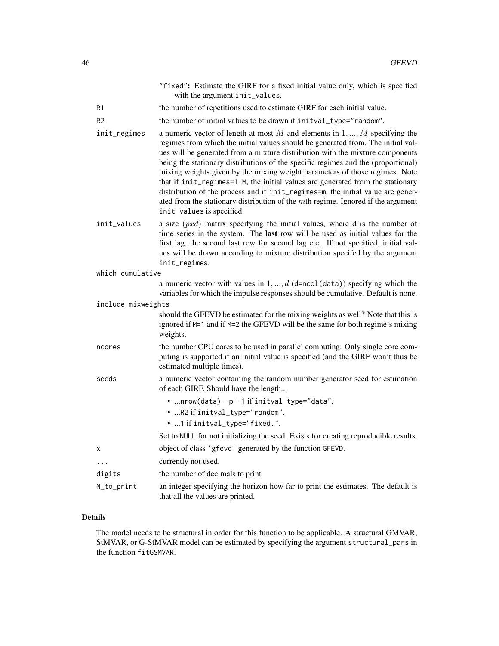|                    | "fixed": Estimate the GIRF for a fixed initial value only, which is specified<br>with the argument init_values.                                                                                                                                                                                                                                                                                                                                                                                                                                                                                                                                                                                                  |
|--------------------|------------------------------------------------------------------------------------------------------------------------------------------------------------------------------------------------------------------------------------------------------------------------------------------------------------------------------------------------------------------------------------------------------------------------------------------------------------------------------------------------------------------------------------------------------------------------------------------------------------------------------------------------------------------------------------------------------------------|
| R1                 | the number of repetitions used to estimate GIRF for each initial value.                                                                                                                                                                                                                                                                                                                                                                                                                                                                                                                                                                                                                                          |
| R <sub>2</sub>     | the number of initial values to be drawn if initval_type="random".                                                                                                                                                                                                                                                                                                                                                                                                                                                                                                                                                                                                                                               |
| init_regimes       | a numeric vector of length at most $M$ and elements in $1, , M$ specifying the<br>regimes from which the initial values should be generated from. The initial val-<br>ues will be generated from a mixture distribution with the mixture components<br>being the stationary distributions of the specific regimes and the (proportional)<br>mixing weights given by the mixing weight parameters of those regimes. Note<br>that if init_regimes=1:M, the initial values are generated from the stationary<br>distribution of the process and if init_regimes=m, the initial value are gener-<br>ated from the stationary distribution of the $m$ th regime. Ignored if the argument<br>init_values is specified. |
| init_values        | a size $(pxd)$ matrix specifying the initial values, where d is the number of<br>time series in the system. The last row will be used as initial values for the<br>first lag, the second last row for second lag etc. If not specified, initial val-<br>ues will be drawn according to mixture distribution specifed by the argument<br>init_regimes.                                                                                                                                                                                                                                                                                                                                                            |
| which_cumulative   |                                                                                                                                                                                                                                                                                                                                                                                                                                                                                                                                                                                                                                                                                                                  |
|                    | a numeric vector with values in $1, , d$ (d=ncol(data)) specifying which the<br>variables for which the impulse responses should be cumulative. Default is none.                                                                                                                                                                                                                                                                                                                                                                                                                                                                                                                                                 |
| include_mixweights | should the GFEVD be estimated for the mixing weights as well? Note that this is<br>ignored if M=1 and if M=2 the GFEVD will be the same for both regime's mixing<br>weights.                                                                                                                                                                                                                                                                                                                                                                                                                                                                                                                                     |
| ncores             | the number CPU cores to be used in parallel computing. Only single core com-<br>puting is supported if an initial value is specified (and the GIRF won't thus be<br>estimated multiple times).                                                                                                                                                                                                                                                                                                                                                                                                                                                                                                                   |
| seeds              | a numeric vector containing the random number generator seed for estimation<br>of each GIRF. Should have the length                                                                                                                                                                                                                                                                                                                                                                                                                                                                                                                                                                                              |
|                    | $\bullet$ nrow(data) - $p + 1$ if initval_type="data".<br>• R2 if initval_type="random".<br>• 1 if initval_type="fixed.".                                                                                                                                                                                                                                                                                                                                                                                                                                                                                                                                                                                        |
|                    | Set to NULL for not initializing the seed. Exists for creating reproducible results.                                                                                                                                                                                                                                                                                                                                                                                                                                                                                                                                                                                                                             |
| x                  | object of class 'gfevd' generated by the function GFEVD.                                                                                                                                                                                                                                                                                                                                                                                                                                                                                                                                                                                                                                                         |
| $\cdots$           | currently not used.                                                                                                                                                                                                                                                                                                                                                                                                                                                                                                                                                                                                                                                                                              |
| digits             | the number of decimals to print                                                                                                                                                                                                                                                                                                                                                                                                                                                                                                                                                                                                                                                                                  |
| N_to_print         | an integer specifying the horizon how far to print the estimates. The default is<br>that all the values are printed.                                                                                                                                                                                                                                                                                                                                                                                                                                                                                                                                                                                             |

## Details

The model needs to be structural in order for this function to be applicable. A structural GMVAR, StMVAR, or G-StMVAR model can be estimated by specifying the argument structural\_pars in the function fitGSMVAR.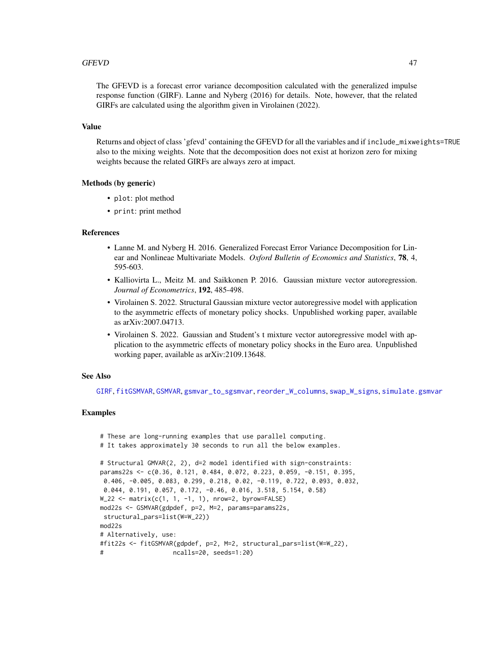#### GFEVD 47

The GFEVD is a forecast error variance decomposition calculated with the generalized impulse response function (GIRF). Lanne and Nyberg (2016) for details. Note, however, that the related GIRFs are calculated using the algorithm given in Virolainen (2022).

#### Value

Returns and object of class 'gfevd' containing the GFEVD for all the variables and if include\_mixweights=TRUE also to the mixing weights. Note that the decomposition does not exist at horizon zero for mixing weights because the related GIRFs are always zero at impact.

## Methods (by generic)

- plot: plot method
- print: print method

#### References

- Lanne M. and Nyberg H. 2016. Generalized Forecast Error Variance Decomposition for Linear and Nonlineae Multivariate Models. *Oxford Bulletin of Economics and Statistics*, 78, 4, 595-603.
- Kalliovirta L., Meitz M. and Saikkonen P. 2016. Gaussian mixture vector autoregression. *Journal of Econometrics*, 192, 485-498.
- Virolainen S. 2022. Structural Gaussian mixture vector autoregressive model with application to the asymmetric effects of monetary policy shocks. Unpublished working paper, available as arXiv:2007.04713.
- Virolainen S. 2022. Gaussian and Student's t mixture vector autoregressive model with application to the asymmetric effects of monetary policy shocks in the Euro area. Unpublished working paper, available as arXiv:2109.13648.

### See Also

[GIRF](#page-47-0), [fitGSMVAR](#page-27-0), [GSMVAR](#page-57-0), [gsmvar\\_to\\_sgsmvar](#page-63-0), [reorder\\_W\\_columns](#page-99-0), [swap\\_W\\_signs](#page-108-0), [simulate.gsmvar](#page-100-0)

## Examples

```
# These are long-running examples that use parallel computing.
# It takes approximately 30 seconds to run all the below examples.
# Structural GMVAR(2, 2), d=2 model identified with sign-constraints:
params22s <- c(0.36, 0.121, 0.484, 0.072, 0.223, 0.059, -0.151, 0.395,
0.406, -0.005, 0.083, 0.299, 0.218, 0.02, -0.119, 0.722, 0.093, 0.032,
0.044, 0.191, 0.057, 0.172, -0.46, 0.016, 3.518, 5.154, 0.58)
W_222 <- matrix(c(1, 1, -1, 1), nrow=2, byrow=FALSE)
mod22s <- GSMVAR(gdpdef, p=2, M=2, params=params22s,
structural_pars=list(W=W_22))
mod22s
# Alternatively, use:
#fit22s <- fitGSMVAR(gdpdef, p=2, M=2, structural_pars=list(W=W_22),
# ncalls=20, seeds=1:20)
```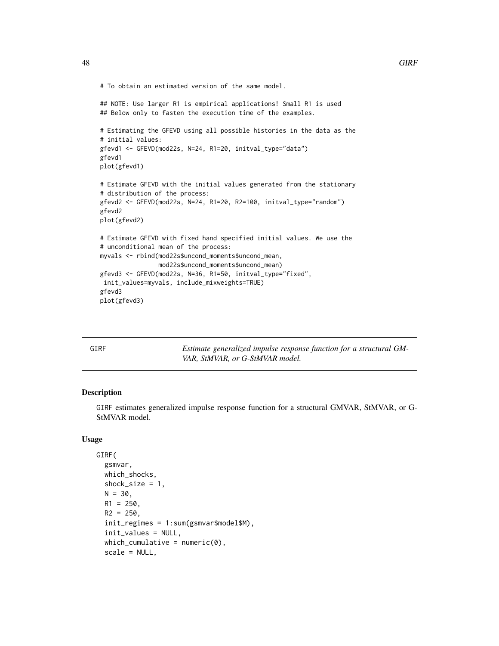```
# To obtain an estimated version of the same model.
## NOTE: Use larger R1 is empirical applications! Small R1 is used
## Below only to fasten the execution time of the examples.
# Estimating the GFEVD using all possible histories in the data as the
# initial values:
gfevd1 <- GFEVD(mod22s, N=24, R1=20, initval_type="data")
gfevd1
plot(gfevd1)
# Estimate GFEVD with the initial values generated from the stationary
# distribution of the process:
gfevd2 <- GFEVD(mod22s, N=24, R1=20, R2=100, initval_type="random")
gfevd2
plot(gfevd2)
# Estimate GFEVD with fixed hand specified initial values. We use the
# unconditional mean of the process:
myvals <- rbind(mod22s$uncond_moments$uncond_mean,
                mod22s$uncond_moments$uncond_mean)
gfevd3 <- GFEVD(mod22s, N=36, R1=50, initval_type="fixed",
init_values=myvals, include_mixweights=TRUE)
gfevd3
plot(gfevd3)
```
<span id="page-47-0"></span>

GIRF *Estimate generalized impulse response function for a structural GM-VAR, StMVAR, or G-StMVAR model.*

#### Description

GIRF estimates generalized impulse response function for a structural GMVAR, StMVAR, or G-StMVAR model.

#### Usage

```
GIRF(
  gsmvar,
  which_shocks,
  shock_size = 1,
  N = 30,
  R1 = 250,
  R2 = 250.
  init_regimes = 1:sum(gsmvar$model$M),
  init_values = NULL,
  which\_cumulative = numeric(0),
  scale = NULL,
```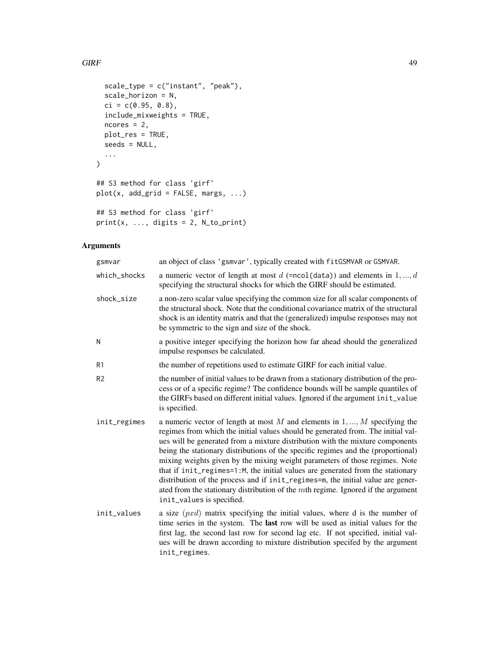#### $GIRF$  and  $49$

```
scale_type = c("instant", "peak"),
 scale_horizon = N,
 ci = c(0.95, 0.8),include_mixweights = TRUE,
 ncores = 2,
 plot_res = TRUE,
 seeds = NULL,
  ...
)
## S3 method for class 'girf'
plot(x, add\_grid = FALSE, margs, ...)## S3 method for class 'girf'
```

```
print(x, ..., digits = 2, N_to-print)
```

| gsmvar         | an object of class 'gsmvar', typically created with fitGSMVAR or GSMVAR.                                                                                                                                                                                                                                                                                                                                                                                                                                                                                                                                                                                                                                      |
|----------------|---------------------------------------------------------------------------------------------------------------------------------------------------------------------------------------------------------------------------------------------------------------------------------------------------------------------------------------------------------------------------------------------------------------------------------------------------------------------------------------------------------------------------------------------------------------------------------------------------------------------------------------------------------------------------------------------------------------|
| which_shocks   | a numeric vector of length at most $d$ (=ncol(data)) and elements in $1, , d$<br>specifying the structural shocks for which the GIRF should be estimated.                                                                                                                                                                                                                                                                                                                                                                                                                                                                                                                                                     |
| shock_size     | a non-zero scalar value specifying the common size for all scalar components of<br>the structural shock. Note that the conditional covariance matrix of the structural<br>shock is an identity matrix and that the (generalized) impulse responses may not<br>be symmetric to the sign and size of the shock.                                                                                                                                                                                                                                                                                                                                                                                                 |
| N              | a positive integer specifying the horizon how far ahead should the generalized<br>impulse responses be calculated.                                                                                                                                                                                                                                                                                                                                                                                                                                                                                                                                                                                            |
| R1             | the number of repetitions used to estimate GIRF for each initial value.                                                                                                                                                                                                                                                                                                                                                                                                                                                                                                                                                                                                                                       |
| R <sub>2</sub> | the number of initial values to be drawn from a stationary distribution of the pro-<br>cess or of a specific regime? The confidence bounds will be sample quantiles of<br>the GIRFs based on different initial values. Ignored if the argument init_value<br>is specified.                                                                                                                                                                                                                                                                                                                                                                                                                                    |
| init_regimes   | a numeric vector of length at most $M$ and elements in $1, , M$ specifying the<br>regimes from which the initial values should be generated from. The initial val-<br>ues will be generated from a mixture distribution with the mixture components<br>being the stationary distributions of the specific regimes and the (proportional)<br>mixing weights given by the mixing weight parameters of those regimes. Note<br>that if init_regimes=1:M, the initial values are generated from the stationary<br>distribution of the process and if init_regimes=m, the initial value are gener-<br>ated from the stationary distribution of the mth regime. Ignored if the argument<br>init_values is specified. |
| init_values    | a size $(pxd)$ matrix specifying the initial values, where d is the number of<br>time series in the system. The last row will be used as initial values for the<br>first lag, the second last row for second lag etc. If not specified, initial val-<br>ues will be drawn according to mixture distribution specifed by the argument<br>init_regimes.                                                                                                                                                                                                                                                                                                                                                         |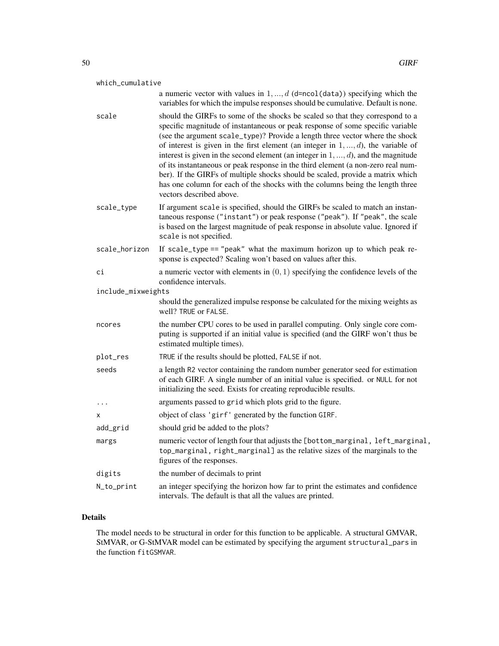| which_cumulative                                                                                        |                                                                                                                                                                                                                                                                                                                                                                                                                                                                                                                                                                                                                                                                                                                          |  |  |  |
|---------------------------------------------------------------------------------------------------------|--------------------------------------------------------------------------------------------------------------------------------------------------------------------------------------------------------------------------------------------------------------------------------------------------------------------------------------------------------------------------------------------------------------------------------------------------------------------------------------------------------------------------------------------------------------------------------------------------------------------------------------------------------------------------------------------------------------------------|--|--|--|
|                                                                                                         | a numeric vector with values in $1, , d$ (d=ncol(data)) specifying which the<br>variables for which the impulse responses should be cumulative. Default is none.                                                                                                                                                                                                                                                                                                                                                                                                                                                                                                                                                         |  |  |  |
| scale                                                                                                   | should the GIRFs to some of the shocks be scaled so that they correspond to a<br>specific magnitude of instantaneous or peak response of some specific variable<br>(see the argument scale_type)? Provide a length three vector where the shock<br>of interest is given in the first element (an integer in $1, \ldots, d$ ), the variable of<br>interest is given in the second element (an integer in $1, , d$ ), and the magnitude<br>of its instantaneous or peak response in the third element (a non-zero real num-<br>ber). If the GIRFs of multiple shocks should be scaled, provide a matrix which<br>has one column for each of the shocks with the columns being the length three<br>vectors described above. |  |  |  |
| scale_type                                                                                              | If argument scale is specified, should the GIRFs be scaled to match an instan-<br>taneous response ("instant") or peak response ("peak"). If "peak", the scale<br>is based on the largest magnitude of peak response in absolute value. Ignored if<br>scale is not specified.                                                                                                                                                                                                                                                                                                                                                                                                                                            |  |  |  |
| scale_horizon                                                                                           | If scale_type == "peak" what the maximum horizon up to which peak re-<br>sponse is expected? Scaling won't based on values after this.                                                                                                                                                                                                                                                                                                                                                                                                                                                                                                                                                                                   |  |  |  |
| сi                                                                                                      | a numeric vector with elements in $(0, 1)$ specifying the confidence levels of the<br>confidence intervals.                                                                                                                                                                                                                                                                                                                                                                                                                                                                                                                                                                                                              |  |  |  |
| include_mixweights                                                                                      |                                                                                                                                                                                                                                                                                                                                                                                                                                                                                                                                                                                                                                                                                                                          |  |  |  |
| should the generalized impulse response be calculated for the mixing weights as<br>well? TRUE or FALSE. |                                                                                                                                                                                                                                                                                                                                                                                                                                                                                                                                                                                                                                                                                                                          |  |  |  |
| ncores                                                                                                  | the number CPU cores to be used in parallel computing. Only single core com-<br>puting is supported if an initial value is specified (and the GIRF won't thus be<br>estimated multiple times).                                                                                                                                                                                                                                                                                                                                                                                                                                                                                                                           |  |  |  |
| plot_res                                                                                                | TRUE if the results should be plotted, FALSE if not.                                                                                                                                                                                                                                                                                                                                                                                                                                                                                                                                                                                                                                                                     |  |  |  |
| seeds                                                                                                   | a length R2 vector containing the random number generator seed for estimation<br>of each GIRF. A single number of an initial value is specified. or NULL for not<br>initializing the seed. Exists for creating reproducible results.                                                                                                                                                                                                                                                                                                                                                                                                                                                                                     |  |  |  |
| .                                                                                                       | arguments passed to grid which plots grid to the figure.                                                                                                                                                                                                                                                                                                                                                                                                                                                                                                                                                                                                                                                                 |  |  |  |
| x                                                                                                       | object of class 'girf' generated by the function GIRF.                                                                                                                                                                                                                                                                                                                                                                                                                                                                                                                                                                                                                                                                   |  |  |  |
| add_grid                                                                                                | should grid be added to the plots?                                                                                                                                                                                                                                                                                                                                                                                                                                                                                                                                                                                                                                                                                       |  |  |  |
| margs                                                                                                   | numeric vector of length four that adjusts the [bottom_marginal, left_marginal,<br>top_marginal, right_marginal] as the relative sizes of the marginals to the<br>figures of the responses.                                                                                                                                                                                                                                                                                                                                                                                                                                                                                                                              |  |  |  |
| digits                                                                                                  | the number of decimals to print                                                                                                                                                                                                                                                                                                                                                                                                                                                                                                                                                                                                                                                                                          |  |  |  |
| N_to_print                                                                                              | an integer specifying the horizon how far to print the estimates and confidence                                                                                                                                                                                                                                                                                                                                                                                                                                                                                                                                                                                                                                          |  |  |  |

## Details

The model needs to be structural in order for this function to be applicable. A structural GMVAR, StMVAR, or G-StMVAR model can be estimated by specifying the argument structural\_pars in the function fitGSMVAR.

intervals. The default is that all the values are printed.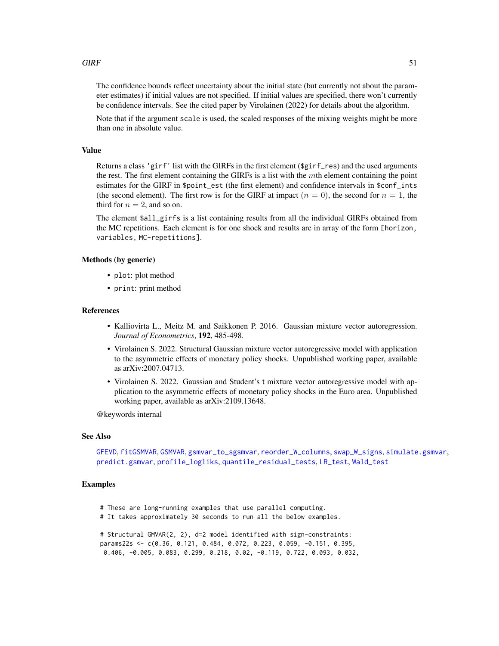#### $GIRF$  51

The confidence bounds reflect uncertainty about the initial state (but currently not about the parameter estimates) if initial values are not specified. If initial values are specified, there won't currently be confidence intervals. See the cited paper by Virolainen (2022) for details about the algorithm.

Note that if the argument scale is used, the scaled responses of the mixing weights might be more than one in absolute value.

## Value

Returns a class 'girf' list with the GIRFs in the first element (\$girf\_res) and the used arguments the rest. The first element containing the GIRFs is a list with the  $m$ th element containing the point estimates for the GIRF in \$point\_est (the first element) and confidence intervals in \$conf\_ints (the second element). The first row is for the GIRF at impact  $(n = 0)$ , the second for  $n = 1$ , the third for  $n = 2$ , and so on.

The element \$all\_girfs is a list containing results from all the individual GIRFs obtained from the MC repetitions. Each element is for one shock and results are in array of the form [horizon, variables, MC-repetitions].

#### Methods (by generic)

- plot: plot method
- print: print method

### References

- Kalliovirta L., Meitz M. and Saikkonen P. 2016. Gaussian mixture vector autoregression. *Journal of Econometrics*, 192, 485-498.
- Virolainen S. 2022. Structural Gaussian mixture vector autoregressive model with application to the asymmetric effects of monetary policy shocks. Unpublished working paper, available as arXiv:2007.04713.
- Virolainen S. 2022. Gaussian and Student's t mixture vector autoregressive model with application to the asymmetric effects of monetary policy shocks in the Euro area. Unpublished working paper, available as arXiv:2109.13648.

@keywords internal

## See Also

```
GFEVD, fitGSMVAR, GSMVAR, gsmvar_to_sgsmvar, reorder_W_columns, swap_W_signs, simulate.gsmvar,
predict.gsmvar, profile_logliks, quantile_residual_tests, LR_test, Wald_test
```
### Examples

```
# These are long-running examples that use parallel computing.
# It takes approximately 30 seconds to run all the below examples.
```

```
# Structural GMVAR(2, 2), d=2 model identified with sign-constraints:
params22s <- c(0.36, 0.121, 0.484, 0.072, 0.223, 0.059, -0.151, 0.395,
0.406, -0.005, 0.083, 0.299, 0.218, 0.02, -0.119, 0.722, 0.093, 0.032,
```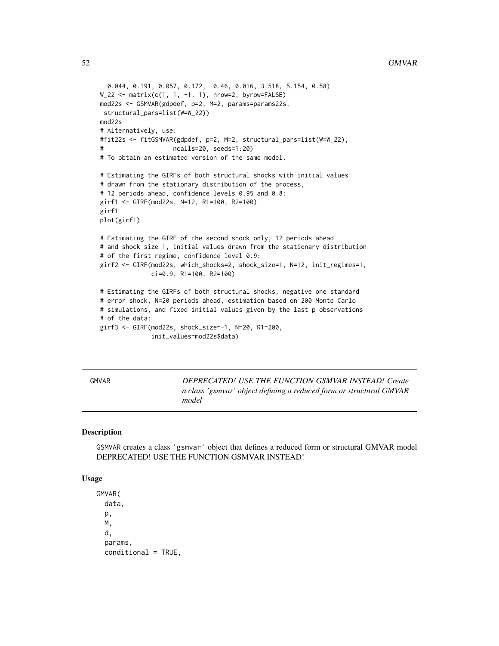```
0.044, 0.191, 0.057, 0.172, -0.46, 0.016, 3.518, 5.154, 0.58)
W_222 <- matrix(c(1, 1, -1, 1), nrow=2, byrow=FALSE)
mod22s <- GSMVAR(gdpdef, p=2, M=2, params=params22s,
 structural_pars=list(W=W_22))
mod22s
# Alternatively, use:
#fit22s <- fitGSMVAR(gdpdef, p=2, M=2, structural_pars=list(W=W_22),
# ncalls=20, seeds=1:20)
# To obtain an estimated version of the same model.
# Estimating the GIRFs of both structural shocks with initial values
# drawn from the stationary distribution of the process,
# 12 periods ahead, confidence levels 0.95 and 0.8:
girf1 <- GIRF(mod22s, N=12, R1=100, R2=100)
girf1
plot(girf1)
# Estimating the GIRF of the second shock only, 12 periods ahead
# and shock size 1, initial values drawn from the stationary distribution
# of the first regime, confidence level 0.9:
girf2 <- GIRF(mod22s, which_shocks=2, shock_size=1, N=12, init_regimes=1,
              ci=0.9, R1=100, R2=100)
# Estimating the GIRFs of both structural shocks, negative one standard
# error shock, N=20 periods ahead, estimation based on 200 Monte Carlo
# simulations, and fixed initial values given by the last p observations
# of the data:
girf3 <- GIRF(mod22s, shock_size=-1, N=20, R1=200,
              init_values=mod22s$data)
```
GMVAR *DEPRECATED! USE THE FUNCTION GSMVAR INSTEAD! Create a class 'gsmvar' object defining a reduced form or structural GMVAR model*

#### Description

GSMVAR creates a class 'gsmvar' object that defines a reduced form or structural GMVAR model DEPRECATED! USE THE FUNCTION GSMVAR INSTEAD!

#### Usage

GMVAR( data, p, M, d, params,  $conditional = TRUE,$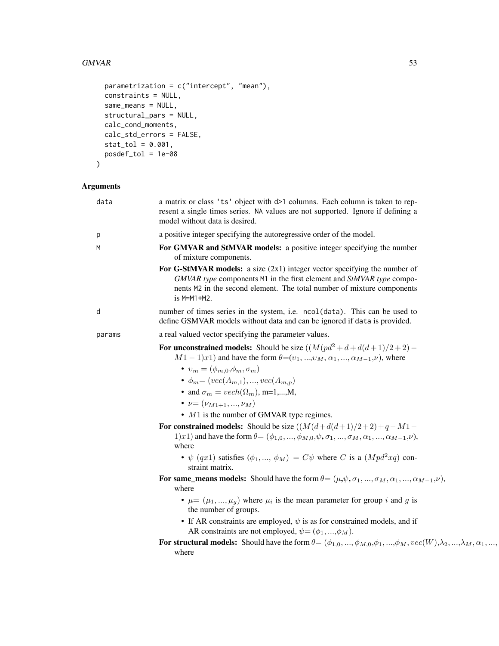#### $GMVAR$  53

```
parametrization = c("intercept", "mean"),
 constraints = NULL,
 same_means = NULL,
 structural_pars = NULL,
 calc_cond_moments,
 calc_std_errors = FALSE,
 stat\_tol = 0.001,posdef_tol = 1e-08
\mathcal{L}
```

| data   | a matrix or class 'ts' object with d>1 columns. Each column is taken to rep-<br>resent a single times series. NA values are not supported. Ignore if defining a<br>model without data is desired.                                              |
|--------|------------------------------------------------------------------------------------------------------------------------------------------------------------------------------------------------------------------------------------------------|
| р      | a positive integer specifying the autoregressive order of the model.                                                                                                                                                                           |
| M      | For GMVAR and StMVAR models: a positive integer specifying the number<br>of mixture components.                                                                                                                                                |
|        | For G-StMVAR models: a size $(2x1)$ integer vector specifying the number of<br>GMVAR type components M1 in the first element and StMVAR type compo-<br>nents M2 in the second element. The total number of mixture components<br>$is$ M=M1+M2. |
| d      | number of times series in the system, i.e. ncol(data). This can be used to<br>define GSMVAR models without data and can be ignored if data is provided.                                                                                        |
| params | a real valued vector specifying the parameter values.                                                                                                                                                                                          |
|        | For unconstrained models: Should be size $((M(pd^2+d+d(d+1)/2+2) -$<br>$M1-1)x1$ and have the form $\theta=(v_1, , v_M, \alpha_1, , \alpha_{M-1}, \nu)$ , where                                                                                |
|        | $v_m = (\phi_{m,0}, \phi_m, \sigma_m)$<br>• $\phi_m = (vec(A_{m,1}), , vec(A_{m,p}))$<br>• and $\sigma_m = vech(\Omega_m)$ , m=1,,M,                                                                                                           |
|        | • $\nu = (\nu_{M1+1}, , \nu_M)$<br>$\bullet$ M1 is the number of GMVAR type regimes.                                                                                                                                                           |
|        | For constrained models: Should be size $((M(d+d(d+1)/2+2)+q-M1-$<br>1)x1) and have the form $\theta = (\phi_{1,0}, , \phi_{M,0}, \psi, \sigma_1, , \sigma_M, \alpha_1, , \alpha_{M-1}, \nu)$ ,<br>where                                        |
|        | • $\psi$ (qx1) satisfies ( $\phi_1, , \phi_M$ ) = $C\psi$ where C is a ( $Mpd^2xq$ ) con-<br>straint matrix.                                                                                                                                   |
|        | For same_means models: Should have the form $\theta = (\mu, \psi, \sigma_1, , \sigma_M, \alpha_1, , \alpha_{M-1}, \nu)$ ,<br>where                                                                                                             |
|        | • $\mu = (\mu_1, , \mu_g)$ where $\mu_i$ is the mean parameter for group i and g is<br>the number of groups.                                                                                                                                   |
|        | • If AR constraints are employed, $\psi$ is as for constrained models, and if<br>AR constraints are not employed, $\psi = (\phi_1, , \phi_M)$ .                                                                                                |
|        | For structural models: Should have the form $\theta = (\phi_{1,0}, , \phi_{M,0}, \phi_1, , \phi_M, vec(W), \lambda_2, , \lambda_M, \alpha_1, , \alpha_M)$<br>where                                                                             |
|        |                                                                                                                                                                                                                                                |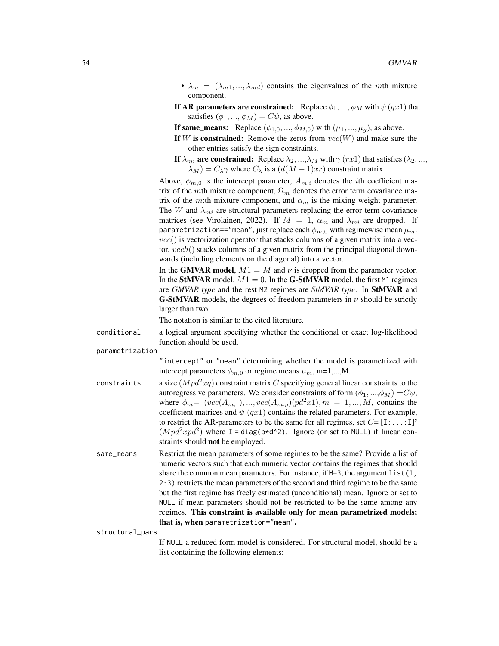- $\lambda_m = (\lambda_{m1}, ..., \lambda_{md})$  contains the eigenvalues of the mth mixture component.
- If AR parameters are constrained: Replace  $\phi_1, ..., \phi_M$  with  $\psi(qx1)$  that satisfies  $(\phi_1, ..., \phi_M) = C\psi$ , as above.

If same\_means: Replace  $(\phi_{1,0}, ..., \phi_{M,0})$  with  $(\mu_1, ..., \mu_g)$ , as above.

- If W is constrained: Remove the zeros from  $vec(W)$  and make sure the other entries satisfy the sign constraints.
- If  $\lambda_{mi}$  are constrained: Replace  $\lambda_2, ..., \lambda_M$  with  $\gamma$  (rx1) that satisfies ( $\lambda_2, ...,$  $\lambda_M$ ) =  $C_{\lambda} \gamma$  where  $C_{\lambda}$  is a  $(d(M-1)xr)$  constraint matrix.

Above,  $\phi_{m,0}$  is the intercept parameter,  $A_{m,i}$  denotes the *i*th coefficient matrix of the mth mixture component,  $\Omega_m$  denotes the error term covariance matrix of the m:th mixture component, and  $\alpha_m$  is the mixing weight parameter. The W and  $\lambda_{mi}$  are structural parameters replacing the error term covariance matrices (see Virolainen, 2022). If  $M = 1$ ,  $\alpha_m$  and  $\lambda_{mi}$  are dropped. If parametrization=="mean", just replace each  $\phi_{m,0}$  with regimewise mean  $\mu_m$ .  $vec()$  is vectorization operator that stacks columns of a given matrix into a vector.  $vech()$  stacks columns of a given matrix from the principal diagonal downwards (including elements on the diagonal) into a vector.

In the GMVAR model,  $M1 = M$  and  $\nu$  is dropped from the parameter vector. In the StMVAR model,  $M1 = 0$ . In the G-StMVAR model, the first M1 regimes are *GMVAR type* and the rest M2 regimes are *StMVAR type*. In StMVAR and **G-StMVAR** models, the degrees of freedom parameters in  $\nu$  should be strictly larger than two.

The notation is similar to the cited literature.

conditional a logical argument specifying whether the conditional or exact log-likelihood function should be used.

parametrization

"intercept" or "mean" determining whether the model is parametrized with intercept parameters  $\phi_{m,0}$  or regime means  $\mu_m$ , m=1,...,M.

- constraints a size  $(Mpd^2xq)$  constraint matrix C specifying general linear constraints to the autoregressive parameters. We consider constraints of form  $(\phi_1, ..., \phi_M) = C\psi$ , where  $\phi_m = (vec(A_{m,1}), ..., vec(A_{m,p})(pd^2x), m = 1, ..., M$ , contains the coefficient matrices and  $\psi$  (qx1) contains the related parameters. For example, to restrict the AR-parameters to be the same for all regimes, set  $C = [I:...:I]'$  $(Mpd^2xpd^2)$  where I = diag(p\*d^2). Ignore (or set to NULL) if linear constraints should not be employed.
- same\_means Restrict the mean parameters of some regimes to be the same? Provide a list of numeric vectors such that each numeric vector contains the regimes that should share the common mean parameters. For instance, if  $M=3$ , the argument list(1, 2:3) restricts the mean parameters of the second and third regime to be the same but the first regime has freely estimated (unconditional) mean. Ignore or set to NULL if mean parameters should not be restricted to be the same among any regimes. This constraint is available only for mean parametrized models; that is, when parametrization="mean".

structural\_pars

If NULL a reduced form model is considered. For structural model, should be a list containing the following elements: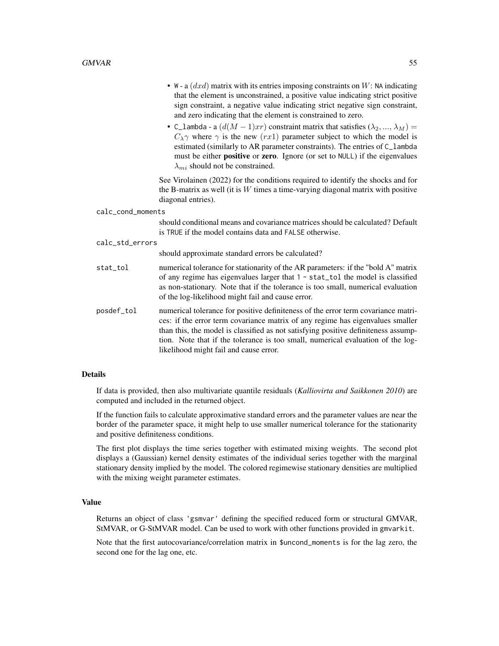- W a  $(dxd)$  matrix with its entries imposing constraints on W: NA indicating that the element is unconstrained, a positive value indicating strict positive sign constraint, a negative value indicating strict negative sign constraint, and zero indicating that the element is constrained to zero.
- C\_lambda a  $(d(M-1)xr)$  constraint matrix that satisfies  $(\lambda_2, ..., \lambda_M)$  =  $C_{\lambda}$ γ where  $\gamma$  is the new (rx1) parameter subject to which the model is estimated (similarly to AR parameter constraints). The entries of C\_lambda must be either **positive** or zero. Ignore (or set to NULL) if the eigenvalues  $\lambda_{mi}$  should not be constrained.

See Virolainen (2022) for the conditions required to identify the shocks and for the B-matrix as well (it is  $W$  times a time-varying diagonal matrix with positive diagonal entries).

calc\_cond\_moments

should conditional means and covariance matrices should be calculated? Default is TRUE if the model contains data and FALSE otherwise.

calc\_std\_errors

should approximate standard errors be calculated?

- stat\_tol numerical tolerance for stationarity of the AR parameters: if the "bold A" matrix of any regime has eigenvalues larger that 1 - stat\_tol the model is classified as non-stationary. Note that if the tolerance is too small, numerical evaluation of the log-likelihood might fail and cause error.
- posdef\_tol numerical tolerance for positive definiteness of the error term covariance matrices: if the error term covariance matrix of any regime has eigenvalues smaller than this, the model is classified as not satisfying positive definiteness assumption. Note that if the tolerance is too small, numerical evaluation of the loglikelihood might fail and cause error.

#### Details

If data is provided, then also multivariate quantile residuals (*Kalliovirta and Saikkonen 2010*) are computed and included in the returned object.

If the function fails to calculate approximative standard errors and the parameter values are near the border of the parameter space, it might help to use smaller numerical tolerance for the stationarity and positive definiteness conditions.

The first plot displays the time series together with estimated mixing weights. The second plot displays a (Gaussian) kernel density estimates of the individual series together with the marginal stationary density implied by the model. The colored regimewise stationary densities are multiplied with the mixing weight parameter estimates.

## Value

Returns an object of class 'gsmvar' defining the specified reduced form or structural GMVAR, StMVAR, or G-StMVAR model. Can be used to work with other functions provided in gmvarkit.

Note that the first autocovariance/correlation matrix in \$uncond\_moments is for the lag zero, the second one for the lag one, etc.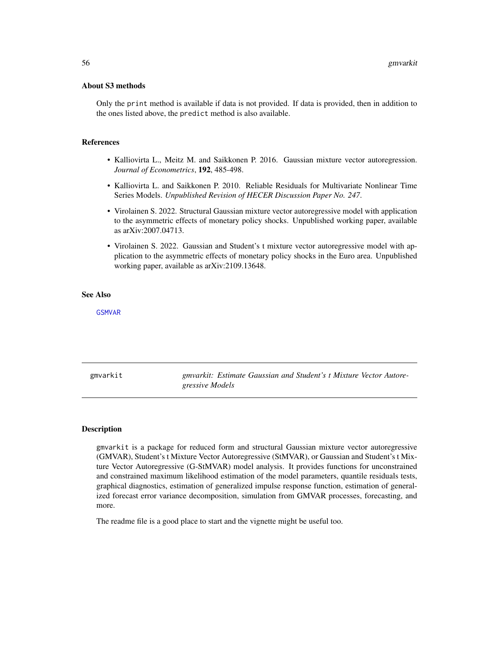#### About S3 methods

Only the print method is available if data is not provided. If data is provided, then in addition to the ones listed above, the predict method is also available.

#### References

- Kalliovirta L., Meitz M. and Saikkonen P. 2016. Gaussian mixture vector autoregression. *Journal of Econometrics*, 192, 485-498.
- Kalliovirta L. and Saikkonen P. 2010. Reliable Residuals for Multivariate Nonlinear Time Series Models. *Unpublished Revision of HECER Discussion Paper No. 247*.
- Virolainen S. 2022. Structural Gaussian mixture vector autoregressive model with application to the asymmetric effects of monetary policy shocks. Unpublished working paper, available as arXiv:2007.04713.
- Virolainen S. 2022. Gaussian and Student's t mixture vector autoregressive model with application to the asymmetric effects of monetary policy shocks in the Euro area. Unpublished working paper, available as arXiv:2109.13648.

#### See Also

[GSMVAR](#page-57-0)

gmvarkit *gmvarkit: Estimate Gaussian and Student's t Mixture Vector Autoregressive Models*

#### Description

gmvarkit is a package for reduced form and structural Gaussian mixture vector autoregressive (GMVAR), Student's t Mixture Vector Autoregressive (StMVAR), or Gaussian and Student's t Mixture Vector Autoregressive (G-StMVAR) model analysis. It provides functions for unconstrained and constrained maximum likelihood estimation of the model parameters, quantile residuals tests, graphical diagnostics, estimation of generalized impulse response function, estimation of generalized forecast error variance decomposition, simulation from GMVAR processes, forecasting, and more.

The readme file is a good place to start and the vignette might be useful too.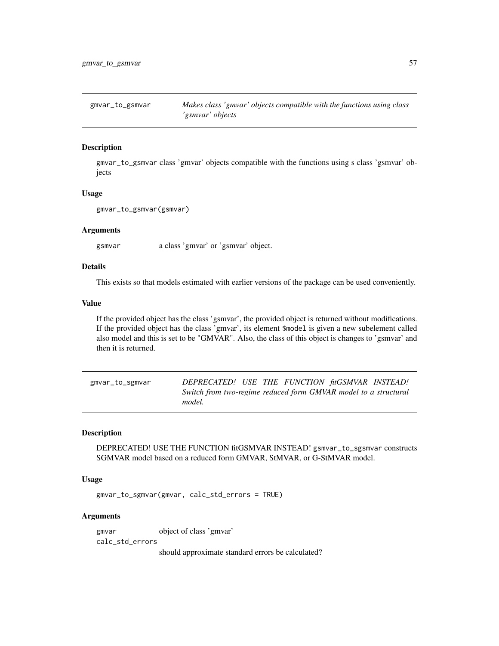## Description

gmvar\_to\_gsmvar class 'gmvar' objects compatible with the functions using s class 'gsmvar' objects

#### Usage

```
gmvar_to_gsmvar(gsmvar)
```
#### **Arguments**

gsmvar a class 'gmvar' or 'gsmvar' object.

#### Details

This exists so that models estimated with earlier versions of the package can be used conveniently.

#### Value

If the provided object has the class 'gsmvar', the provided object is returned without modifications. If the provided object has the class 'gmvar', its element \$model is given a new subelement called also model and this is set to be "GMVAR". Also, the class of this object is changes to 'gsmvar' and then it is returned.

gmvar\_to\_sgmvar *DEPRECATED! USE THE FUNCTION fitGSMVAR INSTEAD! Switch from two-regime reduced form GMVAR model to a structural model.*

#### Description

DEPRECATED! USE THE FUNCTION fitGSMVAR INSTEAD! gsmvar\_to\_sgsmvar constructs SGMVAR model based on a reduced form GMVAR, StMVAR, or G-StMVAR model.

#### Usage

gmvar\_to\_sgmvar(gmvar, calc\_std\_errors = TRUE)

#### Arguments

gmvar object of class 'gmvar' calc\_std\_errors

should approximate standard errors be calculated?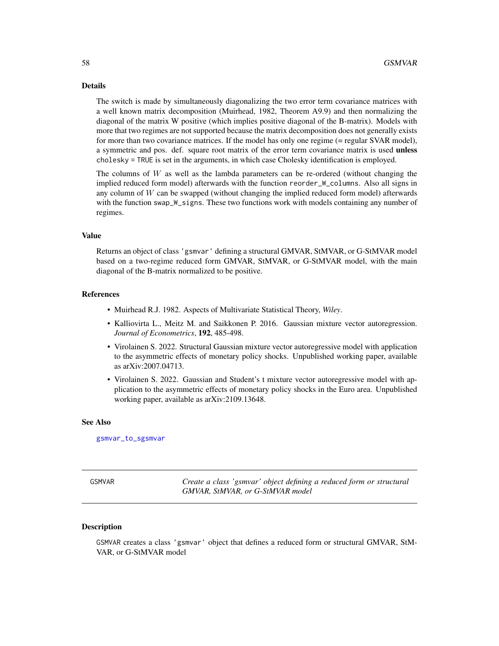#### Details

The switch is made by simultaneously diagonalizing the two error term covariance matrices with a well known matrix decomposition (Muirhead, 1982, Theorem A9.9) and then normalizing the diagonal of the matrix W positive (which implies positive diagonal of the B-matrix). Models with more that two regimes are not supported because the matrix decomposition does not generally exists for more than two covariance matrices. If the model has only one regime (= regular SVAR model), a symmetric and pos. def. square root matrix of the error term covariance matrix is used **unless** cholesky = TRUE is set in the arguments, in which case Cholesky identification is employed.

The columns of  $W$  as well as the lambda parameters can be re-ordered (without changing the implied reduced form model) afterwards with the function reorder\_W\_columns. Also all signs in any column of  $W$  can be swapped (without changing the implied reduced form model) afterwards with the function swap\_W\_signs. These two functions work with models containing any number of regimes.

#### Value

Returns an object of class 'gsmvar' defining a structural GMVAR, StMVAR, or G-StMVAR model based on a two-regime reduced form GMVAR, StMVAR, or G-StMVAR model, with the main diagonal of the B-matrix normalized to be positive.

#### References

- Muirhead R.J. 1982. Aspects of Multivariate Statistical Theory, *Wiley*.
- Kalliovirta L., Meitz M. and Saikkonen P. 2016. Gaussian mixture vector autoregression. *Journal of Econometrics*, 192, 485-498.
- Virolainen S. 2022. Structural Gaussian mixture vector autoregressive model with application to the asymmetric effects of monetary policy shocks. Unpublished working paper, available as arXiv:2007.04713.
- Virolainen S. 2022. Gaussian and Student's t mixture vector autoregressive model with application to the asymmetric effects of monetary policy shocks in the Euro area. Unpublished working paper, available as arXiv:2109.13648.

#### See Also

[gsmvar\\_to\\_sgsmvar](#page-63-0)

<span id="page-57-0"></span>

GSMVAR *Create a class 'gsmvar' object defining a reduced form or structural GMVAR, StMVAR, or G-StMVAR model*

#### Description

GSMVAR creates a class 'gsmvar' object that defines a reduced form or structural GMVAR, StM-VAR, or G-StMVAR model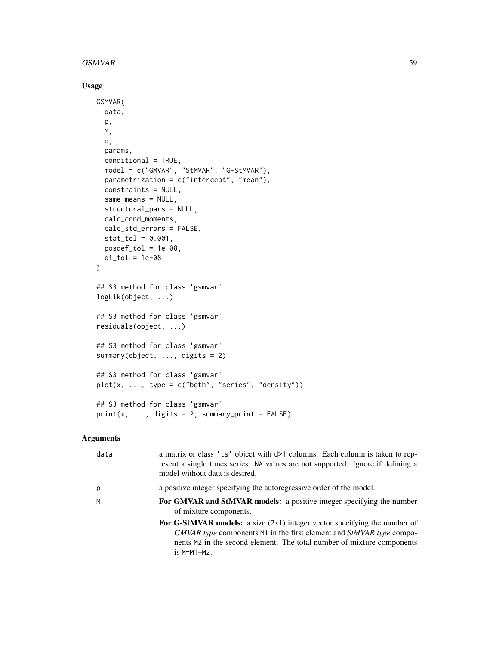#### $GSMVAR$  59

## Usage

```
GSMVAR(
  data,
 p,
 M,
  d,
 params,
  conditional = TRUE,
  model = c("GMVAR", "StMVAR", "G-StMVAR"),
 parametrization = c("intercept", "mean"),constraints = NULL,
  same_means = NULL,
  structural_pars = NULL,
  calc_cond_moments,
  calc_std_errors = FALSE,
  stat\_tol = 0.001,posed\_tol = 1e-08,
 df\_tol = 1e-08\mathcal{L}## S3 method for class 'gsmvar'
logLik(object, ...)
## S3 method for class 'gsmvar'
residuals(object, ...)
## S3 method for class 'gsmvar'
summary(object, ..., digits = 2)
## S3 method for class 'gsmvar'
plot(x, ..., type = c("both", "series", "density"))## S3 method for class 'gsmvar'
print(x, ..., digits = 2, summary\_print = FALSE)
```

| data | a matrix or class 'ts' object with d>1 columns. Each column is taken to rep-<br>resent a single times series. NA values are not supported. Ignore if defining a<br>model without data is desired.                                              |
|------|------------------------------------------------------------------------------------------------------------------------------------------------------------------------------------------------------------------------------------------------|
| p    | a positive integer specifying the autoregressive order of the model.                                                                                                                                                                           |
| M    | For GMVAR and StMVAR models: a positive integer specifying the number<br>of mixture components.                                                                                                                                                |
|      | For G-StMVAR models: a size $(2x1)$ integer vector specifying the number of<br>GMVAR type components M1 in the first element and StMVAR type compo-<br>nents M2 in the second element. The total number of mixture components<br>$is$ M=M1+M2. |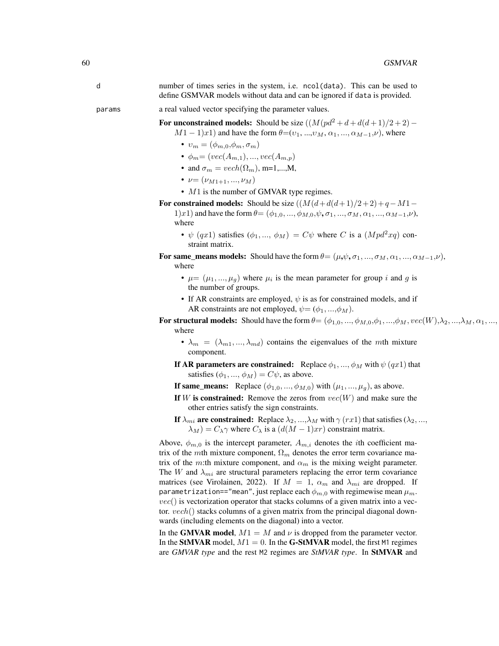|        | number of times series in the system, i.e. nool (data). This can be used to<br>define GSMVAR models without data and can be ignored if data is provided. |
|--------|----------------------------------------------------------------------------------------------------------------------------------------------------------|
| params | a real valued vector specifying the parameter values.                                                                                                    |

For unconstrained models: Should be size  $((M(pd^2 + d + d(d+1)/2 + 2) -$ 

 $M1-1)x1$ ) and have the form  $\theta=(v_1, ..., v_M, \alpha_1, ..., \alpha_{M-1}, \nu)$ , where

- $v_m = (\phi_{m,0}, \phi_m, \sigma_m)$
- $\phi_m = (vec(A_{m,1}), ..., vec(A_{m,p}))$
- and  $\sigma_m = vech(\Omega_m)$ , m=1,...,M,
- $\nu = (\nu_{M1+1}, ..., \nu_M)$
- $M1$  is the number of GMVAR type regimes.

For constrained models: Should be size  $((M(d+d(d+1)/2+2)+q-M1-$ 

1)x1) and have the form  $\theta = (\phi_{1,0}, ..., \phi_{M,0}, \psi, \sigma_1, ..., \sigma_M, \alpha_1, ..., \alpha_{M-1}, \nu)$ , where

- $\psi$  (qx1) satisfies ( $\phi_1, ..., \phi_M$ ) =  $C\psi$  where C is a ( $Mpd^2xq$ ) constraint matrix.
- For same\_means models: Should have the form  $\theta = (\mu, \psi, \sigma_1, ..., \sigma_M, \alpha_1, ..., \alpha_{M-1}, \nu)$ , where
	- $\mu = (\mu_1, ..., \mu_g)$  where  $\mu_i$  is the mean parameter for group i and g is the number of groups.
	- If AR constraints are employed,  $\psi$  is as for constrained models, and if AR constraints are not employed,  $\psi = (\phi_1, ..., \phi_M)$ .
- For structural models: Should have the form  $\theta = (\phi_{1,0}, ..., \phi_{M,0}, \phi_1, ..., \phi_M, vec(W), \lambda_2, ..., \lambda_M, \alpha_1, ...,$ where
	- $\lambda_m = (\lambda_{m1}, ..., \lambda_{md})$  contains the eigenvalues of the mth mixture component.
	- If AR parameters are constrained: Replace  $\phi_1, ..., \phi_M$  with  $\psi(qx1)$  that satisfies  $(\phi_1, ..., \phi_M) = C\psi$ , as above.
	- If same\_means: Replace  $(\phi_{1,0},...,\phi_{M,0})$  with  $(\mu_1,...,\mu_q)$ , as above.
	- If W is constrained: Remove the zeros from  $vec(W)$  and make sure the other entries satisfy the sign constraints.
	- If  $\lambda_{mi}$  are constrained: Replace  $\lambda_2, ..., \lambda_M$  with  $\gamma$  (rx1) that satisfies ( $\lambda_2, ...,$  $\lambda_M$ ) =  $C_{\lambda} \gamma$  where  $C_{\lambda}$  is a  $(d(M-1)xr)$  constraint matrix.

Above,  $\phi_{m,0}$  is the intercept parameter,  $A_{m,i}$  denotes the *i*th coefficient matrix of the mth mixture component,  $\Omega_m$  denotes the error term covariance matrix of the m:th mixture component, and  $\alpha_m$  is the mixing weight parameter. The W and  $\lambda_{mi}$  are structural parameters replacing the error term covariance matrices (see Virolainen, 2022). If  $M = 1$ ,  $\alpha_m$  and  $\lambda_{mi}$  are dropped. If parametrization=="mean", just replace each  $\phi_{m,0}$  with regimewise mean  $\mu_m$ .  $vec()$  is vectorization operator that stacks columns of a given matrix into a vector. vech() stacks columns of a given matrix from the principal diagonal downwards (including elements on the diagonal) into a vector.

In the GMVAR model,  $M1 = M$  and  $\nu$  is dropped from the parameter vector. In the StMVAR model,  $M1 = 0$ . In the G-StMVAR model, the first M1 regimes are *GMVAR type* and the rest M2 regimes are *StMVAR type*. In StMVAR and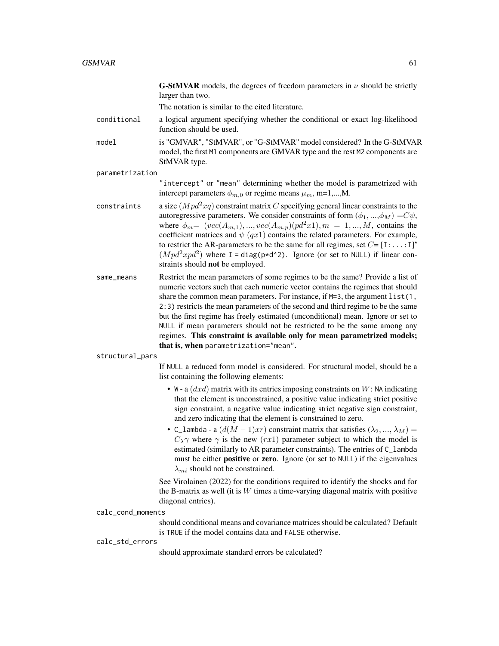**G-StMVAR** models, the degrees of freedom parameters in  $\nu$  should be strictly larger than two.

The notation is similar to the cited literature.

- conditional a logical argument specifying whether the conditional or exact log-likelihood function should be used.
- model is "GMVAR", "StMVAR", or "G-StMVAR" model considered? In the G-StMVAR model, the first M1 components are GMVAR type and the rest M2 components are StMVAR type.

parametrization

"intercept" or "mean" determining whether the model is parametrized with intercept parameters  $\phi_{m,0}$  or regime means  $\mu_m$ , m=1,...,M.

- constraints a size  $(Mpd^2xq)$  constraint matrix C specifying general linear constraints to the autoregressive parameters. We consider constraints of form  $(\phi_1, ..., \phi_M) = C\psi$ , where  $\phi_m = (vec(A_{m,1}), ..., vec(A_{m,p})(pd^2x1), m = 1, ..., M$ , contains the coefficient matrices and  $\psi$  (qx1) contains the related parameters. For example, to restrict the AR-parameters to be the same for all regimes, set  $C = [1: \dots:1]$ <sup>\*</sup>  $(Mpd^2xpd^2)$  where I = diag(p\*d^2). Ignore (or set to NULL) if linear constraints should not be employed.
- same\_means Restrict the mean parameters of some regimes to be the same? Provide a list of numeric vectors such that each numeric vector contains the regimes that should share the common mean parameters. For instance, if  $M=3$ , the argument list(1, 2:3) restricts the mean parameters of the second and third regime to be the same but the first regime has freely estimated (unconditional) mean. Ignore or set to NULL if mean parameters should not be restricted to be the same among any regimes. This constraint is available only for mean parametrized models; that is, when parametrization="mean".

structural\_pars

If NULL a reduced form model is considered. For structural model, should be a list containing the following elements:

- W a  $(dxd)$  matrix with its entries imposing constraints on W: NA indicating that the element is unconstrained, a positive value indicating strict positive sign constraint, a negative value indicating strict negative sign constraint, and zero indicating that the element is constrained to zero.
- C\_lambda a  $(d(M-1)xr)$  constraint matrix that satisfies  $(\lambda_2, ..., \lambda_M)$  =  $C_{\lambda}$ γ where  $\gamma$  is the new (rx1) parameter subject to which the model is estimated (similarly to AR parameter constraints). The entries of C\_lambda must be either **positive** or zero. Ignore (or set to NULL) if the eigenvalues  $\lambda_{mi}$  should not be constrained.

See Virolainen (2022) for the conditions required to identify the shocks and for the B-matrix as well (it is  $W$  times a time-varying diagonal matrix with positive diagonal entries).

calc\_cond\_moments

should conditional means and covariance matrices should be calculated? Default is TRUE if the model contains data and FALSE otherwise.

#### calc\_std\_errors

should approximate standard errors be calculated?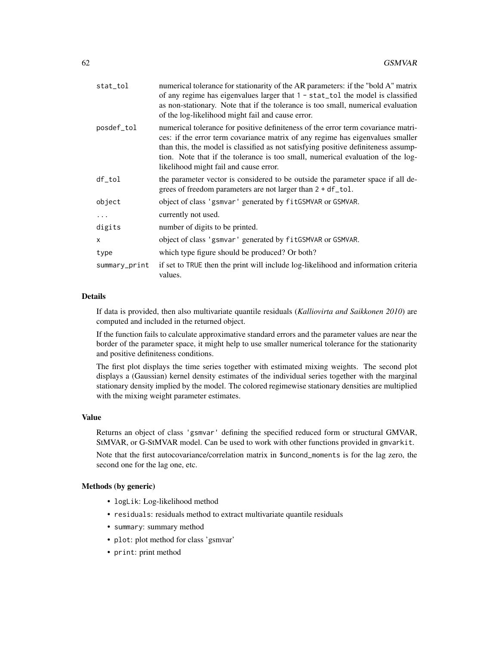| stat_tol      | numerical tolerance for stationarity of the AR parameters: if the "bold A" matrix<br>of any regime has eigenvalues larger that $1 - stat\_tol$ the model is classified<br>as non-stationary. Note that if the tolerance is too small, numerical evaluation<br>of the log-likelihood might fail and cause error.                                                                        |
|---------------|----------------------------------------------------------------------------------------------------------------------------------------------------------------------------------------------------------------------------------------------------------------------------------------------------------------------------------------------------------------------------------------|
| posdef_tol    | numerical tolerance for positive definiteness of the error term covariance matri-<br>ces: if the error term covariance matrix of any regime has eigenvalues smaller<br>than this, the model is classified as not satisfying positive definiteness assump-<br>tion. Note that if the tolerance is too small, numerical evaluation of the log-<br>likelihood might fail and cause error. |
| df_tol        | the parameter vector is considered to be outside the parameter space if all de-<br>grees of freedom parameters are not larger than 2 + df_tol.                                                                                                                                                                                                                                         |
| object        | object of class 'gsmvar' generated by fitGSMVAR or GSMVAR.                                                                                                                                                                                                                                                                                                                             |
|               | currently not used.                                                                                                                                                                                                                                                                                                                                                                    |
| digits        | number of digits to be printed.                                                                                                                                                                                                                                                                                                                                                        |
| x             | object of class 'gsmvar' generated by fitGSMVAR or GSMVAR.                                                                                                                                                                                                                                                                                                                             |
| type          | which type figure should be produced? Or both?                                                                                                                                                                                                                                                                                                                                         |
| summary_print | if set to TRUE then the print will include log-likelihood and information criteria<br>values.                                                                                                                                                                                                                                                                                          |

## Details

If data is provided, then also multivariate quantile residuals (*Kalliovirta and Saikkonen 2010*) are computed and included in the returned object.

If the function fails to calculate approximative standard errors and the parameter values are near the border of the parameter space, it might help to use smaller numerical tolerance for the stationarity and positive definiteness conditions.

The first plot displays the time series together with estimated mixing weights. The second plot displays a (Gaussian) kernel density estimates of the individual series together with the marginal stationary density implied by the model. The colored regimewise stationary densities are multiplied with the mixing weight parameter estimates.

### Value

Returns an object of class 'gsmvar' defining the specified reduced form or structural GMVAR, StMVAR, or G-StMVAR model. Can be used to work with other functions provided in gmvarkit.

Note that the first autocovariance/correlation matrix in \$uncond\_moments is for the lag zero, the second one for the lag one, etc.

#### Methods (by generic)

- logLik: Log-likelihood method
- residuals: residuals method to extract multivariate quantile residuals
- summary: summary method
- plot: plot method for class 'gsmvar'
- print: print method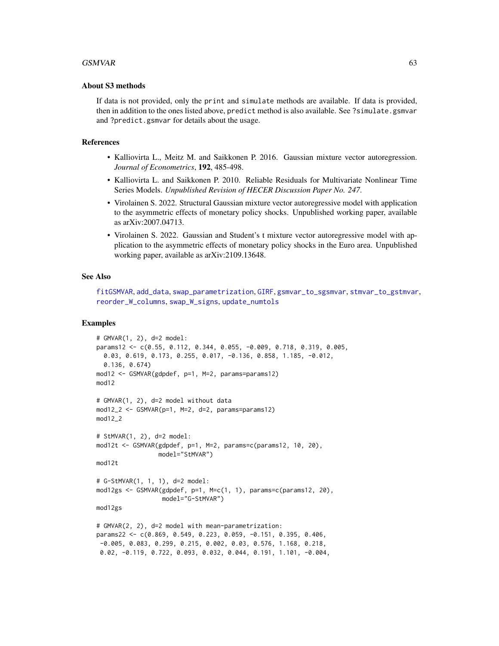#### $GSMVAR$  63

#### About S3 methods

If data is not provided, only the print and simulate methods are available. If data is provided, then in addition to the ones listed above, predict method is also available. See ?simulate.gsmvar and ?predict.gsmvar for details about the usage.

#### References

- Kalliovirta L., Meitz M. and Saikkonen P. 2016. Gaussian mixture vector autoregression. *Journal of Econometrics*, 192, 485-498.
- Kalliovirta L. and Saikkonen P. 2010. Reliable Residuals for Multivariate Nonlinear Time Series Models. *Unpublished Revision of HECER Discussion Paper No. 247*.
- Virolainen S. 2022. Structural Gaussian mixture vector autoregressive model with application to the asymmetric effects of monetary policy shocks. Unpublished working paper, available as arXiv:2007.04713.
- Virolainen S. 2022. Gaussian and Student's t mixture vector autoregressive model with application to the asymmetric effects of monetary policy shocks in the Euro area. Unpublished working paper, available as arXiv:2109.13648.

#### See Also

```
fitGSMVAR, add_data, swap_parametrization, GIRF, gsmvar_to_sgsmvar, stmvar_to_gstmvar,
reorder_W_columns, swap_W_signs, update_numtols
```
#### Examples

```
# GMVAR(1, 2), d=2 model:
params12 <- c(0.55, 0.112, 0.344, 0.055, -0.009, 0.718, 0.319, 0.005,
 0.03, 0.619, 0.173, 0.255, 0.017, -0.136, 0.858, 1.185, -0.012,
 0.136, 0.674)
mod12 <- GSMVAR(gdpdef, p=1, M=2, params=params12)
mod12
# GMVAR(1, 2), d=2 model without data
mod12_2 \leftarrow GSMVAR(p=1, M=2, d=2, params=params12)mod12_2
# StMVAR(1, 2), d=2 model:
mod12t \leq GSMVAR(gdpdef, p=1, M=2, params=c(params12, 10, 20),
                 model="StMVAR")
mod12t
# G-StMVAR(1, 1, 1), d=2 model:
mod12gs <- GSMVAR(gdpdef, p=1, M=c(1, 1), params=c(params12, 20),
                  model="G-StMVAR")
mod12gs
# GMVAR(2, 2), d=2 model with mean-parametrization:
params22 <- c(0.869, 0.549, 0.223, 0.059, -0.151, 0.395, 0.406,
-0.005, 0.083, 0.299, 0.215, 0.002, 0.03, 0.576, 1.168, 0.218,
0.02, -0.119, 0.722, 0.093, 0.032, 0.044, 0.191, 1.101, -0.004,
```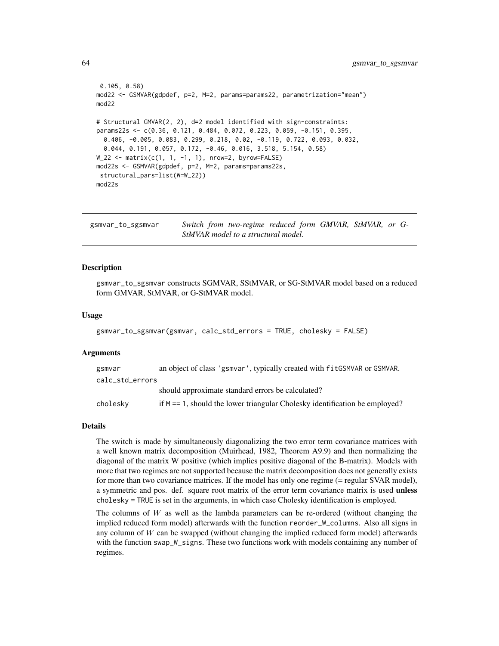```
0.105, 0.58)
mod22 <- GSMVAR(gdpdef, p=2, M=2, params=params22, parametrization="mean")
mod22
# Structural GMVAR(2, 2), d=2 model identified with sign-constraints:
params22s <- c(0.36, 0.121, 0.484, 0.072, 0.223, 0.059, -0.151, 0.395,
 0.406, -0.005, 0.083, 0.299, 0.218, 0.02, -0.119, 0.722, 0.093, 0.032,
 0.044, 0.191, 0.057, 0.172, -0.46, 0.016, 3.518, 5.154, 0.58)
W_22 <- matrix(c(1, 1, -1, 1), nrow=2, byrow=FALSE)
mod22s <- GSMVAR(gdpdef, p=2, M=2, params=params22s,
structural_pars=list(W=W_22))
mod22s
```
<span id="page-63-0"></span>

| gsmvar_to_sgsmvar                   | Switch from two-regime reduced form GMVAR, StMVAR, or G- |  |  |  |  |  |
|-------------------------------------|----------------------------------------------------------|--|--|--|--|--|
| StMVAR model to a structural model. |                                                          |  |  |  |  |  |

#### Description

gsmvar\_to\_sgsmvar constructs SGMVAR, SStMVAR, or SG-StMVAR model based on a reduced form GMVAR, StMVAR, or G-StMVAR model.

#### Usage

```
gsmvar_to_sgsmvar(gsmvar, calc_std_errors = TRUE, cholesky = FALSE)
```
#### Arguments

| gsmvar          | an object of class 'gsmvar', typically created with fitGSMVAR or GSMVAR.      |
|-----------------|-------------------------------------------------------------------------------|
| calc std errors |                                                                               |
|                 | should approximate standard errors be calculated?                             |
| cholesky        | if $M = 1$ , should the lower triangular Cholesky identification be employed? |

#### Details

The switch is made by simultaneously diagonalizing the two error term covariance matrices with a well known matrix decomposition (Muirhead, 1982, Theorem A9.9) and then normalizing the diagonal of the matrix W positive (which implies positive diagonal of the B-matrix). Models with more that two regimes are not supported because the matrix decomposition does not generally exists for more than two covariance matrices. If the model has only one regime (= regular SVAR model), a symmetric and pos. def. square root matrix of the error term covariance matrix is used **unless** cholesky = TRUE is set in the arguments, in which case Cholesky identification is employed.

The columns of  $W$  as well as the lambda parameters can be re-ordered (without changing the implied reduced form model) afterwards with the function reorder\_W\_columns. Also all signs in any column of  $W$  can be swapped (without changing the implied reduced form model) afterwards with the function swap\_W\_signs. These two functions work with models containing any number of regimes.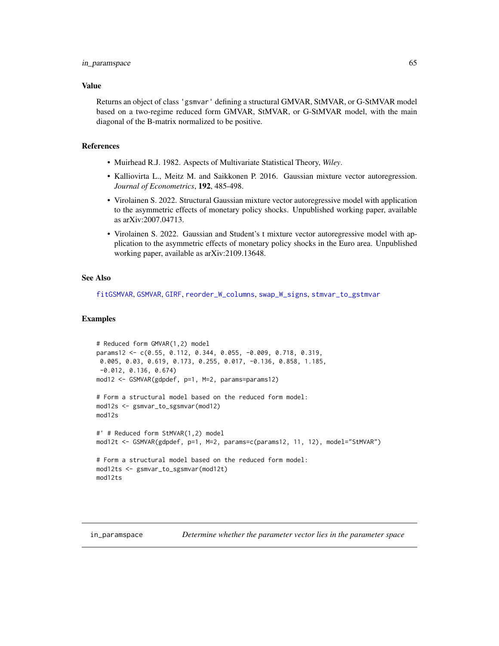#### Value

Returns an object of class 'gsmvar' defining a structural GMVAR, StMVAR, or G-StMVAR model based on a two-regime reduced form GMVAR, StMVAR, or G-StMVAR model, with the main diagonal of the B-matrix normalized to be positive.

#### References

- Muirhead R.J. 1982. Aspects of Multivariate Statistical Theory, *Wiley*.
- Kalliovirta L., Meitz M. and Saikkonen P. 2016. Gaussian mixture vector autoregression. *Journal of Econometrics*, 192, 485-498.
- Virolainen S. 2022. Structural Gaussian mixture vector autoregressive model with application to the asymmetric effects of monetary policy shocks. Unpublished working paper, available as arXiv:2007.04713.
- Virolainen S. 2022. Gaussian and Student's t mixture vector autoregressive model with application to the asymmetric effects of monetary policy shocks in the Euro area. Unpublished working paper, available as arXiv:2109.13648.

## See Also

[fitGSMVAR](#page-27-0), [GSMVAR](#page-57-0), [GIRF](#page-47-0), [reorder\\_W\\_columns](#page-99-0), [swap\\_W\\_signs](#page-108-0), [stmvar\\_to\\_gstmvar](#page-105-0)

#### Examples

```
# Reduced form GMVAR(1,2) model
params12 <- c(0.55, 0.112, 0.344, 0.055, -0.009, 0.718, 0.319,
 0.005, 0.03, 0.619, 0.173, 0.255, 0.017, -0.136, 0.858, 1.185,
 -0.012, 0.136, 0.674)
mod12 <- GSMVAR(gdpdef, p=1, M=2, params=params12)
# Form a structural model based on the reduced form model:
mod12s <- gsmvar_to_sgsmvar(mod12)
mod12s
#' # Reduced form StMVAR(1,2) model
mod12t <- GSMVAR(gdpdef, p=1, M=2, params=c(params12, 11, 12), model="StMVAR")
# Form a structural model based on the reduced form model:
mod12ts <- gsmvar_to_sgsmvar(mod12t)
mod12ts
```
in\_paramspace *Determine whether the parameter vector lies in the parameter space*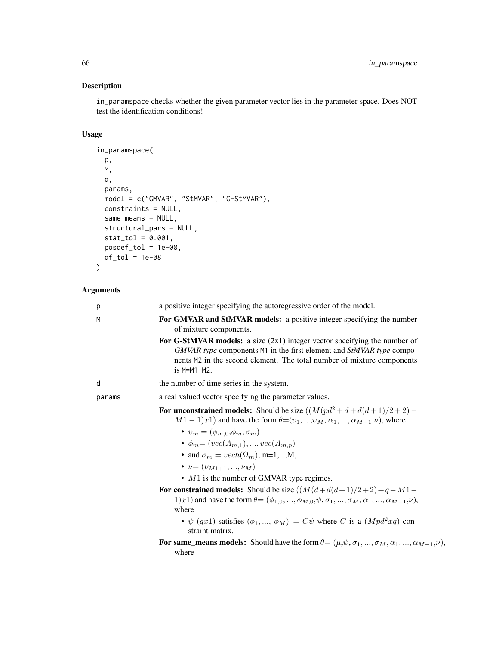## Description

in\_paramspace checks whether the given parameter vector lies in the parameter space. Does NOT test the identification conditions!

## Usage

```
in_paramspace(
 p,
 M,
 d,
 params,
 model = c("GMVAR", "StMVAR", "G-StMVAR"),
 constraints = NULL,
 same_means = NULL,
 structural_pars = NULL,
 stat\_tol = 0.001,posdef_tol = 1e-08,
 df\_tol = 1e-08)
```

| p      | a positive integer specifying the autoregressive order of the model.                                                                                                                                                                           |
|--------|------------------------------------------------------------------------------------------------------------------------------------------------------------------------------------------------------------------------------------------------|
| M      | For GMVAR and StMVAR models: a positive integer specifying the number<br>of mixture components.                                                                                                                                                |
|        | For G-StMVAR models: a size $(2x1)$ integer vector specifying the number of<br>GMVAR type components M1 in the first element and StMVAR type compo-<br>nents M2 in the second element. The total number of mixture components<br>$is$ M=M1+M2. |
| d      | the number of time series in the system.                                                                                                                                                                                                       |
| params | a real valued vector specifying the parameter values.                                                                                                                                                                                          |
|        | For unconstrained models: Should be size $((M(pd^2+d+d(d+1)/2+2) -$<br>$M1-1)x1$ ) and have the form $\theta=(v_1, , v_M, \alpha_1, , \alpha_{M-1}, \nu)$ , where                                                                              |
|        | $\bullet v_m = (\phi_{m,0}, \phi_m, \sigma_m)$                                                                                                                                                                                                 |
|        | • $\phi_m = (vec(A_{m,1}), , vec(A_{m,p}))$                                                                                                                                                                                                    |
|        | • and $\sigma_m = vech(\Omega_m)$ , m=1,,M,                                                                                                                                                                                                    |
|        | • $\nu = (\nu_{M1+1}, , \nu_M)$                                                                                                                                                                                                                |
|        | $\bullet$ M1 is the number of GMVAR type regimes.                                                                                                                                                                                              |
|        | For constrained models: Should be size $((M(d+d(d+1)/2+2)+q-M1-$<br>1)x1) and have the form $\theta = (\phi_{1,0}, , \phi_{M,0}, \psi, \sigma_1, , \sigma_M, \alpha_1, , \alpha_{M-1}, \nu)$ ,<br>where                                        |
|        | • $\psi$ (qx1) satisfies ( $\phi_1, , \phi_M$ ) = $C\psi$ where C is a ( $Mpd^2xq$ ) con-<br>straint matrix.                                                                                                                                   |
|        | For same_means models: Should have the form $\theta = (\mu, \psi, \sigma_1, , \sigma_M, \alpha_1, , \alpha_{M-1}, \nu)$ ,<br>where                                                                                                             |
|        |                                                                                                                                                                                                                                                |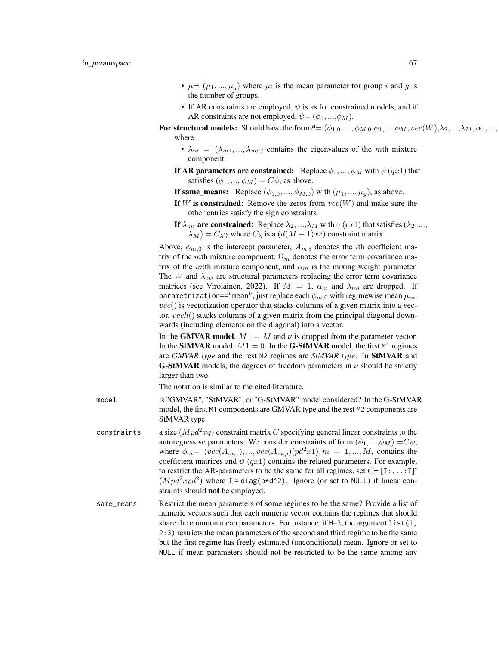- $\mu = (\mu_1, ..., \mu_g)$  where  $\mu_i$  is the mean parameter for group i and g is the number of groups.
- If AR constraints are employed,  $\psi$  is as for constrained models, and if AR constraints are not employed,  $\psi = (\phi_1, ..., \phi_M)$ .
- For structural models: Should have the form  $\theta = (\phi_{1,0}, ..., \phi_{M,0}, \phi_1, ..., \phi_M, vec(W), \lambda_2, ..., \lambda_M, \alpha_1, ...,$ where
	- $\lambda_m = (\lambda_{m1}, ..., \lambda_{md})$  contains the eigenvalues of the mth mixture component.
	- If AR parameters are constrained: Replace  $\phi_1, ..., \phi_M$  with  $\psi(qx1)$  that satisfies  $(\phi_1, ..., \phi_M) = C\psi$ , as above.
	- If same\_means: Replace  $(\phi_{1,0}, ..., \phi_{M,0})$  with  $(\mu_1, ..., \mu_g)$ , as above.
	- If W is constrained: Remove the zeros from  $vec(W)$  and make sure the other entries satisfy the sign constraints.
	- If  $\lambda_{mi}$  are constrained: Replace  $\lambda_2, ..., \lambda_M$  with  $\gamma$  (rx1) that satisfies ( $\lambda_2, ...,$  $\lambda_M$ ) =  $C_{\lambda} \gamma$  where  $C_{\lambda}$  is a ( $d(M-1)xr$ ) constraint matrix.

Above,  $\phi_{m,0}$  is the intercept parameter,  $A_{m,i}$  denotes the *i*th coefficient matrix of the mth mixture component,  $\Omega_m$  denotes the error term covariance matrix of the m:th mixture component, and  $\alpha_m$  is the mixing weight parameter. The W and  $\lambda_{mi}$  are structural parameters replacing the error term covariance matrices (see Virolainen, 2022). If  $M = 1$ ,  $\alpha_m$  and  $\lambda_{mi}$  are dropped. If parametrization=="mean", just replace each  $\phi_{m,0}$  with regimewise mean  $\mu_m$ .  $vec()$  is vectorization operator that stacks columns of a given matrix into a vector.  $vech()$  stacks columns of a given matrix from the principal diagonal downwards (including elements on the diagonal) into a vector.

In the GMVAR model,  $M1 = M$  and  $\nu$  is dropped from the parameter vector. In the StMVAR model,  $M1 = 0$ . In the G-StMVAR model, the first M1 regimes are *GMVAR type* and the rest M2 regimes are *StMVAR type*. In StMVAR and **G-StMVAR** models, the degrees of freedom parameters in  $\nu$  should be strictly larger than two.

The notation is similar to the cited literature.

- model is "GMVAR", "StMVAR", or "G-StMVAR" model considered? In the G-StMVAR model, the first M1 components are GMVAR type and the rest M2 components are StMVAR type.
- constraints a size  $(Mpd^2xq)$  constraint matrix C specifying general linear constraints to the autoregressive parameters. We consider constraints of form  $(\phi_1, ..., \phi_M) = C\psi$ , where  $\phi_m = (vec(A_{m,1}), ..., vec(A_{m,p})(pd^2x1), m = 1, ..., M$ , contains the coefficient matrices and  $\psi$  (qx1) contains the related parameters. For example, to restrict the AR-parameters to be the same for all regimes, set  $C = [1: \dots:1]$ <sup>\*</sup>  $(Mpd^2xpd^2)$  where I = diag(p\*d^2). Ignore (or set to NULL) if linear constraints should **not** be employed.
- same\_means Restrict the mean parameters of some regimes to be the same? Provide a list of numeric vectors such that each numeric vector contains the regimes that should share the common mean parameters. For instance, if  $M=3$ , the argument list(1, 2:3) restricts the mean parameters of the second and third regime to be the same but the first regime has freely estimated (unconditional) mean. Ignore or set to NULL if mean parameters should not be restricted to be the same among any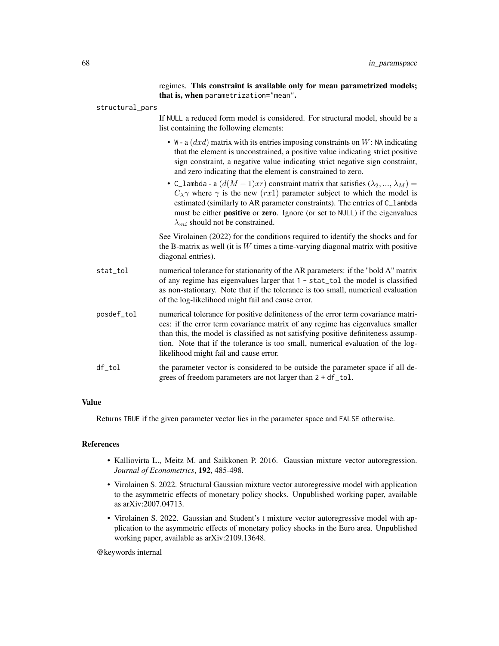regimes. This constraint is available only for mean parametrized models; that is, when parametrization="mean". structural\_pars If NULL a reduced form model is considered. For structural model, should be a list containing the following elements: • W - a  $(dxd)$  matrix with its entries imposing constraints on W: NA indicating that the element is unconstrained, a positive value indicating strict positive sign constraint, a negative value indicating strict negative sign constraint, and zero indicating that the element is constrained to zero. • C\_lambda - a  $(d(M-1)xr)$  constraint matrix that satisfies  $(\lambda_2, ..., \lambda_M)$  =  $C_{\lambda}$ γ where γ is the new (rx1) parameter subject to which the model is estimated (similarly to AR parameter constraints). The entries of C\_lambda must be either **positive** or **zero**. Ignore (or set to NULL) if the eigenvalues  $\lambda_{mi}$  should not be constrained. See Virolainen (2022) for the conditions required to identify the shocks and for the B-matrix as well (it is  $W$  times a time-varying diagonal matrix with positive diagonal entries). stat\_tol numerical tolerance for stationarity of the AR parameters: if the "bold A" matrix of any regime has eigenvalues larger that 1 - stat\_tol the model is classified as non-stationary. Note that if the tolerance is too small, numerical evaluation of the log-likelihood might fail and cause error. posdef\_tol numerical tolerance for positive definiteness of the error term covariance matrices: if the error term covariance matrix of any regime has eigenvalues smaller than this, the model is classified as not satisfying positive definiteness assumption. Note that if the tolerance is too small, numerical evaluation of the loglikelihood might fail and cause error. df\_tol the parameter vector is considered to be outside the parameter space if all degrees of freedom parameters are not larger than 2 + df\_tol.

#### Value

Returns TRUE if the given parameter vector lies in the parameter space and FALSE otherwise.

## References

- Kalliovirta L., Meitz M. and Saikkonen P. 2016. Gaussian mixture vector autoregression. *Journal of Econometrics*, 192, 485-498.
- Virolainen S. 2022. Structural Gaussian mixture vector autoregressive model with application to the asymmetric effects of monetary policy shocks. Unpublished working paper, available as arXiv:2007.04713.
- Virolainen S. 2022. Gaussian and Student's t mixture vector autoregressive model with application to the asymmetric effects of monetary policy shocks in the Euro area. Unpublished working paper, available as arXiv:2109.13648.

@keywords internal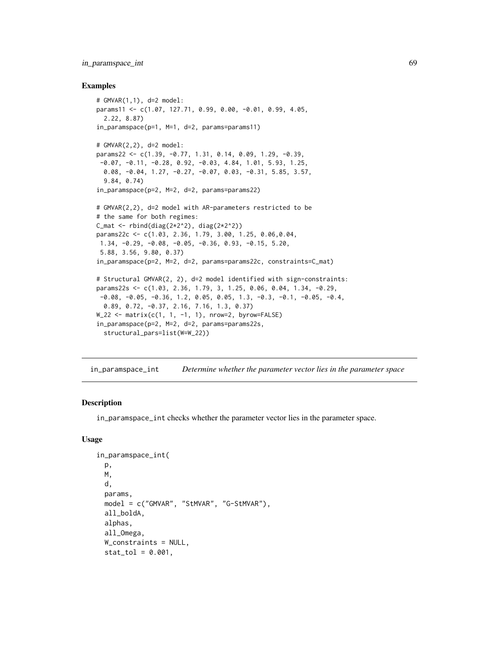## in\_paramspace\_int 69

#### Examples

```
# GMVAR(1,1), d=2 model:
params11 <- c(1.07, 127.71, 0.99, 0.00, -0.01, 0.99, 4.05,
  2.22, 8.87)
in_paramspace(p=1, M=1, d=2, params=params11)
# GMVAR(2,2), d=2 model:
params22 <- c(1.39, -0.77, 1.31, 0.14, 0.09, 1.29, -0.39,
 -0.07, -0.11, -0.28, 0.92, -0.03, 4.84, 1.01, 5.93, 1.25,
  0.08, -0.04, 1.27, -0.27, -0.07, 0.03, -0.31, 5.85, 3.57,
  9.84, 0.74)
in_paramspace(p=2, M=2, d=2, params=params22)
# GMVAR(2,2), d=2 model with AR-parameters restricted to be
# the same for both regimes:
C_mat <- rbind(diag(2*2^2)), diag(2*2^2))params22c <- c(1.03, 2.36, 1.79, 3.00, 1.25, 0.06,0.04,
1.34, -0.29, -0.08, -0.05, -0.36, 0.93, -0.15, 5.20,
5.88, 3.56, 9.80, 0.37)
in_paramspace(p=2, M=2, d=2, params=params22c, constraints=C_mat)
# Structural GMVAR(2, 2), d=2 model identified with sign-constraints:
params22s <- c(1.03, 2.36, 1.79, 3, 1.25, 0.06, 0.04, 1.34, -0.29,
 -0.08, -0.05, -0.36, 1.2, 0.05, 0.05, 1.3, -0.3, -0.1, -0.05, -0.4,0.89, 0.72, -0.37, 2.16, 7.16, 1.3, 0.37)
W_22 <- matrix(c(1, 1, -1, 1), nrow=2, byrow=FALSE)
in_paramspace(p=2, M=2, d=2, params=params22s,
  structural_pars=list(W=W_22))
```
in\_paramspace\_int *Determine whether the parameter vector lies in the parameter space*

## Description

in\_paramspace\_int checks whether the parameter vector lies in the parameter space.

#### Usage

```
in_paramspace_int(
 p,
 M,
  d,
 params,
 model = c("GMVAR", "StMVAR", "G-StMVAR"),
  all_boldA,
  alphas,
  all_Omega,
  W_constraints = NULL,
  stat\_tol = 0.001,
```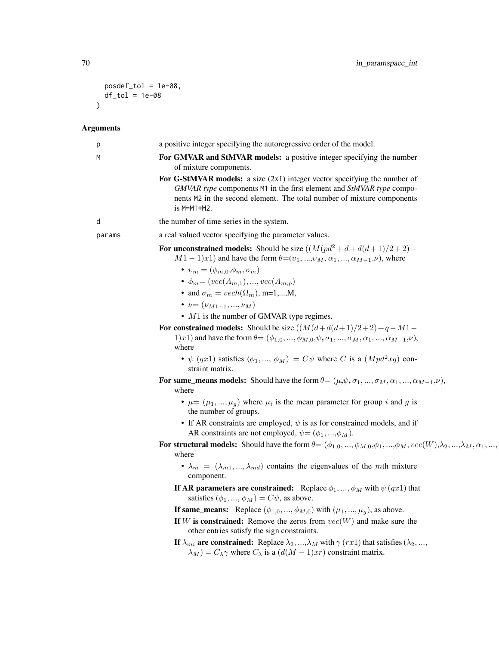```
posdef_tol = 1e-08,
   df_tol = 1e-08
\mathcal{L}
```

| p      | a positive integer specifying the autoregressive order of the model.                                                                                                                                                                                                                                                                                                                                                                                                                                                                                                                                                                                                                                                                                                                                                                                                                                                                                                                       |
|--------|--------------------------------------------------------------------------------------------------------------------------------------------------------------------------------------------------------------------------------------------------------------------------------------------------------------------------------------------------------------------------------------------------------------------------------------------------------------------------------------------------------------------------------------------------------------------------------------------------------------------------------------------------------------------------------------------------------------------------------------------------------------------------------------------------------------------------------------------------------------------------------------------------------------------------------------------------------------------------------------------|
| М      | For GMVAR and StMVAR models: a positive integer specifying the number<br>of mixture components.                                                                                                                                                                                                                                                                                                                                                                                                                                                                                                                                                                                                                                                                                                                                                                                                                                                                                            |
|        | For G-StMVAR models: a size $(2x1)$ integer vector specifying the number of<br>GMVAR type components M1 in the first element and StMVAR type compo-<br>nents M2 in the second element. The total number of mixture components<br>$is$ M=M1+M2.                                                                                                                                                                                                                                                                                                                                                                                                                                                                                                                                                                                                                                                                                                                                             |
| d      | the number of time series in the system.                                                                                                                                                                                                                                                                                                                                                                                                                                                                                                                                                                                                                                                                                                                                                                                                                                                                                                                                                   |
| params | a real valued vector specifying the parameter values.                                                                                                                                                                                                                                                                                                                                                                                                                                                                                                                                                                                                                                                                                                                                                                                                                                                                                                                                      |
|        | For unconstrained models: Should be size $((M(pd^2+d+d(d+1)/2+2) -$<br>$M1-1)x1$ ) and have the form $\theta=(v_1, , v_M, \alpha_1, , \alpha_{M-1}, \nu)$ , where<br>$\bullet v_m = (\phi_{m,0}, \phi_m, \sigma_m)$<br>• $\phi_m = (vec(A_{m,1}), , vec(A_{m,p}))$<br>• and $\sigma_m = vech(\Omega_m)$ , m=1,,M,<br>• $\nu = (\nu_{M1+1}, , \nu_M)$<br>$\bullet$ M1 is the number of GMVAR type regimes.<br>For constrained models: Should be size $((M(d+d(d+1)/2+2)+q-M1-$<br>1)x1) and have the form $\theta = (\phi_{1,0}, , \phi_{M,0}, \psi, \sigma_1, , \sigma_M, \alpha_1, , \alpha_{M-1}, \nu)$ ,<br>where<br>• $\psi$ (qx1) satisfies ( $\phi_1, , \phi_M$ ) = $C\psi$ where C is a ( $Mpd^2xq$ ) con-<br>straint matrix.<br>For same_means models: Should have the form $\theta = (\mu, \psi, \sigma_1, , \sigma_M, \alpha_1, , \alpha_{M-1}, \nu)$ ,<br>where<br>• $\mu = (\mu_1, , \mu_q)$ where $\mu_i$ is the mean parameter for group i and g is<br>the number of groups. |
|        | • If AR constraints are employed, $\psi$ is as for constrained models, and if<br>AR constraints are not employed, $\psi = (\phi_1, , \phi_M)$ .                                                                                                                                                                                                                                                                                                                                                                                                                                                                                                                                                                                                                                                                                                                                                                                                                                            |
|        | For structural models: Should have the form $\theta = (\phi_{1,0}, , \phi_{M,0}, \phi_1, , \phi_M, vec(W), \lambda_2, , \lambda_M, \alpha_1, , \alpha_M)$<br>where<br>• $\lambda_m = (\lambda_{m1}, , \lambda_{md})$ contains the eigenvalues of the mth mixture<br>component.                                                                                                                                                                                                                                                                                                                                                                                                                                                                                                                                                                                                                                                                                                             |
|        | If AR parameters are constrained: Replace $\phi_1, , \phi_M$ with $\psi(qx1)$ that<br>satisfies $(\phi_1, , \phi_M) = C\psi$ , as above.                                                                                                                                                                                                                                                                                                                                                                                                                                                                                                                                                                                                                                                                                                                                                                                                                                                   |
|        | <b>If same_means:</b> Replace $(\phi_{1,0}, , \phi_{M,0})$ with $(\mu_1, , \mu_g)$ , as above.                                                                                                                                                                                                                                                                                                                                                                                                                                                                                                                                                                                                                                                                                                                                                                                                                                                                                             |
|        | If W is constrained: Remove the zeros from $vec(W)$ and make sure the<br>other entries satisfy the sign constraints.                                                                                                                                                                                                                                                                                                                                                                                                                                                                                                                                                                                                                                                                                                                                                                                                                                                                       |
|        | If $\lambda_{mi}$ are constrained: Replace $\lambda_2, , \lambda_M$ with $\gamma$ (rx1) that satisfies ( $\lambda_2, ,$<br>$\lambda_M$ ) = $C_{\lambda} \gamma$ where $C_{\lambda}$ is a $(d(M-1)xr)$ constraint matrix.                                                                                                                                                                                                                                                                                                                                                                                                                                                                                                                                                                                                                                                                                                                                                                   |
|        |                                                                                                                                                                                                                                                                                                                                                                                                                                                                                                                                                                                                                                                                                                                                                                                                                                                                                                                                                                                            |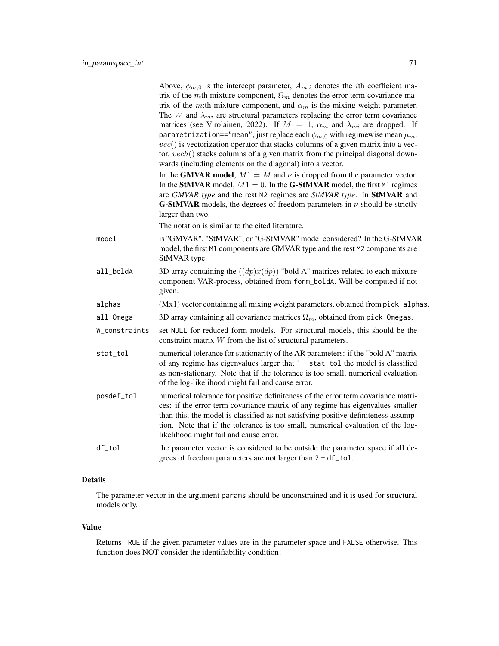|               | Above, $\phi_{m,0}$ is the intercept parameter, $A_{m,i}$ denotes the <i>i</i> th coefficient ma-<br>trix of the mth mixture component, $\Omega_m$ denotes the error term covariance ma-<br>trix of the m:th mixture component, and $\alpha_m$ is the mixing weight parameter.<br>The W and $\lambda_{mi}$ are structural parameters replacing the error term covariance<br>matrices (see Virolainen, 2022). If $M = 1$ , $\alpha_m$ and $\lambda_{mi}$ are dropped. If<br>parametrization=="mean", just replace each $\phi_{m,0}$ with regimewise mean $\mu_m$ .<br>$vec()$ is vectorization operator that stacks columns of a given matrix into a vec-<br>tor. $vech()$ stacks columns of a given matrix from the principal diagonal down-<br>wards (including elements on the diagonal) into a vector.<br>In the GMVAR model, $M1 = M$ and $\nu$ is dropped from the parameter vector.<br>In the StMVAR model, $M1 = 0$ . In the G-StMVAR model, the first M1 regimes<br>are GMVAR type and the rest M2 regimes are StMVAR type. In StMVAR and<br><b>G-StMVAR</b> models, the degrees of freedom parameters in $\nu$ should be strictly<br>larger than two.<br>The notation is similar to the cited literature. |
|---------------|--------------------------------------------------------------------------------------------------------------------------------------------------------------------------------------------------------------------------------------------------------------------------------------------------------------------------------------------------------------------------------------------------------------------------------------------------------------------------------------------------------------------------------------------------------------------------------------------------------------------------------------------------------------------------------------------------------------------------------------------------------------------------------------------------------------------------------------------------------------------------------------------------------------------------------------------------------------------------------------------------------------------------------------------------------------------------------------------------------------------------------------------------------------------------------------------------------------------|
| model         | is "GMVAR", "StMVAR", or "G-StMVAR" model considered? In the G-StMVAR<br>model, the first M1 components are GMVAR type and the rest M2 components are<br>StMVAR type.                                                                                                                                                                                                                                                                                                                                                                                                                                                                                                                                                                                                                                                                                                                                                                                                                                                                                                                                                                                                                                              |
| all_boldA     | 3D array containing the $((dp)x(dp))$ "bold A" matrices related to each mixture<br>component VAR-process, obtained from form_boldA. Will be computed if not<br>given.                                                                                                                                                                                                                                                                                                                                                                                                                                                                                                                                                                                                                                                                                                                                                                                                                                                                                                                                                                                                                                              |
| alphas        | (Mx1) vector containing all mixing weight parameters, obtained from pick_alphas.                                                                                                                                                                                                                                                                                                                                                                                                                                                                                                                                                                                                                                                                                                                                                                                                                                                                                                                                                                                                                                                                                                                                   |
| all_Omega     | 3D array containing all covariance matrices $\Omega_m$ , obtained from pick_0megas.                                                                                                                                                                                                                                                                                                                                                                                                                                                                                                                                                                                                                                                                                                                                                                                                                                                                                                                                                                                                                                                                                                                                |
| W_constraints | set NULL for reduced form models. For structural models, this should be the<br>constraint matrix $W$ from the list of structural parameters.                                                                                                                                                                                                                                                                                                                                                                                                                                                                                                                                                                                                                                                                                                                                                                                                                                                                                                                                                                                                                                                                       |
| stat_tol      | numerical tolerance for stationarity of the AR parameters: if the "bold A" matrix<br>of any regime has eigenvalues larger that 1 - stat_tol the model is classified<br>as non-stationary. Note that if the tolerance is too small, numerical evaluation<br>of the log-likelihood might fail and cause error.                                                                                                                                                                                                                                                                                                                                                                                                                                                                                                                                                                                                                                                                                                                                                                                                                                                                                                       |
| posdef_tol    | numerical tolerance for positive definiteness of the error term covariance matri-<br>ces: if the error term covariance matrix of any regime has eigenvalues smaller<br>than this, the model is classified as not satisfying positive definiteness assump-<br>tion. Note that if the tolerance is too small, numerical evaluation of the log-<br>likelihood might fail and cause error.                                                                                                                                                                                                                                                                                                                                                                                                                                                                                                                                                                                                                                                                                                                                                                                                                             |
| df_tol        | the parameter vector is considered to be outside the parameter space if all de-<br>grees of freedom parameters are not larger than 2 + df_tol.                                                                                                                                                                                                                                                                                                                                                                                                                                                                                                                                                                                                                                                                                                                                                                                                                                                                                                                                                                                                                                                                     |
|               |                                                                                                                                                                                                                                                                                                                                                                                                                                                                                                                                                                                                                                                                                                                                                                                                                                                                                                                                                                                                                                                                                                                                                                                                                    |

## Details

The parameter vector in the argument params should be unconstrained and it is used for structural models only.

### Value

Returns TRUE if the given parameter values are in the parameter space and FALSE otherwise. This function does NOT consider the identifiability condition!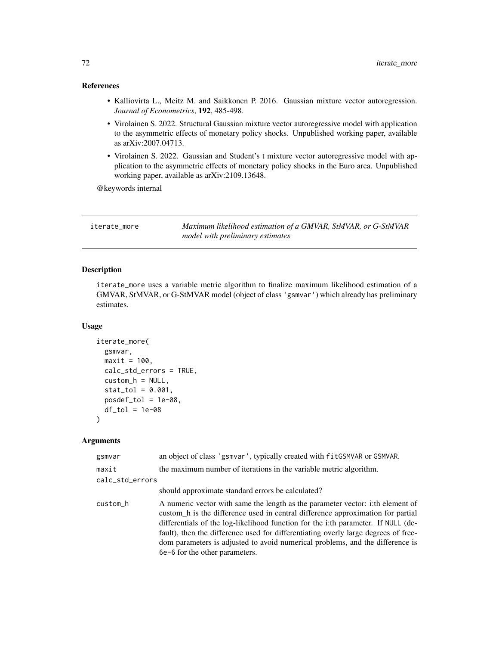## References

- Kalliovirta L., Meitz M. and Saikkonen P. 2016. Gaussian mixture vector autoregression. *Journal of Econometrics*, 192, 485-498.
- Virolainen S. 2022. Structural Gaussian mixture vector autoregressive model with application to the asymmetric effects of monetary policy shocks. Unpublished working paper, available as arXiv:2007.04713.
- Virolainen S. 2022. Gaussian and Student's t mixture vector autoregressive model with application to the asymmetric effects of monetary policy shocks in the Euro area. Unpublished working paper, available as arXiv:2109.13648.

@keywords internal

| iterate more | Maximum likelihood estimation of a GMVAR, StMVAR, or G-StMVAR |
|--------------|---------------------------------------------------------------|
|              | model with preliminary estimates                              |

## Description

iterate\_more uses a variable metric algorithm to finalize maximum likelihood estimation of a GMVAR, StMVAR, or G-StMVAR model (object of class 'gsmvar') which already has preliminary estimates.

### Usage

```
iterate_more(
 gsmvar,
 maxit = 100,
  calc_std_errors = TRUE,
  custom_h = NULL,
  stat\_tol = 0.001,posed\_tol = 1e-08,
 df\_tol = 1e-08)
```

| gsmvar          | an object of class 'gsmvar', typically created with fitGSMVAR or GSMVAR.                                                                                                                                                                                                                                                                                                                                                                                        |
|-----------------|-----------------------------------------------------------------------------------------------------------------------------------------------------------------------------------------------------------------------------------------------------------------------------------------------------------------------------------------------------------------------------------------------------------------------------------------------------------------|
| maxit           | the maximum number of iterations in the variable metric algorithm.                                                                                                                                                                                                                                                                                                                                                                                              |
| calc_std_errors |                                                                                                                                                                                                                                                                                                                                                                                                                                                                 |
|                 | should approximate standard errors be calculated?                                                                                                                                                                                                                                                                                                                                                                                                               |
| custom_h        | A numeric vector with same the length as the parameter vector: i:th element of<br>custom_h is the difference used in central difference approximation for partial<br>differentials of the log-likelihood function for the i:th parameter. If NULL (de-<br>fault), then the difference used for differentiating overly large degrees of free-<br>dom parameters is adjusted to avoid numerical problems, and the difference is<br>6e-6 for the other parameters. |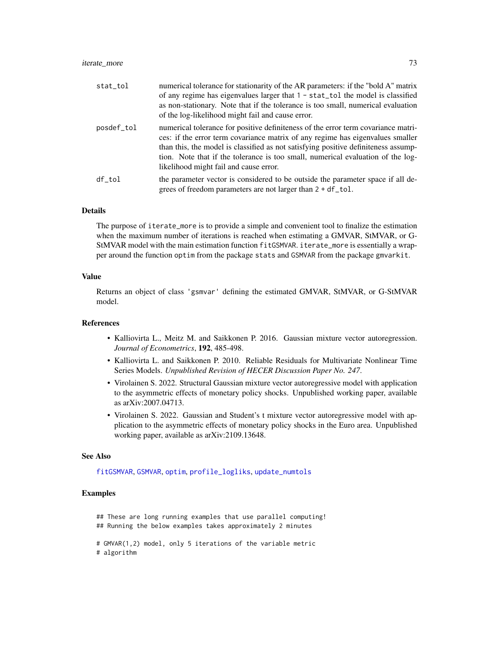## iterate\_more 73

| stat_tol   | numerical tolerance for stationarity of the AR parameters: if the "bold A" matrix<br>of any regime has eigenvalues larger that 1 - stat_tol the model is classified<br>as non-stationary. Note that if the tolerance is too small, numerical evaluation<br>of the log-likelihood might fail and cause error.                                                                           |
|------------|----------------------------------------------------------------------------------------------------------------------------------------------------------------------------------------------------------------------------------------------------------------------------------------------------------------------------------------------------------------------------------------|
| posdef_tol | numerical tolerance for positive definiteness of the error term covariance matri-<br>ces: if the error term covariance matrix of any regime has eigenvalues smaller<br>than this, the model is classified as not satisfying positive definiteness assump-<br>tion. Note that if the tolerance is too small, numerical evaluation of the log-<br>likelihood might fail and cause error. |
| df tol     | the parameter vector is considered to be outside the parameter space if all de-<br>grees of freedom parameters are not larger than $2 + df\_tol$ .                                                                                                                                                                                                                                     |

#### Details

The purpose of iterate\_more is to provide a simple and convenient tool to finalize the estimation when the maximum number of iterations is reached when estimating a GMVAR, StMVAR, or G-StMVAR model with the main estimation function fitGSMVAR. iterate\_more is essentially a wrapper around the function optim from the package stats and GSMVAR from the package gmvarkit.

### Value

Returns an object of class 'gsmvar' defining the estimated GMVAR, StMVAR, or G-StMVAR model.

### References

- Kalliovirta L., Meitz M. and Saikkonen P. 2016. Gaussian mixture vector autoregression. *Journal of Econometrics*, 192, 485-498.
- Kalliovirta L. and Saikkonen P. 2010. Reliable Residuals for Multivariate Nonlinear Time Series Models. *Unpublished Revision of HECER Discussion Paper No. 247*.
- Virolainen S. 2022. Structural Gaussian mixture vector autoregressive model with application to the asymmetric effects of monetary policy shocks. Unpublished working paper, available as arXiv:2007.04713.
- Virolainen S. 2022. Gaussian and Student's t mixture vector autoregressive model with application to the asymmetric effects of monetary policy shocks in the Euro area. Unpublished working paper, available as arXiv:2109.13648.

### See Also

[fitGSMVAR](#page-27-0), [GSMVAR](#page-57-0), [optim](#page-0-0), [profile\\_logliks](#page-90-0), [update\\_numtols](#page-111-0)

### Examples

## These are long running examples that use parallel computing! ## Running the below examples takes approximately 2 minutes

# GMVAR(1,2) model, only 5 iterations of the variable metric

# algorithm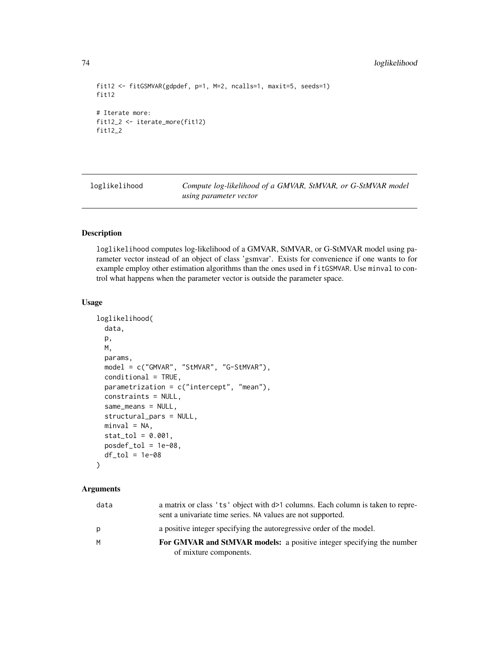```
fit12 <- fitGSMVAR(gdpdef, p=1, M=2, ncalls=1, maxit=5, seeds=1)
fit12
# Iterate more:
fit12_2 <- iterate_more(fit12)
fit12_2
```
loglikelihood *Compute log-likelihood of a GMVAR, StMVAR, or G-StMVAR model using parameter vector*

# Description

loglikelihood computes log-likelihood of a GMVAR, StMVAR, or G-StMVAR model using parameter vector instead of an object of class 'gsmvar'. Exists for convenience if one wants to for example employ other estimation algorithms than the ones used in fitGSMVAR. Use minval to control what happens when the parameter vector is outside the parameter space.

## Usage

```
loglikelihood(
 data,
 p,
 M,
 params,
 model = c("GMVAR", "StMVAR", "G-StMVAR"),
 conditional = TRUE,
  parametrization = c("intercept", "mean"),
  constraints = NULL,
  same_means = NULL,
  structural_pars = NULL,
 minval = NA,
  stat\_tol = 0.001,
 posed\_tol = 1e-08,
 df\_tol = 1e-08)
```
## Arguments

| data | a matrix or class 'ts' object with $d>1$ columns. Each column is taken to repre-<br>sent a univariate time series. NA values are not supported. |
|------|-------------------------------------------------------------------------------------------------------------------------------------------------|
| p    | a positive integer specifying the autoregressive order of the model.                                                                            |
| M    | For GMVAR and StMVAR models: a positive integer specifying the number<br>of mixture components.                                                 |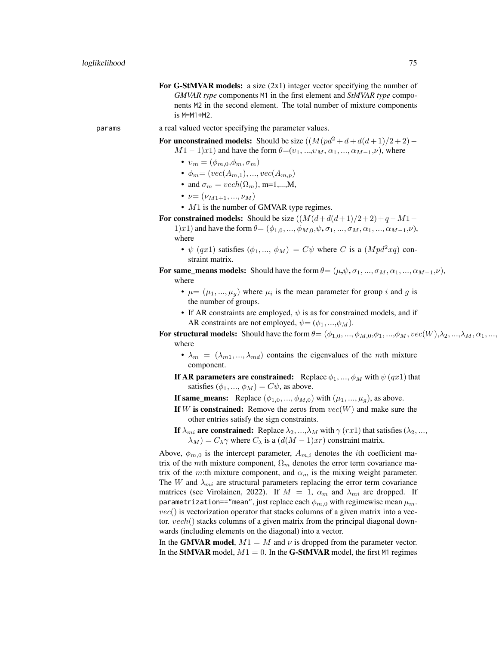For G-StMVAR models: a size  $(2x1)$  integer vector specifying the number of *GMVAR type* components M1 in the first element and *StMVAR type* components M2 in the second element. The total number of mixture components is M=M1+M2.

params a real valued vector specifying the parameter values.

For unconstrained models: Should be size  $((M(pd^2 + d + d(d+1)/2 + 2) -$ 

 $M1-1)x1$ ) and have the form  $\theta=(v_1, ..., v_M, \alpha_1, ..., \alpha_{M-1}, \nu)$ , where

- $v_m = (\phi_{m,0}, \phi_m, \sigma_m)$
- $\phi_m = (vec(A_{m,1}), ..., vec(A_{m,p}))$
- and  $\sigma_m = vech(\Omega_m)$ , m=1,...,M,
- $\nu = (\nu_{M1+1}, ..., \nu_M)$
- $M1$  is the number of GMVAR type regimes.

For constrained models: Should be size  $((M(d+d(d+1)/2+2)+q-M1-$ 

1)x1) and have the form  $\theta = (\phi_{1,0}, ..., \phi_{M,0}, \psi, \sigma_1, ..., \sigma_M, \alpha_1, ..., \alpha_{M-1}, \nu)$ , where

- $\psi$  (qx1) satisfies  $(\phi_1, ..., \phi_M) = C\psi$  where C is a  $(Mpd^2xq)$  constraint matrix.
- For same\_means models: Should have the form  $\theta = (\mu, \psi, \sigma_1, ..., \sigma_M, \alpha_1, ..., \alpha_{M-1}, \nu)$ , where
	- $\mu = (\mu_1, ..., \mu_g)$  where  $\mu_i$  is the mean parameter for group i and g is the number of groups.
	- If AR constraints are employed,  $\psi$  is as for constrained models, and if AR constraints are not employed,  $\psi = (\phi_1, ..., \phi_M)$ .

For structural models: Should have the form  $\theta = (\phi_{1,0}, ..., \phi_{M,0}, \phi_1, ..., \phi_M, vec(W), \lambda_2, ..., \lambda_M, \alpha_1, ..., \alpha_M)$ where

•  $\lambda_m = (\lambda_{m1}, ..., \lambda_{md})$  contains the eigenvalues of the mth mixture component.

If AR parameters are constrained: Replace  $\phi_1, ..., \phi_M$  with  $\psi(qx1)$  that satisfies  $(\phi_1, ..., \phi_M) = C\psi$ , as above.

- If same\_means: Replace  $(\phi_{1,0},...,\phi_{M,0})$  with  $(\mu_1,...,\mu_g)$ , as above.
- If W is constrained: Remove the zeros from  $vec(W)$  and make sure the other entries satisfy the sign constraints.
- If  $\lambda_{mi}$  are constrained: Replace  $\lambda_2, ..., \lambda_M$  with  $\gamma$  (rx1) that satisfies ( $\lambda_2, ...,$  $\lambda_M$ ) =  $C_{\lambda} \gamma$  where  $C_{\lambda}$  is a  $(d(M-1)xr)$  constraint matrix.

Above,  $\phi_{m,0}$  is the intercept parameter,  $A_{m,i}$  denotes the *i*th coefficient matrix of the mth mixture component,  $\Omega_m$  denotes the error term covariance matrix of the m:th mixture component, and  $\alpha_m$  is the mixing weight parameter. The W and  $\lambda_{mi}$  are structural parameters replacing the error term covariance matrices (see Virolainen, 2022). If  $M = 1$ ,  $\alpha_m$  and  $\lambda_{mi}$  are dropped. If parametrization=="mean", just replace each  $\phi_{m,0}$  with regimewise mean  $\mu_m$ .  $vec()$  is vectorization operator that stacks columns of a given matrix into a vector. vech() stacks columns of a given matrix from the principal diagonal downwards (including elements on the diagonal) into a vector.

In the GMVAR model,  $M1 = M$  and  $\nu$  is dropped from the parameter vector. In the StMVAR model,  $M1 = 0$ . In the G-StMVAR model, the first M1 regimes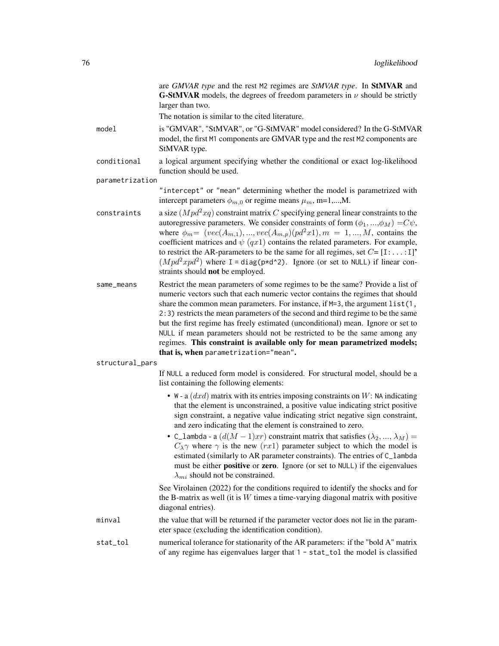are *GMVAR type* and the rest M2 regimes are *StMVAR type*. In StMVAR and **G-StMVAR** models, the degrees of freedom parameters in  $\nu$  should be strictly larger than two.

The notation is similar to the cited literature.

model is "GMVAR", "StMVAR", or "G-StMVAR" model considered? In the G-StMVAR model, the first M1 components are GMVAR type and the rest M2 components are StMVAR type.

conditional a logical argument specifying whether the conditional or exact log-likelihood function should be used.

parametrization

"intercept" or "mean" determining whether the model is parametrized with intercept parameters  $\phi_{m,0}$  or regime means  $\mu_m$ , m=1,...,M.

- constraints a size  $(Mpd^2xq)$  constraint matrix C specifying general linear constraints to the autoregressive parameters. We consider constraints of form  $(\phi_1, ..., \phi_M) = C\psi$ , where  $\phi_m = (vec(A_{m,1}), ..., vec(A_{m,p})(pd^2x1), m = 1, ..., M$ , contains the coefficient matrices and  $\psi$  (qx1) contains the related parameters. For example, to restrict the AR-parameters to be the same for all regimes, set  $C = [I:...:I]$ <sup>\*</sup>  $(Mpd^2xpd^2)$  where I = diag(p\*d^2). Ignore (or set to NULL) if linear constraints should not be employed.
- same\_means Restrict the mean parameters of some regimes to be the same? Provide a list of numeric vectors such that each numeric vector contains the regimes that should share the common mean parameters. For instance, if  $M=3$ , the argument list(1, 2:3) restricts the mean parameters of the second and third regime to be the same but the first regime has freely estimated (unconditional) mean. Ignore or set to NULL if mean parameters should not be restricted to be the same among any regimes. This constraint is available only for mean parametrized models; that is, when parametrization="mean".

structural\_pars

If NULL a reduced form model is considered. For structural model, should be a list containing the following elements:

- W a  $(dxd)$  matrix with its entries imposing constraints on W: NA indicating that the element is unconstrained, a positive value indicating strict positive sign constraint, a negative value indicating strict negative sign constraint, and zero indicating that the element is constrained to zero.
- C\_lambda a  $(d(M-1)xr)$  constraint matrix that satisfies  $(\lambda_2, ..., \lambda_M)$  =  $C_{\lambda}$ γ where  $\gamma$  is the new (rx1) parameter subject to which the model is estimated (similarly to AR parameter constraints). The entries of C\_lambda must be either positive or zero. Ignore (or set to NULL) if the eigenvalues  $\lambda_{mi}$  should not be constrained.

See Virolainen (2022) for the conditions required to identify the shocks and for the B-matrix as well (it is  $W$  times a time-varying diagonal matrix with positive diagonal entries).

- minval the value that will be returned if the parameter vector does not lie in the parameter space (excluding the identification condition).
- stat\_tol numerical tolerance for stationarity of the AR parameters: if the "bold A" matrix of any regime has eigenvalues larger that 1 - stat\_tol the model is classified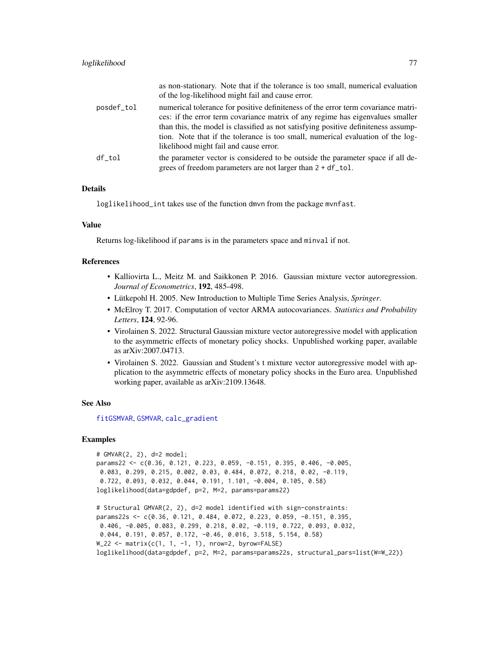|            | as non-stationary. Note that if the tolerance is too small, numerical evaluation<br>of the log-likelihood might fail and cause error.                                                                                                                                                                                                                                                  |
|------------|----------------------------------------------------------------------------------------------------------------------------------------------------------------------------------------------------------------------------------------------------------------------------------------------------------------------------------------------------------------------------------------|
| posdef_tol | numerical tolerance for positive definiteness of the error term covariance matri-<br>ces: if the error term covariance matrix of any regime has eigenvalues smaller<br>than this, the model is classified as not satisfying positive definiteness assump-<br>tion. Note that if the tolerance is too small, numerical evaluation of the log-<br>likelihood might fail and cause error. |
| df tol     | the parameter vector is considered to be outside the parameter space if all de-<br>grees of freedom parameters are not larger than $2 + df\_tol$ .                                                                                                                                                                                                                                     |

## Details

loglikelihood\_int takes use of the function dmvn from the package mvnfast.

## Value

Returns log-likelihood if params is in the parameters space and minval if not.

# References

- Kalliovirta L., Meitz M. and Saikkonen P. 2016. Gaussian mixture vector autoregression. *Journal of Econometrics*, 192, 485-498.
- Lütkepohl H. 2005. New Introduction to Multiple Time Series Analysis, *Springer*.
- McElroy T. 2017. Computation of vector ARMA autocovariances. *Statistics and Probability Letters*, 124, 92-96.
- Virolainen S. 2022. Structural Gaussian mixture vector autoregressive model with application to the asymmetric effects of monetary policy shocks. Unpublished working paper, available as arXiv:2007.04713.
- Virolainen S. 2022. Gaussian and Student's t mixture vector autoregressive model with application to the asymmetric effects of monetary policy shocks in the Euro area. Unpublished working paper, available as arXiv:2109.13648.

## See Also

[fitGSMVAR](#page-27-0), [GSMVAR](#page-57-0), [calc\\_gradient](#page-6-0)

### Examples

```
# GMVAR(2, 2), d=2 model;
params22 <- c(0.36, 0.121, 0.223, 0.059, -0.151, 0.395, 0.406, -0.005,
0.083, 0.299, 0.215, 0.002, 0.03, 0.484, 0.072, 0.218, 0.02, -0.119,
0.722, 0.093, 0.032, 0.044, 0.191, 1.101, -0.004, 0.105, 0.58)
loglikelihood(data=gdpdef, p=2, M=2, params=params22)
```

```
# Structural GMVAR(2, 2), d=2 model identified with sign-constraints:
params22s <- c(0.36, 0.121, 0.484, 0.072, 0.223, 0.059, -0.151, 0.395,
0.406, -0.005, 0.083, 0.299, 0.218, 0.02, -0.119, 0.722, 0.093, 0.032,
0.044, 0.191, 0.057, 0.172, -0.46, 0.016, 3.518, 5.154, 0.58)
W_222 <- matrix(c(1, 1, -1, 1), nrow=2, byrow=FALSE)
loglikelihood(data=gdpdef, p=2, M=2, params=params22s, structural_pars=list(W=W_22))
```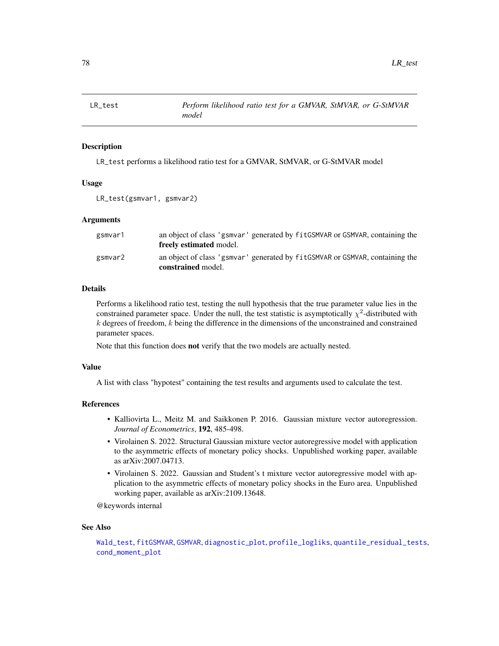<span id="page-77-0"></span>

## Description

LR\_test performs a likelihood ratio test for a GMVAR, StMVAR, or G-StMVAR model

### Usage

```
LR_test(gsmvar1, gsmvar2)
```
## Arguments

| gsmvar1 | an object of class 'gsmyar' generated by fit GSMVAR or GSMVAR, containing the<br>freely estimated model. |
|---------|----------------------------------------------------------------------------------------------------------|
| gsmvar2 | an object of class 'gsmyar' generated by fit GSMVAR or GSMVAR, containing the<br>constrained model.      |

## Details

Performs a likelihood ratio test, testing the null hypothesis that the true parameter value lies in the constrained parameter space. Under the null, the test statistic is asymptotically  $\chi^2$ -distributed with  $k$  degrees of freedom,  $k$  being the difference in the dimensions of the unconstrained and constrained parameter spaces.

Note that this function does not verify that the two models are actually nested.

## Value

A list with class "hypotest" containing the test results and arguments used to calculate the test.

## References

- Kalliovirta L., Meitz M. and Saikkonen P. 2016. Gaussian mixture vector autoregression. *Journal of Econometrics*, 192, 485-498.
- Virolainen S. 2022. Structural Gaussian mixture vector autoregressive model with application to the asymmetric effects of monetary policy shocks. Unpublished working paper, available as arXiv:2007.04713.
- Virolainen S. 2022. Gaussian and Student's t mixture vector autoregressive model with application to the asymmetric effects of monetary policy shocks in the Euro area. Unpublished working paper, available as arXiv:2109.13648.

@keywords internal

#### See Also

```
Wald_test, fitGSMVAR, GSMVAR, diagnostic_plot, profile_logliks, quantile_residual_tests,
cond_moment_plot
```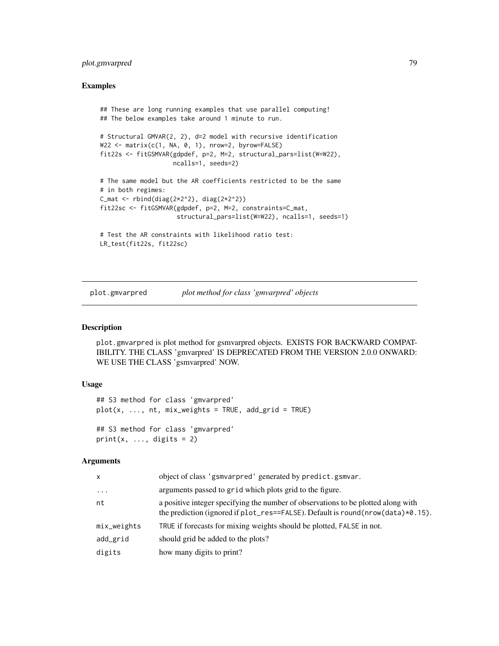# plot.gmvarpred 79

## Examples

```
## These are long running examples that use parallel computing!
## The below examples take around 1 minute to run.
# Structural GMVAR(2, 2), d=2 model with recursive identification
W22 <- matrix(c(1, NA, 0, 1), nrow=2, byrow=FALSE)
fit22s <- fitGSMVAR(gdpdef, p=2, M=2, structural_pars=list(W=W22),
                    ncalls=1, seeds=2)
# The same model but the AR coefficients restricted to be the same
# in both regimes:
C_mmat <- rbind(diag(2*2^2), diag(2*2^2))
fit22sc <- fitGSMVAR(gdpdef, p=2, M=2, constraints=C_mat,
                     structural_pars=list(W=W22), ncalls=1, seeds=1)
# Test the AR constraints with likelihood ratio test:
LR_test(fit22s, fit22sc)
```
plot.gmvarpred *plot method for class 'gmvarpred' objects*

## **Description**

plot.gmvarpred is plot method for gsmvarpred objects. EXISTS FOR BACKWARD COMPAT-IBILITY. THE CLASS 'gmvarpred' IS DEPRECATED FROM THE VERSION 2.0.0 ONWARD: WE USE THE CLASS 'gsmvarpred' NOW.

### Usage

```
## S3 method for class 'gmvarpred'
plot(x, ..., nt, mix\_weights = TRUE, add\_grid = TRUE)## S3 method for class 'gmvarpred'
print(x, ..., \text{ digits} = 2)
```
### Arguments

| x           | object of class 'gsmvarpred' generated by predict.gsmvar.                                                                                                            |
|-------------|----------------------------------------------------------------------------------------------------------------------------------------------------------------------|
| $\cdots$    | arguments passed to grid which plots grid to the figure.                                                                                                             |
| nt          | a positive integer specifying the number of observations to be plotted along with<br>the prediction (ignored if plot_res==FALSE). Default is round(nrow(data)*0.15). |
| mix_weights | TRUE if forecasts for mixing weights should be plotted, FALSE in not.                                                                                                |
| add_grid    | should grid be added to the plots?                                                                                                                                   |
| digits      | how many digits to print?                                                                                                                                            |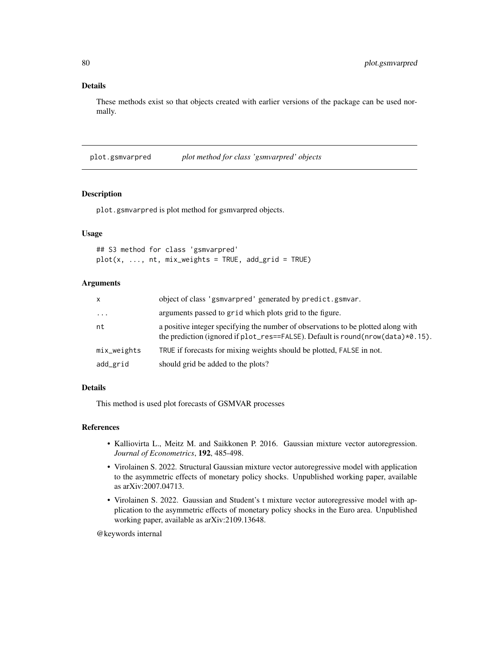# Details

These methods exist so that objects created with earlier versions of the package can be used normally.

plot.gsmvarpred *plot method for class 'gsmvarpred' objects*

## Description

plot.gsmvarpred is plot method for gsmvarpred objects.

# Usage

## S3 method for class 'gsmvarpred'  $plot(x, ..., nt, mix\_weights = TRUE, add\_grid = TRUE)$ 

# Arguments

| $\mathsf{x}$        | object of class 'gsmvarpred' generated by predict.gsmvar.                                                                                                            |
|---------------------|----------------------------------------------------------------------------------------------------------------------------------------------------------------------|
| $\cdot \cdot \cdot$ | arguments passed to grid which plots grid to the figure.                                                                                                             |
| nt                  | a positive integer specifying the number of observations to be plotted along with<br>the prediction (ignored if plot_res==FALSE). Default is round(nrow(data)*0.15). |
| mix_weights         | TRUE if forecasts for mixing weights should be plotted, FALSE in not.                                                                                                |
| add_grid            | should grid be added to the plots?                                                                                                                                   |

### Details

This method is used plot forecasts of GSMVAR processes

### References

- Kalliovirta L., Meitz M. and Saikkonen P. 2016. Gaussian mixture vector autoregression. *Journal of Econometrics*, 192, 485-498.
- Virolainen S. 2022. Structural Gaussian mixture vector autoregressive model with application to the asymmetric effects of monetary policy shocks. Unpublished working paper, available as arXiv:2007.04713.
- Virolainen S. 2022. Gaussian and Student's t mixture vector autoregressive model with application to the asymmetric effects of monetary policy shocks in the Euro area. Unpublished working paper, available as arXiv:2109.13648.

@keywords internal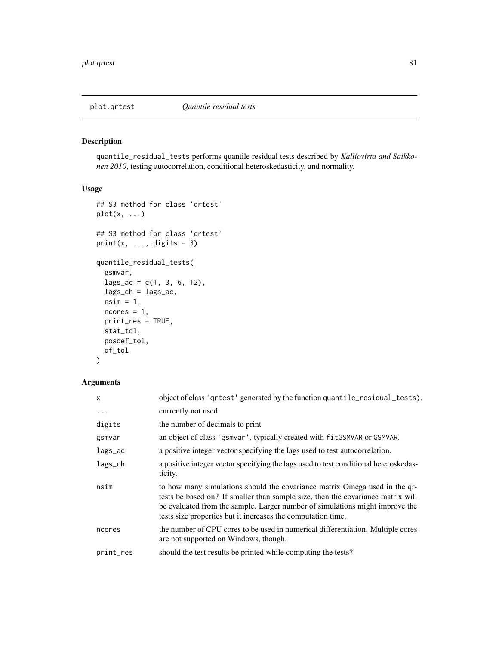# <span id="page-80-0"></span>Description

quantile\_residual\_tests performs quantile residual tests described by *Kalliovirta and Saikkonen 2010*, testing autocorrelation, conditional heteroskedasticity, and normality.

## Usage

```
## S3 method for class 'qrtest'
plot(x, ...)
## S3 method for class 'qrtest'
print(x, ..., digits = 3)quantile_residual_tests(
  gsmvar,
  lags_ac = c(1, 3, 6, 12),lags_ch = lags_ac,
  nsim = 1,
 ncores = 1,
 print_res = TRUE,
  stat_tol,
 posdef_tol,
  df_tol
\mathcal{L}
```
## Arguments

| $\mathsf{x}$ | object of class 'qrtest' generated by the function quantile_residual_tests).                                                                                                                                                                                                                                  |
|--------------|---------------------------------------------------------------------------------------------------------------------------------------------------------------------------------------------------------------------------------------------------------------------------------------------------------------|
| $\cdots$     | currently not used.                                                                                                                                                                                                                                                                                           |
| digits       | the number of decimals to print                                                                                                                                                                                                                                                                               |
| gsmvar       | an object of class 'gsmvar', typically created with fit GSMVAR or GSMVAR.                                                                                                                                                                                                                                     |
| lags_ac      | a positive integer vector specifying the lags used to test autocorrelation.                                                                                                                                                                                                                                   |
| lags_ch      | a positive integer vector specifying the lags used to test conditional heteroskedas-<br>ticity.                                                                                                                                                                                                               |
| nsim         | to how many simulations should the covariance matrix Omega used in the qr-<br>tests be based on? If smaller than sample size, then the covariance matrix will<br>be evaluated from the sample. Larger number of simulations might improve the<br>tests size properties but it increases the computation time. |
| ncores       | the number of CPU cores to be used in numerical differentiation. Multiple cores<br>are not supported on Windows, though.                                                                                                                                                                                      |
| print_res    | should the test results be printed while computing the tests?                                                                                                                                                                                                                                                 |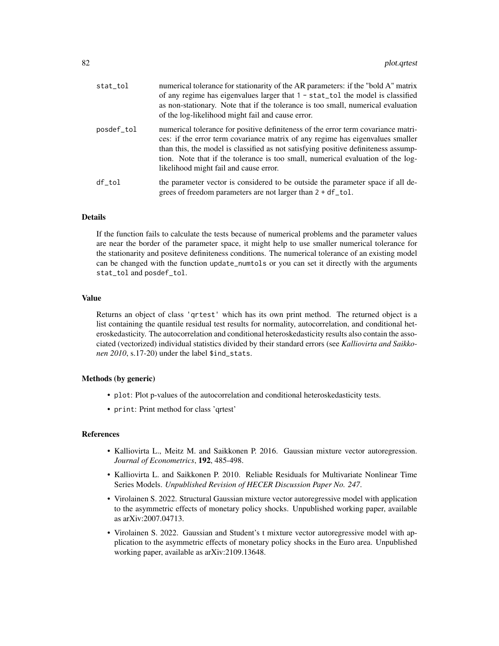| stat_tol   | numerical tolerance for stationarity of the AR parameters: if the "bold A" matrix<br>of any regime has eigenvalues larger that $1 - stat\_tol$ the model is classified<br>as non-stationary. Note that if the tolerance is too small, numerical evaluation<br>of the log-likelihood might fail and cause error.                                                                        |
|------------|----------------------------------------------------------------------------------------------------------------------------------------------------------------------------------------------------------------------------------------------------------------------------------------------------------------------------------------------------------------------------------------|
| posdef_tol | numerical tolerance for positive definiteness of the error term covariance matri-<br>ces: if the error term covariance matrix of any regime has eigenvalues smaller<br>than this, the model is classified as not satisfying positive definiteness assump-<br>tion. Note that if the tolerance is too small, numerical evaluation of the log-<br>likelihood might fail and cause error. |
| df tol     | the parameter vector is considered to be outside the parameter space if all de-<br>grees of freedom parameters are not larger than $2 + df\_tol$ .                                                                                                                                                                                                                                     |

### Details

If the function fails to calculate the tests because of numerical problems and the parameter values are near the border of the parameter space, it might help to use smaller numerical tolerance for the stationarity and positeve definiteness conditions. The numerical tolerance of an existing model can be changed with the function update\_numtols or you can set it directly with the arguments stat\_tol and posdef\_tol.

## Value

Returns an object of class 'qrtest' which has its own print method. The returned object is a list containing the quantile residual test results for normality, autocorrelation, and conditional heteroskedasticity. The autocorrelation and conditional heteroskedasticity results also contain the associated (vectorized) individual statistics divided by their standard errors (see *Kalliovirta and Saikkonen 2010*, s.17-20) under the label \$ind\_stats.

## Methods (by generic)

- plot: Plot p-values of the autocorrelation and conditional heteroskedasticity tests.
- print: Print method for class 'qrtest'

### References

- Kalliovirta L., Meitz M. and Saikkonen P. 2016. Gaussian mixture vector autoregression. *Journal of Econometrics*, 192, 485-498.
- Kalliovirta L. and Saikkonen P. 2010. Reliable Residuals for Multivariate Nonlinear Time Series Models. *Unpublished Revision of HECER Discussion Paper No. 247*.
- Virolainen S. 2022. Structural Gaussian mixture vector autoregressive model with application to the asymmetric effects of monetary policy shocks. Unpublished working paper, available as arXiv:2007.04713.
- Virolainen S. 2022. Gaussian and Student's t mixture vector autoregressive model with application to the asymmetric effects of monetary policy shocks in the Euro area. Unpublished working paper, available as arXiv:2109.13648.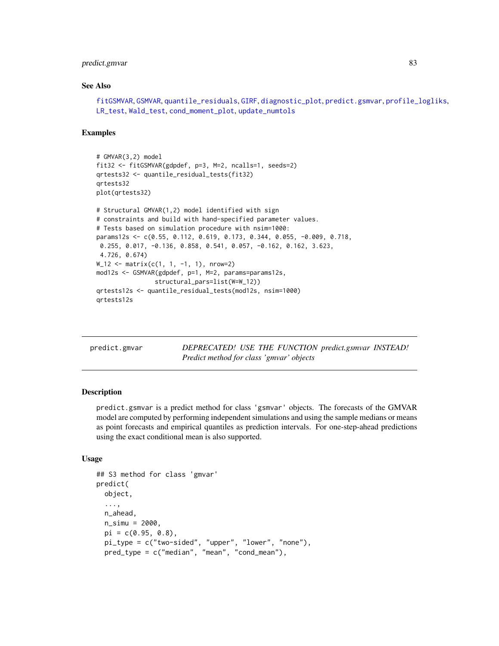# predict.gmvar 83

### See Also

```
fitGSMVAR, GSMVAR, quantile_residuals, GIRF, diagnostic_plot, predict.gsmvar, profile_logliks,
LR_test, Wald_test, cond_moment_plot, update_numtols
```
#### Examples

```
# GMVAR(3,2) model
fit32 <- fitGSMVAR(gdpdef, p=3, M=2, ncalls=1, seeds=2)
qrtests32 <- quantile_residual_tests(fit32)
qrtests32
plot(qrtests32)
# Structural GMVAR(1,2) model identified with sign
# constraints and build with hand-specified parameter values.
# Tests based on simulation procedure with nsim=1000:
params12s <- c(0.55, 0.112, 0.619, 0.173, 0.344, 0.055, -0.009, 0.718,
0.255, 0.017, -0.136, 0.858, 0.541, 0.057, -0.162, 0.162, 3.623,
4.726, 0.674)
W_12 <- matrix(c(1, 1, -1, 1), nrow=2)
mod12s <- GSMVAR(gdpdef, p=1, M=2, params=params12s,
                structural_pars=list(W=W_12))
qrtests12s <- quantile_residual_tests(mod12s, nsim=1000)
qrtests12s
```
predict.gmvar *DEPRECATED! USE THE FUNCTION predict.gsmvar INSTEAD! Predict method for class 'gmvar' objects*

## Description

predict.gsmvar is a predict method for class 'gsmvar' objects. The forecasts of the GMVAR model are computed by performing independent simulations and using the sample medians or means as point forecasts and empirical quantiles as prediction intervals. For one-step-ahead predictions using the exact conditional mean is also supported.

## Usage

```
## S3 method for class 'gmvar'
predict(
  object,
  ...,
 n_ahead,
  n_{s}simu = 2000,
 pi = c(0.95, 0.8),
 pi_type = c("two-sided", "upper", "lower", "none"),
  pred_type = c("median", "mean", "cond_mean"),
```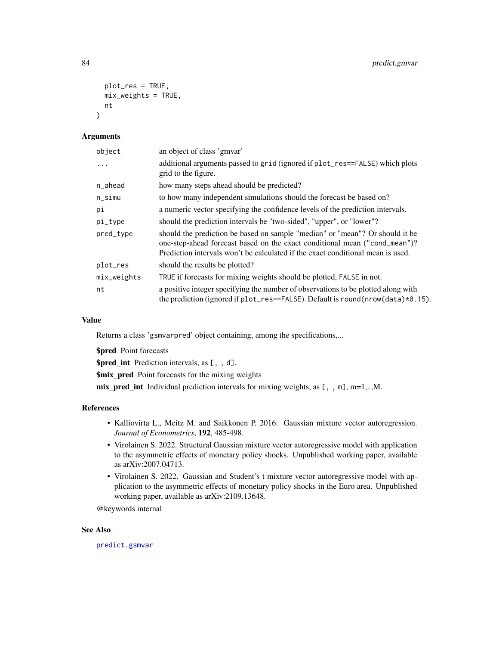```
plot_res = TRUE,
  mix_weights = TRUE,
  nt
\lambda
```
## Arguments

| object        | an object of class 'gmvar'                                                                                                                                                                                                                    |
|---------------|-----------------------------------------------------------------------------------------------------------------------------------------------------------------------------------------------------------------------------------------------|
|               | additional arguments passed to grid (ignored if plot_res==FALSE) which plots<br>grid to the figure.                                                                                                                                           |
| n_ahead       | how many steps ahead should be predicted?                                                                                                                                                                                                     |
| $n\_simu$     | to how many independent simulations should the forecast be based on?                                                                                                                                                                          |
| рi            | a numeric vector specifying the confidence levels of the prediction intervals.                                                                                                                                                                |
| pi_type       | should the prediction intervals be "two-sided", "upper", or "lower"?                                                                                                                                                                          |
| pred_type     | should the prediction be based on sample "median" or "mean"? Or should it be<br>one-step-ahead forecast based on the exact conditional mean ("cond_mean")?<br>Prediction intervals won't be calculated if the exact conditional mean is used. |
| plot_res      | should the results be plotted?                                                                                                                                                                                                                |
| $mix_weights$ | TRUE if forecasts for mixing weights should be plotted, FALSE in not.                                                                                                                                                                         |
| nt            | a positive integer specifying the number of observations to be plotted along with<br>the prediction (ignored if $plot_{res} == FALSE$ ). Default is round (nrow (data) $*0.15$ ).                                                             |

#### Value

Returns a class 'gsmvarpred' object containing, among the specifications,...

\$pred Point forecasts

\$pred\_int Prediction intervals, as [, , d].

\$mix\_pred Point forecasts for the mixing weights

mix\_pred\_int Individual prediction intervals for mixing weights, as  $[ , , m], m=1,..,M.$ 

# References

- Kalliovirta L., Meitz M. and Saikkonen P. 2016. Gaussian mixture vector autoregression. *Journal of Econometrics*, 192, 485-498.
- Virolainen S. 2022. Structural Gaussian mixture vector autoregressive model with application to the asymmetric effects of monetary policy shocks. Unpublished working paper, available as arXiv:2007.04713.
- Virolainen S. 2022. Gaussian and Student's t mixture vector autoregressive model with application to the asymmetric effects of monetary policy shocks in the Euro area. Unpublished working paper, available as arXiv:2109.13648.

@keywords internal

## See Also

[predict.gsmvar](#page-84-0)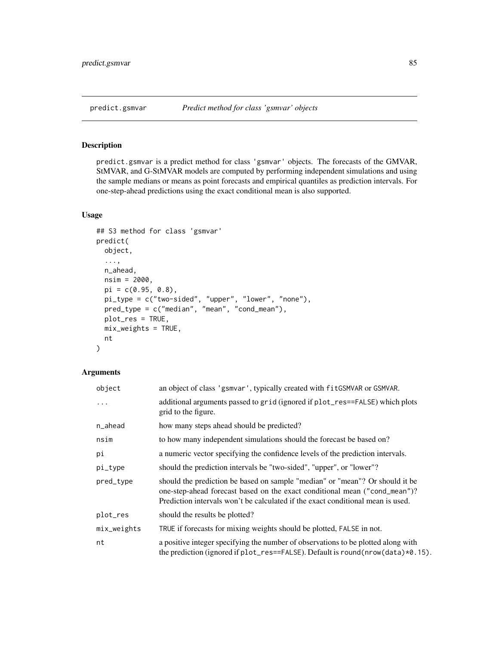## <span id="page-84-0"></span>Description

predict.gsmvar is a predict method for class 'gsmvar' objects. The forecasts of the GMVAR, StMVAR, and G-StMVAR models are computed by performing independent simulations and using the sample medians or means as point forecasts and empirical quantiles as prediction intervals. For one-step-ahead predictions using the exact conditional mean is also supported.

# Usage

```
## S3 method for class 'gsmvar'
predict(
  object,
  ...,
  n_ahead,
  nsim = 2000,
  pi = c(0.95, 0.8),
 pi_type = c("two-sided", "upper", "lower", "none"),
 pred_type = c("median", "mean", "cond_mean"),
 plot_res = TRUE,
 mix\_weights = TRUE,nt
)
```
# Arguments

| object        | an object of class 'gsmvar', typically created with fitGSMVAR or GSMVAR.                                                                                                                                                                      |
|---------------|-----------------------------------------------------------------------------------------------------------------------------------------------------------------------------------------------------------------------------------------------|
|               | additional arguments passed to grid (ignored if plot_res==FALSE) which plots<br>grid to the figure.                                                                                                                                           |
| n_ahead       | how many steps ahead should be predicted?                                                                                                                                                                                                     |
| nsim          | to how many independent simulations should the forecast be based on?                                                                                                                                                                          |
| pi            | a numeric vector specifying the confidence levels of the prediction intervals.                                                                                                                                                                |
| pi_type       | should the prediction intervals be "two-sided", "upper", or "lower"?                                                                                                                                                                          |
| pred_type     | should the prediction be based on sample "median" or "mean"? Or should it be<br>one-step-ahead forecast based on the exact conditional mean ("cond_mean")?<br>Prediction intervals won't be calculated if the exact conditional mean is used. |
| plot_res      | should the results be plotted?                                                                                                                                                                                                                |
| $mix$ weights | TRUE if forecasts for mixing weights should be plotted, FALSE in not.                                                                                                                                                                         |
| nt            | a positive integer specifying the number of observations to be plotted along with<br>the prediction (ignored if plot_res==FALSE). Default is round(nrow(data)*0.15).                                                                          |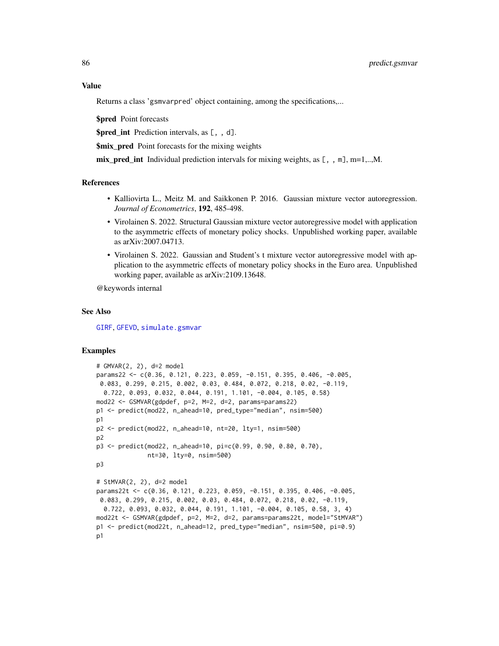### Value

Returns a class 'gsmvarpred' object containing, among the specifications,...

\$pred Point forecasts

\$pred\_int Prediction intervals, as [, , d].

**\$mix\_pred** Point forecasts for the mixing weights

mix\_pred\_int Individual prediction intervals for mixing weights, as  $[ , , , m]$ , m=1,..,M.

### References

- Kalliovirta L., Meitz M. and Saikkonen P. 2016. Gaussian mixture vector autoregression. *Journal of Econometrics*, 192, 485-498.
- Virolainen S. 2022. Structural Gaussian mixture vector autoregressive model with application to the asymmetric effects of monetary policy shocks. Unpublished working paper, available as arXiv:2007.04713.
- Virolainen S. 2022. Gaussian and Student's t mixture vector autoregressive model with application to the asymmetric effects of monetary policy shocks in the Euro area. Unpublished working paper, available as arXiv:2109.13648.

@keywords internal

#### See Also

[GIRF](#page-47-0), [GFEVD](#page-44-0), [simulate.gsmvar](#page-100-0)

## Examples

```
# GMVAR(2, 2), d=2 model
params22 <- c(0.36, 0.121, 0.223, 0.059, -0.151, 0.395, 0.406, -0.005,
 0.083, 0.299, 0.215, 0.002, 0.03, 0.484, 0.072, 0.218, 0.02, -0.119,
  0.722, 0.093, 0.032, 0.044, 0.191, 1.101, -0.004, 0.105, 0.58)
mod22 <- GSMVAR(gdpdef, p=2, M=2, d=2, params=params22)
p1 <- predict(mod22, n_ahead=10, pred_type="median", nsim=500)
p1
p2 <- predict(mod22, n_ahead=10, nt=20, lty=1, nsim=500)
p2
p3 <- predict(mod22, n_ahead=10, pi=c(0.99, 0.90, 0.80, 0.70),
              nt=30, lty=0, nsim=500)
p3
# StMVAR(2, 2), d=2 model
params22t <- c(0.36, 0.121, 0.223, 0.059, -0.151, 0.395, 0.406, -0.005,
0.083, 0.299, 0.215, 0.002, 0.03, 0.484, 0.072, 0.218, 0.02, -0.119,
  0.722, 0.093, 0.032, 0.044, 0.191, 1.101, -0.004, 0.105, 0.58, 3, 4)
mod22t <- GSMVAR(gdpdef, p=2, M=2, d=2, params=params22t, model="StMVAR")
p1 <- predict(mod22t, n_ahead=12, pred_type="median", nsim=500, pi=0.9)
p1
```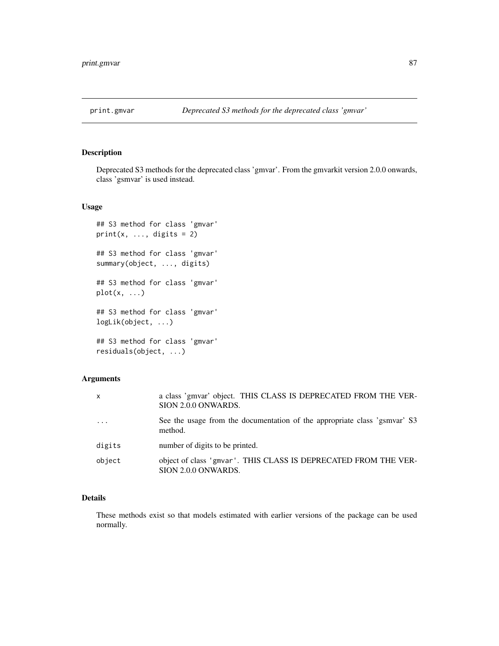## Description

Deprecated S3 methods for the deprecated class 'gmvar'. From the gmvarkit version 2.0.0 onwards, class 'gsmvar' is used instead.

## Usage

```
## S3 method for class 'gmvar'
print(x, ..., \text{ digits} = 2)## S3 method for class 'gmvar'
summary(object, ..., digits)
## S3 method for class 'gmvar'
plot(x, \ldots)## S3 method for class 'gmvar'
logLik(object, ...)
## S3 method for class 'gmvar'
residuals(object, ...)
```
# Arguments

| $\mathsf{x}$ | a class 'gmvar' object. THIS CLASS IS DEPRECATED FROM THE VER-<br>SION 2.0.0 ONWARDS.  |
|--------------|----------------------------------------------------------------------------------------|
| $\cdot$      | See the usage from the documentation of the appropriate class 'gsmvar' S3<br>method.   |
| digits       | number of digits to be printed.                                                        |
| object       | object of class 'gmvar'. THIS CLASS IS DEPRECATED FROM THE VER-<br>SION 2.0.0 ONWARDS. |

# Details

These methods exist so that models estimated with earlier versions of the package can be used normally.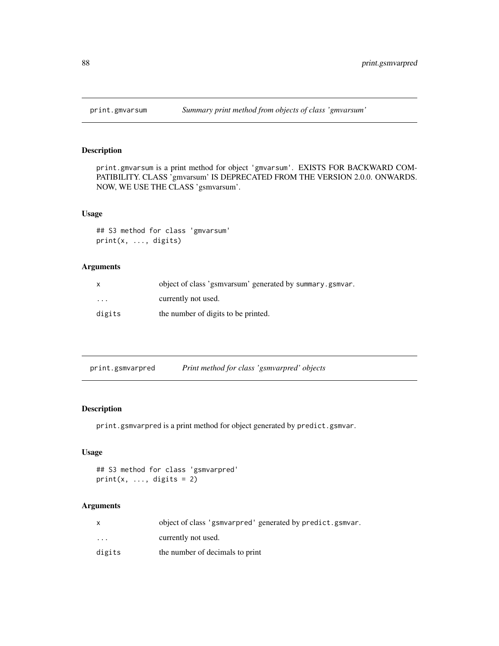# Description

print.gmvarsum is a print method for object 'gmvarsum'. EXISTS FOR BACKWARD COM-PATIBILITY. CLASS 'gmvarsum' IS DEPRECATED FROM THE VERSION 2.0.0. ONWARDS. NOW, WE USE THE CLASS 'gsmvarsum'.

## Usage

```
## S3 method for class 'gmvarsum'
print(x, ..., digits)
```
# Arguments

| x                       | object of class 'gsmvarsum' generated by summary gsmvar. |
|-------------------------|----------------------------------------------------------|
| $\cdot$ $\cdot$ $\cdot$ | currently not used.                                      |
| digits                  | the number of digits to be printed.                      |

| print.gsmvarpred | Print method for class 'gsmvarpred' objects |  |
|------------------|---------------------------------------------|--|
|                  |                                             |  |

## Description

print.gsmvarpred is a print method for object generated by predict.gsmvar.

# Usage

```
## S3 method for class 'gsmvarpred'
print(x, ..., digits = 2)
```
## Arguments

|          | object of class 'gsmvarpred' generated by predict.gsmvar. |
|----------|-----------------------------------------------------------|
| $\cdots$ | currently not used.                                       |
| digits   | the number of decimals to print                           |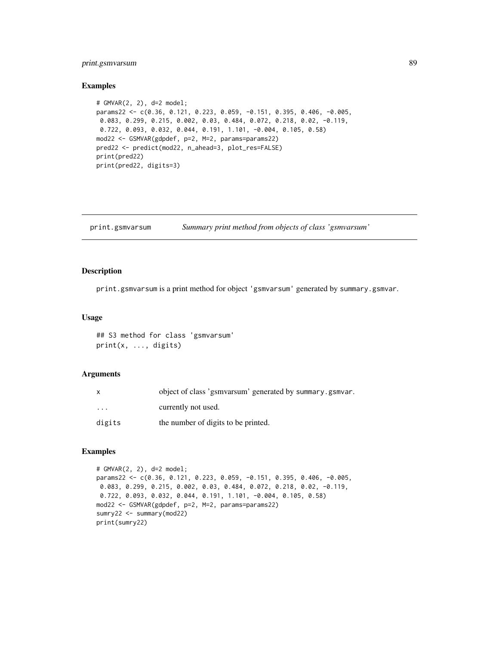# print.gsmvarsum 89

### Examples

```
# GMVAR(2, 2), d=2 model;
params22 <- c(0.36, 0.121, 0.223, 0.059, -0.151, 0.395, 0.406, -0.005,
0.083, 0.299, 0.215, 0.002, 0.03, 0.484, 0.072, 0.218, 0.02, -0.119,
0.722, 0.093, 0.032, 0.044, 0.191, 1.101, -0.004, 0.105, 0.58)
mod22 <- GSMVAR(gdpdef, p=2, M=2, params=params22)
pred22 <- predict(mod22, n_ahead=3, plot_res=FALSE)
print(pred22)
print(pred22, digits=3)
```
print.gsmvarsum *Summary print method from objects of class 'gsmvarsum'*

### Description

print.gsmvarsum is a print method for object 'gsmvarsum' generated by summary.gsmvar.

#### Usage

## S3 method for class 'gsmvarsum' print(x, ..., digits)

### Arguments

| X                    | object of class 'gsmyarsum' generated by summary gsmyar. |
|----------------------|----------------------------------------------------------|
| $\ddot{\phantom{0}}$ | currently not used.                                      |
| digits               | the number of digits to be printed.                      |

## Examples

```
# GMVAR(2, 2), d=2 model;
params22 <- c(0.36, 0.121, 0.223, 0.059, -0.151, 0.395, 0.406, -0.005,
0.083, 0.299, 0.215, 0.002, 0.03, 0.484, 0.072, 0.218, 0.02, -0.119,
0.722, 0.093, 0.032, 0.044, 0.191, 1.101, -0.004, 0.105, 0.58)
mod22 <- GSMVAR(gdpdef, p=2, M=2, params=params22)
sumry22 <- summary(mod22)
print(sumry22)
```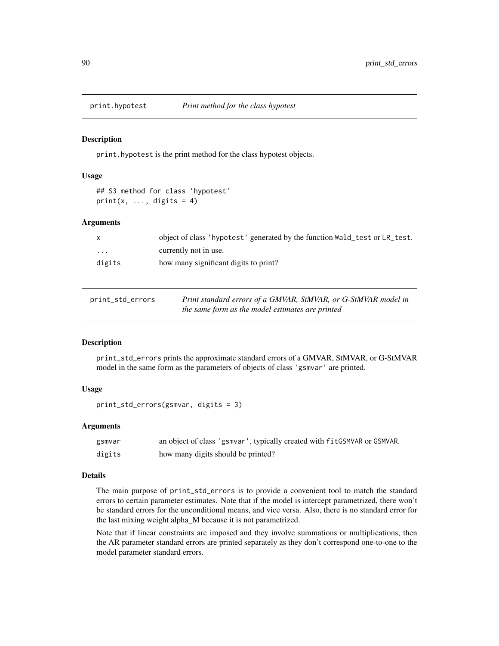### Description

print.hypotest is the print method for the class hypotest objects.

### Usage

## S3 method for class 'hypotest'  $print(x, ..., digits = 4)$ 

### Arguments

| $\mathsf{x}$            | object of class 'hypotest' generated by the function Wald_test or LR_test. |
|-------------------------|----------------------------------------------------------------------------|
| $\cdot$ $\cdot$ $\cdot$ | currently not in use.                                                      |
| digits                  | how many significant digits to print?                                      |

| print_std_errors | Print standard errors of a GMVAR, StMVAR, or G-StMVAR model in |
|------------------|----------------------------------------------------------------|
|                  | the same form as the model estimates are printed               |

### Description

print\_std\_errors prints the approximate standard errors of a GMVAR, StMVAR, or G-StMVAR model in the same form as the parameters of objects of class 'gsmvar' are printed.

### Usage

print\_std\_errors(gsmvar, digits = 3)

### Arguments

| gsmvar | an object of class 'gsmvar', typically created with fitGSMVAR or GSMVAR. |
|--------|--------------------------------------------------------------------------|
| digits | how many digits should be printed?                                       |

## Details

The main purpose of print\_std\_errors is to provide a convenient tool to match the standard errors to certain parameter estimates. Note that if the model is intercept parametrized, there won't be standard errors for the unconditional means, and vice versa. Also, there is no standard error for the last mixing weight alpha\_M because it is not parametrized.

Note that if linear constraints are imposed and they involve summations or multiplications, then the AR parameter standard errors are printed separately as they don't correspond one-to-one to the model parameter standard errors.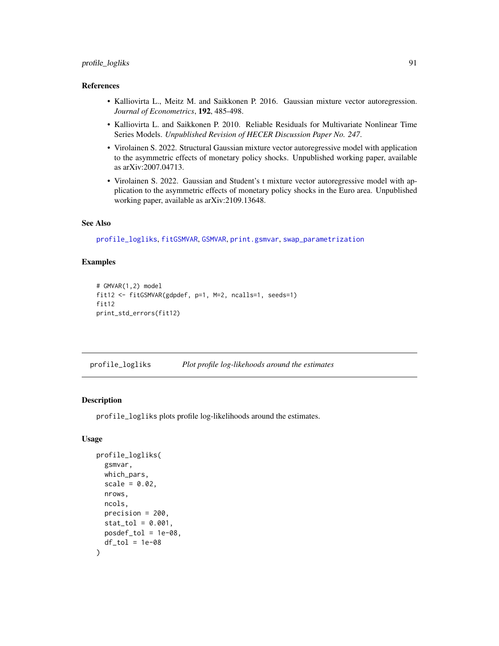# profile\_logliks 91

## References

- Kalliovirta L., Meitz M. and Saikkonen P. 2016. Gaussian mixture vector autoregression. *Journal of Econometrics*, 192, 485-498.
- Kalliovirta L. and Saikkonen P. 2010. Reliable Residuals for Multivariate Nonlinear Time Series Models. *Unpublished Revision of HECER Discussion Paper No. 247*.
- Virolainen S. 2022. Structural Gaussian mixture vector autoregressive model with application to the asymmetric effects of monetary policy shocks. Unpublished working paper, available as arXiv:2007.04713.
- Virolainen S. 2022. Gaussian and Student's t mixture vector autoregressive model with application to the asymmetric effects of monetary policy shocks in the Euro area. Unpublished working paper, available as arXiv:2109.13648.

### See Also

[profile\\_logliks](#page-90-0), [fitGSMVAR](#page-27-0), [GSMVAR](#page-57-0), [print.gsmvar](#page-57-1), [swap\\_parametrization](#page-107-0)

## Examples

```
# GMVAR(1,2) model
fit12 <- fitGSMVAR(gdpdef, p=1, M=2, ncalls=1, seeds=1)
fit12
print_std_errors(fit12)
```
<span id="page-90-0"></span>profile\_logliks *Plot profile log-likehoods around the estimates*

### **Description**

profile\_logliks plots profile log-likelihoods around the estimates.

### Usage

```
profile_logliks(
  gsmvar,
  which_pars,
  scale = 0.02,nrows,
  ncols,
  precision = 200,
  stat\_tol = 0.001,
  posed\_tol = 1e-08,
  df\_tol = 1e-08)
```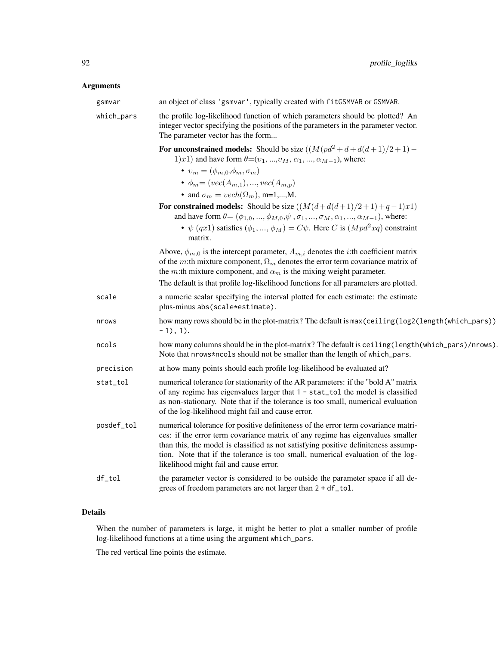# Arguments

| gsmvar     | an object of class 'gsmvar', typically created with fitGSMVAR or GSMVAR.                                                                                                                                                                                                                                                                                                               |
|------------|----------------------------------------------------------------------------------------------------------------------------------------------------------------------------------------------------------------------------------------------------------------------------------------------------------------------------------------------------------------------------------------|
| which_pars | the profile log-likelihood function of which parameters should be plotted? An<br>integer vector specifying the positions of the parameters in the parameter vector.<br>The parameter vector has the form                                                                                                                                                                               |
|            | For unconstrained models: Should be size $((M(pd^2 + d + d(d+1)/2 + 1) -$<br>1)x1) and have form $\theta = (v_1, , v_M, \alpha_1, , \alpha_{M-1})$ , where:<br>$v_m = (\phi_{m,0}, \phi_m, \sigma_m)$                                                                                                                                                                                  |
|            | • $\phi_m = (vec(A_{m,1}), , vec(A_{m,p}))$<br>• and $\sigma_m = vech(\Omega_m)$ , m=1,,M.                                                                                                                                                                                                                                                                                             |
|            | For constrained models: Should be size $((M(d+d(d+1)/2+1)+q-1)x1)$<br>and have form $\theta = (\phi_{1,0}, , \phi_{M,0}, \psi, \sigma_1, , \sigma_M, \alpha_1, , \alpha_{M-1})$ , where:<br>• $\psi$ (qx1) satisfies ( $\phi_1, , \phi_M$ ) = $C\psi$ . Here C is ( $Mpd^2xq$ ) constraint<br>matrix.                                                                                  |
|            | Above, $\phi_{m,0}$ is the intercept parameter, $A_{m,i}$ denotes the <i>i</i> :th coefficient matrix<br>of the m:th mixture component, $\Omega_m$ denotes the error term covariance matrix of<br>the <i>m</i> :th mixture component, and $\alpha_m$ is the mixing weight parameter.<br>The default is that profile log-likelihood functions for all parameters are plotted.           |
| scale      | a numeric scalar specifying the interval plotted for each estimate: the estimate<br>plus-minus abs(scale*estimate).                                                                                                                                                                                                                                                                    |
| nrows      | how many rows should be in the plot-matrix? The default is max (ceiling (log2(length (which_pars))<br>$-1)$ , 1).                                                                                                                                                                                                                                                                      |
| ncols      | how many columns should be in the plot-matrix? The default is ceiling (length (which_pars)/nrows).<br>Note that nrows*ncols should not be smaller than the length of which_pars.                                                                                                                                                                                                       |
| precision  | at how many points should each profile log-likelihood be evaluated at?                                                                                                                                                                                                                                                                                                                 |
| stat_tol   | numerical tolerance for stationarity of the AR parameters: if the "bold A" matrix<br>of any regime has eigenvalues larger that 1 - stat_tol the model is classified<br>as non-stationary. Note that if the tolerance is too small, numerical evaluation<br>of the log-likelihood might fail and cause error.                                                                           |
| posdef_tol | numerical tolerance for positive definiteness of the error term covariance matri-<br>ces: if the error term covariance matrix of any regime has eigenvalues smaller<br>than this, the model is classified as not satisfying positive definiteness assump-<br>tion. Note that if the tolerance is too small, numerical evaluation of the log-<br>likelihood might fail and cause error. |
| df_tol     | the parameter vector is considered to be outside the parameter space if all de-<br>grees of freedom parameters are not larger than 2 + df_tol.                                                                                                                                                                                                                                         |

# Details

When the number of parameters is large, it might be better to plot a smaller number of profile log-likelihood functions at a time using the argument which\_pars.

The red vertical line points the estimate.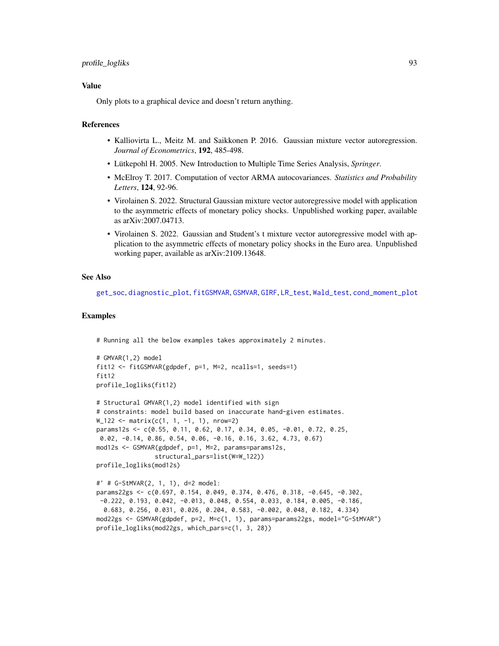## profile\_logliks 93

## Value

Only plots to a graphical device and doesn't return anything.

### References

- Kalliovirta L., Meitz M. and Saikkonen P. 2016. Gaussian mixture vector autoregression. *Journal of Econometrics*, 192, 485-498.
- Lütkepohl H. 2005. New Introduction to Multiple Time Series Analysis, *Springer*.
- McElroy T. 2017. Computation of vector ARMA autocovariances. *Statistics and Probability Letters*, 124, 92-96.
- Virolainen S. 2022. Structural Gaussian mixture vector autoregressive model with application to the asymmetric effects of monetary policy shocks. Unpublished working paper, available as arXiv:2007.04713.
- Virolainen S. 2022. Gaussian and Student's t mixture vector autoregressive model with application to the asymmetric effects of monetary policy shocks in the Euro area. Unpublished working paper, available as arXiv:2109.13648.

### See Also

[get\\_soc](#page-6-1), [diagnostic\\_plot](#page-18-0), [fitGSMVAR](#page-27-0), [GSMVAR](#page-57-0), [GIRF](#page-47-0), [LR\\_test](#page-77-0), [Wald\\_test](#page-114-0), [cond\\_moment\\_plot](#page-16-0)

#### Examples

```
# Running all the below examples takes approximately 2 minutes.
```
profile\_logliks(mod22gs, which\_pars=c(1, 3, 28))

```
# GMVAR(1,2) model
fit12 <- fitGSMVAR(gdpdef, p=1, M=2, ncalls=1, seeds=1)
fit<sub>12</sub>
profile_logliks(fit12)
# Structural GMVAR(1,2) model identified with sign
# constraints: model build based on inaccurate hand-given estimates.
W_1122 <- matrix(c(1, 1, -1, 1), nrow=2)
params12s <- c(0.55, 0.11, 0.62, 0.17, 0.34, 0.05, -0.01, 0.72, 0.25,
0.02, -0.14, 0.86, 0.54, 0.06, -0.16, 0.16, 3.62, 4.73, 0.67)
mod12s <- GSMVAR(gdpdef, p=1, M=2, params=params12s,
                structural_pars=list(W=W_122))
profile_logliks(mod12s)
#' # G-StMVAR(2, 1, 1), d=2 model:
params22gs <- c(0.697, 0.154, 0.049, 0.374, 0.476, 0.318, -0.645, -0.302,
-0.222, 0.193, 0.042, -0.013, 0.048, 0.554, 0.033, 0.184, 0.005, -0.186,
 0.683, 0.256, 0.031, 0.026, 0.204, 0.583, -0.002, 0.048, 0.182, 4.334)
mod22gs <- GSMVAR(gdpdef, p=2, M=c(1, 1), params=params22gs, model="G-StMVAR")
```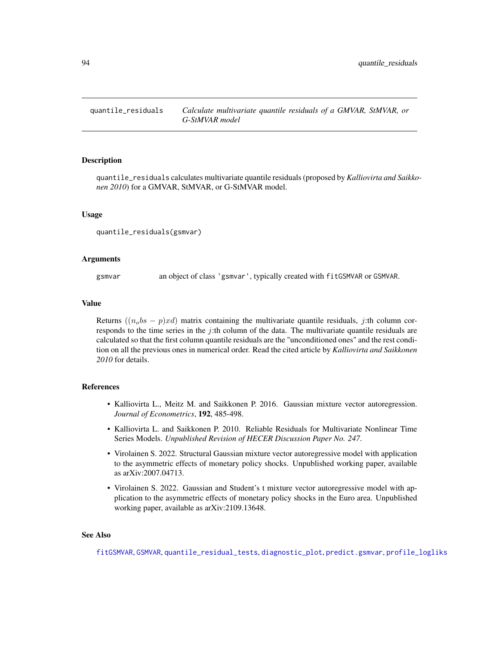<span id="page-93-0"></span>

### Description

quantile\_residuals calculates multivariate quantile residuals (proposed by *Kalliovirta and Saikkonen 2010*) for a GMVAR, StMVAR, or G-StMVAR model.

### Usage

quantile\_residuals(gsmvar)

## Arguments

gsmvar an object of class 'gsmvar', typically created with fitGSMVAR or GSMVAR.

#### Value

Returns  $((n<sub>o</sub>bs - p)xd)$  matrix containing the multivariate quantile residuals, j:th column corresponds to the time series in the j:th column of the data. The multivariate quantile residuals are calculated so that the first column quantile residuals are the "unconditioned ones" and the rest condition on all the previous ones in numerical order. Read the cited article by *Kalliovirta and Saikkonen 2010* for details.

### References

- Kalliovirta L., Meitz M. and Saikkonen P. 2016. Gaussian mixture vector autoregression. *Journal of Econometrics*, 192, 485-498.
- Kalliovirta L. and Saikkonen P. 2010. Reliable Residuals for Multivariate Nonlinear Time Series Models. *Unpublished Revision of HECER Discussion Paper No. 247*.
- Virolainen S. 2022. Structural Gaussian mixture vector autoregressive model with application to the asymmetric effects of monetary policy shocks. Unpublished working paper, available as arXiv:2007.04713.
- Virolainen S. 2022. Gaussian and Student's t mixture vector autoregressive model with application to the asymmetric effects of monetary policy shocks in the Euro area. Unpublished working paper, available as arXiv:2109.13648.

## See Also

[fitGSMVAR](#page-27-0), [GSMVAR](#page-57-0), [quantile\\_residual\\_tests](#page-80-0), [diagnostic\\_plot](#page-18-0), [predict.gsmvar](#page-84-0), [profile\\_logliks](#page-90-0)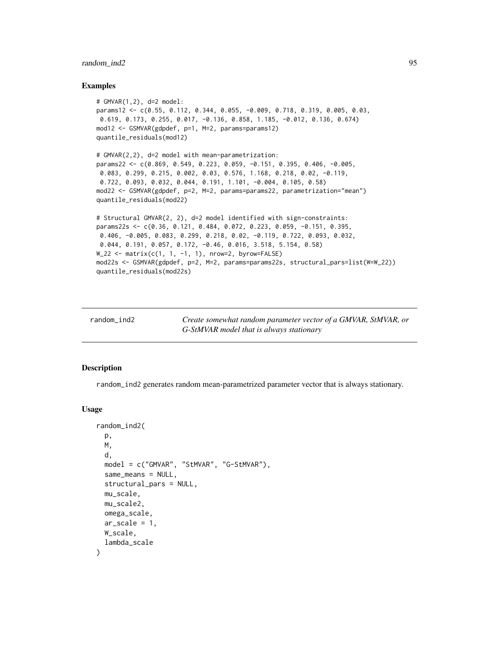## random\_ind2 95

### Examples

```
# GMVAR(1,2), d=2 model:
params12 <- c(0.55, 0.112, 0.344, 0.055, -0.009, 0.718, 0.319, 0.005, 0.03,
0.619, 0.173, 0.255, 0.017, -0.136, 0.858, 1.185, -0.012, 0.136, 0.674)
mod12 <- GSMVAR(gdpdef, p=1, M=2, params=params12)
quantile_residuals(mod12)
# GMVAR(2,2), d=2 model with mean-parametrization:
params22 <- c(0.869, 0.549, 0.223, 0.059, -0.151, 0.395, 0.406, -0.005,
 0.083, 0.299, 0.215, 0.002, 0.03, 0.576, 1.168, 0.218, 0.02, -0.119,
0.722, 0.093, 0.032, 0.044, 0.191, 1.101, -0.004, 0.105, 0.58)
mod22 <- GSMVAR(gdpdef, p=2, M=2, params=params22, parametrization="mean")
quantile_residuals(mod22)
# Structural GMVAR(2, 2), d=2 model identified with sign-constraints:
params22s <- c(0.36, 0.121, 0.484, 0.072, 0.223, 0.059, -0.151, 0.395,
0.406, -0.005, 0.083, 0.299, 0.218, 0.02, -0.119, 0.722, 0.093, 0.032,
0.044, 0.191, 0.057, 0.172, -0.46, 0.016, 3.518, 5.154, 0.58)
W_222 <- matrix(c(1, 1, -1, 1), nrow=2, byrow=FALSE)
mod22s <- GSMVAR(gdpdef, p=2, M=2, params=params22s, structural_pars=list(W=W_22))
quantile_residuals(mod22s)
```
random\_ind2 *Create somewhat random parameter vector of a GMVAR, StMVAR, or G-StMVAR model that is always stationary*

#### **Description**

random\_ind2 generates random mean-parametrized parameter vector that is always stationary.

#### Usage

```
random_ind2(
 p,
 M,
  d,
 model = c("GMVAR", "StMVAR", "G-StMVAR"),
  same_means = NULL,
  structural_pars = NULL,
 mu_scale,
 mu_scale2,
 omega_scale,
  ar\_scale = 1,
 W_scale,
  lambda_scale
)
```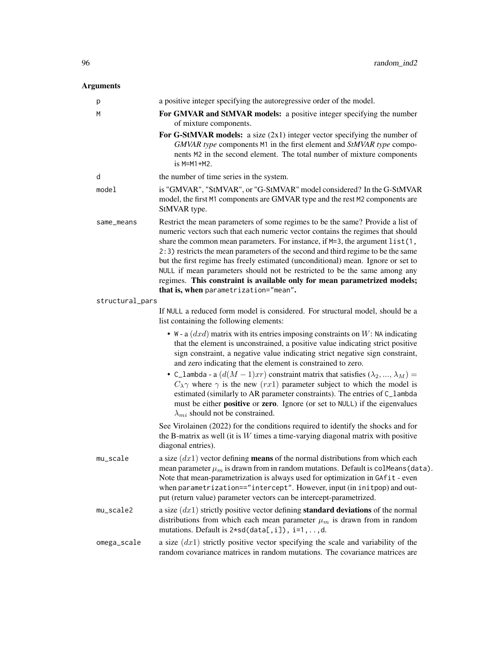# Arguments

| p               | a positive integer specifying the autoregressive order of the model.                                                                                                                                                                                                                                                                                                                                                                                                                                                                                                                                                       |
|-----------------|----------------------------------------------------------------------------------------------------------------------------------------------------------------------------------------------------------------------------------------------------------------------------------------------------------------------------------------------------------------------------------------------------------------------------------------------------------------------------------------------------------------------------------------------------------------------------------------------------------------------------|
| M               | For GMVAR and StMVAR models: a positive integer specifying the number<br>of mixture components.                                                                                                                                                                                                                                                                                                                                                                                                                                                                                                                            |
|                 | For G-StMVAR models: a size $(2x1)$ integer vector specifying the number of<br>GMVAR type components M1 in the first element and StMVAR type compo-<br>nents M2 in the second element. The total number of mixture components<br>$is$ M=M1+M2.                                                                                                                                                                                                                                                                                                                                                                             |
| d               | the number of time series in the system.                                                                                                                                                                                                                                                                                                                                                                                                                                                                                                                                                                                   |
| model           | is "GMVAR", "StMVAR", or "G-StMVAR" model considered? In the G-StMVAR<br>model, the first M1 components are GMVAR type and the rest M2 components are<br>StMVAR type.                                                                                                                                                                                                                                                                                                                                                                                                                                                      |
| same_means      | Restrict the mean parameters of some regimes to be the same? Provide a list of<br>numeric vectors such that each numeric vector contains the regimes that should<br>share the common mean parameters. For instance, if M=3, the argument list(1,<br>2:3) restricts the mean parameters of the second and third regime to be the same<br>but the first regime has freely estimated (unconditional) mean. Ignore or set to<br>NULL if mean parameters should not be restricted to be the same among any<br>regimes. This constraint is available only for mean parametrized models;<br>that is, when parametrization="mean". |
| structural_pars |                                                                                                                                                                                                                                                                                                                                                                                                                                                                                                                                                                                                                            |
|                 | If NULL a reduced form model is considered. For structural model, should be a<br>list containing the following elements:                                                                                                                                                                                                                                                                                                                                                                                                                                                                                                   |
|                 | • W - a $(dxd)$ matrix with its entries imposing constraints on W: NA indicating<br>that the element is unconstrained, a positive value indicating strict positive<br>sign constraint, a negative value indicating strict negative sign constraint,<br>and zero indicating that the element is constrained to zero.                                                                                                                                                                                                                                                                                                        |
|                 | • C_lambda - a $(d(M-1)xr)$ constraint matrix that satisfies $(\lambda_2, , \lambda_M)$ =<br>$C_{\lambda} \gamma$ where $\gamma$ is the new (rx1) parameter subject to which the model is<br>estimated (similarly to AR parameter constraints). The entries of C_lambda<br>must be either <b>positive</b> or <b>zero</b> . Ignore (or set to NULL) if the eigenvalues<br>$\lambda_{mi}$ should not be constrained.                                                                                                                                                                                                         |
|                 | See Virolainen (2022) for the conditions required to identify the shocks and for<br>the B-matrix as well (it is $W$ times a time-varying diagonal matrix with positive<br>diagonal entries).                                                                                                                                                                                                                                                                                                                                                                                                                               |
| $mu\_scale$     | a size $(dx1)$ vector defining <b>means</b> of the normal distributions from which each<br>mean parameter $\mu_m$ is drawn from in random mutations. Default is colleans (data).<br>Note that mean-parametrization is always used for optimization in GAfit - even<br>when parametrization=="intercept". However, input (in initpop) and out-<br>put (return value) parameter vectors can be intercept-parametrized.                                                                                                                                                                                                       |
| mu_scale2       | a size $(dx1)$ strictly positive vector defining <b>standard deviations</b> of the normal<br>distributions from which each mean parameter $\mu_m$ is drawn from in random<br>mutations. Default is $2*sd(data[, i]), i=1, , d.$                                                                                                                                                                                                                                                                                                                                                                                            |
| omega_scale     | a size $(dx1)$ strictly positive vector specifying the scale and variability of the<br>random covariance matrices in random mutations. The covariance matrices are                                                                                                                                                                                                                                                                                                                                                                                                                                                         |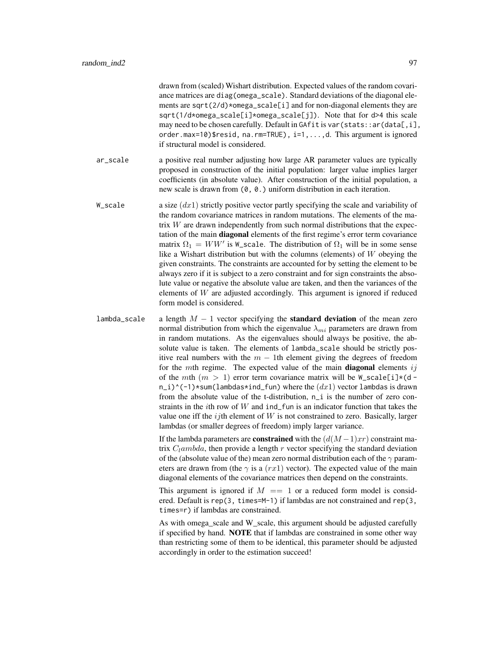drawn from (scaled) Wishart distribution. Expected values of the random covariance matrices are diag(omega\_scale). Standard deviations of the diagonal elements are sqrt( $2/d$ )\*omega\_scale[i] and for non-diagonal elements they are sqrt(1/d\*omega\_scale[i]\*omega\_scale[j]). Note that for d>4 this scale may need to be chosen carefully. Default in GAfit is var (stats:: ar (data[,i], order.max=10)\$resid, na.rm=TRUE), i=1,...,d. This argument is ignored if structural model is considered.

ar\_scale a positive real number adjusting how large AR parameter values are typically proposed in construction of the initial population: larger value implies larger coefficients (in absolute value). After construction of the initial population, a new scale is drawn from (0, 0.) uniform distribution in each iteration.

- W\_scale a size  $(dx1)$  strictly positive vector partly specifying the scale and variability of the random covariance matrices in random mutations. The elements of the matrix  $W$  are drawn independently from such normal distributions that the expectation of the main diagonal elements of the first regime's error term covariance matrix  $\Omega_1 = WW'$  is W\_scale. The distribution of  $\Omega_1$  will be in some sense like a Wishart distribution but with the columns (elements) of W obeying the given constraints. The constraints are accounted for by setting the element to be always zero if it is subject to a zero constraint and for sign constraints the absolute value or negative the absolute value are taken, and then the variances of the elements of  $W$  are adjusted accordingly. This argument is ignored if reduced form model is considered.
- lambda\_scale a length  $M 1$  vector specifying the **standard deviation** of the mean zero normal distribution from which the eigenvalue  $\lambda_{mi}$  parameters are drawn from in random mutations. As the eigenvalues should always be positive, the absolute value is taken. The elements of lambda\_scale should be strictly positive real numbers with the  $m - 1$ th element giving the degrees of freedom for the mth regime. The expected value of the main **diagonal** elements  $ij$ of the mth  $(m > 1)$  error term covariance matrix will be  $W$ -scale[i]\*(d  $n_i$ )^(-1)\*sum(lambdas\*ind\_fun) where the  $(dx1)$  vector lambdas is drawn from the absolute value of the t-distribution, n<sub>i</sub> is the number of zero constraints in the *i*th row of  $W$  and ind\_fun is an indicator function that takes the value one iff the  $ij$ th element of  $W$  is not constrained to zero. Basically, larger lambdas (or smaller degrees of freedom) imply larger variance.

If the lambda parameters are **constrained** with the  $(d(M-1)xr)$  constraint matrix  $C_l$ ambda, then provide a length r vector specifying the standard deviation of the (absolute value of the) mean zero normal distribution each of the  $\gamma$  parameters are drawn from (the  $\gamma$  is a (rx1) vector). The expected value of the main diagonal elements of the covariance matrices then depend on the constraints.

This argument is ignored if  $M = 1$  or a reduced form model is considered. Default is rep(3, times=M-1) if lambdas are not constrained and rep(3, times=r) if lambdas are constrained.

As with omega scale and W scale, this argument should be adjusted carefully if specified by hand. NOTE that if lambdas are constrained in some other way than restricting some of them to be identical, this parameter should be adjusted accordingly in order to the estimation succeed!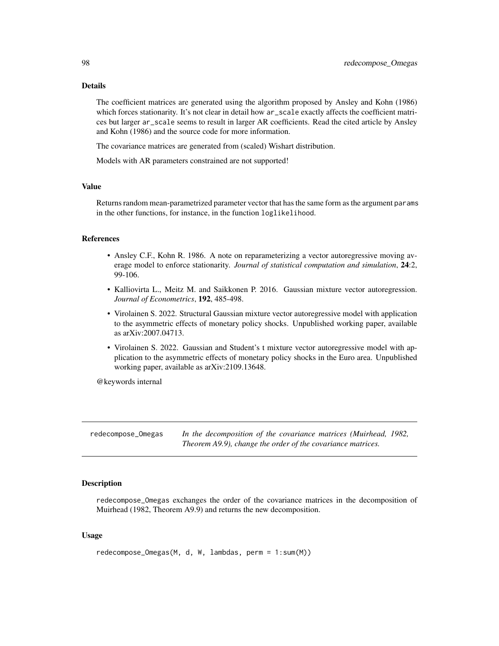## Details

The coefficient matrices are generated using the algorithm proposed by Ansley and Kohn (1986) which forces stationarity. It's not clear in detail how ar\_scale exactly affects the coefficient matrices but larger ar\_scale seems to result in larger AR coefficients. Read the cited article by Ansley and Kohn (1986) and the source code for more information.

The covariance matrices are generated from (scaled) Wishart distribution.

Models with AR parameters constrained are not supported!

### Value

Returns random mean-parametrized parameter vector that has the same form as the argument params in the other functions, for instance, in the function loglikelihood.

### References

- Ansley C.F., Kohn R. 1986. A note on reparameterizing a vector autoregressive moving average model to enforce stationarity. *Journal of statistical computation and simulation*, 24:2, 99-106.
- Kalliovirta L., Meitz M. and Saikkonen P. 2016. Gaussian mixture vector autoregression. *Journal of Econometrics*, 192, 485-498.
- Virolainen S. 2022. Structural Gaussian mixture vector autoregressive model with application to the asymmetric effects of monetary policy shocks. Unpublished working paper, available as arXiv:2007.04713.
- Virolainen S. 2022. Gaussian and Student's t mixture vector autoregressive model with application to the asymmetric effects of monetary policy shocks in the Euro area. Unpublished working paper, available as arXiv:2109.13648.

@keywords internal

redecompose\_Omegas *In the decomposition of the covariance matrices (Muirhead, 1982, Theorem A9.9), change the order of the covariance matrices.*

## Description

redecompose\_Omegas exchanges the order of the covariance matrices in the decomposition of Muirhead (1982, Theorem A9.9) and returns the new decomposition.

### Usage

```
redecompose_Omegas(M, d, W, lambdas, perm = 1:sum(M))
```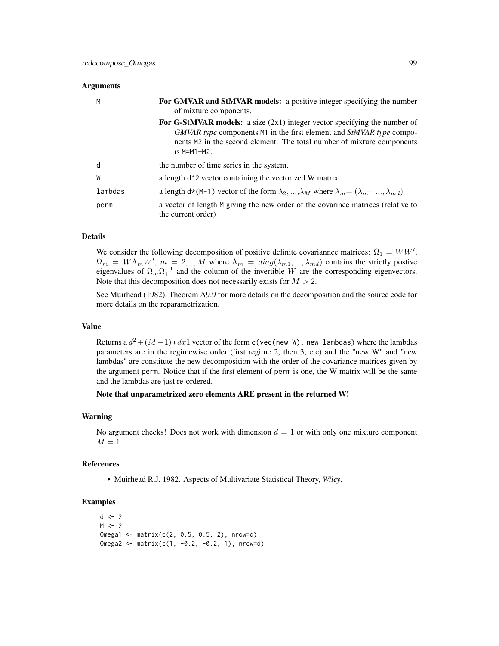### **Arguments**

| M       | <b>For GMVAR and StMVAR models:</b> a positive integer specifying the number<br>of mixture components.                                                                                                                                                |
|---------|-------------------------------------------------------------------------------------------------------------------------------------------------------------------------------------------------------------------------------------------------------|
|         | <b>For G-StMVAR models:</b> a size $(2x1)$ integer vector specifying the number of<br>GMVAR type components M1 in the first element and StMVAR type compo-<br>nents M2 in the second element. The total number of mixture components<br>$is$ M=M1+M2. |
| d       | the number of time series in the system.                                                                                                                                                                                                              |
| W       | a length d <sup><math>\lambda</math></sup> 2 vector containing the vectorized W matrix.                                                                                                                                                               |
| lambdas | a length d*(M-1) vector of the form $\lambda_2, , \lambda_M$ where $\lambda_m = (\lambda_{m1}, , \lambda_{md})$                                                                                                                                       |
| perm    | a vector of length M giving the new order of the covarince matrices (relative to<br>the current order)                                                                                                                                                |

## Details

We consider the following decomposition of positive definite covariannce matrices:  $\Omega_1 = WW'$ ,  $\Omega_m = W \Lambda_m W'$ ,  $m = 2, ..., M$  where  $\Lambda_m = diag(\lambda_{m1}, ..., \lambda_{md})$  contains the strictly postive eigenvalues of  $\Omega_m \Omega_1^{-1}$  and the column of the invertible W are the corresponding eigenvectors. Note that this decomposition does not necessarily exists for  $M > 2$ .

See Muirhead (1982), Theorem A9.9 for more details on the decomposition and the source code for more details on the reparametrization.

### Value

Returns a  $d^2 + (M-1)*dx1$  vector of the form c(vec(new\_W), new\_lambdas) where the lambdas parameters are in the regimewise order (first regime 2, then 3, etc) and the "new W" and "new lambdas" are constitute the new decomposition with the order of the covariance matrices given by the argument perm. Notice that if the first element of perm is one, the W matrix will be the same and the lambdas are just re-ordered.

## Note that unparametrized zero elements ARE present in the returned W!

# Warning

No argument checks! Does not work with dimension  $d = 1$  or with only one mixture component  $M=1.$ 

### References

• Muirhead R.J. 1982. Aspects of Multivariate Statistical Theory, *Wiley*.

# Examples

```
d \le -2M < -2Omega1 <- matrix(c(2, 0.5, 0.5, 2), nrow=d)
Omega2 <- matrix(c(1, -0.2, -0.2, 1), nrow=d)
```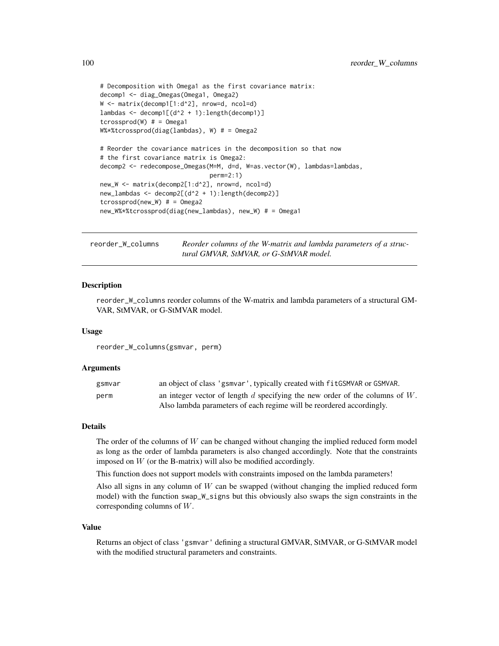```
# Decomposition with Omega1 as the first covariance matrix:
decomp1 <- diag_Omegas(Omega1, Omega2)
W <- matrix(decomp1[1:d^2], nrow=d, ncol=d)
lambdas <- decomp1[(d^2 + 1):length(decomp1)]
tcrossprod(W) # = Omega1
W%*%tcrossprod(diag(lambdas), W) # = Omega2
# Reorder the covariance matrices in the decomposition so that now
# the first covariance matrix is Omega2:
decomp2 <- redecompose_Omegas(M=M, d=d, W=as.vector(W), lambdas=lambdas,
                              perm=2:1)
new_W <- matrix(decomp2[1:d^2], nrow=d, ncol=d)
new_lambdas <- decomp2[(d^2 + 1):length(decomp2)]
tcrossprod(new_W) # = Omega2
new_W%*%tcrossprod(diag(new_lambdas), new_W) # = Omega1
```
<span id="page-99-0"></span>reorder\_W\_columns *Reorder columns of the W-matrix and lambda parameters of a structural GMVAR, StMVAR, or G-StMVAR model.*

### Description

reorder\_W\_columns reorder columns of the W-matrix and lambda parameters of a structural GM-VAR, StMVAR, or G-StMVAR model.

#### Usage

reorder\_W\_columns(gsmvar, perm)

### Arguments

| gsmvar | an object of class 'gsmvar', typically created with fitGSMVAR or GSMVAR.         |
|--------|----------------------------------------------------------------------------------|
| perm   | an integer vector of length $d$ specifying the new order of the columns of $W$ . |
|        | Also lambda parameters of each regime will be reordered accordingly.             |

### Details

The order of the columns of  $W$  can be changed without changing the implied reduced form model as long as the order of lambda parameters is also changed accordingly. Note that the constraints imposed on  $W$  (or the B-matrix) will also be modified accordingly.

This function does not support models with constraints imposed on the lambda parameters!

Also all signs in any column of W can be swapped (without changing the implied reduced form model) with the function swap\_W\_signs but this obviously also swaps the sign constraints in the corresponding columns of W.

#### Value

Returns an object of class 'gsmvar' defining a structural GMVAR, StMVAR, or G-StMVAR model with the modified structural parameters and constraints.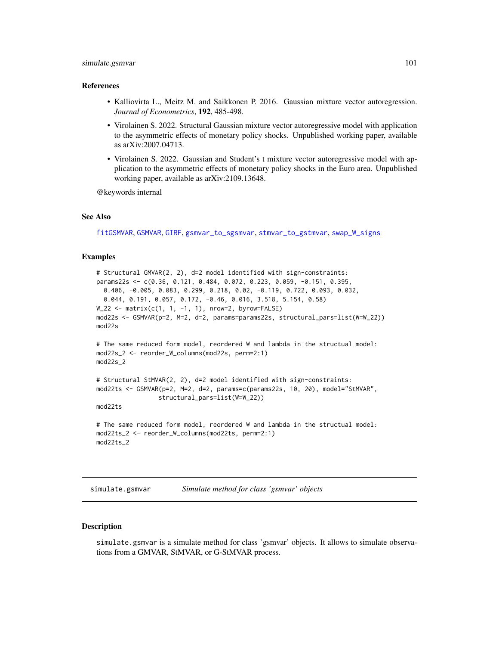## simulate.gsmvar 101

### References

- Kalliovirta L., Meitz M. and Saikkonen P. 2016. Gaussian mixture vector autoregression. *Journal of Econometrics*, 192, 485-498.
- Virolainen S. 2022. Structural Gaussian mixture vector autoregressive model with application to the asymmetric effects of monetary policy shocks. Unpublished working paper, available as arXiv:2007.04713.
- Virolainen S. 2022. Gaussian and Student's t mixture vector autoregressive model with application to the asymmetric effects of monetary policy shocks in the Euro area. Unpublished working paper, available as arXiv:2109.13648.

@keywords internal

## See Also

[fitGSMVAR](#page-27-0), [GSMVAR](#page-57-0), [GIRF](#page-47-0), [gsmvar\\_to\\_sgsmvar](#page-63-0), [stmvar\\_to\\_gstmvar](#page-105-0), [swap\\_W\\_signs](#page-108-0)

### Examples

```
# Structural GMVAR(2, 2), d=2 model identified with sign-constraints:
params22s <- c(0.36, 0.121, 0.484, 0.072, 0.223, 0.059, -0.151, 0.395,
  0.406, -0.005, 0.083, 0.299, 0.218, 0.02, -0.119, 0.722, 0.093, 0.032,
  0.044, 0.191, 0.057, 0.172, -0.46, 0.016, 3.518, 5.154, 0.58)
W_222 <- matrix(c(1, 1, -1, 1), nrow=2, byrow=FALSE)
mod22s <- GSMVAR(p=2, M=2, d=2, params=params22s, structural_pars=list(W=W_22))
mod22s
# The same reduced form model, reordered W and lambda in the structual model:
mod22s_2 <- reorder_W_columns(mod22s, perm=2:1)
mod22s_2
# Structural StMVAR(2, 2), d=2 model identified with sign-constraints:
mod22ts <- GSMVAR(p=2, M=2, d=2, params=c(params22s, 10, 20), model="StMVAR",
                 structural_pars=list(W=W_22))
mod22ts
# The same reduced form model, reordered W and lambda in the structual model:
mod22ts_2 <- reorder_W_columns(mod22ts, perm=2:1)
mod22ts_2
```
<span id="page-100-0"></span>simulate.gsmvar *Simulate method for class 'gsmvar' objects*

### **Description**

simulate.gsmvar is a simulate method for class 'gsmvar' objects. It allows to simulate observations from a GMVAR, StMVAR, or G-StMVAR process.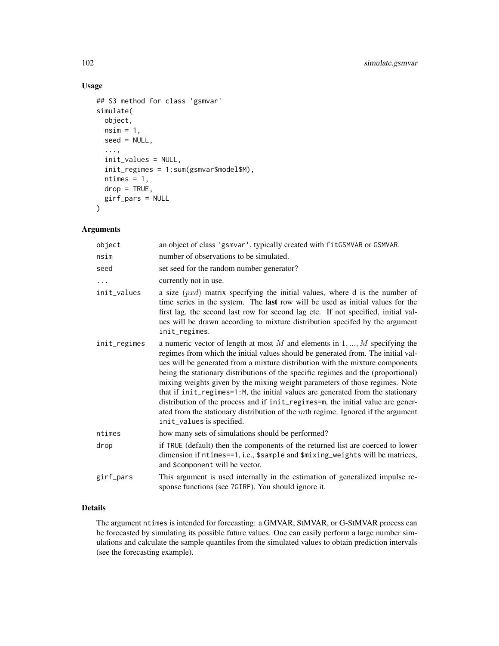# Usage

```
## S3 method for class 'gsmvar'
simulate(
  object,
 nsim = 1,
  seed = NULL,
  ...,
  init_values = NULL,
  init_regimes = 1:sum(gsmvar$model$M),
  ntimes = 1,
 drop = TRUE,girf_pars = NULL
\mathcal{L}
```
# Arguments

| object       | an object of class 'gsmvar', typically created with fitGSMVAR or GSMVAR.                                                                                                                                                                                                                                                                                                                                                                                                                                                                                                                                                                                                                                         |
|--------------|------------------------------------------------------------------------------------------------------------------------------------------------------------------------------------------------------------------------------------------------------------------------------------------------------------------------------------------------------------------------------------------------------------------------------------------------------------------------------------------------------------------------------------------------------------------------------------------------------------------------------------------------------------------------------------------------------------------|
| nsim         | number of observations to be simulated.                                                                                                                                                                                                                                                                                                                                                                                                                                                                                                                                                                                                                                                                          |
| seed         | set seed for the random number generator?                                                                                                                                                                                                                                                                                                                                                                                                                                                                                                                                                                                                                                                                        |
| $\cdots$     | currently not in use.                                                                                                                                                                                                                                                                                                                                                                                                                                                                                                                                                                                                                                                                                            |
| init_values  | a size $(pxd)$ matrix specifying the initial values, where d is the number of<br>time series in the system. The last row will be used as initial values for the<br>first lag, the second last row for second lag etc. If not specified, initial val-<br>ues will be drawn according to mixture distribution specifed by the argument<br>init_regimes.                                                                                                                                                                                                                                                                                                                                                            |
| init_regimes | a numeric vector of length at most $M$ and elements in $1, , M$ specifying the<br>regimes from which the initial values should be generated from. The initial val-<br>ues will be generated from a mixture distribution with the mixture components<br>being the stationary distributions of the specific regimes and the (proportional)<br>mixing weights given by the mixing weight parameters of those regimes. Note<br>that if init_regimes=1:M, the initial values are generated from the stationary<br>distribution of the process and if init_regimes=m, the initial value are gener-<br>ated from the stationary distribution of the $m$ th regime. Ignored if the argument<br>init_values is specified. |
| ntimes       | how many sets of simulations should be performed?                                                                                                                                                                                                                                                                                                                                                                                                                                                                                                                                                                                                                                                                |
| drop         | if TRUE (default) then the components of the returned list are coerced to lower<br>dimension if ntimes==1, i.e., \$sample and \$mixing_weights will be matrices,<br>and \$component will be vector.                                                                                                                                                                                                                                                                                                                                                                                                                                                                                                              |
| girf_pars    | This argument is used internally in the estimation of generalized impulse re-<br>sponse functions (see ?GIRF). You should ignore it.                                                                                                                                                                                                                                                                                                                                                                                                                                                                                                                                                                             |

# Details

The argument ntimes is intended for forecasting: a GMVAR, StMVAR, or G-StMVAR process can be forecasted by simulating its possible future values. One can easily perform a large number simulations and calculate the sample quantiles from the simulated values to obtain prediction intervals (see the forecasting example).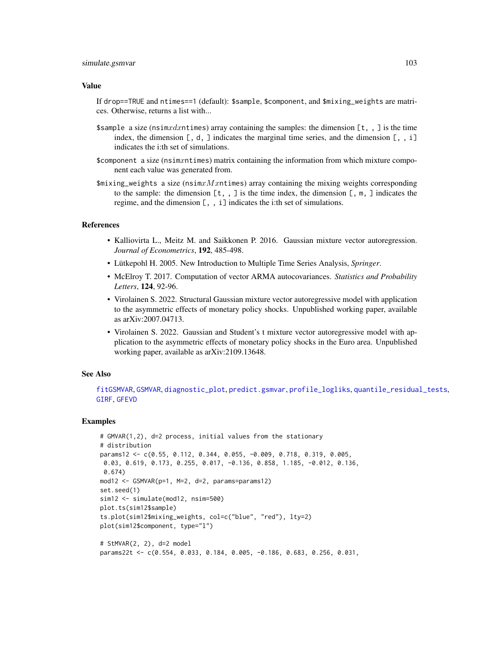### simulate.gsmvar 103

#### Value

If drop==TRUE and ntimes==1 (default): \$sample, \$component, and \$mixing\_weights are matrices. Otherwise, returns a list with...

- \$sample a size (nsimxdxntimes) array containing the samples: the dimension  $[t, ]$  is the time index, the dimension  $[$ , d,  $]$  indicates the marginal time series, and the dimension  $[$ ,  $]$ ,  $]$ indicates the i:th set of simulations.
- \$component a size (nsimxntimes) matrix containing the information from which mixture component each value was generated from.
- $\frac{1}{2}$   $\frac{1}{2}$   $\frac{1}{2}$   $\frac{1}{2}$   $\frac{1}{2}$   $\frac{1}{2}$   $\frac{1}{2}$   $\frac{1}{2}$   $\frac{1}{2}$   $\frac{1}{2}$   $\frac{1}{2}$   $\frac{1}{2}$   $\frac{1}{2}$   $\frac{1}{2}$   $\frac{1}{2}$   $\frac{1}{2}$   $\frac{1}{2}$   $\frac{1}{2}$   $\frac{1}{2}$   $\frac{1}{2}$   $\frac{1}{2}$   $\frac{1}{2}$  to the sample: the dimension  $[t, , ]$  is the time index, the dimension  $[ , \mathfrak{m} , ]$  indicates the regime, and the dimension [, , i] indicates the i:th set of simulations.

### References

- Kalliovirta L., Meitz M. and Saikkonen P. 2016. Gaussian mixture vector autoregression. *Journal of Econometrics*, 192, 485-498.
- Lütkepohl H. 2005. New Introduction to Multiple Time Series Analysis, *Springer*.
- McElroy T. 2017. Computation of vector ARMA autocovariances. *Statistics and Probability Letters*, 124, 92-96.
- Virolainen S. 2022. Structural Gaussian mixture vector autoregressive model with application to the asymmetric effects of monetary policy shocks. Unpublished working paper, available as arXiv:2007.04713.
- Virolainen S. 2022. Gaussian and Student's t mixture vector autoregressive model with application to the asymmetric effects of monetary policy shocks in the Euro area. Unpublished working paper, available as arXiv:2109.13648.

#### See Also

```
fitGSMVAR, GSMVAR, diagnostic_plot, predict.gsmvar, profile_logliks, quantile_residual_tests,
GIRF, GFEVD
```
## Examples

```
# GMVAR(1,2), d=2 process, initial values from the stationary
# distribution
params12 <- c(0.55, 0.112, 0.344, 0.055, -0.009, 0.718, 0.319, 0.005,
0.03, 0.619, 0.173, 0.255, 0.017, -0.136, 0.858, 1.185, -0.012, 0.136,
 0.674)
mod12 <- GSMVAR(p=1, M=2, d=2, params=params12)
set.seed(1)
sim12 <- simulate(mod12, nsim=500)
plot.ts(sim12$sample)
ts.plot(sim12$mixing_weights, col=c("blue", "red"), lty=2)
plot(sim12$component, type="l")
# StMVAR(2, 2), d=2 model
params22t <- c(0.554, 0.033, 0.184, 0.005, -0.186, 0.683, 0.256, 0.031,
```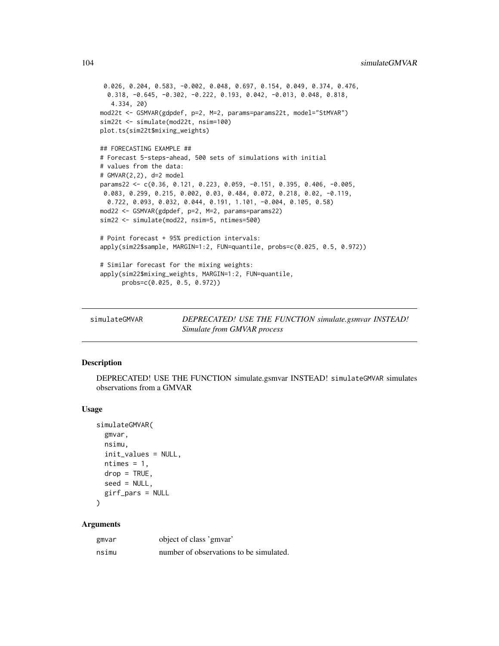```
0.026, 0.204, 0.583, -0.002, 0.048, 0.697, 0.154, 0.049, 0.374, 0.476,
  0.318, -0.645, -0.302, -0.222, 0.193, 0.042, -0.013, 0.048, 0.818,
  4.334, 20)
mod22t <- GSMVAR(gdpdef, p=2, M=2, params=params22t, model="StMVAR")
sim22t <- simulate(mod22t, nsim=100)
plot.ts(sim22t$mixing_weights)
## FORECASTING EXAMPLE ##
# Forecast 5-steps-ahead, 500 sets of simulations with initial
# values from the data:
# GMVAR(2,2), d=2 model
params22 <- c(0.36, 0.121, 0.223, 0.059, -0.151, 0.395, 0.406, -0.005,
 0.083, 0.299, 0.215, 0.002, 0.03, 0.484, 0.072, 0.218, 0.02, -0.119,
 0.722, 0.093, 0.032, 0.044, 0.191, 1.101, -0.004, 0.105, 0.58)
mod22 <- GSMVAR(gdpdef, p=2, M=2, params=params22)
sim22 <- simulate(mod22, nsim=5, ntimes=500)
# Point forecast + 95% prediction intervals:
apply(sim22$sample, MARGIN=1:2, FUN=quantile, probs=c(0.025, 0.5, 0.972))
# Similar forecast for the mixing weights:
apply(sim22$mixing_weights, MARGIN=1:2, FUN=quantile,
      probs=c(0.025, 0.5, 0.972))
```
simulateGMVAR *DEPRECATED! USE THE FUNCTION simulate.gsmvar INSTEAD! Simulate from GMVAR process*

## Description

DEPRECATED! USE THE FUNCTION simulate.gsmvar INSTEAD! simulateGMVAR simulates observations from a GMVAR

#### Usage

```
simulateGMVAR(
  gmvar,
 nsimu,
  init_values = NULL,
 ntimes = 1,
  drop = TRUE,seed = NULL,
 girf_pars = NULL
```

```
)
```
# Arguments

| gmvar | object of class 'gmvar'                 |
|-------|-----------------------------------------|
| nsimu | number of observations to be simulated. |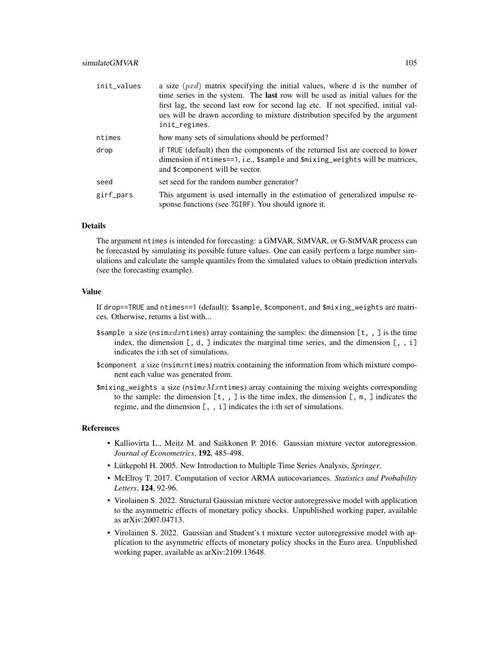| init_values | a size $(pxd)$ matrix specifying the initial values, where d is the number of<br>time series in the system. The <b>last</b> row will be used as initial values for the<br>first lag, the second last row for second lag etc. If not specified, initial val-<br>ues will be drawn according to mixture distribution specifed by the argument<br>init_regimes. |
|-------------|--------------------------------------------------------------------------------------------------------------------------------------------------------------------------------------------------------------------------------------------------------------------------------------------------------------------------------------------------------------|
| ntimes      | how many sets of simulations should be performed?                                                                                                                                                                                                                                                                                                            |
| drop        | if TRUE (default) then the components of the returned list are coerced to lower<br>dimension if ntimes==1, i.e., \$sample and \$mixing_weights will be matrices,<br>and \$component will be vector.                                                                                                                                                          |
| seed        | set seed for the random number generator?                                                                                                                                                                                                                                                                                                                    |
| girf_pars   | This argument is used internally in the estimation of generalized impulse re-<br>sponse functions (see ?GIRF). You should ignore it.                                                                                                                                                                                                                         |

## Details

The argument ntimes is intended for forecasting: a GMVAR, StMVAR, or G-StMVAR process can be forecasted by simulating its possible future values. One can easily perform a large number simulations and calculate the sample quantiles from the simulated values to obtain prediction intervals (see the forecasting example).

## Value

If drop==TRUE and ntimes==1 (default): \$sample, \$component, and \$mixing\_weights are matrices. Otherwise, returns a list with...

- \$sample a size (nsimxdxntimes) array containing the samples: the dimension  $[t, ]$  is the time index, the dimension  $[ , d, ]$  indicates the marginal time series, and the dimension  $[ , , ]$ indicates the i:th set of simulations.
- \$component a size (nsimxntimes) matrix containing the information from which mixture component each value was generated from.
- $\frac{1}{2}$   $\frac{1}{2}$  weights a size (nsim $x$   $M$   $x$ ntimes) array containing the mixing weights corresponding to the sample: the dimension  $[t, , ]$  is the time index, the dimension  $[ , \mathfrak{m} , ]$  indicates the regime, and the dimension [, , i] indicates the i:th set of simulations.

#### References

- Kalliovirta L., Meitz M. and Saikkonen P. 2016. Gaussian mixture vector autoregression. *Journal of Econometrics*, 192, 485-498.
- Lütkepohl H. 2005. New Introduction to Multiple Time Series Analysis, *Springer*.
- McElroy T. 2017. Computation of vector ARMA autocovariances. *Statistics and Probability Letters*, 124, 92-96.
- Virolainen S. 2022. Structural Gaussian mixture vector autoregressive model with application to the asymmetric effects of monetary policy shocks. Unpublished working paper, available as arXiv:2007.04713.
- Virolainen S. 2022. Gaussian and Student's t mixture vector autoregressive model with application to the asymmetric effects of monetary policy shocks in the Euro area. Unpublished working paper, available as arXiv:2109.13648.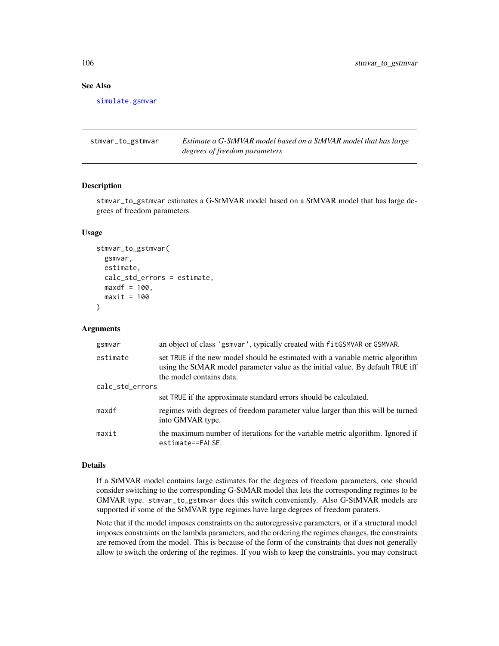# See Also

[simulate.gsmvar](#page-100-0)

<span id="page-105-0"></span>stmvar\_to\_gstmvar *Estimate a G-StMVAR model based on a StMVAR model that has large degrees of freedom parameters*

## Description

stmvar\_to\_gstmvar estimates a G-StMVAR model based on a StMVAR model that has large degrees of freedom parameters.

# Usage

```
stmvar_to_gstmvar(
  gsmvar,
 estimate,
 calc_std_errors = estimate,
 maxdf = 100,
 maxit = 100)
```
## Arguments

| gsmvar          | an object of class 'gsmvar', typically created with fitGSMVAR or GSMVAR.                                                                                                                      |
|-----------------|-----------------------------------------------------------------------------------------------------------------------------------------------------------------------------------------------|
| estimate        | set TRUE if the new model should be estimated with a variable metric algorithm<br>using the StMAR model parameter value as the initial value. By default TRUE iff<br>the model contains data. |
| calc_std_errors |                                                                                                                                                                                               |
|                 | set TRUE if the approximate standard errors should be calculated.                                                                                                                             |
| maxdf           | regimes with degrees of freedom parameter value larger than this will be turned<br>into GMVAR type.                                                                                           |
| maxit           | the maximum number of iterations for the variable metric algorithm. Ignored if<br>estimate==FALSE.                                                                                            |

#### Details

If a StMVAR model contains large estimates for the degrees of freedom parameters, one should consider switching to the corresponding G-StMAR model that lets the corresponding regimes to be GMVAR type. stmvar\_to\_gstmvar does this switch conveniently. Also G-StMVAR models are supported if some of the StMVAR type regimes have large degrees of freedom paraters.

Note that if the model imposes constraints on the autoregressive parameters, or if a structural model imposes constraints on the lambda parameters, and the ordering the regimes changes, the constraints are removed from the model. This is because of the form of the constraints that does not generally allow to switch the ordering of the regimes. If you wish to keep the constraints, you may construct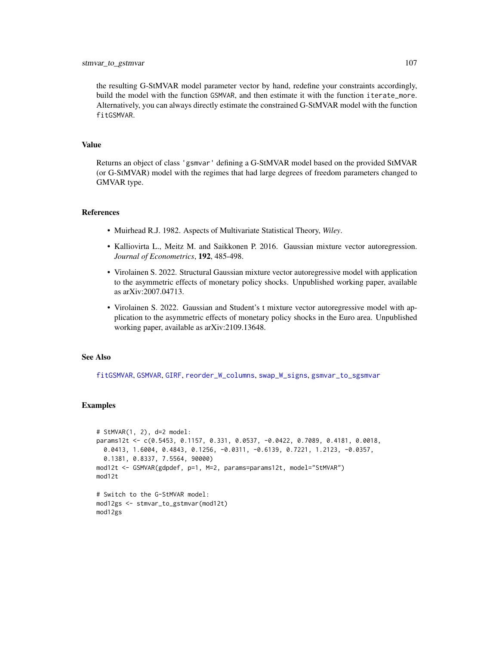the resulting G-StMVAR model parameter vector by hand, redefine your constraints accordingly, build the model with the function GSMVAR, and then estimate it with the function iterate\_more. Alternatively, you can always directly estimate the constrained G-StMVAR model with the function fitGSMVAR.

## Value

Returns an object of class 'gsmvar' defining a G-StMVAR model based on the provided StMVAR (or G-StMVAR) model with the regimes that had large degrees of freedom parameters changed to GMVAR type.

### References

- Muirhead R.J. 1982. Aspects of Multivariate Statistical Theory, *Wiley*.
- Kalliovirta L., Meitz M. and Saikkonen P. 2016. Gaussian mixture vector autoregression. *Journal of Econometrics*, 192, 485-498.
- Virolainen S. 2022. Structural Gaussian mixture vector autoregressive model with application to the asymmetric effects of monetary policy shocks. Unpublished working paper, available as arXiv:2007.04713.
- Virolainen S. 2022. Gaussian and Student's t mixture vector autoregressive model with application to the asymmetric effects of monetary policy shocks in the Euro area. Unpublished working paper, available as arXiv:2109.13648.

### See Also

[fitGSMVAR](#page-27-0), [GSMVAR](#page-57-0), [GIRF](#page-47-0), [reorder\\_W\\_columns](#page-99-0), [swap\\_W\\_signs](#page-108-0), [gsmvar\\_to\\_sgsmvar](#page-63-0)

### Examples

```
# StMVAR(1, 2), d=2 model:
params12t <- c(0.5453, 0.1157, 0.331, 0.0537, -0.0422, 0.7089, 0.4181, 0.0018,
 0.0413, 1.6004, 0.4843, 0.1256, -0.0311, -0.6139, 0.7221, 1.2123, -0.0357,
 0.1381, 0.8337, 7.5564, 90000)
mod12t <- GSMVAR(gdpdef, p=1, M=2, params=params12t, model="StMVAR")
mod12t
# Switch to the G-StMVAR model:
mod12gs <- stmvar_to_gstmvar(mod12t)
mod12gs
```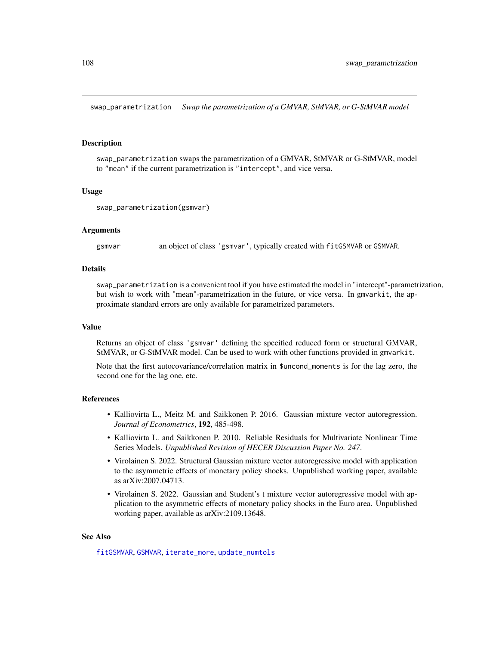<span id="page-107-0"></span>swap\_parametrization *Swap the parametrization of a GMVAR, StMVAR, or G-StMVAR model*

## Description

swap\_parametrization swaps the parametrization of a GMVAR, StMVAR or G-StMVAR, model to "mean" if the current parametrization is "intercept", and vice versa.

### Usage

```
swap_parametrization(gsmvar)
```
### Arguments

gsmvar an object of class 'gsmvar', typically created with fitGSMVAR or GSMVAR.

### Details

swap\_parametrization is a convenient tool if you have estimated the model in "intercept"-parametrization, but wish to work with "mean"-parametrization in the future, or vice versa. In gmvarkit, the approximate standard errors are only available for parametrized parameters.

#### Value

Returns an object of class 'gsmvar' defining the specified reduced form or structural GMVAR, StMVAR, or G-StMVAR model. Can be used to work with other functions provided in gmvarkit.

Note that the first autocovariance/correlation matrix in \$uncond\_moments is for the lag zero, the second one for the lag one, etc.

## References

- Kalliovirta L., Meitz M. and Saikkonen P. 2016. Gaussian mixture vector autoregression. *Journal of Econometrics*, 192, 485-498.
- Kalliovirta L. and Saikkonen P. 2010. Reliable Residuals for Multivariate Nonlinear Time Series Models. *Unpublished Revision of HECER Discussion Paper No. 247*.
- Virolainen S. 2022. Structural Gaussian mixture vector autoregressive model with application to the asymmetric effects of monetary policy shocks. Unpublished working paper, available as arXiv:2007.04713.
- Virolainen S. 2022. Gaussian and Student's t mixture vector autoregressive model with application to the asymmetric effects of monetary policy shocks in the Euro area. Unpublished working paper, available as arXiv:2109.13648.

### See Also

[fitGSMVAR](#page-27-0), [GSMVAR](#page-57-0), [iterate\\_more](#page-71-0), [update\\_numtols](#page-111-0)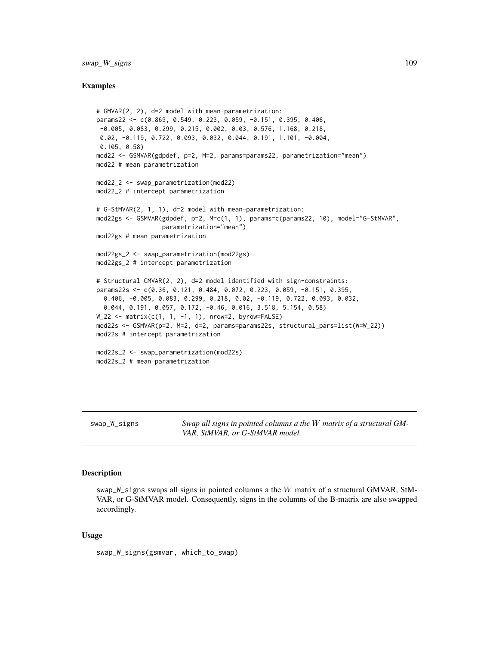# <span id="page-108-0"></span>swap\_W\_signs 109

# Examples

```
# GMVAR(2, 2), d=2 model with mean-parametrization:
params22 <- c(0.869, 0.549, 0.223, 0.059, -0.151, 0.395, 0.406,
 -0.005, 0.083, 0.299, 0.215, 0.002, 0.03, 0.576, 1.168, 0.218,
 0.02, -0.119, 0.722, 0.093, 0.032, 0.044, 0.191, 1.101, -0.004,
 0.105, 0.58)
mod22 <- GSMVAR(gdpdef, p=2, M=2, params=params22, parametrization="mean")
mod22 # mean parametrization
mod22_2 <- swap_parametrization(mod22)
mod22_2 # intercept parametrization
# G-StMVAR(2, 1, 1), d=2 model with mean-parametrization:
mod22gs <- GSMVAR(gdpdef, p=2, M=c(1, 1), params=c(params22, 10), model="G-StMVAR",
                  parametrization="mean")
mod22gs # mean parametrization
mod22gs_2 <- swap_parametrization(mod22gs)
mod22gs_2 # intercept parametrization
# Structural GMVAR(2, 2), d=2 model identified with sign-constraints:
params22s <- c(0.36, 0.121, 0.484, 0.072, 0.223, 0.059, -0.151, 0.395,
  0.406, -0.005, 0.083, 0.299, 0.218, 0.02, -0.119, 0.722, 0.093, 0.032,
  0.044, 0.191, 0.057, 0.172, -0.46, 0.016, 3.518, 5.154, 0.58)
W_222 <- matrix(c(1, 1, -1, 1), nrow=2, byrow=FALSE)
mod22s <- GSMVAR(p=2, M=2, d=2, params=params22s, structural_pars=list(W=W_22))
mod22s # intercept parametrization
mod22s_2 <- swap_parametrization(mod22s)
mod22s_2 # mean parametrization
```
swap\_W\_signs *Swap all signs in pointed columns a the* W *matrix of a structural GM-VAR, StMVAR, or G-StMVAR model.*

# Description

swap\_W\_signs swaps all signs in pointed columns a the W matrix of a structural GMVAR, StM-VAR, or G-StMVAR model. Consequently, signs in the columns of the B-matrix are also swapped accordingly.

#### Usage

swap\_W\_signs(gsmvar, which\_to\_swap)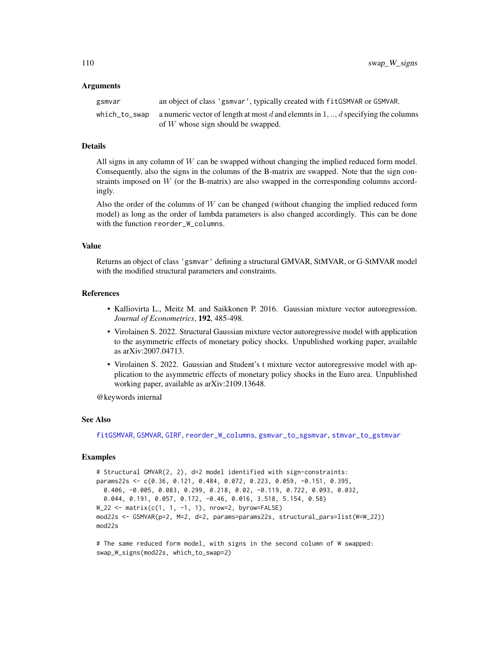# <span id="page-109-0"></span>Arguments

| gsmvar | an object of class 'gsmvar', typically created with fit GSMVAR or GSMVAR.                                                                       |
|--------|-------------------------------------------------------------------------------------------------------------------------------------------------|
|        | which_to_swap a numeric vector of length at most d and elemnts in $1, \ldots, d$ specifying the columns<br>of $W$ whose sign should be swapped. |

# Details

All signs in any column of  $W$  can be swapped without changing the implied reduced form model. Consequently, also the signs in the columns of the B-matrix are swapped. Note that the sign constraints imposed on  $W$  (or the B-matrix) are also swapped in the corresponding columns accordingly.

Also the order of the columns of  $W$  can be changed (without changing the implied reduced form model) as long as the order of lambda parameters is also changed accordingly. This can be done with the function reorder\_W\_columns.

# Value

Returns an object of class 'gsmvar' defining a structural GMVAR, StMVAR, or G-StMVAR model with the modified structural parameters and constraints.

# References

- Kalliovirta L., Meitz M. and Saikkonen P. 2016. Gaussian mixture vector autoregression. *Journal of Econometrics*, 192, 485-498.
- Virolainen S. 2022. Structural Gaussian mixture vector autoregressive model with application to the asymmetric effects of monetary policy shocks. Unpublished working paper, available as arXiv:2007.04713.
- Virolainen S. 2022. Gaussian and Student's t mixture vector autoregressive model with application to the asymmetric effects of monetary policy shocks in the Euro area. Unpublished working paper, available as arXiv:2109.13648.

@keywords internal

# See Also

[fitGSMVAR](#page-27-0), [GSMVAR](#page-57-0), [GIRF](#page-47-0), [reorder\\_W\\_columns](#page-99-0), [gsmvar\\_to\\_sgsmvar](#page-63-0), [stmvar\\_to\\_gstmvar](#page-105-0)

# Examples

# Structural GMVAR(2, 2), d=2 model identified with sign-constraints: params22s <- c(0.36, 0.121, 0.484, 0.072, 0.223, 0.059, -0.151, 0.395, 0.406, -0.005, 0.083, 0.299, 0.218, 0.02, -0.119, 0.722, 0.093, 0.032, 0.044, 0.191, 0.057, 0.172, -0.46, 0.016, 3.518, 5.154, 0.58)  $W_2$ 22 <- matrix(c(1, 1, -1, 1), nrow=2, byrow=FALSE) mod22s <- GSMVAR(p=2, M=2, d=2, params=params22s, structural\_pars=list(W=W\_22)) mod22s

# The same reduced form model, with signs in the second column of W swapped: swap\_W\_signs(mod22s, which\_to\_swap=2)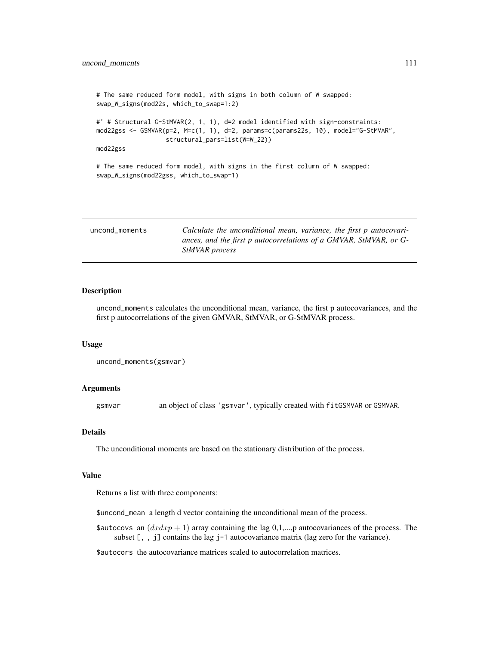```
# The same reduced form model, with signs in both column of W swapped:
swap_W_signs(mod22s, which_to_swap=1:2)
#' # Structural G-StMVAR(2, 1, 1), d=2 model identified with sign-constraints:
mod22gss <- GSMVAR(p=2, M=c(1, 1), d=2, params=c(params22s, 10), model="G-StMVAR",
                   structural_pars=list(W=W_22))
mod22gss
# The same reduced form model, with signs in the first column of W swapped:
swap_W_signs(mod22gss, which_to_swap=1)
```

| uncond moments | Calculate the unconditional mean, variance, the first p autocovari-                 |
|----------------|-------------------------------------------------------------------------------------|
|                | ances, and the first p autocorrelations of a GMVAR, StMVAR, or G-<br>StMVAR process |

# Description

uncond\_moments calculates the unconditional mean, variance, the first p autocovariances, and the first p autocorrelations of the given GMVAR, StMVAR, or G-StMVAR process.

#### Usage

```
uncond_moments(gsmvar)
```
# Arguments

gsmvar an object of class 'gsmvar', typically created with fitGSMVAR or GSMVAR.

# Details

The unconditional moments are based on the stationary distribution of the process.

#### Value

Returns a list with three components:

\$uncond\_mean a length d vector containing the unconditional mean of the process.

\$autocovs an  $(dxdxp + 1)$  array containing the lag 0,1,...,p autocovariances of the process. The subset [, , j] contains the lag j-1 autocovariance matrix (lag zero for the variance).

\$autocors the autocovariance matrices scaled to autocorrelation matrices.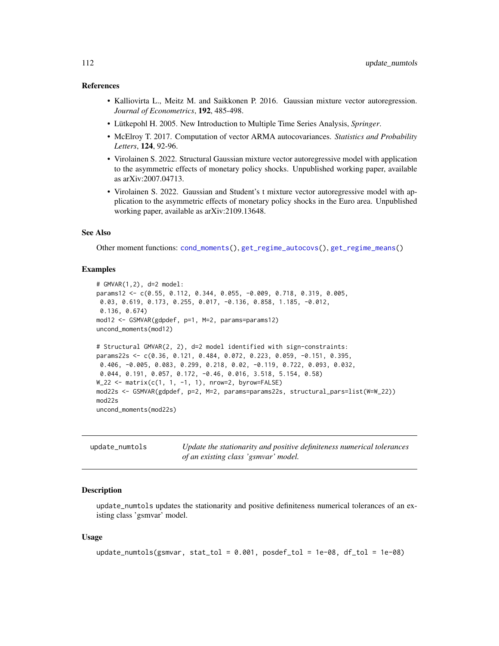# <span id="page-111-0"></span>References

- Kalliovirta L., Meitz M. and Saikkonen P. 2016. Gaussian mixture vector autoregression. *Journal of Econometrics*, 192, 485-498.
- Lütkepohl H. 2005. New Introduction to Multiple Time Series Analysis, *Springer*.
- McElroy T. 2017. Computation of vector ARMA autocovariances. *Statistics and Probability Letters*, 124, 92-96.
- Virolainen S. 2022. Structural Gaussian mixture vector autoregressive model with application to the asymmetric effects of monetary policy shocks. Unpublished working paper, available as arXiv:2007.04713.
- Virolainen S. 2022. Gaussian and Student's t mixture vector autoregressive model with application to the asymmetric effects of monetary policy shocks in the Euro area. Unpublished working paper, available as arXiv:2109.13648.

# See Also

Other moment functions: [cond\\_moments\(](#page-12-0)), [get\\_regime\\_autocovs\(](#page-41-0)), [get\\_regime\\_means\(](#page-42-0))

# Examples

```
# GMVAR(1,2), d=2 model:
params12 <- c(0.55, 0.112, 0.344, 0.055, -0.009, 0.718, 0.319, 0.005,
0.03, 0.619, 0.173, 0.255, 0.017, -0.136, 0.858, 1.185, -0.012,
0.136, 0.674)
mod12 <- GSMVAR(gdpdef, p=1, M=2, params=params12)
uncond_moments(mod12)
# Structural GMVAR(2, 2), d=2 model identified with sign-constraints:
params22s <- c(0.36, 0.121, 0.484, 0.072, 0.223, 0.059, -0.151, 0.395,
0.406, -0.005, 0.083, 0.299, 0.218, 0.02, -0.119, 0.722, 0.093, 0.032,
0.044, 0.191, 0.057, 0.172, -0.46, 0.016, 3.518, 5.154, 0.58)
W_22 <- matrix(c(1, 1, -1, 1), nrow=2, byrow=FALSE)
mod22s <- GSMVAR(gdpdef, p=2, M=2, params=params22s, structural_pars=list(W=W_22))
mod22s
uncond_moments(mod22s)
```

| update_numtols | Update the stationarity and positive definiteness numerical tolerances |
|----------------|------------------------------------------------------------------------|
|                | of an existing class 'gsmvar' model.                                   |

# **Description**

update\_numtols updates the stationarity and positive definiteness numerical tolerances of an existing class 'gsmvar' model.

# Usage

```
update_numtols(gsmvar, stat_tol = 0.001, posdef_tol = 1e-08, df_tol = 1e-08)
```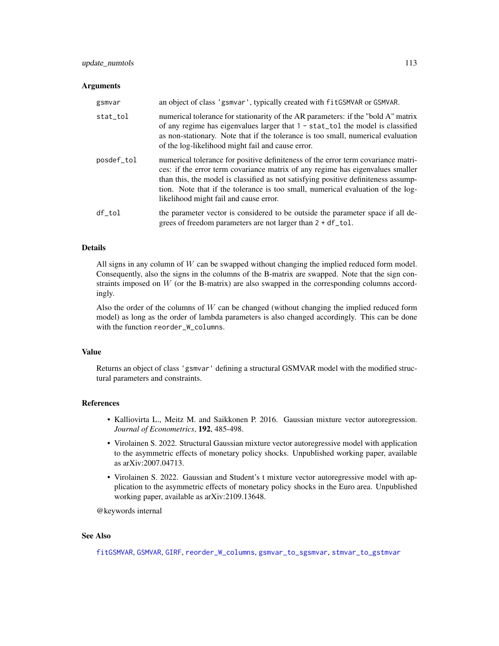# <span id="page-112-0"></span>update\_numtols 113

#### **Arguments**

| gsmvar     | an object of class 'gsmvar', typically created with fitGSMVAR or GSMVAR.                                                                                                                                                                                                                                                                                                               |
|------------|----------------------------------------------------------------------------------------------------------------------------------------------------------------------------------------------------------------------------------------------------------------------------------------------------------------------------------------------------------------------------------------|
| stat_tol   | numerical tolerance for stationarity of the AR parameters: if the "bold A" matrix<br>of any regime has eigenvalues larger that $1 -$ stat_tol the model is classified<br>as non-stationary. Note that if the tolerance is too small, numerical evaluation<br>of the log-likelihood might fail and cause error.                                                                         |
| posdef_tol | numerical tolerance for positive definiteness of the error term covariance matri-<br>ces: if the error term covariance matrix of any regime has eigenvalues smaller<br>than this, the model is classified as not satisfying positive definiteness assump-<br>tion. Note that if the tolerance is too small, numerical evaluation of the log-<br>likelihood might fail and cause error. |
| df tol     | the parameter vector is considered to be outside the parameter space if all de-<br>grees of freedom parameters are not larger than 2 + df_tol.                                                                                                                                                                                                                                         |

# Details

All signs in any column of  $W$  can be swapped without changing the implied reduced form model. Consequently, also the signs in the columns of the B-matrix are swapped. Note that the sign constraints imposed on  $W$  (or the B-matrix) are also swapped in the corresponding columns accordingly.

Also the order of the columns of  $W$  can be changed (without changing the implied reduced form model) as long as the order of lambda parameters is also changed accordingly. This can be done with the function reorder\_W\_columns.

# Value

Returns an object of class 'gsmvar' defining a structural GSMVAR model with the modified structural parameters and constraints.

# References

- Kalliovirta L., Meitz M. and Saikkonen P. 2016. Gaussian mixture vector autoregression. *Journal of Econometrics*, 192, 485-498.
- Virolainen S. 2022. Structural Gaussian mixture vector autoregressive model with application to the asymmetric effects of monetary policy shocks. Unpublished working paper, available as arXiv:2007.04713.
- Virolainen S. 2022. Gaussian and Student's t mixture vector autoregressive model with application to the asymmetric effects of monetary policy shocks in the Euro area. Unpublished working paper, available as arXiv:2109.13648.

@keywords internal

# See Also

[fitGSMVAR](#page-27-0), [GSMVAR](#page-57-0), [GIRF](#page-47-0), [reorder\\_W\\_columns](#page-99-0), [gsmvar\\_to\\_sgsmvar](#page-63-0), [stmvar\\_to\\_gstmvar](#page-105-0)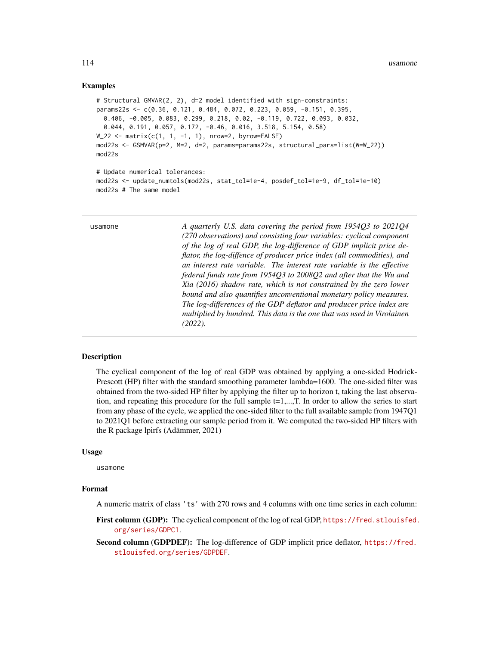# <span id="page-113-0"></span>Examples

```
# Structural GMVAR(2, 2), d=2 model identified with sign-constraints:
params22s <- c(0.36, 0.121, 0.484, 0.072, 0.223, 0.059, -0.151, 0.395,
  0.406, -0.005, 0.083, 0.299, 0.218, 0.02, -0.119, 0.722, 0.093, 0.032,
  0.044, 0.191, 0.057, 0.172, -0.46, 0.016, 3.518, 5.154, 0.58)
W_222 <- matrix(c(1, 1, -1, 1), nrow=2, byrow=FALSE)
mod22s <- GSMVAR(p=2, M=2, d=2, params=params22s, structural_pars=list(W=W_22))
mod22s
# Update numerical tolerances:
mod22s <- update_numtols(mod22s, stat_tol=1e-4, posdef_tol=1e-9, df_tol=1e-10)
mod22s # The same model
```

| usamone | A quarterly U.S. data covering the period from 1954Q3 to 2021Q4         |
|---------|-------------------------------------------------------------------------|
|         | (270 observations) and consisting four variables: cyclical component    |
|         | of the log of real GDP, the log-difference of GDP implicit price de-    |
|         | flator, the log-diffence of producer price index (all commodities), and |
|         | an interest rate variable. The interest rate variable is the effective  |
|         | federal funds rate from 1954Q3 to 2008Q2 and after that the Wu and      |
|         | Xia (2016) shadow rate, which is not constrained by the zero lower      |
|         | bound and also quantifies unconventional monetary policy measures.      |
|         | The log-differences of the GDP deflator and producer price index are    |
|         | multiplied by hundred. This data is the one that was used in Virolainen |
|         | $(2022)$ .                                                              |
|         |                                                                         |

# Description

The cyclical component of the log of real GDP was obtained by applying a one-sided Hodrick-Prescott (HP) filter with the standard smoothing parameter lambda=1600. The one-sided filter was obtained from the two-sided HP filter by applying the filter up to horizon t, taking the last observation, and repeating this procedure for the full sample t=1,...,T. In order to allow the series to start from any phase of the cycle, we applied the one-sided filter to the full available sample from 1947Q1 to 2021Q1 before extracting our sample period from it. We computed the two-sided HP filters with the R package lpirfs (Adämmer, 2021)

# Usage

usamone

# Format

A numeric matrix of class 'ts' with 270 rows and 4 columns with one time series in each column:

First column (GDP): The cyclical component of the log of real GDP, [https://fred.stlouisfed.](https://fred.stlouisfed.org/series/GDPC1) [org/series/GDPC1](https://fred.stlouisfed.org/series/GDPC1).

Second column (GDPDEF): The log-difference of GDP implicit price deflator, [https://fred.](https://fred.stlouisfed.org/series/GDPDEF) [stlouisfed.org/series/GDPDEF](https://fred.stlouisfed.org/series/GDPDEF).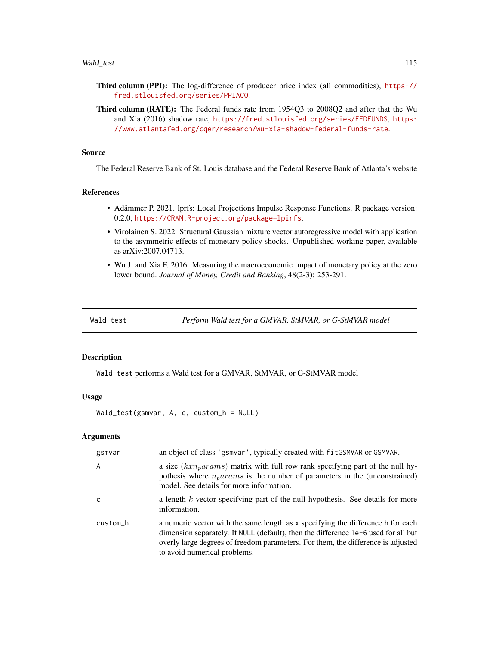#### <span id="page-114-0"></span>Wald\_test 115

- Third column (PPI): The log-difference of producer price index (all commodities), [https://](https://fred.stlouisfed.org/series/PPIACO) [fred.stlouisfed.org/series/PPIACO](https://fred.stlouisfed.org/series/PPIACO).
- Third column (RATE): The Federal funds rate from 1954Q3 to 2008Q2 and after that the Wu and Xia (2016) shadow rate, <https://fred.stlouisfed.org/series/FEDFUNDS>, [https:](https://www.atlantafed.org/cqer/research/wu-xia-shadow-federal-funds-rate) [//www.atlantafed.org/cqer/research/wu-xia-shadow-federal-funds-rate](https://www.atlantafed.org/cqer/research/wu-xia-shadow-federal-funds-rate).

# Source

The Federal Reserve Bank of St. Louis database and the Federal Reserve Bank of Atlanta's website

# References

- Adämmer P. 2021. lprfs: Local Projections Impulse Response Functions. R package version: 0.2.0, <https://CRAN.R-project.org/package=lpirfs>.
- Virolainen S. 2022. Structural Gaussian mixture vector autoregressive model with application to the asymmetric effects of monetary policy shocks. Unpublished working paper, available as arXiv:2007.04713.
- Wu J. and Xia F. 2016. Measuring the macroeconomic impact of monetary policy at the zero lower bound. *Journal of Money, Credit and Banking*, 48(2-3): 253-291.

Wald\_test *Perform Wald test for a GMVAR, StMVAR, or G-StMVAR model*

#### Description

Wald\_test performs a Wald test for a GMVAR, StMVAR, or G-StMVAR model

# Usage

Wald\_test(gsmvar, A, c, custom\_h = NULL)

# **Arguments**

| gsmvar         | an object of class 'gsmvar', typically created with fitGSMVAR or GSMVAR.                                                                                                                                                                                                                  |
|----------------|-------------------------------------------------------------------------------------------------------------------------------------------------------------------------------------------------------------------------------------------------------------------------------------------|
| $\overline{A}$ | a size $(kxn_0arams)$ matrix with full row rank specifying part of the null hy-<br>pothesis where $nparams$ is the number of parameters in the (unconstrained)<br>model. See details for more information.                                                                                |
| <sub>c</sub>   | a length $k$ vector specifying part of the null hypothesis. See details for more<br>information.                                                                                                                                                                                          |
| custom_h       | a numeric vector with the same length as x specifying the difference h for each<br>dimension separately. If NULL (default), then the difference 1e-6 used for all but<br>overly large degrees of freedom parameters. For them, the difference is adjusted<br>to avoid numerical problems. |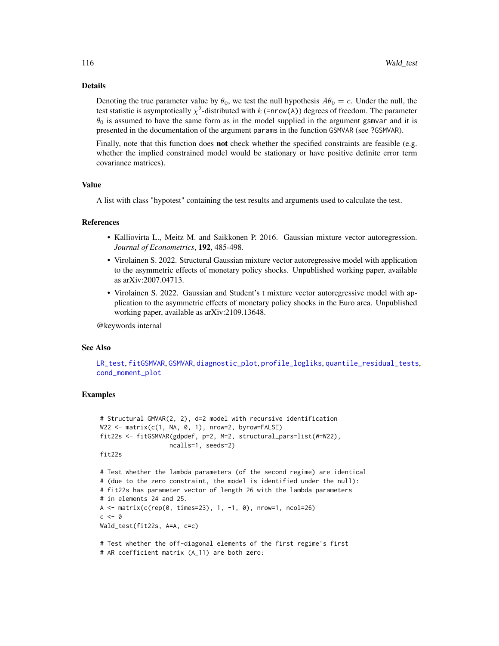# <span id="page-115-0"></span>Details

Denoting the true parameter value by  $\theta_0$ , we test the null hypothesis  $A\theta_0 = c$ . Under the null, the test statistic is asymptotically  $\chi^2$ -distributed with k (=nrow(A)) degrees of freedom. The parameter  $\theta_0$  is assumed to have the same form as in the model supplied in the argument gsmvar and it is presented in the documentation of the argument params in the function GSMVAR (see ?GSMVAR).

Finally, note that this function does **not** check whether the specified constraints are feasible (e.g. whether the implied constrained model would be stationary or have positive definite error term covariance matrices).

#### Value

A list with class "hypotest" containing the test results and arguments used to calculate the test.

# References

- Kalliovirta L., Meitz M. and Saikkonen P. 2016. Gaussian mixture vector autoregression. *Journal of Econometrics*, 192, 485-498.
- Virolainen S. 2022. Structural Gaussian mixture vector autoregressive model with application to the asymmetric effects of monetary policy shocks. Unpublished working paper, available as arXiv:2007.04713.
- Virolainen S. 2022. Gaussian and Student's t mixture vector autoregressive model with application to the asymmetric effects of monetary policy shocks in the Euro area. Unpublished working paper, available as arXiv:2109.13648.

@keywords internal

# See Also

[LR\\_test](#page-77-0), [fitGSMVAR](#page-27-0), [GSMVAR](#page-57-0), [diagnostic\\_plot](#page-18-0), [profile\\_logliks](#page-90-0), [quantile\\_residual\\_tests](#page-80-0), [cond\\_moment\\_plot](#page-16-0)

# Examples

```
# Structural GMVAR(2, 2), d=2 model with recursive identification
W22 <- matrix(c(1, NA, 0, 1), nrow=2, byrow=FALSE)
fit22s <- fitGSMVAR(gdpdef, p=2, M=2, structural_pars=list(W=W22),
                   ncalls=1, seeds=2)
fit22s
# Test whether the lambda parameters (of the second regime) are identical
# (due to the zero constraint, the model is identified under the null):
# fit22s has parameter vector of length 26 with the lambda parameters
# in elements 24 and 25.
A <- matrix(c(rep(\theta, times=23), 1, -1, \theta), nrow=1, ncol=26)
c \le -\emptysetWald_test(fit22s, A=A, c=c)
# Test whether the off-diagonal elements of the first regime's first
```
<sup>#</sup> AR coefficient matrix (A\_11) are both zero: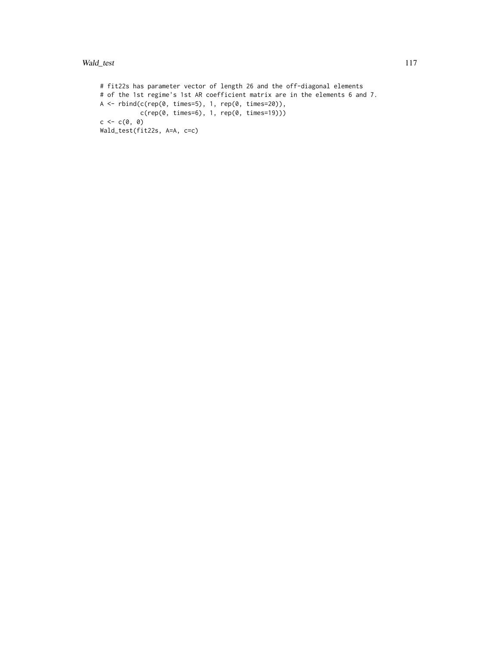```
# fit22s has parameter vector of length 26 and the off-diagonal elements
# of the 1st regime's 1st AR coefficient matrix are in the elements 6 and 7.
A \leftarrow \text{rbind}(c(\text{rep}(0, \text{ times=5}), 1, \text{rep}(0, \text{ times=20})),c(rep(0, times=6), 1, rep(0, times=19)))
c \leftarrow c(\emptyset, \emptyset)Wald_test(fit22s, A=A, c=c)
```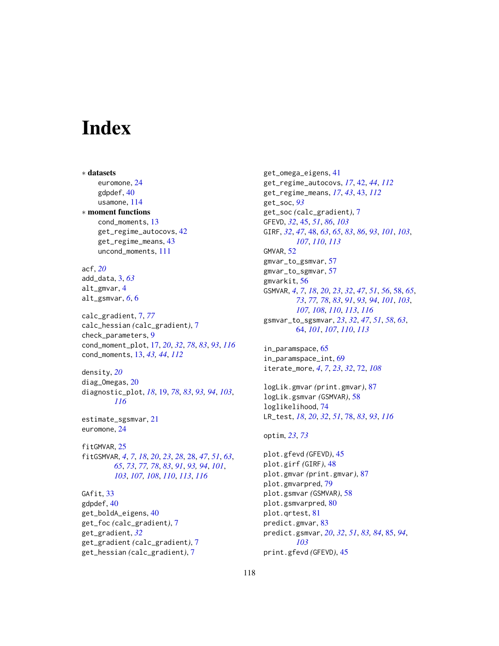# **Index**

∗ datasets euromone, [24](#page-23-0) gdpdef, [40](#page-39-0) usamone, [114](#page-113-0) ∗ moment functions cond\_moments, [13](#page-12-1) get\_regime\_autocovs, [42](#page-41-1) get\_regime\_means, [43](#page-42-1) uncond\_moments, [111](#page-110-0) acf, *[20](#page-19-0)* add\_data, [3,](#page-2-0) *[63](#page-62-0)* alt\_gmvar, [4](#page-3-0) alt\_gsmvar, *[6](#page-5-0)*, [6](#page-5-0) calc\_gradient, [7,](#page-6-0) *[77](#page-76-0)* calc\_hessian *(*calc\_gradient*)*, [7](#page-6-0) check\_parameters, [9](#page-8-0) cond\_moment\_plot, [17,](#page-16-1) *[20](#page-19-0)*, *[32](#page-31-0)*, *[78](#page-77-1)*, *[83](#page-82-0)*, *[93](#page-92-0)*, *[116](#page-115-0)* cond\_moments, [13,](#page-12-1) *[43,](#page-42-1) [44](#page-43-0)*, *[112](#page-111-0)* density, *[20](#page-19-0)* diag\_Omegas, [20](#page-19-0) diagnostic\_plot, *[18](#page-17-0)*, [19,](#page-18-1) *[78](#page-77-1)*, *[83](#page-82-0)*, *[93,](#page-92-0) [94](#page-93-0)*, *[103](#page-102-0)*, *[116](#page-115-0)* estimate\_sgsmvar, [21](#page-20-0) euromone, [24](#page-23-0) fitGMVAR, [25](#page-24-0) fitGSMVAR, *[4](#page-3-0)*, *[7](#page-6-0)*, *[18](#page-17-0)*, *[20](#page-19-0)*, *[23](#page-22-0)*, *[28](#page-27-1)*, [28,](#page-27-1) *[47](#page-46-0)*, *[51](#page-50-0)*, *[63](#page-62-0)*, *[65](#page-64-0)*, *[73](#page-72-0)*, *[77,](#page-76-0) [78](#page-77-1)*, *[83](#page-82-0)*, *[91](#page-90-1)*, *[93,](#page-92-0) [94](#page-93-0)*, *[101](#page-100-0)*, *[103](#page-102-0)*, *[107,](#page-106-0) [108](#page-107-0)*, *[110](#page-109-0)*, *[113](#page-112-0)*, *[116](#page-115-0)* GAfit, [33](#page-32-0) gdpdef, [40](#page-39-0) get\_boldA\_eigens, [40](#page-39-0) get\_foc *(*calc\_gradient*)*, [7](#page-6-0) get\_gradient, *[32](#page-31-0)* get\_gradient *(*calc\_gradient*)*, [7](#page-6-0) get\_hessian *(*calc\_gradient*)*, [7](#page-6-0)

get\_omega\_eigens, [41](#page-40-0) get\_regime\_autocovs, *[17](#page-16-1)*, [42,](#page-41-1) *[44](#page-43-0)*, *[112](#page-111-0)* get\_regime\_means, *[17](#page-16-1)*, *[43](#page-42-1)*, [43,](#page-42-1) *[112](#page-111-0)* get\_soc, *[93](#page-92-0)* get\_soc *(*calc\_gradient*)*, [7](#page-6-0) GFEVD, *[32](#page-31-0)*, [45,](#page-44-0) *[51](#page-50-0)*, *[86](#page-85-0)*, *[103](#page-102-0)* GIRF, *[32](#page-31-0)*, *[47](#page-46-0)*, [48,](#page-47-1) *[63](#page-62-0)*, *[65](#page-64-0)*, *[83](#page-82-0)*, *[86](#page-85-0)*, *[93](#page-92-0)*, *[101](#page-100-0)*, *[103](#page-102-0)*, *[107](#page-106-0)*, *[110](#page-109-0)*, *[113](#page-112-0)* GMVAR, [52](#page-51-0) gmvar\_to\_gsmvar, [57](#page-56-0) gmvar\_to\_sgmvar, [57](#page-56-0) gmvarkit, [56](#page-55-0) GSMVAR, *[4](#page-3-0)*, *[7](#page-6-0)*, *[18](#page-17-0)*, *[20](#page-19-0)*, *[23](#page-22-0)*, *[32](#page-31-0)*, *[47](#page-46-0)*, *[51](#page-50-0)*, *[56](#page-55-0)*, [58,](#page-57-1) *[65](#page-64-0)*, *[73](#page-72-0)*, *[77,](#page-76-0) [78](#page-77-1)*, *[83](#page-82-0)*, *[91](#page-90-1)*, *[93,](#page-92-0) [94](#page-93-0)*, *[101](#page-100-0)*, *[103](#page-102-0)*, *[107,](#page-106-0) [108](#page-107-0)*, *[110](#page-109-0)*, *[113](#page-112-0)*, *[116](#page-115-0)* gsmvar\_to\_sgsmvar, *[23](#page-22-0)*, *[32](#page-31-0)*, *[47](#page-46-0)*, *[51](#page-50-0)*, *[58](#page-57-1)*, *[63](#page-62-0)*, [64,](#page-63-1) *[101](#page-100-0)*, *[107](#page-106-0)*, *[110](#page-109-0)*, *[113](#page-112-0)* in\_paramspace, [65](#page-64-0) in\_paramspace\_int, [69](#page-68-0) iterate\_more, *[4](#page-3-0)*, *[7](#page-6-0)*, *[23](#page-22-0)*, *[32](#page-31-0)*, [72,](#page-71-0) *[108](#page-107-0)* logLik.gmvar *(*print.gmvar*)*, [87](#page-86-0) logLik.gsmvar *(*GSMVAR*)*, [58](#page-57-1) loglikelihood, [74](#page-73-0) LR\_test, *[18](#page-17-0)*, *[20](#page-19-0)*, *[32](#page-31-0)*, *[51](#page-50-0)*, [78,](#page-77-1) *[83](#page-82-0)*, *[93](#page-92-0)*, *[116](#page-115-0)*

```
optim, 23, 73
```
plot.gfevd *(*GFEVD*)*, [45](#page-44-0) plot.girf *(*GIRF*)*, [48](#page-47-1) plot.gmvar *(*print.gmvar*)*, [87](#page-86-0) plot.gmvarpred, [79](#page-78-0) plot.gsmvar *(*GSMVAR*)*, [58](#page-57-1) plot.gsmvarpred, [80](#page-79-0) plot.qrtest, [81](#page-80-1) predict.gmvar, [83](#page-82-0) predict.gsmvar, *[20](#page-19-0)*, *[32](#page-31-0)*, *[51](#page-50-0)*, *[83,](#page-82-0) [84](#page-83-0)*, [85,](#page-84-0) *[94](#page-93-0)*, *[103](#page-102-0)* print.gfevd *(*GFEVD*)*, [45](#page-44-0)